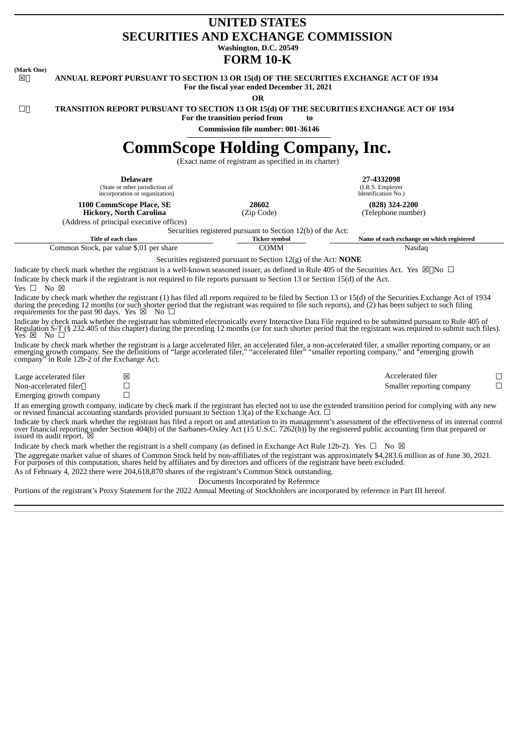# **UNITED STATES SECURITIES AND EXCHANGE COMMISSION Washington, D.C. 20549**

# **FORM 10-K**

**(Mark One)**

#### ☒ **ANNUAL REPORT PURSUANT TO SECTION 13 OR 15(d) OF THE SECURITIES EXCHANGE ACT OF 1934 For the fiscal year ended December 31, 2021**

**OR**

☐ **TRANSITION REPORT PURSUANT TO SECTION 13 OR 15(d) OF THE SECURITIES EXCHANGE ACT OF 1934**

**For the transition period from to**

**Commission file number: 001-36146**

# **CommScope Holding Company, Inc.**

(Exact name of registrant as specified in its charter)

**Delaware 27-4332098** (State or other jurisdiction of incorporation or organization) (I.R.S. Employer Identification No.) **1100 CommScope Place, SE Hickory, North Carolina 28602** (Zip Code) **(828) 324-2200** (Telephone number) (Address of principal executive offices) Securities registered pursuant to Section 12(b) of the Act: **Title of each class Ticker symbol Name of each exchange on which registered** Common Stock, par value \$.01 per share COMM COMM Nasdaq Securities registered pursuant to Section 12(g) of the Act: **NONE** Indicate by check mark whether the registrant is a well-known seasoned issuer, as defined in Rule 405 of the Securities Act. Yes ⊠[No □ Indicate by check mark if the registrant is not required to file reports pursuant to Section 13 or Section 15(d) of the Act. Yes □ No ⊠ Indicate by check mark whether the registrant (1) has filed all reports required to be filed by Section 13 or 15(d) of the Securities Exchange Act of 1934 during the preceding 12 months (or such shorter period that the registrant was required to file such reports), and (2) has been subject to such filing requirements for the past 90 days. Yes  $\boxtimes$  No  $\Box$ Indicate by check mark whether the registrant has submitted electronically every Interactive Data File required to be submitted pursuant to Rule 405 of Regulation S-T (§ 232.405 of this chapter) during the preceding 12 months (or for such shorter period that the registrant was required to submit such files).  $Yes \boxtimes No \square$ Indicate by check mark whether the registrant is a large accelerated filer, an accelerated filer, a non-accelerated filer, a smaller reporting company, or an emerging growth company. See the definitions of "large accelerated filer," "accelerated filer" "smaller reporting company," and "emerging growth company" in Rule 12b-2 of the Exchange Act. Large accelerated filer ☒ Accelerated filer ☐ Non-accelerated filer **□** Smaller reporting company □ Emerging growth company  $\Box$ If an emerging growth company, indicate by check mark if the registrant has elected not to use the extended transition period for complying with any new or revised financial accounting standards provided pursuant to Section 13(a) of the Exchange Act.  $\Box$ Indicate by check mark whether the registrant has filed a report on and attestation to its management's assessment of the effectiveness of its internal control over financial reporting under Section 404(b) of the Sarbanes-Oxley Act (15 U.S.C. 7262(b)) by the registered public accounting firm that prepared or issued its audit report.  $\boxtimes$ 

Indicate by check mark whether the registrant is a shell company (as defined in Exchange Act Rule 12b-2). Yes  $\Box$  No  $\boxtimes$ 

The aggregate market value of shares of Common Stock held by non-affiliates of the registrant was approximately \$4,283.6 million as of June 30, 2021. For purposes of this computation, shares held by affiliates and by directors and officers of the registrant have been excluded. As of February 4, 2022 there were 204,618,870 shares of the registrant's Common Stock outstanding.

Documents Incorporated by Reference

Portions of the registrant's Proxy Statement for the 2022 Annual Meeting of Stockholders are incorporated by reference in Part III hereof.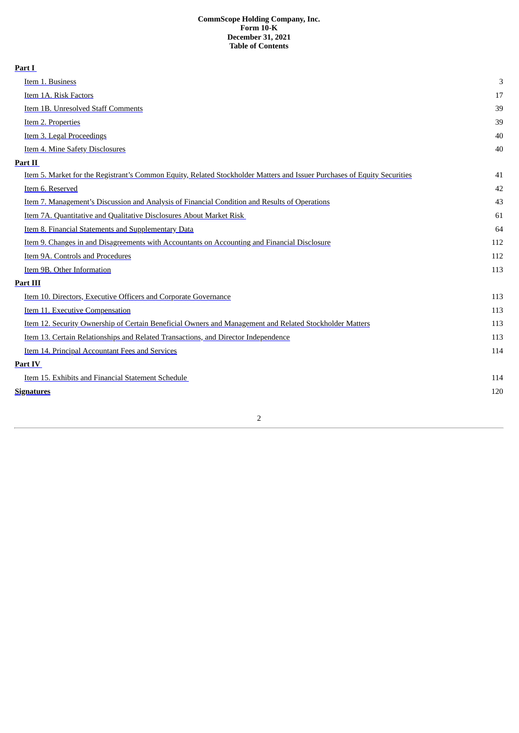#### **CommScope Holding Company, Inc. Form 10-K December 31, 2021 Table of Contents**

# **[Part](#page-2-0) I**

| Item 1. Business                                                                                                         | 3   |
|--------------------------------------------------------------------------------------------------------------------------|-----|
| Item 1A. Risk Factors                                                                                                    | 17  |
| Item 1B. Unresolved Staff Comments                                                                                       | 39  |
| Item 2. Properties                                                                                                       | 39  |
| Item 3. Legal Proceedings                                                                                                | 40  |
| Item 4. Mine Safety Disclosures                                                                                          | 40  |
| Part II                                                                                                                  |     |
| Item 5. Market for the Registrant's Common Equity, Related Stockholder Matters and Issuer Purchases of Equity Securities | 41  |
| Item 6. Reserved                                                                                                         | 42  |
| Item 7. Management's Discussion and Analysis of Financial Condition and Results of Operations                            | 43  |
| Item 7A. Quantitative and Qualitative Disclosures About Market Risk                                                      | 61  |
| Item 8. Financial Statements and Supplementary Data                                                                      | 64  |
| Item 9. Changes in and Disagreements with Accountants on Accounting and Financial Disclosure                             | 112 |
| Item 9A. Controls and Procedures                                                                                         | 112 |
| Item 9B. Other Information                                                                                               | 113 |
| Part III                                                                                                                 |     |
| Item 10. Directors, Executive Officers and Corporate Governance                                                          | 113 |
| Item 11. Executive Compensation                                                                                          | 113 |
| Item 12. Security Ownership of Certain Beneficial Owners and Management and Related Stockholder Matters                  | 113 |
| Item 13. Certain Relationships and Related Transactions, and Director Independence                                       | 113 |
| Item 14. Principal Accountant Fees and Services                                                                          | 114 |
| Part IV                                                                                                                  |     |
| Item 15. Exhibits and Financial Statement Schedule                                                                       | 114 |
| <b>Signatures</b>                                                                                                        | 120 |
|                                                                                                                          |     |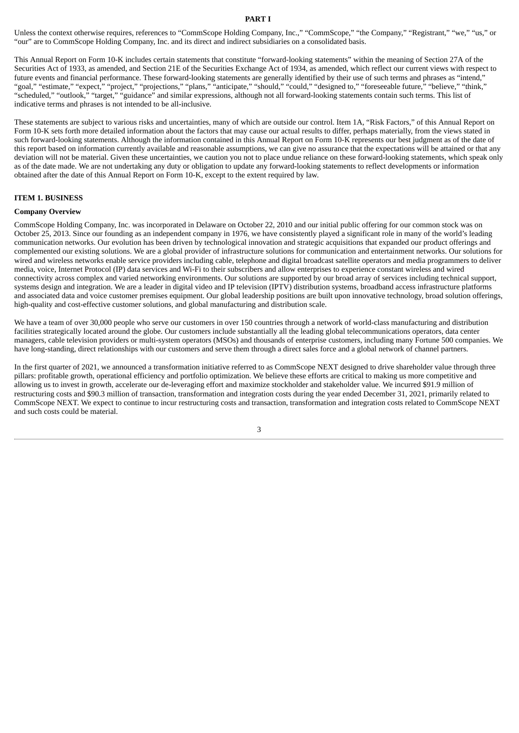#### **PART I**

<span id="page-2-0"></span>Unless the context otherwise requires, references to "CommScope Holding Company, Inc.," "CommScope," "the Company," "Registrant," "we," "us," or "our" are to CommScope Holding Company, Inc. and its direct and indirect subsidiaries on a consolidated basis.

This Annual Report on Form 10-K includes certain statements that constitute "forward-looking statements" within the meaning of Section 27A of the Securities Act of 1933, as amended, and Section 21E of the Securities Exchange Act of 1934, as amended, which reflect our current views with respect to future events and financial performance. These forward-looking statements are generally identified by their use of such terms and phrases as "intend," "goal," "estimate," "expect," "project," "projections," "plans," "anticipate," "should," "could," "designed to," "foreseeable future," "believe," "think," "scheduled," "outlook," "target," "guidance" and similar expressions, although not all forward-looking statements contain such terms. This list of indicative terms and phrases is not intended to be all-inclusive.

These statements are subject to various risks and uncertainties, many of which are outside our control. Item 1A, "Risk Factors," of this Annual Report on Form 10-K sets forth more detailed information about the factors that may cause our actual results to differ, perhaps materially, from the views stated in such forward-looking statements. Although the information contained in this Annual Report on Form 10-K represents our best judgment as of the date of this report based on information currently available and reasonable assumptions, we can give no assurance that the expectations will be attained or that any deviation will not be material. Given these uncertainties, we caution you not to place undue reliance on these forward-looking statements, which speak only as of the date made. We are not undertaking any duty or obligation to update any forward-looking statements to reflect developments or information obtained after the date of this Annual Report on Form 10-K, except to the extent required by law.

#### <span id="page-2-1"></span>**ITEM 1. BUSINESS**

#### **Company Overview**

CommScope Holding Company, Inc. was incorporated in Delaware on October 22, 2010 and our initial public offering for our common stock was on October 25, 2013. Since our founding as an independent company in 1976, we have consistently played a significant role in many of the world's leading communication networks. Our evolution has been driven by technological innovation and strategic acquisitions that expanded our product offerings and complemented our existing solutions. We are a global provider of infrastructure solutions for communication and entertainment networks. Our solutions for wired and wireless networks enable service providers including cable, telephone and digital broadcast satellite operators and media programmers to deliver media, voice, Internet Protocol (IP) data services and Wi-Fi to their subscribers and allow enterprises to experience constant wireless and wired connectivity across complex and varied networking environments. Our solutions are supported by our broad array of services including technical support, systems design and integration. We are a leader in digital video and IP television (IPTV) distribution systems, broadband access infrastructure platforms and associated data and voice customer premises equipment. Our global leadership positions are built upon innovative technology, broad solution offerings, high-quality and cost-effective customer solutions, and global manufacturing and distribution scale.

We have a team of over 30,000 people who serve our customers in over 150 countries through a network of world-class manufacturing and distribution facilities strategically located around the globe. Our customers include substantially all the leading global telecommunications operators, data center managers, cable television providers or multi-system operators (MSOs) and thousands of enterprise customers, including many Fortune 500 companies. We have long-standing, direct relationships with our customers and serve them through a direct sales force and a global network of channel partners.

In the first quarter of 2021, we announced a transformation initiative referred to as CommScope NEXT designed to drive shareholder value through three pillars: profitable growth, operational efficiency and portfolio optimization. We believe these efforts are critical to making us more competitive and allowing us to invest in growth, accelerate our de-leveraging effort and maximize stockholder and stakeholder value. We incurred \$91.9 million of restructuring costs and \$90.3 million of transaction, transformation and integration costs during the year ended December 31, 2021, primarily related to CommScope NEXT. We expect to continue to incur restructuring costs and transaction, transformation and integration costs related to CommScope NEXT and such costs could be material.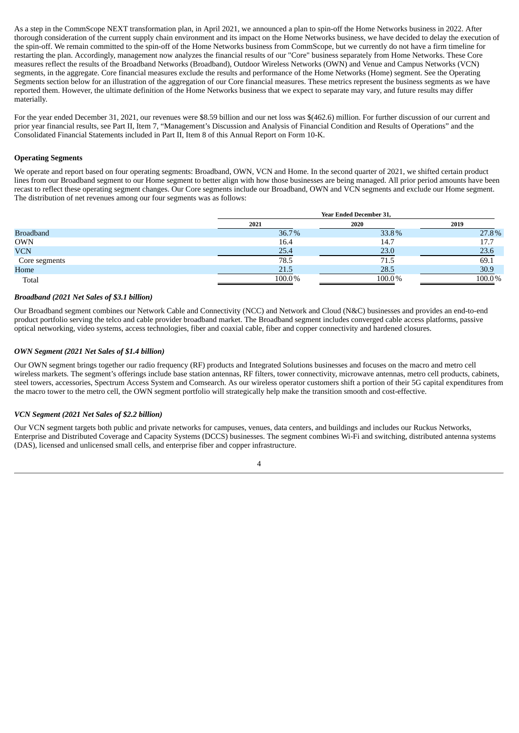As a step in the CommScope NEXT transformation plan, in April 2021, we announced a plan to spin-off the Home Networks business in 2022. After thorough consideration of the current supply chain environment and its impact on the Home Networks business, we have decided to delay the execution of the spin-off. We remain committed to the spin-off of the Home Networks business from CommScope, but we currently do not have a firm timeline for restarting the plan. Accordingly, management now analyzes the financial results of our "Core" business separately from Home Networks. These Core measures reflect the results of the Broadband Networks (Broadband), Outdoor Wireless Networks (OWN) and Venue and Campus Networks (VCN) segments, in the aggregate. Core financial measures exclude the results and performance of the Home Networks (Home) segment. See the Operating Segments section below for an illustration of the aggregation of our Core financial measures. These metrics represent the business segments as we have reported them. However, the ultimate definition of the Home Networks business that we expect to separate may vary, and future results may differ materially.

For the year ended December 31, 2021, our revenues were \$8.59 billion and our net loss was \$(462.6) million. For further discussion of our current and prior year financial results, see Part II, Item 7, "Management's Discussion and Analysis of Financial Condition and Results of Operations" and the Consolidated Financial Statements included in Part II, Item 8 of this Annual Report on Form 10-K.

### **Operating Segments**

We operate and report based on four operating segments: Broadband, OWN, VCN and Home. In the second quarter of 2021, we shifted certain product lines from our Broadband segment to our Home segment to better align with how those businesses are being managed. All prior period amounts have been recast to reflect these operating segment changes. Our Core segments include our Broadband, OWN and VCN segments and exclude our Home segment. The distribution of net revenues among our four segments was as follows:

|                  |        | <b>Year Ended December 31,</b> |        |  |
|------------------|--------|--------------------------------|--------|--|
|                  | 2021   | 2020                           | 2019   |  |
| <b>Broadband</b> | 36.7%  | 33.8%                          | 27.8%  |  |
| <b>OWN</b>       | 16.4   | 14.7                           | 17.7   |  |
| <b>VCN</b>       | 25.4   | 23.0                           | 23.6   |  |
| Core segments    | 78.5   | 71.5                           | 69.1   |  |
| Home             | 21.5   | 28.5                           | 30.9   |  |
| Total            | 100.0% | 100.0%                         | 100.0% |  |

#### *Broadband (2021 Net Sales of \$3.1 billion)*

Our Broadband segment combines our Network Cable and Connectivity (NCC) and Network and Cloud (N&C) businesses and provides an end-to-end product portfolio serving the telco and cable provider broadband market. The Broadband segment includes converged cable access platforms, passive optical networking, video systems, access technologies, fiber and coaxial cable, fiber and copper connectivity and hardened closures.

# *OWN Segment (2021 Net Sales of \$1.4 billion)*

Our OWN segment brings together our radio frequency (RF) products and Integrated Solutions businesses and focuses on the macro and metro cell wireless markets. The segment's offerings include base station antennas, RF filters, tower connectivity, microwave antennas, metro cell products, cabinets, steel towers, accessories, Spectrum Access System and Comsearch. As our wireless operator customers shift a portion of their 5G capital expenditures from the macro tower to the metro cell, the OWN segment portfolio will strategically help make the transition smooth and cost-effective.

# *VCN Segment (2021 Net Sales of \$2.2 billion)*

Our VCN segment targets both public and private networks for campuses, venues, data centers, and buildings and includes our Ruckus Networks, Enterprise and Distributed Coverage and Capacity Systems (DCCS) businesses. The segment combines Wi-Fi and switching, distributed antenna systems (DAS), licensed and unlicensed small cells, and enterprise fiber and copper infrastructure.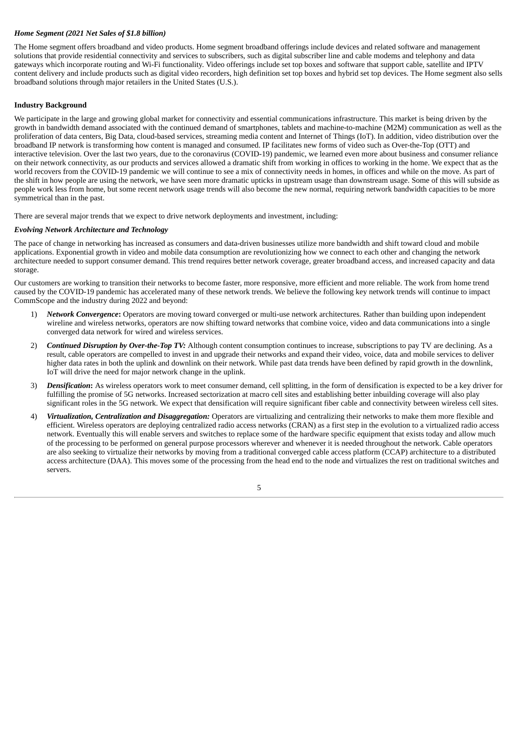# *Home Segment (2021 Net Sales of \$1.8 billion)*

The Home segment offers broadband and video products. Home segment broadband offerings include devices and related software and management solutions that provide residential connectivity and services to subscribers, such as digital subscriber line and cable modems and telephony and data gateways which incorporate routing and Wi-Fi functionality. Video offerings include set top boxes and software that support cable, satellite and IPTV content delivery and include products such as digital video recorders, high definition set top boxes and hybrid set top devices. The Home segment also sells broadband solutions through major retailers in the United States (U.S.).

# **Industry Background**

We participate in the large and growing global market for connectivity and essential communications infrastructure. This market is being driven by the growth in bandwidth demand associated with the continued demand of smartphones, tablets and machine-to-machine (M2M) communication as well as the proliferation of data centers, Big Data, cloud-based services, streaming media content and Internet of Things (IoT). In addition, video distribution over the broadband IP network is transforming how content is managed and consumed. IP facilitates new forms of video such as Over-the-Top (OTT) and interactive television. Over the last two years, due to the coronavirus (COVID-19) pandemic, we learned even more about business and consumer reliance on their network connectivity, as our products and services allowed a dramatic shift from working in offices to working in the home. We expect that as the world recovers from the COVID-19 pandemic we will continue to see a mix of connectivity needs in homes, in offices and while on the move. As part of the shift in how people are using the network, we have seen more dramatic upticks in upstream usage than downstream usage. Some of this will subside as people work less from home, but some recent network usage trends will also become the new normal, requiring network bandwidth capacities to be more symmetrical than in the past.

There are several major trends that we expect to drive network deployments and investment, including:

# *Evolving Network Architecture and Technology*

The pace of change in networking has increased as consumers and data-driven businesses utilize more bandwidth and shift toward cloud and mobile applications. Exponential growth in video and mobile data consumption are revolutionizing how we connect to each other and changing the network architecture needed to support consumer demand. This trend requires better network coverage, greater broadband access, and increased capacity and data storage.

Our customers are working to transition their networks to become faster, more responsive, more efficient and more reliable. The work from home trend caused by the COVID-19 pandemic has accelerated many of these network trends. We believe the following key network trends will continue to impact CommScope and the industry during 2022 and beyond:

- 1) *Network Convergence***:** Operators are moving toward converged or multi-use network architectures. Rather than building upon independent wireline and wireless networks, operators are now shifting toward networks that combine voice, video and data communications into a single converged data network for wired and wireless services.
- 2) *Continued Disruption by Over-the-Top TV:* Although content consumption continues to increase, subscriptions to pay TV are declining. As a result, cable operators are compelled to invest in and upgrade their networks and expand their video, voice, data and mobile services to deliver higher data rates in both the uplink and downlink on their network. While past data trends have been defined by rapid growth in the downlink, IoT will drive the need for major network change in the uplink.
- 3) *Densification***:** As wireless operators work to meet consumer demand, cell splitting, in the form of densification is expected to be a key driver for fulfilling the promise of 5G networks. Increased sectorization at macro cell sites and establishing better inbuilding coverage will also play significant roles in the 5G network. We expect that densification will require significant fiber cable and connectivity between wireless cell sites.
- 4) *Virtualization, Centralization and Disaggregation:* Operators are virtualizing and centralizing their networks to make them more flexible and efficient. Wireless operators are deploying centralized radio access networks (CRAN) as a first step in the evolution to a virtualized radio access network. Eventually this will enable servers and switches to replace some of the hardware specific equipment that exists today and allow much of the processing to be performed on general purpose processors wherever and whenever it is needed throughout the network. Cable operators are also seeking to virtualize their networks by moving from a traditional converged cable access platform (CCAP) architecture to a distributed access architecture (DAA). This moves some of the processing from the head end to the node and virtualizes the rest on traditional switches and servers.

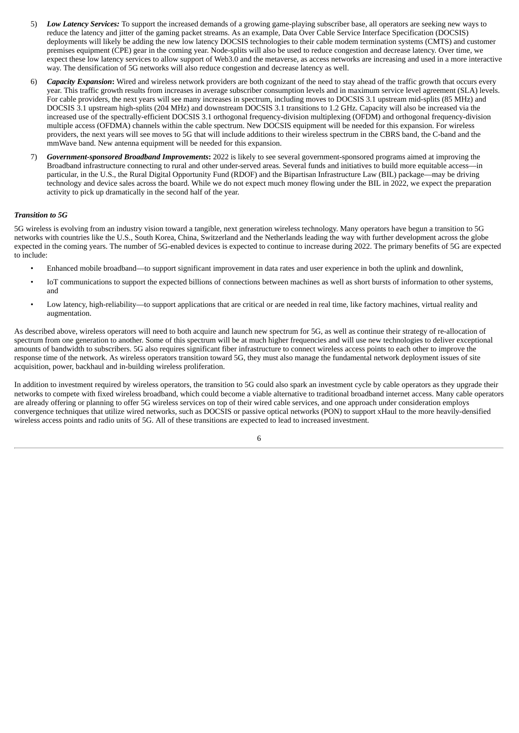- 5) *Low Latency Services:* To support the increased demands of a growing game-playing subscriber base, all operators are seeking new ways to reduce the latency and jitter of the gaming packet streams. As an example, Data Over Cable Service Interface Specification (DOCSIS) deployments will likely be adding the new low latency DOCSIS technologies to their cable modem termination systems (CMTS) and customer premises equipment (CPE) gear in the coming year. Node-splits will also be used to reduce congestion and decrease latency. Over time, we expect these low latency services to allow support of Web3.0 and the metaverse, as access networks are increasing and used in a more interactive way. The densification of 5G networks will also reduce congestion and decrease latency as well.
- 6) *Capacity Expansion***:** Wired and wireless network providers are both cognizant of the need to stay ahead of the traffic growth that occurs every year. This traffic growth results from increases in average subscriber consumption levels and in maximum service level agreement (SLA) levels. For cable providers, the next years will see many increases in spectrum, including moves to DOCSIS 3.1 upstream mid-splits (85 MHz) and DOCSIS 3.1 upstream high-splits (204 MHz) and downstream DOCSIS 3.1 transitions to 1.2 GHz. Capacity will also be increased via the increased use of the spectrally-efficient DOCSIS 3.1 orthogonal frequency-division multiplexing (OFDM) and orthogonal frequency-division multiple access (OFDMA) channels within the cable spectrum. New DOCSIS equipment will be needed for this expansion. For wireless providers, the next years will see moves to 5G that will include additions to their wireless spectrum in the CBRS band, the C-band and the mmWave band. New antenna equipment will be needed for this expansion.
- 7) *Government-sponsored Broadband Improvements***:** 2022 is likely to see several government-sponsored programs aimed at improving the Broadband infrastructure connecting to rural and other under-served areas. Several funds and initiatives to build more equitable access—in particular, in the U.S., the Rural Digital Opportunity Fund (RDOF) and the Bipartisan Infrastructure Law (BIL) package—may be driving technology and device sales across the board. While we do not expect much money flowing under the BIL in 2022, we expect the preparation activity to pick up dramatically in the second half of the year.

# *Transition to 5G*

5G wireless is evolving from an industry vision toward a tangible, next generation wireless technology. Many operators have begun a transition to 5G networks with countries like the U.S., South Korea, China, Switzerland and the Netherlands leading the way with further development across the globe expected in the coming years. The number of 5G-enabled devices is expected to continue to increase during 2022. The primary benefits of 5G are expected to include:

- Enhanced mobile broadband—to support significant improvement in data rates and user experience in both the uplink and downlink,
- IoT communications to support the expected billions of connections between machines as well as short bursts of information to other systems, and
- Low latency, high-reliability—to support applications that are critical or are needed in real time, like factory machines, virtual reality and augmentation.

As described above, wireless operators will need to both acquire and launch new spectrum for 5G, as well as continue their strategy of re-allocation of spectrum from one generation to another. Some of this spectrum will be at much higher frequencies and will use new technologies to deliver exceptional amounts of bandwidth to subscribers. 5G also requires significant fiber infrastructure to connect wireless access points to each other to improve the response time of the network. As wireless operators transition toward 5G, they must also manage the fundamental network deployment issues of site acquisition, power, backhaul and in-building wireless proliferation.

In addition to investment required by wireless operators, the transition to 5G could also spark an investment cycle by cable operators as they upgrade their networks to compete with fixed wireless broadband, which could become a viable alternative to traditional broadband internet access. Many cable operators are already offering or planning to offer 5G wireless services on top of their wired cable services, and one approach under consideration employs convergence techniques that utilize wired networks, such as DOCSIS or passive optical networks (PON) to support xHaul to the more heavily-densified wireless access points and radio units of 5G. All of these transitions are expected to lead to increased investment.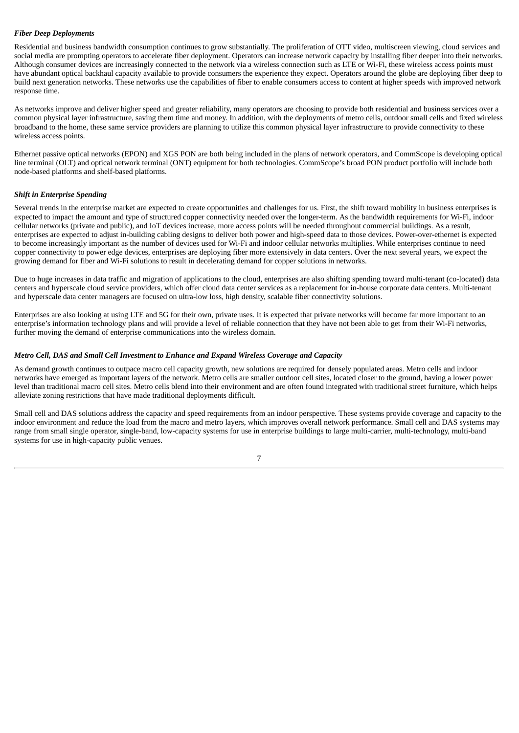# *Fiber Deep Deployments*

Residential and business bandwidth consumption continues to grow substantially. The proliferation of OTT video, multiscreen viewing, cloud services and social media are prompting operators to accelerate fiber deployment. Operators can increase network capacity by installing fiber deeper into their networks. Although consumer devices are increasingly connected to the network via a wireless connection such as LTE or Wi-Fi, these wireless access points must have abundant optical backhaul capacity available to provide consumers the experience they expect. Operators around the globe are deploying fiber deep to build next generation networks. These networks use the capabilities of fiber to enable consumers access to content at higher speeds with improved network response time.

As networks improve and deliver higher speed and greater reliability, many operators are choosing to provide both residential and business services over a common physical layer infrastructure, saving them time and money. In addition, with the deployments of metro cells, outdoor small cells and fixed wireless broadband to the home, these same service providers are planning to utilize this common physical layer infrastructure to provide connectivity to these wireless access points.

Ethernet passive optical networks (EPON) and XGS PON are both being included in the plans of network operators, and CommScope is developing optical line terminal (OLT) and optical network terminal (ONT) equipment for both technologies. CommScope's broad PON product portfolio will include both node-based platforms and shelf-based platforms.

# *Shift in Enterprise Spending*

Several trends in the enterprise market are expected to create opportunities and challenges for us. First, the shift toward mobility in business enterprises is expected to impact the amount and type of structured copper connectivity needed over the longer-term. As the bandwidth requirements for Wi-Fi, indoor cellular networks (private and public), and IoT devices increase, more access points will be needed throughout commercial buildings. As a result, enterprises are expected to adjust in-building cabling designs to deliver both power and high-speed data to those devices. Power-over-ethernet is expected to become increasingly important as the number of devices used for Wi-Fi and indoor cellular networks multiplies. While enterprises continue to need copper connectivity to power edge devices, enterprises are deploying fiber more extensively in data centers. Over the next several years, we expect the growing demand for fiber and Wi-Fi solutions to result in decelerating demand for copper solutions in networks.

Due to huge increases in data traffic and migration of applications to the cloud, enterprises are also shifting spending toward multi-tenant (co-located) data centers and hyperscale cloud service providers, which offer cloud data center services as a replacement for in-house corporate data centers. Multi-tenant and hyperscale data center managers are focused on ultra-low loss, high density, scalable fiber connectivity solutions.

Enterprises are also looking at using LTE and 5G for their own, private uses. It is expected that private networks will become far more important to an enterprise's information technology plans and will provide a level of reliable connection that they have not been able to get from their Wi-Fi networks, further moving the demand of enterprise communications into the wireless domain.

# *Metro Cell, DAS and Small Cell Investment to Enhance and Expand Wireless Coverage and Capacity*

As demand growth continues to outpace macro cell capacity growth, new solutions are required for densely populated areas. Metro cells and indoor networks have emerged as important layers of the network. Metro cells are smaller outdoor cell sites, located closer to the ground, having a lower power level than traditional macro cell sites. Metro cells blend into their environment and are often found integrated with traditional street furniture, which helps alleviate zoning restrictions that have made traditional deployments difficult.

Small cell and DAS solutions address the capacity and speed requirements from an indoor perspective. These systems provide coverage and capacity to the indoor environment and reduce the load from the macro and metro layers, which improves overall network performance. Small cell and DAS systems may range from small single operator, single-band, low-capacity systems for use in enterprise buildings to large multi-carrier, multi-technology, multi-band systems for use in high-capacity public venues.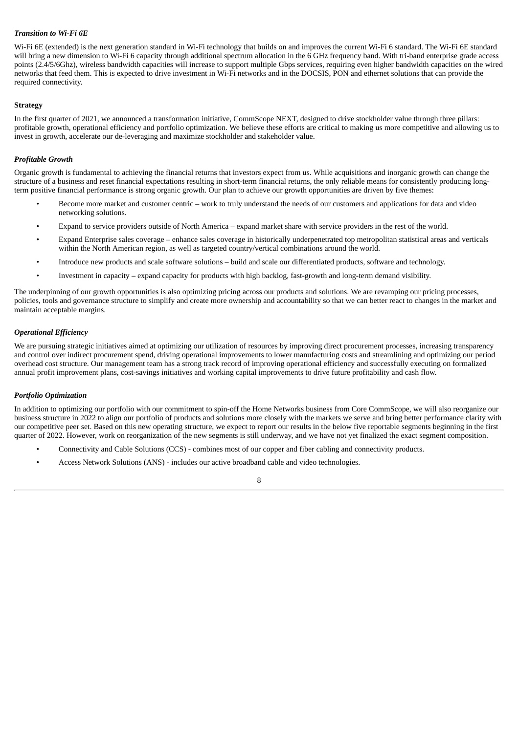# *Transition to Wi-Fi 6E*

Wi-Fi 6E (extended) is the next generation standard in Wi-Fi technology that builds on and improves the current Wi-Fi 6 standard. The Wi-Fi 6E standard will bring a new dimension to Wi-Fi 6 capacity through additional spectrum allocation in the 6 GHz frequency band. With tri-band enterprise grade access points (2.4/5/6Ghz), wireless bandwidth capacities will increase to support multiple Gbps services, requiring even higher bandwidth capacities on the wired networks that feed them. This is expected to drive investment in Wi-Fi networks and in the DOCSIS, PON and ethernet solutions that can provide the required connectivity.

### **Strategy**

In the first quarter of 2021, we announced a transformation initiative, CommScope NEXT, designed to drive stockholder value through three pillars: profitable growth, operational efficiency and portfolio optimization. We believe these efforts are critical to making us more competitive and allowing us to invest in growth, accelerate our de-leveraging and maximize stockholder and stakeholder value.

# *Profitable Growth*

Organic growth is fundamental to achieving the financial returns that investors expect from us. While acquisitions and inorganic growth can change the structure of a business and reset financial expectations resulting in short-term financial returns, the only reliable means for consistently producing longterm positive financial performance is strong organic growth. Our plan to achieve our growth opportunities are driven by five themes:

- Become more market and customer centric work to truly understand the needs of our customers and applications for data and video networking solutions.
- Expand to service providers outside of North America expand market share with service providers in the rest of the world.
- Expand Enterprise sales coverage enhance sales coverage in historically underpenetrated top metropolitan statistical areas and verticals within the North American region, as well as targeted country/vertical combinations around the world.
- Introduce new products and scale software solutions build and scale our differentiated products, software and technology.
- Investment in capacity expand capacity for products with high backlog, fast-growth and long-term demand visibility.

The underpinning of our growth opportunities is also optimizing pricing across our products and solutions. We are revamping our pricing processes, policies, tools and governance structure to simplify and create more ownership and accountability so that we can better react to changes in the market and maintain acceptable margins.

# *Operational Efficiency*

We are pursuing strategic initiatives aimed at optimizing our utilization of resources by improving direct procurement processes, increasing transparency and control over indirect procurement spend, driving operational improvements to lower manufacturing costs and streamlining and optimizing our period overhead cost structure. Our management team has a strong track record of improving operational efficiency and successfully executing on formalized annual profit improvement plans, cost-savings initiatives and working capital improvements to drive future profitability and cash flow.

# *Portfolio Optimization*

In addition to optimizing our portfolio with our commitment to spin-off the Home Networks business from Core CommScope, we will also reorganize our business structure in 2022 to align our portfolio of products and solutions more closely with the markets we serve and bring better performance clarity with our competitive peer set. Based on this new operating structure, we expect to report our results in the below five reportable segments beginning in the first quarter of 2022. However, work on reorganization of the new segments is still underway, and we have not yet finalized the exact segment composition.

- Connectivity and Cable Solutions (CCS) combines most of our copper and fiber cabling and connectivity products.
- Access Network Solutions (ANS) includes our active broadband cable and video technologies.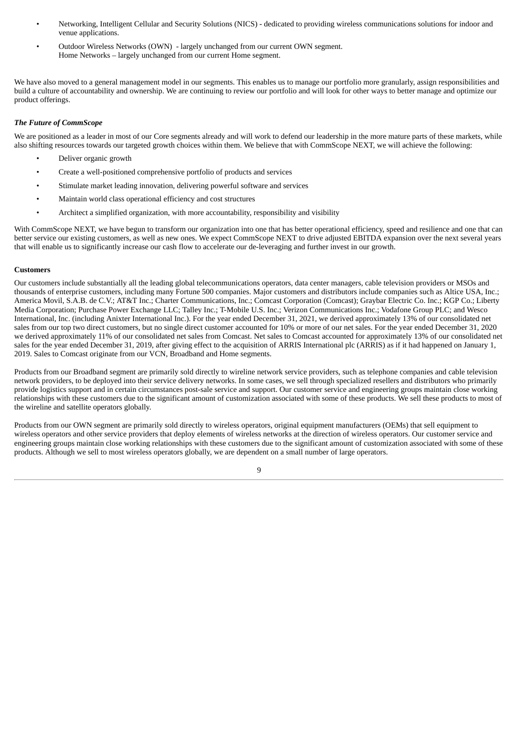- Networking, Intelligent Cellular and Security Solutions (NICS) dedicated to providing wireless communications solutions for indoor and venue applications.
- Outdoor Wireless Networks (OWN) largely unchanged from our current OWN segment. Home Networks – largely unchanged from our current Home segment.

We have also moved to a general management model in our segments. This enables us to manage our portfolio more granularly, assign responsibilities and build a culture of accountability and ownership. We are continuing to review our portfolio and will look for other ways to better manage and optimize our product offerings.

### *The Future of CommScope*

We are positioned as a leader in most of our Core segments already and will work to defend our leadership in the more mature parts of these markets, while also shifting resources towards our targeted growth choices within them. We believe that with CommScope NEXT, we will achieve the following:

- Deliver organic growth
- Create a well-positioned comprehensive portfolio of products and services
- Stimulate market leading innovation, delivering powerful software and services
- Maintain world class operational efficiency and cost structures
- Architect a simplified organization, with more accountability, responsibility and visibility

With CommScope NEXT, we have begun to transform our organization into one that has better operational efficiency, speed and resilience and one that can better service our existing customers, as well as new ones. We expect CommScope NEXT to drive adjusted EBITDA expansion over the next several years that will enable us to significantly increase our cash flow to accelerate our de-leveraging and further invest in our growth.

#### **Customers**

Our customers include substantially all the leading global telecommunications operators, data center managers, cable television providers or MSOs and thousands of enterprise customers, including many Fortune 500 companies. Major customers and distributors include companies such as Altice USA, Inc.; America Movil, S.A.B. de C.V.; AT&T Inc.; Charter Communications, Inc.; Comcast Corporation (Comcast); Graybar Electric Co. Inc.; KGP Co.; Liberty Media Corporation; Purchase Power Exchange LLC; Talley Inc.; T-Mobile U.S. Inc.; Verizon Communications Inc.; Vodafone Group PLC; and Wesco International, Inc. (including Anixter International Inc.). For the year ended December 31, 2021, we derived approximately 13% of our consolidated net sales from our top two direct customers, but no single direct customer accounted for 10% or more of our net sales. For the year ended December 31, 2020 we derived approximately 11% of our consolidated net sales from Comcast. Net sales to Comcast accounted for approximately 13% of our consolidated net sales for the year ended December 31, 2019, after giving effect to the acquisition of ARRIS International plc (ARRIS) as if it had happened on January 1, 2019. Sales to Comcast originate from our VCN, Broadband and Home segments.

Products from our Broadband segment are primarily sold directly to wireline network service providers, such as telephone companies and cable television network providers, to be deployed into their service delivery networks. In some cases, we sell through specialized resellers and distributors who primarily provide logistics support and in certain circumstances post-sale service and support. Our customer service and engineering groups maintain close working relationships with these customers due to the significant amount of customization associated with some of these products. We sell these products to most of the wireline and satellite operators globally.

Products from our OWN segment are primarily sold directly to wireless operators, original equipment manufacturers (OEMs) that sell equipment to wireless operators and other service providers that deploy elements of wireless networks at the direction of wireless operators. Our customer service and engineering groups maintain close working relationships with these customers due to the significant amount of customization associated with some of these products. Although we sell to most wireless operators globally, we are dependent on a small number of large operators.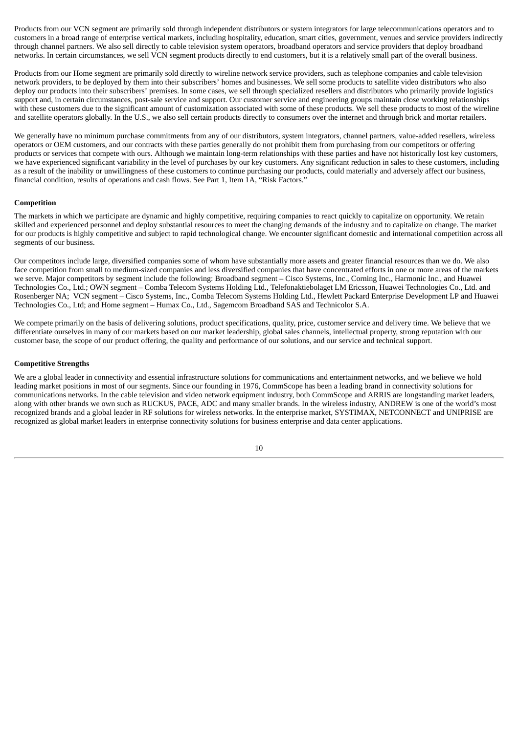Products from our VCN segment are primarily sold through independent distributors or system integrators for large telecommunications operators and to customers in a broad range of enterprise vertical markets, including hospitality, education, smart cities, government, venues and service providers indirectly through channel partners. We also sell directly to cable television system operators, broadband operators and service providers that deploy broadband networks. In certain circumstances, we sell VCN segment products directly to end customers, but it is a relatively small part of the overall business.

Products from our Home segment are primarily sold directly to wireline network service providers, such as telephone companies and cable television network providers, to be deployed by them into their subscribers' homes and businesses. We sell some products to satellite video distributors who also deploy our products into their subscribers' premises. In some cases, we sell through specialized resellers and distributors who primarily provide logistics support and, in certain circumstances, post-sale service and support. Our customer service and engineering groups maintain close working relationships with these customers due to the significant amount of customization associated with some of these products. We sell these products to most of the wireline and satellite operators globally. In the U.S., we also sell certain products directly to consumers over the internet and through brick and mortar retailers.

We generally have no minimum purchase commitments from any of our distributors, system integrators, channel partners, value-added resellers, wireless operators or OEM customers, and our contracts with these parties generally do not prohibit them from purchasing from our competitors or offering products or services that compete with ours. Although we maintain long-term relationships with these parties and have not historically lost key customers, we have experienced significant variability in the level of purchases by our key customers. Any significant reduction in sales to these customers, including as a result of the inability or unwillingness of these customers to continue purchasing our products, could materially and adversely affect our business, financial condition, results of operations and cash flows. See Part 1, Item 1A, "Risk Factors."

#### **Competition**

The markets in which we participate are dynamic and highly competitive, requiring companies to react quickly to capitalize on opportunity. We retain skilled and experienced personnel and deploy substantial resources to meet the changing demands of the industry and to capitalize on change. The market for our products is highly competitive and subject to rapid technological change. We encounter significant domestic and international competition across all segments of our business.

Our competitors include large, diversified companies some of whom have substantially more assets and greater financial resources than we do. We also face competition from small to medium-sized companies and less diversified companies that have concentrated efforts in one or more areas of the markets we serve. Major competitors by segment include the following: Broadband segment – Cisco Systems, Inc., Corning Inc., Harmonic Inc., and Huawei Technologies Co., Ltd.; OWN segment – Comba Telecom Systems Holding Ltd., Telefonaktiebolaget LM Ericsson, Huawei Technologies Co., Ltd. and Rosenberger NA; VCN segment – Cisco Systems, Inc., Comba Telecom Systems Holding Ltd., Hewlett Packard Enterprise Development LP and Huawei Technologies Co., Ltd; and Home segment – Humax Co., Ltd., Sagemcom Broadband SAS and Technicolor S.A.

We compete primarily on the basis of delivering solutions, product specifications, quality, price, customer service and delivery time. We believe that we differentiate ourselves in many of our markets based on our market leadership, global sales channels, intellectual property, strong reputation with our customer base, the scope of our product offering, the quality and performance of our solutions, and our service and technical support.

#### **Competitive Strengths**

We are a global leader in connectivity and essential infrastructure solutions for communications and entertainment networks, and we believe we hold leading market positions in most of our segments. Since our founding in 1976, CommScope has been a leading brand in connectivity solutions for communications networks. In the cable television and video network equipment industry, both CommScope and ARRIS are longstanding market leaders, along with other brands we own such as RUCKUS, PACE, ADC and many smaller brands. In the wireless industry, ANDREW is one of the world's most recognized brands and a global leader in RF solutions for wireless networks. In the enterprise market, SYSTIMAX, NETCONNECT and UNIPRISE are recognized as global market leaders in enterprise connectivity solutions for business enterprise and data center applications.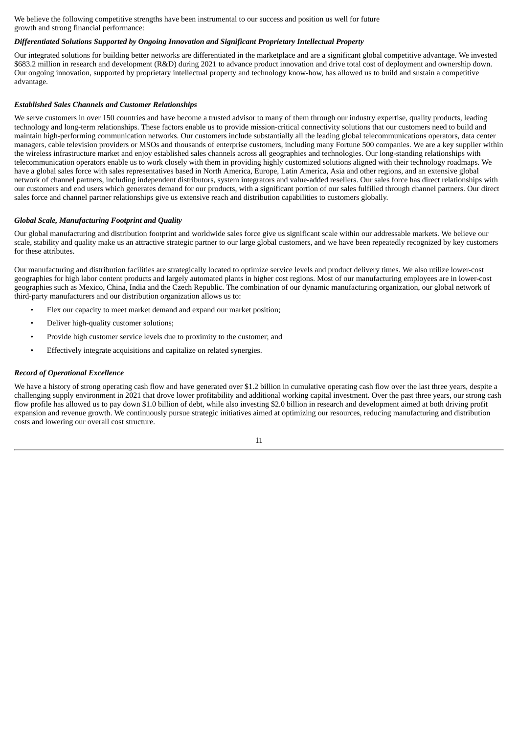We believe the following competitive strengths have been instrumental to our success and position us well for future growth and strong financial performance:

# *Differentiated Solutions Supported by Ongoing Innovation and Significant Proprietary Intellectual Property*

Our integrated solutions for building better networks are differentiated in the marketplace and are a significant global competitive advantage. We invested \$683.2 million in research and development (R&D) during 2021 to advance product innovation and drive total cost of deployment and ownership down. Our ongoing innovation, supported by proprietary intellectual property and technology know-how, has allowed us to build and sustain a competitive advantage.

#### *Established Sales Channels and Customer Relationships*

We serve customers in over 150 countries and have become a trusted advisor to many of them through our industry expertise, quality products, leading technology and long-term relationships. These factors enable us to provide mission-critical connectivity solutions that our customers need to build and maintain high-performing communication networks. Our customers include substantially all the leading global telecommunications operators, data center managers, cable television providers or MSOs and thousands of enterprise customers, including many Fortune 500 companies. We are a key supplier within the wireless infrastructure market and enjoy established sales channels across all geographies and technologies. Our long-standing relationships with telecommunication operators enable us to work closely with them in providing highly customized solutions aligned with their technology roadmaps. We have a global sales force with sales representatives based in North America, Europe, Latin America, Asia and other regions, and an extensive global network of channel partners, including independent distributors, system integrators and value-added resellers. Our sales force has direct relationships with our customers and end users which generates demand for our products, with a significant portion of our sales fulfilled through channel partners. Our direct sales force and channel partner relationships give us extensive reach and distribution capabilities to customers globally.

#### *Global Scale, Manufacturing Footprint and Quality*

Our global manufacturing and distribution footprint and worldwide sales force give us significant scale within our addressable markets. We believe our scale, stability and quality make us an attractive strategic partner to our large global customers, and we have been repeatedly recognized by key customers for these attributes.

Our manufacturing and distribution facilities are strategically located to optimize service levels and product delivery times. We also utilize lower-cost geographies for high labor content products and largely automated plants in higher cost regions. Most of our manufacturing employees are in lower-cost geographies such as Mexico, China, India and the Czech Republic. The combination of our dynamic manufacturing organization, our global network of third-party manufacturers and our distribution organization allows us to:

- Flex our capacity to meet market demand and expand our market position;
- Deliver high-quality customer solutions;
- Provide high customer service levels due to proximity to the customer; and
- Effectively integrate acquisitions and capitalize on related synergies.

#### *Record of Operational Excellence*

We have a history of strong operating cash flow and have generated over \$1.2 billion in cumulative operating cash flow over the last three years, despite a challenging supply environment in 2021 that drove lower profitability and additional working capital investment. Over the past three years, our strong cash flow profile has allowed us to pay down \$1.0 billion of debt, while also investing \$2.0 billion in research and development aimed at both driving profit expansion and revenue growth. We continuously pursue strategic initiatives aimed at optimizing our resources, reducing manufacturing and distribution costs and lowering our overall cost structure.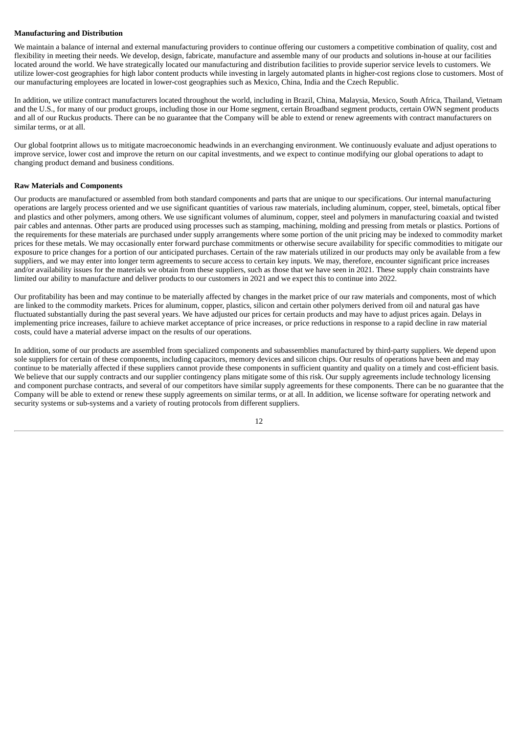#### **Manufacturing and Distribution**

We maintain a balance of internal and external manufacturing providers to continue offering our customers a competitive combination of quality, cost and flexibility in meeting their needs. We develop, design, fabricate, manufacture and assemble many of our products and solutions in-house at our facilities located around the world. We have strategically located our manufacturing and distribution facilities to provide superior service levels to customers. We utilize lower-cost geographies for high labor content products while investing in largely automated plants in higher-cost regions close to customers. Most of our manufacturing employees are located in lower-cost geographies such as Mexico, China, India and the Czech Republic.

In addition, we utilize contract manufacturers located throughout the world, including in Brazil, China, Malaysia, Mexico, South Africa, Thailand, Vietnam and the U.S., for many of our product groups, including those in our Home segment, certain Broadband segment products, certain OWN segment products and all of our Ruckus products. There can be no guarantee that the Company will be able to extend or renew agreements with contract manufacturers on similar terms, or at all.

Our global footprint allows us to mitigate macroeconomic headwinds in an everchanging environment. We continuously evaluate and adjust operations to improve service, lower cost and improve the return on our capital investments, and we expect to continue modifying our global operations to adapt to changing product demand and business conditions.

#### **Raw Materials and Components**

Our products are manufactured or assembled from both standard components and parts that are unique to our specifications. Our internal manufacturing operations are largely process oriented and we use significant quantities of various raw materials, including aluminum, copper, steel, bimetals, optical fiber and plastics and other polymers, among others. We use significant volumes of aluminum, copper, steel and polymers in manufacturing coaxial and twisted pair cables and antennas. Other parts are produced using processes such as stamping, machining, molding and pressing from metals or plastics. Portions of the requirements for these materials are purchased under supply arrangements where some portion of the unit pricing may be indexed to commodity market prices for these metals. We may occasionally enter forward purchase commitments or otherwise secure availability for specific commodities to mitigate our exposure to price changes for a portion of our anticipated purchases. Certain of the raw materials utilized in our products may only be available from a few suppliers, and we may enter into longer term agreements to secure access to certain key inputs. We may, therefore, encounter significant price increases and/or availability issues for the materials we obtain from these suppliers, such as those that we have seen in 2021. These supply chain constraints have limited our ability to manufacture and deliver products to our customers in 2021 and we expect this to continue into 2022.

Our profitability has been and may continue to be materially affected by changes in the market price of our raw materials and components, most of which are linked to the commodity markets. Prices for aluminum, copper, plastics, silicon and certain other polymers derived from oil and natural gas have fluctuated substantially during the past several years. We have adjusted our prices for certain products and may have to adjust prices again. Delays in implementing price increases, failure to achieve market acceptance of price increases, or price reductions in response to a rapid decline in raw material costs, could have a material adverse impact on the results of our operations.

In addition, some of our products are assembled from specialized components and subassemblies manufactured by third-party suppliers. We depend upon sole suppliers for certain of these components, including capacitors, memory devices and silicon chips. Our results of operations have been and may continue to be materially affected if these suppliers cannot provide these components in sufficient quantity and quality on a timely and cost-efficient basis. We believe that our supply contracts and our supplier contingency plans mitigate some of this risk. Our supply agreements include technology licensing and component purchase contracts, and several of our competitors have similar supply agreements for these components. There can be no guarantee that the Company will be able to extend or renew these supply agreements on similar terms, or at all. In addition, we license software for operating network and security systems or sub-systems and a variety of routing protocols from different suppliers.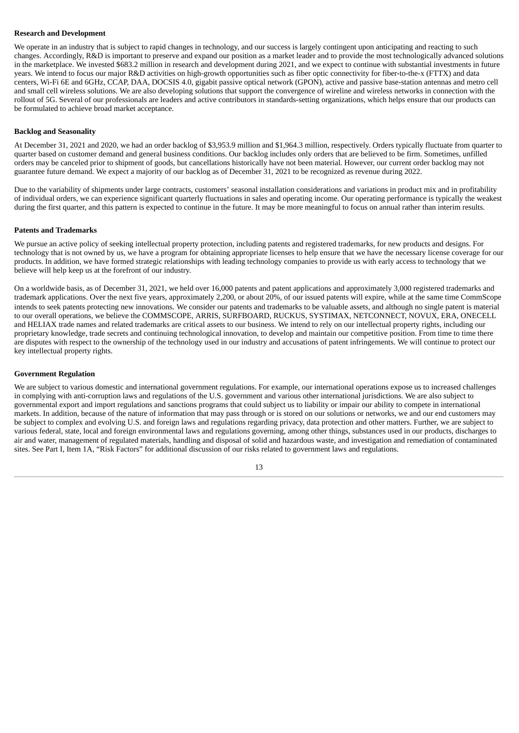## **Research and Development**

We operate in an industry that is subject to rapid changes in technology, and our success is largely contingent upon anticipating and reacting to such changes. Accordingly, R&D is important to preserve and expand our position as a market leader and to provide the most technologically advanced solutions in the marketplace. We invested \$683.2 million in research and development during 2021, and we expect to continue with substantial investments in future years. We intend to focus our major R&D activities on high-growth opportunities such as fiber optic connectivity for fiber-to-the-x (FTTX) and data centers, Wi-Fi 6E and 6GHz, CCAP, DAA, DOCSIS 4.0, gigabit passive optical network (GPON), active and passive base-station antennas and metro cell and small cell wireless solutions. We are also developing solutions that support the convergence of wireline and wireless networks in connection with the rollout of 5G. Several of our professionals are leaders and active contributors in standards-setting organizations, which helps ensure that our products can be formulated to achieve broad market acceptance.

#### **Backlog and Seasonality**

At December 31, 2021 and 2020, we had an order backlog of \$3,953.9 million and \$1,964.3 million, respectively. Orders typically fluctuate from quarter to quarter based on customer demand and general business conditions. Our backlog includes only orders that are believed to be firm. Sometimes, unfilled orders may be canceled prior to shipment of goods, but cancellations historically have not been material. However, our current order backlog may not guarantee future demand. We expect a majority of our backlog as of December 31, 2021 to be recognized as revenue during 2022.

Due to the variability of shipments under large contracts, customers' seasonal installation considerations and variations in product mix and in profitability of individual orders, we can experience significant quarterly fluctuations in sales and operating income. Our operating performance is typically the weakest during the first quarter, and this pattern is expected to continue in the future. It may be more meaningful to focus on annual rather than interim results.

#### **Patents and Trademarks**

We pursue an active policy of seeking intellectual property protection, including patents and registered trademarks, for new products and designs. For technology that is not owned by us, we have a program for obtaining appropriate licenses to help ensure that we have the necessary license coverage for our products. In addition, we have formed strategic relationships with leading technology companies to provide us with early access to technology that we believe will help keep us at the forefront of our industry.

On a worldwide basis, as of December 31, 2021, we held over 16,000 patents and patent applications and approximately 3,000 registered trademarks and trademark applications. Over the next five years, approximately 2,200, or about 20%, of our issued patents will expire, while at the same time CommScope intends to seek patents protecting new innovations*.* We consider our patents and trademarks to be valuable assets, and although no single patent is material to our overall operations, we believe the COMMSCOPE, ARRIS, SURFBOARD, RUCKUS, SYSTIMAX, NETCONNECT, NOVUX, ERA, ONECELL and HELIAX trade names and related trademarks are critical assets to our business. We intend to rely on our intellectual property rights, including our proprietary knowledge, trade secrets and continuing technological innovation, to develop and maintain our competitive position. From time to time there are disputes with respect to the ownership of the technology used in our industry and accusations of patent infringements. We will continue to protect our key intellectual property rights.

#### **Government Regulation**

We are subject to various domestic and international government regulations. For example, our international operations expose us to increased challenges in complying with anti-corruption laws and regulations of the U.S. government and various other international jurisdictions. We are also subject to governmental export and import regulations and sanctions programs that could subject us to liability or impair our ability to compete in international markets. In addition, because of the nature of information that may pass through or is stored on our solutions or networks, we and our end customers may be subject to complex and evolving U.S. and foreign laws and regulations regarding privacy, data protection and other matters. Further, we are subject to various federal, state, local and foreign environmental laws and regulations governing, among other things, substances used in our products, discharges to air and water, management of regulated materials, handling and disposal of solid and hazardous waste, and investigation and remediation of contaminated sites. See Part I, Item 1A, "Risk Factors" for additional discussion of our risks related to government laws and regulations.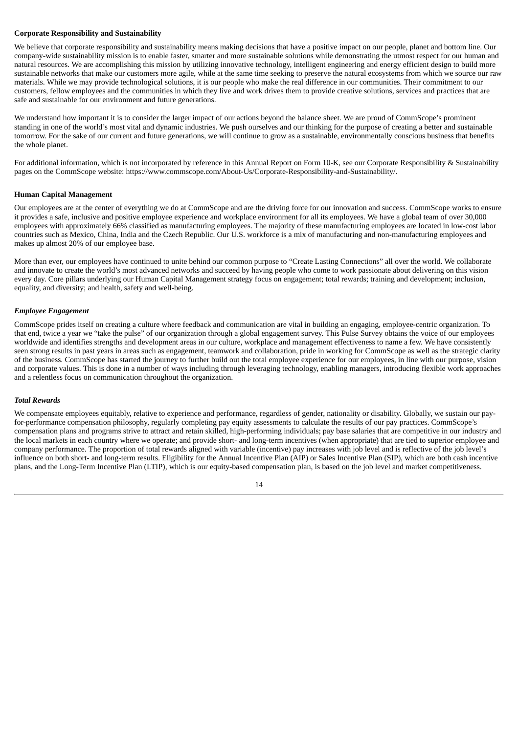## **Corporate Responsibility and Sustainability**

We believe that corporate responsibility and sustainability means making decisions that have a positive impact on our people, planet and bottom line. Our company-wide sustainability mission is to enable faster, smarter and more sustainable solutions while demonstrating the utmost respect for our human and natural resources. We are accomplishing this mission by utilizing innovative technology, intelligent engineering and energy efficient design to build more sustainable networks that make our customers more agile, while at the same time seeking to preserve the natural ecosystems from which we source our raw materials. While we may provide technological solutions, it is our people who make the real difference in our communities. Their commitment to our customers, fellow employees and the communities in which they live and work drives them to provide creative solutions, services and practices that are safe and sustainable for our environment and future generations.

We understand how important it is to consider the larger impact of our actions beyond the balance sheet. We are proud of CommScope's prominent standing in one of the world's most vital and dynamic industries. We push ourselves and our thinking for the purpose of creating a better and sustainable tomorrow. For the sake of our current and future generations, we will continue to grow as a sustainable, environmentally conscious business that benefits the whole planet.

For additional information, which is not incorporated by reference in this Annual Report on Form 10-K, see our Corporate Responsibility & Sustainability pages on the CommScope website: https://www.commscope.com/About-Us/Corporate-Responsibility-and-Sustainability/.

#### **Human Capital Management**

Our employees are at the center of everything we do at CommScope and are the driving force for our innovation and success. CommScope works to ensure it provides a safe, inclusive and positive employee experience and workplace environment for all its employees. We have a global team of over 30,000 employees with approximately 66% classified as manufacturing employees. The majority of these manufacturing employees are located in low-cost labor countries such as Mexico, China, India and the Czech Republic. Our U.S. workforce is a mix of manufacturing and non-manufacturing employees and makes up almost 20% of our employee base.

More than ever, our employees have continued to unite behind our common purpose to "Create Lasting Connections" all over the world. We collaborate and innovate to create the world's most advanced networks and succeed by having people who come to work passionate about delivering on this vision every day. Core pillars underlying our Human Capital Management strategy focus on engagement; total rewards; training and development; inclusion, equality, and diversity; and health, safety and well-being.

#### *Employee Engagement*

CommScope prides itself on creating a culture where feedback and communication are vital in building an engaging, employee-centric organization. To that end, twice a year we "take the pulse" of our organization through a global engagement survey. This Pulse Survey obtains the voice of our employees worldwide and identifies strengths and development areas in our culture, workplace and management effectiveness to name a few. We have consistently seen strong results in past years in areas such as engagement, teamwork and collaboration, pride in working for CommScope as well as the strategic clarity of the business. CommScope has started the journey to further build out the total employee experience for our employees, in line with our purpose, vision and corporate values. This is done in a number of ways including through leveraging technology, enabling managers, introducing flexible work approaches and a relentless focus on communication throughout the organization.

#### *Total Rewards*

We compensate employees equitably, relative to experience and performance, regardless of gender, nationality or disability. Globally, we sustain our payfor-performance compensation philosophy, regularly completing pay equity assessments to calculate the results of our pay practices. CommScope's compensation plans and programs strive to attract and retain skilled, high-performing individuals; pay base salaries that are competitive in our industry and the local markets in each country where we operate; and provide short- and long-term incentives (when appropriate) that are tied to superior employee and company performance. The proportion of total rewards aligned with variable (incentive) pay increases with job level and is reflective of the job level's influence on both short- and long-term results. Eligibility for the Annual Incentive Plan (AIP) or Sales Incentive Plan (SIP), which are both cash incentive plans, and the Long-Term Incentive Plan (LTIP), which is our equity-based compensation plan, is based on the job level and market competitiveness.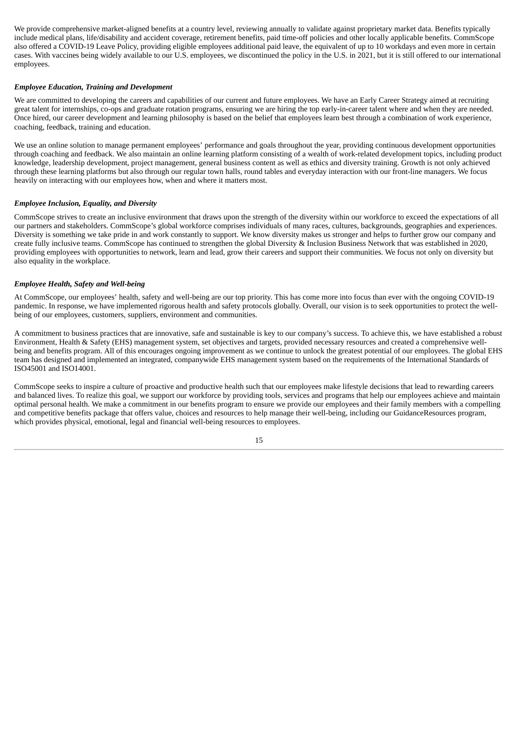We provide comprehensive market-aligned benefits at a country level, reviewing annually to validate against proprietary market data. Benefits typically include medical plans, life/disability and accident coverage, retirement benefits, paid time-off policies and other locally applicable benefits. CommScope also offered a COVID-19 Leave Policy, providing eligible employees additional paid leave, the equivalent of up to 10 workdays and even more in certain cases. With vaccines being widely available to our U.S. employees, we discontinued the policy in the U.S. in 2021, but it is still offered to our international employees.

### *Employee Education, Training and Development*

We are committed to developing the careers and capabilities of our current and future employees. We have an Early Career Strategy aimed at recruiting great talent for internships, co-ops and graduate rotation programs, ensuring we are hiring the top early-in-career talent where and when they are needed. Once hired, our career development and learning philosophy is based on the belief that employees learn best through a combination of work experience, coaching, feedback, training and education.

We use an online solution to manage permanent employees' performance and goals throughout the year, providing continuous development opportunities through coaching and feedback. We also maintain an online learning platform consisting of a wealth of work-related development topics, including product knowledge, leadership development, project management, general business content as well as ethics and diversity training. Growth is not only achieved through these learning platforms but also through our regular town halls, round tables and everyday interaction with our front-line managers. We focus heavily on interacting with our employees how, when and where it matters most.

#### *Employee Inclusion, Equality, and Diversity*

CommScope strives to create an inclusive environment that draws upon the strength of the diversity within our workforce to exceed the expectations of all our partners and stakeholders. CommScope's global workforce comprises individuals of many races, cultures, backgrounds, geographies and experiences. Diversity is something we take pride in and work constantly to support. We know diversity makes us stronger and helps to further grow our company and create fully inclusive teams. CommScope has continued to strengthen the global Diversity & Inclusion Business Network that was established in 2020, providing employees with opportunities to network, learn and lead, grow their careers and support their communities. We focus not only on diversity but also equality in the workplace.

#### *Employee Health, Safety and Well-being*

At CommScope, our employees' health, safety and well-being are our top priority. This has come more into focus than ever with the ongoing COVID-19 pandemic. In response, we have implemented rigorous health and safety protocols globally. Overall, our vision is to seek opportunities to protect the wellbeing of our employees, customers, suppliers, environment and communities.

A commitment to business practices that are innovative, safe and sustainable is key to our company's success. To achieve this, we have established a robust Environment, Health & Safety (EHS) management system, set objectives and targets, provided necessary resources and created a comprehensive wellbeing and benefits program. All of this encourages ongoing improvement as we continue to unlock the greatest potential of our employees. The global EHS team has designed and implemented an integrated, companywide EHS management system based on the requirements of the International Standards of ISO45001 and ISO14001.

CommScope seeks to inspire a culture of proactive and productive health such that our employees make lifestyle decisions that lead to rewarding careers and balanced lives. To realize this goal, we support our workforce by providing tools, services and programs that help our employees achieve and maintain optimal personal health. We make a commitment in our benefits program to ensure we provide our employees and their family members with a compelling and competitive benefits package that offers value, choices and resources to help manage their well-being, including our GuidanceResources program, which provides physical, emotional, legal and financial well-being resources to employees.

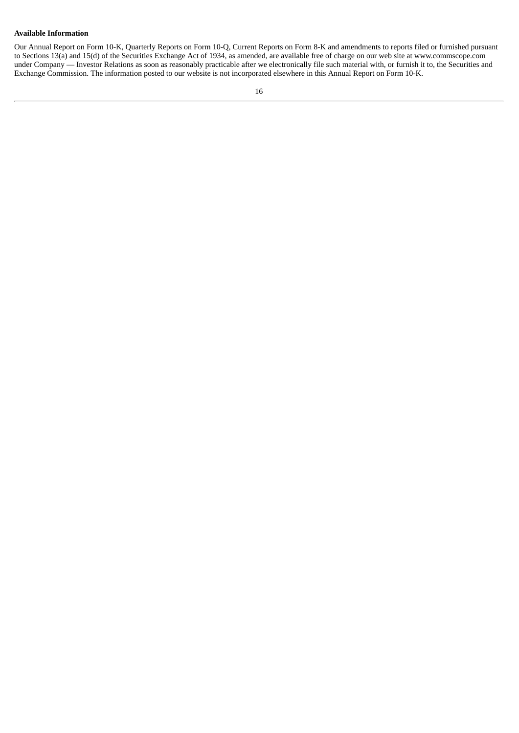# **Available Information**

Our Annual Report on Form 10-K, Quarterly Reports on Form 10-Q, Current Reports on Form 8-K and amendments to reports filed or furnished pursuant to Sections 13(a) and 15(d) of the Securities Exchange Act of 1934, as amended, are available free of charge on our web site at www.commscope.com under Company — Investor Relations as soon as reasonably practicable after we electronically file such material with, or furnish it to, the Securities and Exchange Commission. The information posted to our website is not incorporated elsewhere in this Annual Report on Form 10-K.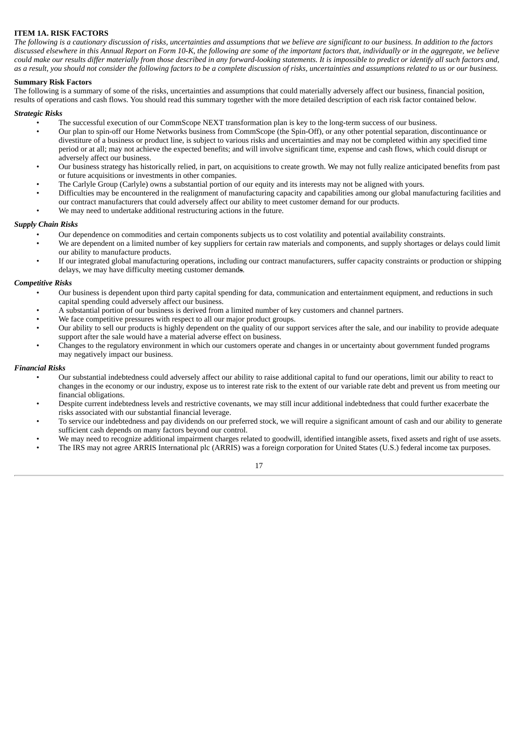# <span id="page-16-0"></span>**ITEM 1A. RISK FACTORS**

The following is a cautionary discussion of risks, uncertainties and assumptions that we believe are significant to our business. In addition to the factors discussed elsewhere in this Annual Report on Form 10-K, the following are some of the important factors that, individually or in the aggregate, we believe could make our results differ materially from those described in any forward-looking statements. It is impossible to predict or identify all such factors and, as a result, you should not consider the following factors to be a complete discussion of risks, uncertainties and assumptions related to us or our business.

# **Summary Risk Factors**

The following is a summary of some of the risks, uncertainties and assumptions that could materially adversely affect our business, financial position, results of operations and cash flows. You should read this summary together with the more detailed description of each risk factor contained below.

# *Strategic Risks*

- The successful execution of our CommScope NEXT transformation plan is key to the long-term success of our business.
- Our plan to spin-off our Home Networks business from CommScope (the Spin-Off), or any other potential separation, discontinuance or divestiture of a business or product line, is subject to various risks and uncertainties and may not be completed within any specified time period or at all; may not achieve the expected benefits; and will involve significant time, expense and cash flows, which could disrupt or adversely affect our business.
- Our business strategy has historically relied, in part, on acquisitions to create growth. We may not fully realize anticipated benefits from past or future acquisitions or investments in other companies.
- The Carlyle Group (Carlyle) owns a substantial portion of our equity and its interests may not be aligned with yours.
- Difficulties may be encountered in the realignment of manufacturing capacity and capabilities among our global manufacturing facilities and our contract manufacturers that could adversely affect our ability to meet customer demand for our products.
- We may need to undertake additional restructuring actions in the future.

# *Supply Chain Risks*

- Our dependence on commodities and certain components subjects us to cost volatility and potential availability constraints.
- We are dependent on a limited number of key suppliers for certain raw materials and components, and supply shortages or delays could limit our ability to manufacture products.
- If our integrated global manufacturing operations, including our contract manufacturers, suffer capacity constraints or production or shipping delays, we may have difficulty meeting customer demands.

# *Competitive Risks*

- Our business is dependent upon third party capital spending for data, communication and entertainment equipment, and reductions in such capital spending could adversely affect our business.
- A substantial portion of our business is derived from a limited number of key customers and channel partners.
- We face competitive pressures with respect to all our major product groups.
- Our ability to sell our products is highly dependent on the quality of our support services after the sale, and our inability to provide adequate support after the sale would have a material adverse effect on business.
- Changes to the regulatory environment in which our customers operate and changes in or uncertainty about government funded programs may negatively impact our business.

# *Financial Risks*

- Our substantial indebtedness could adversely affect our ability to raise additional capital to fund our operations, limit our ability to react to changes in the economy or our industry, expose us to interest rate risk to the extent of our variable rate debt and prevent us from meeting our financial obligations.
- Despite current indebtedness levels and restrictive covenants, we may still incur additional indebtedness that could further exacerbate the risks associated with our substantial financial leverage.
- To service our indebtedness and pay dividends on our preferred stock, we will require a significant amount of cash and our ability to generate sufficient cash depends on many factors beyond our control.
- We may need to recognize additional impairment charges related to goodwill, identified intangible assets, fixed assets and right of use assets.
- The IRS may not agree ARRIS International plc (ARRIS) was a foreign corporation for United States (U.S.) federal income tax purposes.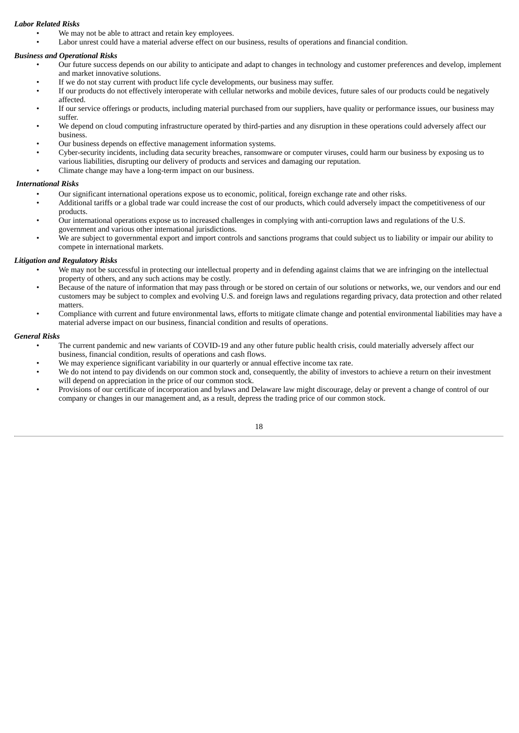# *Labor Related Risks*

- We may not be able to attract and retain key employees.
- Labor unrest could have a material adverse effect on our business, results of operations and financial condition.

# *Business and Operational Risks*

- Our future success depends on our ability to anticipate and adapt to changes in technology and customer preferences and develop, implement and market innovative solutions.
- If we do not stay current with product life cycle developments, our business may suffer.
- If our products do not effectively interoperate with cellular networks and mobile devices, future sales of our products could be negatively affected.
- If our service offerings or products, including material purchased from our suppliers, have quality or performance issues, our business may suffer.
- We depend on cloud computing infrastructure operated by third-parties and any disruption in these operations could adversely affect our business.
- Our business depends on effective management information systems.
- Cyber-security incidents, including data security breaches, ransomware or computer viruses, could harm our business by exposing us to various liabilities, disrupting our delivery of products and services and damaging our reputation.
- Climate change may have a long-term impact on our business.

# *International Risks*

- Our significant international operations expose us to economic, political, foreign exchange rate and other risks.
- Additional tariffs or a global trade war could increase the cost of our products, which could adversely impact the competitiveness of our products.
- Our international operations expose us to increased challenges in complying with anti-corruption laws and regulations of the U.S. government and various other international jurisdictions.
- We are subject to governmental export and import controls and sanctions programs that could subject us to liability or impair our ability to compete in international markets.

# *Litigation and Regulatory Risks*

- We may not be successful in protecting our intellectual property and in defending against claims that we are infringing on the intellectual property of others, and any such actions may be costly.
- Because of the nature of information that may pass through or be stored on certain of our solutions or networks, we, our vendors and our end customers may be subject to complex and evolving U.S. and foreign laws and regulations regarding privacy, data protection and other related matters.
- Compliance with current and future environmental laws, efforts to mitigate climate change and potential environmental liabilities may have a material adverse impact on our business, financial condition and results of operations.

# *General Risks*

- The current pandemic and new variants of COVID-19 and any other future public health crisis, could materially adversely affect our business, financial condition, results of operations and cash flows.
- We may experience significant variability in our quarterly or annual effective income tax rate.
- We do not intend to pay dividends on our common stock and, consequently, the ability of investors to achieve a return on their investment will depend on appreciation in the price of our common stock.
- Provisions of our certificate of incorporation and bylaws and Delaware law might discourage, delay or prevent a change of control of our company or changes in our management and, as a result, depress the trading price of our common stock.

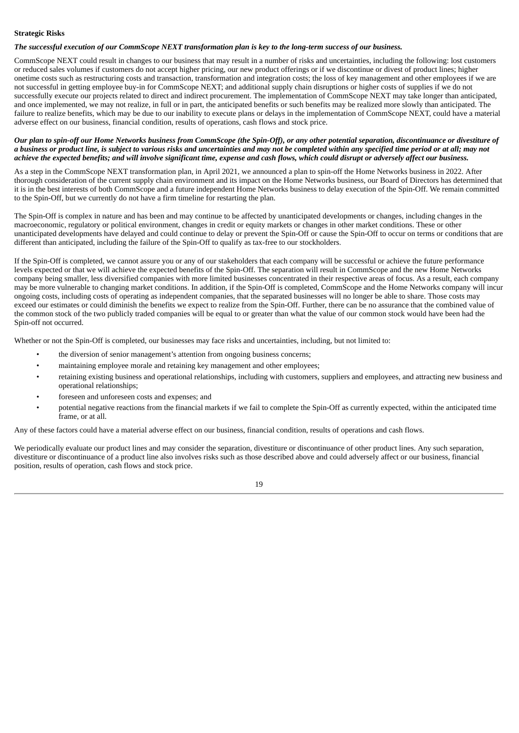# **Strategic Risks**

#### The successful execution of our CommScope NEXT transformation plan is key to the long-term success of our business.

CommScope NEXT could result in changes to our business that may result in a number of risks and uncertainties, including the following: lost customers or reduced sales volumes if customers do not accept higher pricing, our new product offerings or if we discontinue or divest of product lines; higher onetime costs such as restructuring costs and transaction, transformation and integration costs; the loss of key management and other employees if we are not successful in getting employee buy-in for CommScope NEXT; and additional supply chain disruptions or higher costs of supplies if we do not successfully execute our projects related to direct and indirect procurement. The implementation of CommScope NEXT may take longer than anticipated, and once implemented, we may not realize, in full or in part, the anticipated benefits or such benefits may be realized more slowly than anticipated. The failure to realize benefits, which may be due to our inability to execute plans or delays in the implementation of CommScope NEXT, could have a material adverse effect on our business, financial condition, results of operations, cash flows and stock price.

#### Our plan to spin-off our Home Networks business from CommScope (the Spin-Off), or any other potential separation, discontinuance or divestiture of a business or product line, is subject to various risks and uncertainties and may not be completed within any specified time period or at all; may not achieve the expected benefits; and will involve significant time, expense and cash flows, which could disrupt or adversely affect our business.

As a step in the CommScope NEXT transformation plan, in April 2021, we announced a plan to spin-off the Home Networks business in 2022. After thorough consideration of the current supply chain environment and its impact on the Home Networks business, our Board of Directors has determined that it is in the best interests of both CommScope and a future independent Home Networks business to delay execution of the Spin-Off. We remain committed to the Spin-Off, but we currently do not have a firm timeline for restarting the plan.

The Spin-Off is complex in nature and has been and may continue to be affected by unanticipated developments or changes, including changes in the macroeconomic, regulatory or political environment, changes in credit or equity markets or changes in other market conditions. These or other unanticipated developments have delayed and could continue to delay or prevent the Spin-Off or cause the Spin-Off to occur on terms or conditions that are different than anticipated, including the failure of the Spin-Off to qualify as tax-free to our stockholders.

If the Spin-Off is completed, we cannot assure you or any of our stakeholders that each company will be successful or achieve the future performance levels expected or that we will achieve the expected benefits of the Spin-Off. The separation will result in CommScope and the new Home Networks company being smaller, less diversified companies with more limited businesses concentrated in their respective areas of focus. As a result, each company may be more vulnerable to changing market conditions. In addition, if the Spin-Off is completed, CommScope and the Home Networks company will incur ongoing costs, including costs of operating as independent companies, that the separated businesses will no longer be able to share. Those costs may exceed our estimates or could diminish the benefits we expect to realize from the Spin-Off. Further, there can be no assurance that the combined value of the common stock of the two publicly traded companies will be equal to or greater than what the value of our common stock would have been had the Spin-off not occurred.

Whether or not the Spin-Off is completed, our businesses may face risks and uncertainties, including, but not limited to:

- the diversion of senior management's attention from ongoing business concerns;
- maintaining employee morale and retaining key management and other employees;
- retaining existing business and operational relationships, including with customers, suppliers and employees, and attracting new business and operational relationships;
- foreseen and unforeseen costs and expenses; and
- potential negative reactions from the financial markets if we fail to complete the Spin-Off as currently expected, within the anticipated time frame, or at all.

Any of these factors could have a material adverse effect on our business, financial condition, results of operations and cash flows.

We periodically evaluate our product lines and may consider the separation, divestiture or discontinuance of other product lines. Any such separation, divestiture or discontinuance of a product line also involves risks such as those described above and could adversely affect or our business, financial position, results of operation, cash flows and stock price.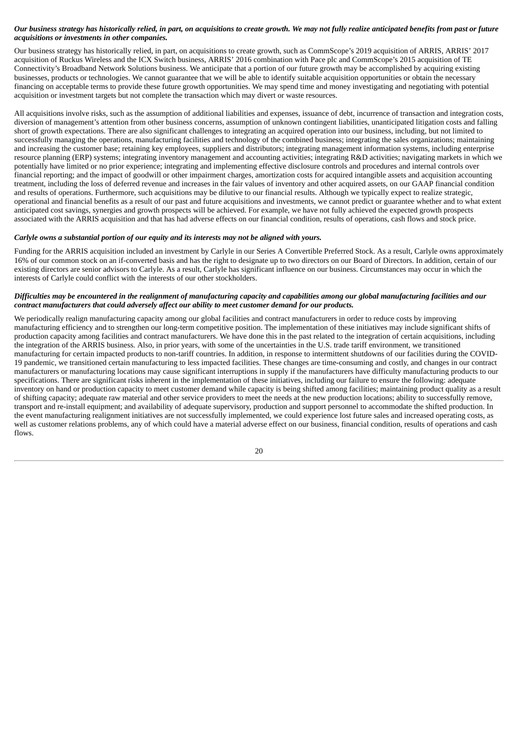# Our business strategy has historically relied, in part, on acquisitions to create growth. We may not fully realize anticipated benefits from past or future *acquisitions or investments in other companies.*

Our business strategy has historically relied, in part, on acquisitions to create growth, such as CommScope's 2019 acquisition of ARRIS, ARRIS' 2017 acquisition of Ruckus Wireless and the ICX Switch business, ARRIS' 2016 combination with Pace plc and CommScope's 2015 acquisition of TE Connectivity's Broadband Network Solutions business. We anticipate that a portion of our future growth may be accomplished by acquiring existing businesses, products or technologies. We cannot guarantee that we will be able to identify suitable acquisition opportunities or obtain the necessary financing on acceptable terms to provide these future growth opportunities. We may spend time and money investigating and negotiating with potential acquisition or investment targets but not complete the transaction which may divert or waste resources.

All acquisitions involve risks, such as the assumption of additional liabilities and expenses, issuance of debt, incurrence of transaction and integration costs, diversion of management's attention from other business concerns, assumption of unknown contingent liabilities, unanticipated litigation costs and falling short of growth expectations. There are also significant challenges to integrating an acquired operation into our business, including, but not limited to successfully managing the operations, manufacturing facilities and technology of the combined business; integrating the sales organizations; maintaining and increasing the customer base; retaining key employees, suppliers and distributors; integrating management information systems, including enterprise resource planning (ERP) systems; integrating inventory management and accounting activities; integrating R&D activities; navigating markets in which we potentially have limited or no prior experience; integrating and implementing effective disclosure controls and procedures and internal controls over financial reporting; and the impact of goodwill or other impairment charges, amortization costs for acquired intangible assets and acquisition accounting treatment, including the loss of deferred revenue and increases in the fair values of inventory and other acquired assets, on our GAAP financial condition and results of operations. Furthermore, such acquisitions may be dilutive to our financial results. Although we typically expect to realize strategic, operational and financial benefits as a result of our past and future acquisitions and investments, we cannot predict or guarantee whether and to what extent anticipated cost savings, synergies and growth prospects will be achieved. For example, we have not fully achieved the expected growth prospects associated with the ARRIS acquisition and that has had adverse effects on our financial condition, results of operations, cash flows and stock price.

# *Carlyle owns a substantial portion of our equity and its interests may not be aligned with yours.*

Funding for the ARRIS acquisition included an investment by Carlyle in our Series A Convertible Preferred Stock. As a result, Carlyle owns approximately 16% of our common stock on an if-converted basis and has the right to designate up to two directors on our Board of Directors. In addition, certain of our existing directors are senior advisors to Carlyle. As a result, Carlyle has significant influence on our business. Circumstances may occur in which the interests of Carlyle could conflict with the interests of our other stockholders.

#### Difficulties may be encountered in the realignment of manufacturing capacity and capabilities among our global manufacturing facilities and our *contract manufacturers that could adversely affect our ability to meet customer demand for our products.*

We periodically realign manufacturing capacity among our global facilities and contract manufacturers in order to reduce costs by improving manufacturing efficiency and to strengthen our long-term competitive position. The implementation of these initiatives may include significant shifts of production capacity among facilities and contract manufacturers. We have done this in the past related to the integration of certain acquisitions, including the integration of the ARRIS business. Also, in prior years, with some of the uncertainties in the U.S. trade tariff environment, we transitioned manufacturing for certain impacted products to non-tariff countries. In addition, in response to intermittent shutdowns of our facilities during the COVID-19 pandemic, we transitioned certain manufacturing to less impacted facilities. These changes are time-consuming and costly, and changes in our contract manufacturers or manufacturing locations may cause significant interruptions in supply if the manufacturers have difficulty manufacturing products to our specifications. There are significant risks inherent in the implementation of these initiatives, including our failure to ensure the following: adequate inventory on hand or production capacity to meet customer demand while capacity is being shifted among facilities; maintaining product quality as a result of shifting capacity; adequate raw material and other service providers to meet the needs at the new production locations; ability to successfully remove, transport and re-install equipment; and availability of adequate supervisory, production and support personnel to accommodate the shifted production. In the event manufacturing realignment initiatives are not successfully implemented, we could experience lost future sales and increased operating costs, as well as customer relations problems, any of which could have a material adverse effect on our business, financial condition, results of operations and cash flows.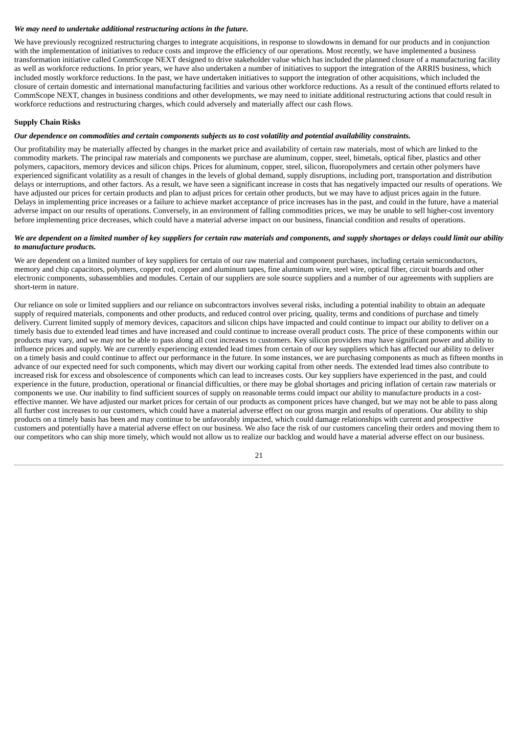## *We may need to undertake additional restructuring actions in the future.*

We have previously recognized restructuring charges to integrate acquisitions, in response to slowdowns in demand for our products and in conjunction with the implementation of initiatives to reduce costs and improve the efficiency of our operations. Most recently, we have implemented a business transformation initiative called CommScope NEXT designed to drive stakeholder value which has included the planned closure of a manufacturing facility as well as workforce reductions. In prior years, we have also undertaken a number of initiatives to support the integration of the ARRIS business, which included mostly workforce reductions. In the past, we have undertaken initiatives to support the integration of other acquisitions, which included the closure of certain domestic and international manufacturing facilities and various other workforce reductions. As a result of the continued efforts related to CommScope NEXT, changes in business conditions and other developments, we may need to initiate additional restructuring actions that could result in workforce reductions and restructuring charges, which could adversely and materially affect our cash flows.

#### **Supply Chain Risks**

#### Our dependence on commodities and certain components subjects us to cost volatility and potential availability constraints.

Our profitability may be materially affected by changes in the market price and availability of certain raw materials, most of which are linked to the commodity markets. The principal raw materials and components we purchase are aluminum, copper, steel, bimetals, optical fiber, plastics and other polymers, capacitors, memory devices and silicon chips. Prices for aluminum, copper, steel, silicon, fluoropolymers and certain other polymers have experienced significant volatility as a result of changes in the levels of global demand, supply disruptions, including port, transportation and distribution delays or interruptions, and other factors. As a result, we have seen a significant increase in costs that has negatively impacted our results of operations. We have adjusted our prices for certain products and plan to adjust prices for certain other products, but we may have to adjust prices again in the future. Delays in implementing price increases or a failure to achieve market acceptance of price increases has in the past, and could in the future, have a material adverse impact on our results of operations. Conversely, in an environment of falling commodities prices, we may be unable to sell higher-cost inventory before implementing price decreases, which could have a material adverse impact on our business, financial condition and results of operations.

#### We are dependent on a limited number of key suppliers for certain raw materials and components, and supply shortages or delays could limit our ability *to manufacture products.*

We are dependent on a limited number of key suppliers for certain of our raw material and component purchases, including certain semiconductors, memory and chip capacitors, polymers, copper rod, copper and aluminum tapes, fine aluminum wire, steel wire, optical fiber, circuit boards and other electronic components, subassemblies and modules. Certain of our suppliers are sole source suppliers and a number of our agreements with suppliers are short-term in nature.

Our reliance on sole or limited suppliers and our reliance on subcontractors involves several risks, including a potential inability to obtain an adequate supply of required materials, components and other products, and reduced control over pricing, quality, terms and conditions of purchase and timely delivery. Current limited supply of memory devices, capacitors and silicon chips have impacted and could continue to impact our ability to deliver on a timely basis due to extended lead times and have increased and could continue to increase overall product costs. The price of these components within our products may vary, and we may not be able to pass along all cost increases to customers. Key silicon providers may have significant power and ability to influence prices and supply. We are currently experiencing extended lead times from certain of our key suppliers which has affected our ability to deliver on a timely basis and could continue to affect our performance in the future. In some instances, we are purchasing components as much as fifteen months in advance of our expected need for such components, which may divert our working capital from other needs. The extended lead times also contribute to increased risk for excess and obsolescence of components which can lead to increases costs. Our key suppliers have experienced in the past, and could experience in the future, production, operational or financial difficulties, or there may be global shortages and pricing inflation of certain raw materials or components we use. Our inability to find sufficient sources of supply on reasonable terms could impact our ability to manufacture products in a costeffective manner. We have adjusted our market prices for certain of our products as component prices have changed, but we may not be able to pass along all further cost increases to our customers, which could have a material adverse effect on our gross margin and results of operations. Our ability to ship products on a timely basis has been and may continue to be unfavorably impacted, which could damage relationships with current and prospective customers and potentially have a material adverse effect on our business. We also face the risk of our customers canceling their orders and moving them to our competitors who can ship more timely, which would not allow us to realize our backlog and would have a material adverse effect on our business.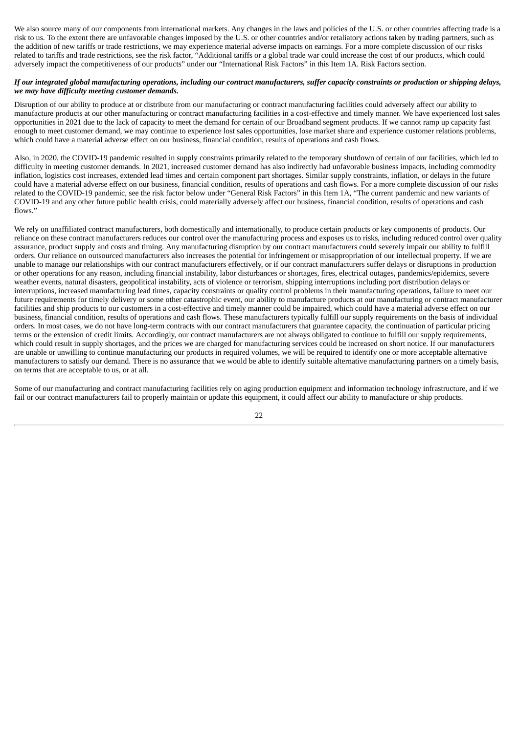We also source many of our components from international markets. Any changes in the laws and policies of the U.S. or other countries affecting trade is a risk to us. To the extent there are unfavorable changes imposed by the U.S. or other countries and/or retaliatory actions taken by trading partners, such as the addition of new tariffs or trade restrictions, we may experience material adverse impacts on earnings. For a more complete discussion of our risks related to tariffs and trade restrictions, see the risk factor, "Additional tariffs or a global trade war could increase the cost of our products, which could adversely impact the competitiveness of our products" under our "International Risk Factors" in this Item 1A. Risk Factors section.

### If our integrated global manufacturing operations, including our contract manufacturers, suffer capacity constraints or production or shipping delays, *we may have difficulty meeting customer demands.*

Disruption of our ability to produce at or distribute from our manufacturing or contract manufacturing facilities could adversely affect our ability to manufacture products at our other manufacturing or contract manufacturing facilities in a cost-effective and timely manner. We have experienced lost sales opportunities in 2021 due to the lack of capacity to meet the demand for certain of our Broadband segment products. If we cannot ramp up capacity fast enough to meet customer demand, we may continue to experience lost sales opportunities, lose market share and experience customer relations problems, which could have a material adverse effect on our business, financial condition, results of operations and cash flows.

Also, in 2020, the COVID-19 pandemic resulted in supply constraints primarily related to the temporary shutdown of certain of our facilities, which led to difficulty in meeting customer demands. In 2021, increased customer demand has also indirectly had unfavorable business impacts, including commodity inflation, logistics cost increases, extended lead times and certain component part shortages. Similar supply constraints, inflation, or delays in the future could have a material adverse effect on our business, financial condition, results of operations and cash flows. For a more complete discussion of our risks related to the COVID-19 pandemic, see the risk factor below under "General Risk Factors" in this Item 1A, "The current pandemic and new variants of COVID-19 and any other future public health crisis, could materially adversely affect our business, financial condition, results of operations and cash flows."

We rely on unaffiliated contract manufacturers, both domestically and internationally, to produce certain products or key components of products. Our reliance on these contract manufacturers reduces our control over the manufacturing process and exposes us to risks, including reduced control over quality assurance, product supply and costs and timing. Any manufacturing disruption by our contract manufacturers could severely impair our ability to fulfill orders. Our reliance on outsourced manufacturers also increases the potential for infringement or misappropriation of our intellectual property. If we are unable to manage our relationships with our contract manufacturers effectively, or if our contract manufacturers suffer delays or disruptions in production or other operations for any reason, including financial instability, labor disturbances or shortages, fires, electrical outages, pandemics/epidemics, severe weather events, natural disasters, geopolitical instability, acts of violence or terrorism, shipping interruptions including port distribution delays or interruptions, increased manufacturing lead times, capacity constraints or quality control problems in their manufacturing operations, failure to meet our future requirements for timely delivery or some other catastrophic event, our ability to manufacture products at our manufacturing or contract manufacturer facilities and ship products to our customers in a cost-effective and timely manner could be impaired, which could have a material adverse effect on our business, financial condition, results of operations and cash flows. These manufacturers typically fulfill our supply requirements on the basis of individual orders. In most cases, we do not have long-term contracts with our contract manufacturers that guarantee capacity, the continuation of particular pricing terms or the extension of credit limits. Accordingly, our contract manufacturers are not always obligated to continue to fulfill our supply requirements, which could result in supply shortages, and the prices we are charged for manufacturing services could be increased on short notice. If our manufacturers are unable or unwilling to continue manufacturing our products in required volumes, we will be required to identify one or more acceptable alternative manufacturers to satisfy our demand. There is no assurance that we would be able to identify suitable alternative manufacturing partners on a timely basis, on terms that are acceptable to us, or at all.

Some of our manufacturing and contract manufacturing facilities rely on aging production equipment and information technology infrastructure, and if we fail or our contract manufacturers fail to properly maintain or update this equipment, it could affect our ability to manufacture or ship products.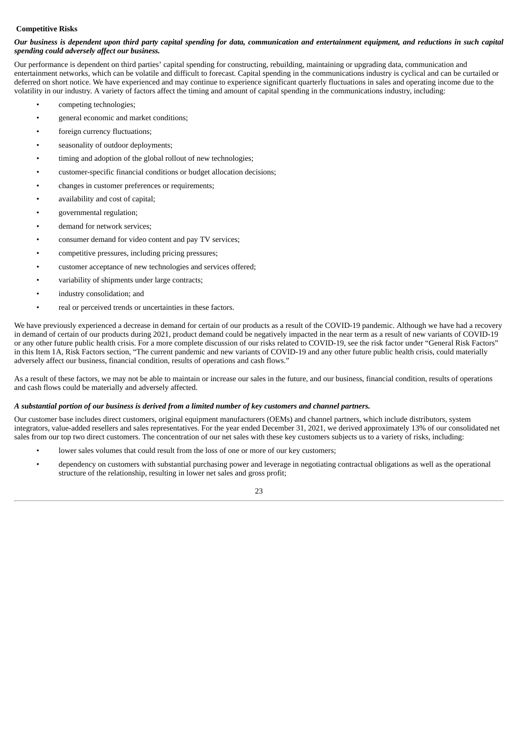# **Competitive Risks**

### Our business is dependent upon third party capital spending for data, communication and entertainment equipment, and reductions in such capital *spending could adversely affect our business.*

Our performance is dependent on third parties' capital spending for constructing, rebuilding, maintaining or upgrading data, communication and entertainment networks, which can be volatile and difficult to forecast. Capital spending in the communications industry is cyclical and can be curtailed or deferred on short notice. We have experienced and may continue to experience significant quarterly fluctuations in sales and operating income due to the volatility in our industry. A variety of factors affect the timing and amount of capital spending in the communications industry, including:

- competing technologies;
- general economic and market conditions;
- foreign currency fluctuations;
- seasonality of outdoor deployments;
- timing and adoption of the global rollout of new technologies;
- customer-specific financial conditions or budget allocation decisions;
- changes in customer preferences or requirements;
- availability and cost of capital;
- governmental regulation;
- demand for network services;
- consumer demand for video content and pay TV services;
- competitive pressures, including pricing pressures;
- customer acceptance of new technologies and services offered;
- variability of shipments under large contracts;
- industry consolidation; and
- real or perceived trends or uncertainties in these factors.

We have previously experienced a decrease in demand for certain of our products as a result of the COVID-19 pandemic. Although we have had a recovery in demand of certain of our products during 2021, product demand could be negatively impacted in the near term as a result of new variants of COVID-19 or any other future public health crisis. For a more complete discussion of our risks related to COVID-19, see the risk factor under "General Risk Factors" in this Item 1A, Risk Factors section, "The current pandemic and new variants of COVID-19 and any other future public health crisis, could materially adversely affect our business, financial condition, results of operations and cash flows."

As a result of these factors, we may not be able to maintain or increase our sales in the future, and our business, financial condition, results of operations and cash flows could be materially and adversely affected.

# A substantial portion of our business is derived from a limited number of key customers and channel partners.

Our customer base includes direct customers, original equipment manufacturers (OEMs) and channel partners, which include distributors, system integrators, value-added resellers and sales representatives. For the year ended December 31, 2021, we derived approximately 13% of our consolidated net sales from our top two direct customers. The concentration of our net sales with these key customers subjects us to a variety of risks, including:

- lower sales volumes that could result from the loss of one or more of our key customers;
- dependency on customers with substantial purchasing power and leverage in negotiating contractual obligations as well as the operational structure of the relationship, resulting in lower net sales and gross profit;

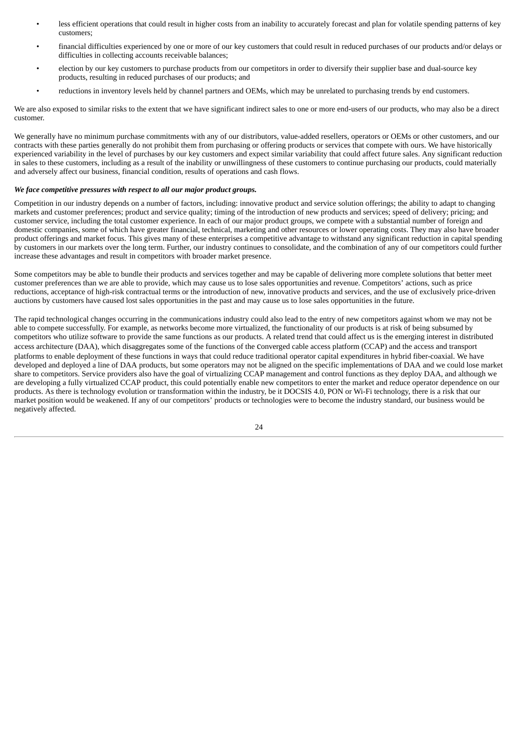- less efficient operations that could result in higher costs from an inability to accurately forecast and plan for volatile spending patterns of key customers;
- financial difficulties experienced by one or more of our key customers that could result in reduced purchases of our products and/or delays or difficulties in collecting accounts receivable balances;
- election by our key customers to purchase products from our competitors in order to diversify their supplier base and dual-source key products, resulting in reduced purchases of our products; and
- reductions in inventory levels held by channel partners and OEMs, which may be unrelated to purchasing trends by end customers.

We are also exposed to similar risks to the extent that we have significant indirect sales to one or more end-users of our products, who may also be a direct customer.

We generally have no minimum purchase commitments with any of our distributors, value-added resellers, operators or OEMs or other customers, and our contracts with these parties generally do not prohibit them from purchasing or offering products or services that compete with ours. We have historically experienced variability in the level of purchases by our key customers and expect similar variability that could affect future sales. Any significant reduction in sales to these customers, including as a result of the inability or unwillingness of these customers to continue purchasing our products, could materially and adversely affect our business, financial condition, results of operations and cash flows.

# *We face competitive pressures with respect to all our major product groups.*

Competition in our industry depends on a number of factors, including: innovative product and service solution offerings; the ability to adapt to changing markets and customer preferences; product and service quality; timing of the introduction of new products and services; speed of delivery; pricing; and customer service, including the total customer experience. In each of our major product groups, we compete with a substantial number of foreign and domestic companies, some of which have greater financial, technical, marketing and other resources or lower operating costs. They may also have broader product offerings and market focus. This gives many of these enterprises a competitive advantage to withstand any significant reduction in capital spending by customers in our markets over the long term. Further, our industry continues to consolidate, and the combination of any of our competitors could further increase these advantages and result in competitors with broader market presence.

Some competitors may be able to bundle their products and services together and may be capable of delivering more complete solutions that better meet customer preferences than we are able to provide, which may cause us to lose sales opportunities and revenue. Competitors' actions, such as price reductions, acceptance of high-risk contractual terms or the introduction of new, innovative products and services, and the use of exclusively price-driven auctions by customers have caused lost sales opportunities in the past and may cause us to lose sales opportunities in the future.

The rapid technological changes occurring in the communications industry could also lead to the entry of new competitors against whom we may not be able to compete successfully. For example, as networks become more virtualized, the functionality of our products is at risk of being subsumed by competitors who utilize software to provide the same functions as our products. A related trend that could affect us is the emerging interest in distributed access architecture (DAA), which disaggregates some of the functions of the converged cable access platform (CCAP) and the access and transport platforms to enable deployment of these functions in ways that could reduce traditional operator capital expenditures in hybrid fiber-coaxial. We have developed and deployed a line of DAA products, but some operators may not be aligned on the specific implementations of DAA and we could lose market share to competitors. Service providers also have the goal of virtualizing CCAP management and control functions as they deploy DAA, and although we are developing a fully virtualized CCAP product, this could potentially enable new competitors to enter the market and reduce operator dependence on our products. As there is technology evolution or transformation within the industry, be it DOCSIS 4.0, PON or Wi-Fi technology, there is a risk that our market position would be weakened. If any of our competitors' products or technologies were to become the industry standard, our business would be negatively affected.

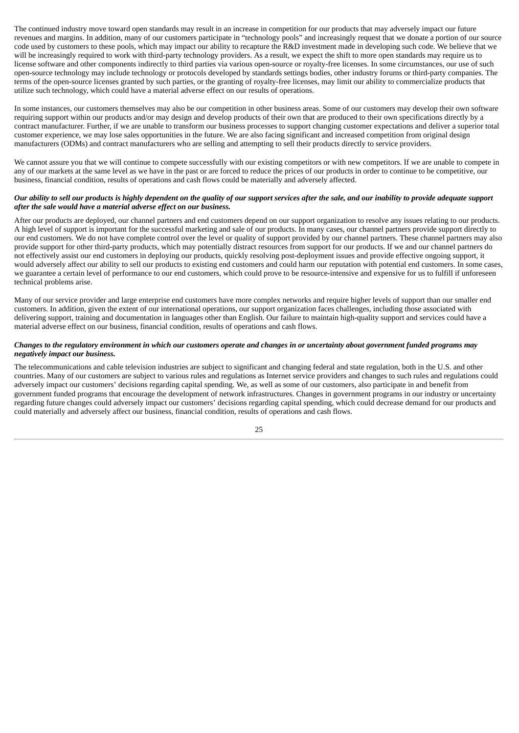The continued industry move toward open standards may result in an increase in competition for our products that may adversely impact our future revenues and margins. In addition, many of our customers participate in "technology pools" and increasingly request that we donate a portion of our source code used by customers to these pools, which may impact our ability to recapture the R&D investment made in developing such code. We believe that we will be increasingly required to work with third-party technology providers. As a result, we expect the shift to more open standards may require us to license software and other components indirectly to third parties via various open-source or royalty-free licenses. In some circumstances, our use of such open-source technology may include technology or protocols developed by standards settings bodies, other industry forums or third-party companies. The terms of the open-source licenses granted by such parties, or the granting of royalty-free licenses, may limit our ability to commercialize products that utilize such technology, which could have a material adverse effect on our results of operations.

In some instances, our customers themselves may also be our competition in other business areas. Some of our customers may develop their own software requiring support within our products and/or may design and develop products of their own that are produced to their own specifications directly by a contract manufacturer. Further, if we are unable to transform our business processes to support changing customer expectations and deliver a superior total customer experience, we may lose sales opportunities in the future. We are also facing significant and increased competition from original design manufacturers (ODMs) and contract manufacturers who are selling and attempting to sell their products directly to service providers.

We cannot assure you that we will continue to compete successfully with our existing competitors or with new competitors. If we are unable to compete in any of our markets at the same level as we have in the past or are forced to reduce the prices of our products in order to continue to be competitive, our business, financial condition, results of operations and cash flows could be materially and adversely affected.

#### Our ability to sell our products is highly dependent on the quality of our support services after the sale, and our inability to provide adequate support *after the sale would have a material adverse effect on our business.*

After our products are deployed, our channel partners and end customers depend on our support organization to resolve any issues relating to our products. A high level of support is important for the successful marketing and sale of our products. In many cases, our channel partners provide support directly to our end customers. We do not have complete control over the level or quality of support provided by our channel partners. These channel partners may also provide support for other third-party products, which may potentially distract resources from support for our products. If we and our channel partners do not effectively assist our end customers in deploying our products, quickly resolving post-deployment issues and provide effective ongoing support, it would adversely affect our ability to sell our products to existing end customers and could harm our reputation with potential end customers. In some cases, we guarantee a certain level of performance to our end customers, which could prove to be resource-intensive and expensive for us to fulfill if unforeseen technical problems arise.

Many of our service provider and large enterprise end customers have more complex networks and require higher levels of support than our smaller end customers. In addition, given the extent of our international operations, our support organization faces challenges, including those associated with delivering support, training and documentation in languages other than English. Our failure to maintain high-quality support and services could have a material adverse effect on our business, financial condition, results of operations and cash flows.

#### Changes to the regulatory environment in which our customers operate and changes in or uncertainty about government funded programs may *negatively impact our business.*

The telecommunications and cable television industries are subject to significant and changing federal and state regulation, both in the U.S. and other countries. Many of our customers are subject to various rules and regulations as Internet service providers and changes to such rules and regulations could adversely impact our customers' decisions regarding capital spending. We, as well as some of our customers, also participate in and benefit from government funded programs that encourage the development of network infrastructures. Changes in government programs in our industry or uncertainty regarding future changes could adversely impact our customers' decisions regarding capital spending, which could decrease demand for our products and could materially and adversely affect our business, financial condition, results of operations and cash flows.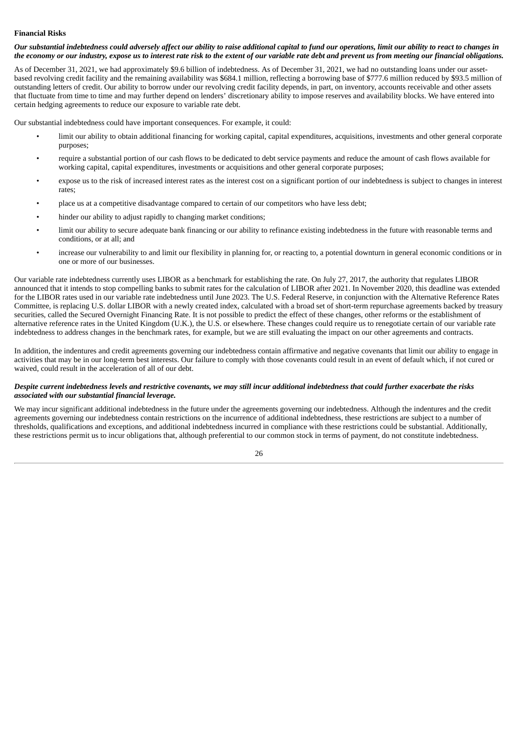# **Financial Risks**

# Our substantial indebtedness could adversely affect our ability to raise additional capital to fund our operations. Iimit our ability to react to changes in the economy or our industry, expose us to interest rate risk to the extent of our variable rate debt and prevent us from meeting our financial obligations.

As of December 31, 2021, we had approximately \$9.6 billion of indebtedness. As of December 31, 2021, we had no outstanding loans under our assetbased revolving credit facility and the remaining availability was \$684.1 million, reflecting a borrowing base of \$777.6 million reduced by \$93.5 million of outstanding letters of credit. Our ability to borrow under our revolving credit facility depends, in part, on inventory, accounts receivable and other assets that fluctuate from time to time and may further depend on lenders' discretionary ability to impose reserves and availability blocks. We have entered into certain hedging agreements to reduce our exposure to variable rate debt.

Our substantial indebtedness could have important consequences. For example, it could:

- limit our ability to obtain additional financing for working capital, capital expenditures, acquisitions, investments and other general corporate purposes;
- require a substantial portion of our cash flows to be dedicated to debt service payments and reduce the amount of cash flows available for working capital, capital expenditures, investments or acquisitions and other general corporate purposes;
- expose us to the risk of increased interest rates as the interest cost on a significant portion of our indebtedness is subject to changes in interest rates;
- place us at a competitive disadvantage compared to certain of our competitors who have less debt;
- hinder our ability to adjust rapidly to changing market conditions;
- limit our ability to secure adequate bank financing or our ability to refinance existing indebtedness in the future with reasonable terms and conditions, or at all; and
- increase our vulnerability to and limit our flexibility in planning for, or reacting to, a potential downturn in general economic conditions or in one or more of our businesses.

Our variable rate indebtedness currently uses LIBOR as a benchmark for establishing the rate. On July 27, 2017, the authority that regulates LIBOR announced that it intends to stop compelling banks to submit rates for the calculation of LIBOR after 2021. In November 2020, this deadline was extended for the LIBOR rates used in our variable rate indebtedness until June 2023. The U.S. Federal Reserve, in conjunction with the Alternative Reference Rates Committee, is replacing U.S. dollar LIBOR with a newly created index, calculated with a broad set of short-term repurchase agreements backed by treasury securities, called the Secured Overnight Financing Rate. It is not possible to predict the effect of these changes, other reforms or the establishment of alternative reference rates in the United Kingdom (U.K.), the U.S. or elsewhere. These changes could require us to renegotiate certain of our variable rate indebtedness to address changes in the benchmark rates, for example, but we are still evaluating the impact on our other agreements and contracts.

In addition, the indentures and credit agreements governing our indebtedness contain affirmative and negative covenants that limit our ability to engage in activities that may be in our long-term best interests. Our failure to comply with those covenants could result in an event of default which, if not cured or waived, could result in the acceleration of all of our debt.

## Despite current indebtedness levels and restrictive covenants, we may still incur additional indebtedness that could further exacerbate the risks *associated with our substantial financial leverage.*

We may incur significant additional indebtedness in the future under the agreements governing our indebtedness. Although the indentures and the credit agreements governing our indebtedness contain restrictions on the incurrence of additional indebtedness, these restrictions are subject to a number of thresholds, qualifications and exceptions, and additional indebtedness incurred in compliance with these restrictions could be substantial. Additionally, these restrictions permit us to incur obligations that, although preferential to our common stock in terms of payment, do not constitute indebtedness.

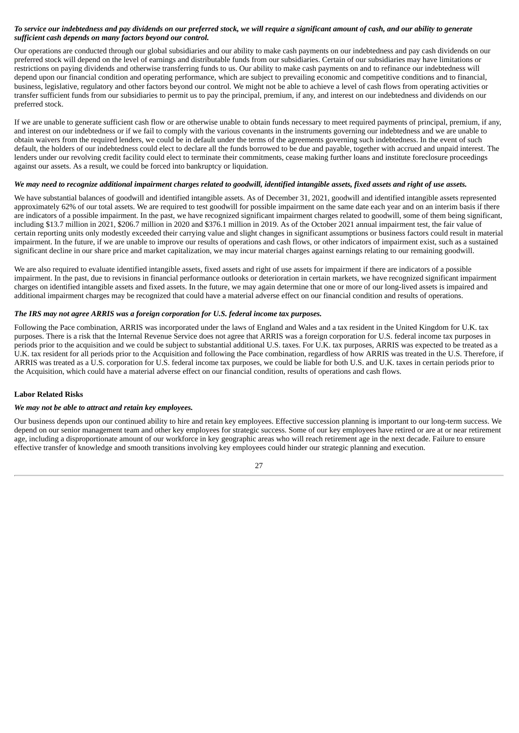# To service our indebtedness and pay dividends on our preferred stock, we will require a significant amount of cash, and our ability to generate *sufficient cash depends on many factors beyond our control.*

Our operations are conducted through our global subsidiaries and our ability to make cash payments on our indebtedness and pay cash dividends on our preferred stock will depend on the level of earnings and distributable funds from our subsidiaries. Certain of our subsidiaries may have limitations or restrictions on paying dividends and otherwise transferring funds to us. Our ability to make cash payments on and to refinance our indebtedness will depend upon our financial condition and operating performance, which are subject to prevailing economic and competitive conditions and to financial, business, legislative, regulatory and other factors beyond our control. We might not be able to achieve a level of cash flows from operating activities or transfer sufficient funds from our subsidiaries to permit us to pay the principal, premium, if any, and interest on our indebtedness and dividends on our preferred stock.

If we are unable to generate sufficient cash flow or are otherwise unable to obtain funds necessary to meet required payments of principal, premium, if any, and interest on our indebtedness or if we fail to comply with the various covenants in the instruments governing our indebtedness and we are unable to obtain waivers from the required lenders, we could be in default under the terms of the agreements governing such indebtedness. In the event of such default, the holders of our indebtedness could elect to declare all the funds borrowed to be due and payable, together with accrued and unpaid interest. The lenders under our revolving credit facility could elect to terminate their commitments, cease making further loans and institute foreclosure proceedings against our assets. As a result, we could be forced into bankruptcy or liquidation.

#### We may need to recognize additional impairment charges related to goodwill, identified intangible assets, fixed assets and right of use assets.

We have substantial balances of goodwill and identified intangible assets. As of December 31, 2021, goodwill and identified intangible assets represented approximately 62% of our total assets. We are required to test goodwill for possible impairment on the same date each year and on an interim basis if there are indicators of a possible impairment. In the past, we have recognized significant impairment charges related to goodwill, some of them being significant, including \$13.7 million in 2021, \$206.7 million in 2020 and \$376.1 million in 2019. As of the October 2021 annual impairment test, the fair value of certain reporting units only modestly exceeded their carrying value and slight changes in significant assumptions or business factors could result in material impairment. In the future, if we are unable to improve our results of operations and cash flows, or other indicators of impairment exist, such as a sustained significant decline in our share price and market capitalization, we may incur material charges against earnings relating to our remaining goodwill.

We are also required to evaluate identified intangible assets, fixed assets and right of use assets for impairment if there are indicators of a possible impairment. In the past, due to revisions in financial performance outlooks or deterioration in certain markets, we have recognized significant impairment charges on identified intangible assets and fixed assets. In the future, we may again determine that one or more of our long-lived assets is impaired and additional impairment charges may be recognized that could have a material adverse effect on our financial condition and results of operations.

# *The IRS may not agree ARRIS was a foreign corporation for U.S. federal income tax purposes.*

Following the Pace combination, ARRIS was incorporated under the laws of England and Wales and a tax resident in the United Kingdom for U.K. tax purposes. There is a risk that the Internal Revenue Service does not agree that ARRIS was a foreign corporation for U.S. federal income tax purposes in periods prior to the acquisition and we could be subject to substantial additional U.S. taxes. For U.K. tax purposes, ARRIS was expected to be treated as a U.K. tax resident for all periods prior to the Acquisition and following the Pace combination, regardless of how ARRIS was treated in the U.S. Therefore, if ARRIS was treated as a U.S. corporation for U.S. federal income tax purposes, we could be liable for both U.S. and U.K. taxes in certain periods prior to the Acquisition, which could have a material adverse effect on our financial condition, results of operations and cash flows.

# **Labor Related Risks**

# *We may not be able to attract and retain key employees.*

Our business depends upon our continued ability to hire and retain key employees. Effective succession planning is important to our long-term success. We depend on our senior management team and other key employees for strategic success. Some of our key employees have retired or are at or near retirement age, including a disproportionate amount of our workforce in key geographic areas who will reach retirement age in the next decade. Failure to ensure effective transfer of knowledge and smooth transitions involving key employees could hinder our strategic planning and execution.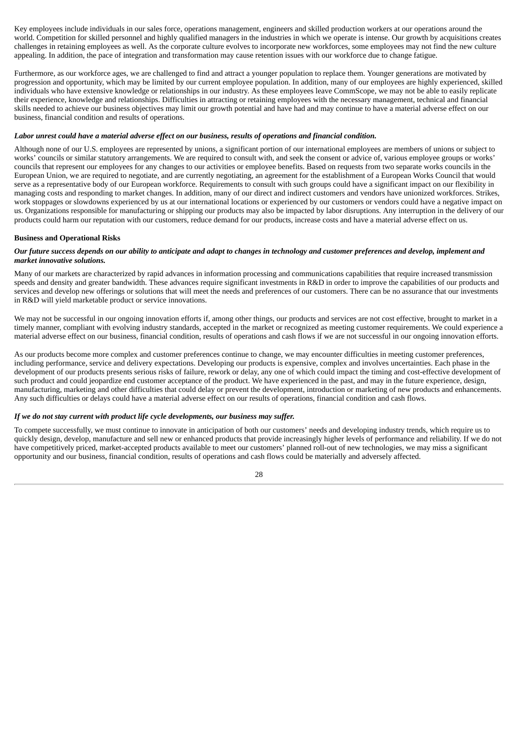Key employees include individuals in our sales force, operations management, engineers and skilled production workers at our operations around the world. Competition for skilled personnel and highly qualified managers in the industries in which we operate is intense. Our growth by acquisitions creates challenges in retaining employees as well. As the corporate culture evolves to incorporate new workforces, some employees may not find the new culture appealing. In addition, the pace of integration and transformation may cause retention issues with our workforce due to change fatigue.

Furthermore, as our workforce ages, we are challenged to find and attract a younger population to replace them. Younger generations are motivated by progression and opportunity, which may be limited by our current employee population. In addition, many of our employees are highly experienced, skilled individuals who have extensive knowledge or relationships in our industry. As these employees leave CommScope, we may not be able to easily replicate their experience, knowledge and relationships. Difficulties in attracting or retaining employees with the necessary management, technical and financial skills needed to achieve our business objectives may limit our growth potential and have had and may continue to have a material adverse effect on our business, financial condition and results of operations.

#### Labor unrest could have a material adverse effect on our business, results of operations and financial condition.

Although none of our U.S. employees are represented by unions, a significant portion of our international employees are members of unions or subject to works' councils or similar statutory arrangements. We are required to consult with, and seek the consent or advice of, various employee groups or works' councils that represent our employees for any changes to our activities or employee benefits. Based on requests from two separate works councils in the European Union, we are required to negotiate, and are currently negotiating, an agreement for the establishment of a European Works Council that would serve as a representative body of our European workforce. Requirements to consult with such groups could have a significant impact on our flexibility in managing costs and responding to market changes. In addition, many of our direct and indirect customers and vendors have unionized workforces. Strikes, work stoppages or slowdowns experienced by us at our international locations or experienced by our customers or vendors could have a negative impact on us. Organizations responsible for manufacturing or shipping our products may also be impacted by labor disruptions. Any interruption in the delivery of our products could harm our reputation with our customers, reduce demand for our products, increase costs and have a material adverse effect on us.

#### **Business and Operational Risks**

#### Our future success depends on our ability to anticipate and adapt to changes in technology and customer preferences and develop, implement and *market innovative solutions.*

Many of our markets are characterized by rapid advances in information processing and communications capabilities that require increased transmission speeds and density and greater bandwidth. These advances require significant investments in R&D in order to improve the capabilities of our products and services and develop new offerings or solutions that will meet the needs and preferences of our customers. There can be no assurance that our investments in R&D will yield marketable product or service innovations.

We may not be successful in our ongoing innovation efforts if, among other things, our products and services are not cost effective, brought to market in a timely manner, compliant with evolving industry standards, accepted in the market or recognized as meeting customer requirements. We could experience a material adverse effect on our business, financial condition, results of operations and cash flows if we are not successful in our ongoing innovation efforts.

As our products become more complex and customer preferences continue to change, we may encounter difficulties in meeting customer preferences, including performance, service and delivery expectations. Developing our products is expensive, complex and involves uncertainties. Each phase in the development of our products presents serious risks of failure, rework or delay, any one of which could impact the timing and cost-effective development of such product and could jeopardize end customer acceptance of the product. We have experienced in the past, and may in the future experience, design, manufacturing, marketing and other difficulties that could delay or prevent the development, introduction or marketing of new products and enhancements. Any such difficulties or delays could have a material adverse effect on our results of operations, financial condition and cash flows.

#### *If we do not stay current with product life cycle developments, our business may suffer.*

To compete successfully, we must continue to innovate in anticipation of both our customers' needs and developing industry trends, which require us to quickly design, develop, manufacture and sell new or enhanced products that provide increasingly higher levels of performance and reliability. If we do not have competitively priced, market-accepted products available to meet our customers' planned roll-out of new technologies, we may miss a significant opportunity and our business, financial condition, results of operations and cash flows could be materially and adversely affected.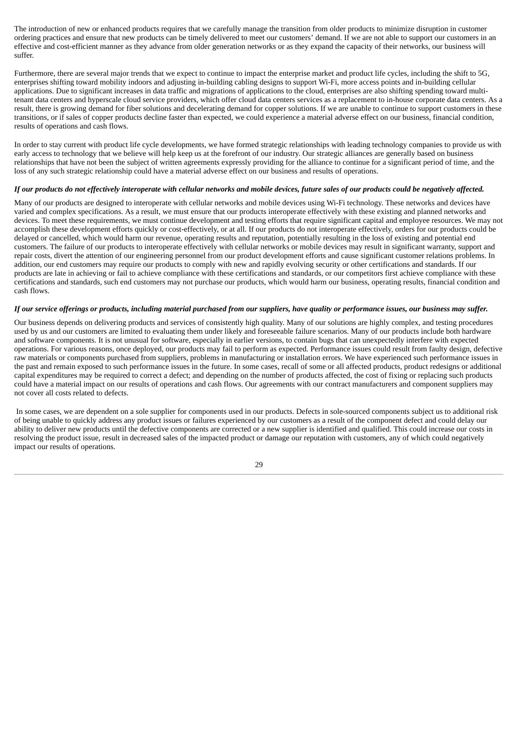The introduction of new or enhanced products requires that we carefully manage the transition from older products to minimize disruption in customer ordering practices and ensure that new products can be timely delivered to meet our customers' demand. If we are not able to support our customers in an effective and cost-efficient manner as they advance from older generation networks or as they expand the capacity of their networks, our business will suffer.

Furthermore, there are several major trends that we expect to continue to impact the enterprise market and product life cycles, including the shift to 5G, enterprises shifting toward mobility indoors and adjusting in-building cabling designs to support Wi-Fi, more access points and in-building cellular applications. Due to significant increases in data traffic and migrations of applications to the cloud, enterprises are also shifting spending toward multitenant data centers and hyperscale cloud service providers, which offer cloud data centers services as a replacement to in-house corporate data centers. As a result, there is growing demand for fiber solutions and decelerating demand for copper solutions. If we are unable to continue to support customers in these transitions, or if sales of copper products decline faster than expected, we could experience a material adverse effect on our business, financial condition, results of operations and cash flows.

In order to stay current with product life cycle developments, we have formed strategic relationships with leading technology companies to provide us with early access to technology that we believe will help keep us at the forefront of our industry. Our strategic alliances are generally based on business relationships that have not been the subject of written agreements expressly providing for the alliance to continue for a significant period of time, and the loss of any such strategic relationship could have a material adverse effect on our business and results of operations.

#### If our products do not effectively interoperate with cellular networks and mobile devices, future sales of our products could be negatively affected.

Many of our products are designed to interoperate with cellular networks and mobile devices using Wi-Fi technology. These networks and devices have varied and complex specifications. As a result, we must ensure that our products interoperate effectively with these existing and planned networks and devices. To meet these requirements, we must continue development and testing efforts that require significant capital and employee resources. We may not accomplish these development efforts quickly or cost-effectively, or at all. If our products do not interoperate effectively, orders for our products could be delayed or cancelled, which would harm our revenue, operating results and reputation, potentially resulting in the loss of existing and potential end customers. The failure of our products to interoperate effectively with cellular networks or mobile devices may result in significant warranty, support and repair costs, divert the attention of our engineering personnel from our product development efforts and cause significant customer relations problems. In addition, our end customers may require our products to comply with new and rapidly evolving security or other certifications and standards. If our products are late in achieving or fail to achieve compliance with these certifications and standards, or our competitors first achieve compliance with these certifications and standards, such end customers may not purchase our products, which would harm our business, operating results, financial condition and cash flows.

# If our service offerings or products, including material purchased from our suppliers, have quality or performance issues, our business may suffer.

Our business depends on delivering products and services of consistently high quality. Many of our solutions are highly complex, and testing procedures used by us and our customers are limited to evaluating them under likely and foreseeable failure scenarios. Many of our products include both hardware and software components. It is not unusual for software, especially in earlier versions, to contain bugs that can unexpectedly interfere with expected operations. For various reasons, once deployed, our products may fail to perform as expected. Performance issues could result from faulty design, defective raw materials or components purchased from suppliers, problems in manufacturing or installation errors. We have experienced such performance issues in the past and remain exposed to such performance issues in the future. In some cases, recall of some or all affected products, product redesigns or additional capital expenditures may be required to correct a defect; and depending on the number of products affected, the cost of fixing or replacing such products could have a material impact on our results of operations and cash flows. Our agreements with our contract manufacturers and component suppliers may not cover all costs related to defects.

In some cases, we are dependent on a sole supplier for components used in our products. Defects in sole-sourced components subject us to additional risk of being unable to quickly address any product issues or failures experienced by our customers as a result of the component defect and could delay our ability to deliver new products until the defective components are corrected or a new supplier is identified and qualified. This could increase our costs in resolving the product issue, result in decreased sales of the impacted product or damage our reputation with customers, any of which could negatively impact our results of operations.

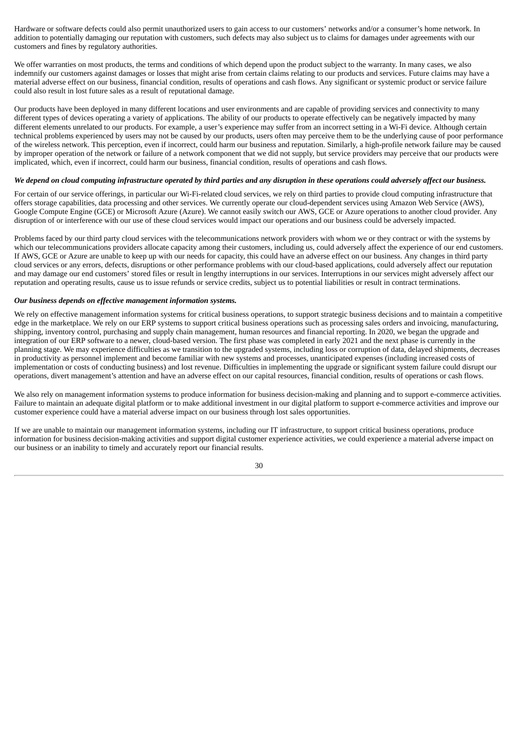Hardware or software defects could also permit unauthorized users to gain access to our customers' networks and/or a consumer's home network. In addition to potentially damaging our reputation with customers, such defects may also subject us to claims for damages under agreements with our customers and fines by regulatory authorities.

We offer warranties on most products, the terms and conditions of which depend upon the product subject to the warranty. In many cases, we also indemnify our customers against damages or losses that might arise from certain claims relating to our products and services. Future claims may have a material adverse effect on our business, financial condition, results of operations and cash flows. Any significant or systemic product or service failure could also result in lost future sales as a result of reputational damage.

Our products have been deployed in many different locations and user environments and are capable of providing services and connectivity to many different types of devices operating a variety of applications. The ability of our products to operate effectively can be negatively impacted by many different elements unrelated to our products. For example, a user's experience may suffer from an incorrect setting in a Wi-Fi device. Although certain technical problems experienced by users may not be caused by our products, users often may perceive them to be the underlying cause of poor performance of the wireless network. This perception, even if incorrect, could harm our business and reputation. Similarly, a high-profile network failure may be caused by improper operation of the network or failure of a network component that we did not supply, but service providers may perceive that our products were implicated, which, even if incorrect, could harm our business, financial condition, results of operations and cash flows.

#### We depend on cloud computing infrastructure operated by third parties and any disruption in these operations could adversely affect our business.

For certain of our service offerings, in particular our Wi-Fi-related cloud services, we rely on third parties to provide cloud computing infrastructure that offers storage capabilities, data processing and other services. We currently operate our cloud-dependent services using Amazon Web Service (AWS), Google Compute Engine (GCE) or Microsoft Azure (Azure). We cannot easily switch our AWS, GCE or Azure operations to another cloud provider. Any disruption of or interference with our use of these cloud services would impact our operations and our business could be adversely impacted.

Problems faced by our third party cloud services with the telecommunications network providers with whom we or they contract or with the systems by which our telecommunications providers allocate capacity among their customers, including us, could adversely affect the experience of our end customers. If AWS, GCE or Azure are unable to keep up with our needs for capacity, this could have an adverse effect on our business. Any changes in third party cloud services or any errors, defects, disruptions or other performance problems with our cloud-based applications, could adversely affect our reputation and may damage our end customers' stored files or result in lengthy interruptions in our services. Interruptions in our services might adversely affect our reputation and operating results, cause us to issue refunds or service credits, subject us to potential liabilities or result in contract terminations.

### *Our business depends on effective management information systems.*

We rely on effective management information systems for critical business operations, to support strategic business decisions and to maintain a competitive edge in the marketplace. We rely on our ERP systems to support critical business operations such as processing sales orders and invoicing, manufacturing, shipping, inventory control, purchasing and supply chain management, human resources and financial reporting. In 2020, we began the upgrade and integration of our ERP software to a newer, cloud-based version. The first phase was completed in early 2021 and the next phase is currently in the planning stage. We may experience difficulties as we transition to the upgraded systems, including loss or corruption of data, delayed shipments, decreases in productivity as personnel implement and become familiar with new systems and processes, unanticipated expenses (including increased costs of implementation or costs of conducting business) and lost revenue. Difficulties in implementing the upgrade or significant system failure could disrupt our operations, divert management's attention and have an adverse effect on our capital resources, financial condition, results of operations or cash flows.

We also rely on management information systems to produce information for business decision-making and planning and to support e-commerce activities. Failure to maintain an adequate digital platform or to make additional investment in our digital platform to support e-commerce activities and improve our customer experience could have a material adverse impact on our business through lost sales opportunities.

If we are unable to maintain our management information systems, including our IT infrastructure, to support critical business operations, produce information for business decision-making activities and support digital customer experience activities, we could experience a material adverse impact on our business or an inability to timely and accurately report our financial results.

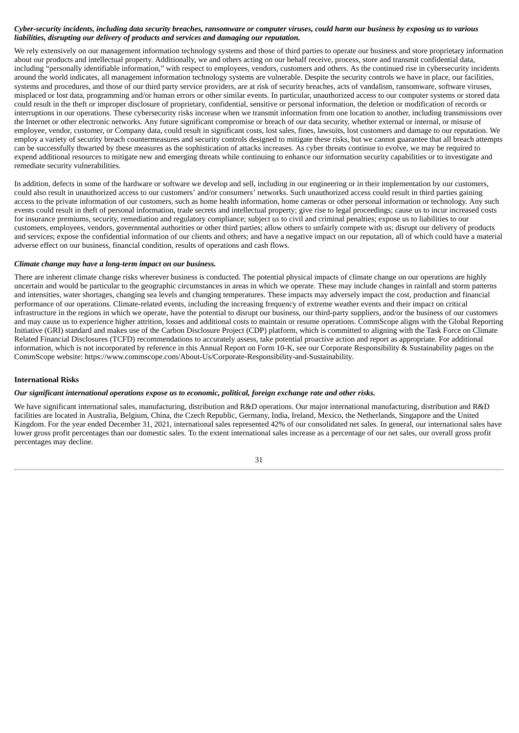# Cyber-security incidents, including data security breaches, ransomware or computer viruses, could harm our business by exposing us to various *liabilities, disrupting our delivery of products and services and damaging our reputation.*

We rely extensively on our management information technology systems and those of third parties to operate our business and store proprietary information about our products and intellectual property. Additionally, we and others acting on our behalf receive, process, store and transmit confidential data, including "personally identifiable information," with respect to employees, vendors, customers and others. As the continued rise in cybersecurity incidents around the world indicates, all management information technology systems are vulnerable. Despite the security controls we have in place, our facilities, systems and procedures, and those of our third party service providers, are at risk of security breaches, acts of vandalism, ransomware, software viruses, misplaced or lost data, programming and/or human errors or other similar events. In particular, unauthorized access to our computer systems or stored data could result in the theft or improper disclosure of proprietary, confidential, sensitive or personal information, the deletion or modification of records or interruptions in our operations. These cybersecurity risks increase when we transmit information from one location to another, including transmissions over the Internet or other electronic networks. Any future significant compromise or breach of our data security, whether external or internal, or misuse of employee, vendor, customer, or Company data, could result in significant costs, lost sales, fines, lawsuits, lost customers and damage to our reputation. We employ a variety of security breach countermeasures and security controls designed to mitigate these risks, but we cannot guarantee that all breach attempts can be successfully thwarted by these measures as the sophistication of attacks increases. As cyber threats continue to evolve, we may be required to expend additional resources to mitigate new and emerging threats while continuing to enhance our information security capabilities or to investigate and remediate security vulnerabilities.

In addition, defects in some of the hardware or software we develop and sell, including in our engineering or in their implementation by our customers, could also result in unauthorized access to our customers' and/or consumers' networks. Such unauthorized access could result in third parties gaining access to the private information of our customers, such as home health information, home cameras or other personal information or technology. Any such events could result in theft of personal information, trade secrets and intellectual property; give rise to legal proceedings; cause us to incur increased costs for insurance premiums, security, remediation and regulatory compliance; subject us to civil and criminal penalties; expose us to liabilities to our customers, employees, vendors, governmental authorities or other third parties; allow others to unfairly compete with us; disrupt our delivery of products and services; expose the confidential information of our clients and others; and have a negative impact on our reputation, all of which could have a material adverse effect on our business, financial condition, results of operations and cash flows.

#### *Climate change may have a long-term impact on our business.*

There are inherent climate change risks wherever business is conducted. The potential physical impacts of climate change on our operations are highly uncertain and would be particular to the geographic circumstances in areas in which we operate. These may include changes in rainfall and storm patterns and intensities, water shortages, changing sea levels and changing temperatures. These impacts may adversely impact the cost, production and financial performance of our operations. Climate-related events, including the increasing frequency of extreme weather events and their impact on critical infrastructure in the regions in which we operate, have the potential to disrupt our business, our third-party suppliers, and/or the business of our customers and may cause us to experience higher attrition, losses and additional costs to maintain or resume operations. CommScope aligns with the Global Reporting Initiative (GRI) standard and makes use of the Carbon Disclosure Project (CDP) platform, which is committed to aligning with the Task Force on Climate Related Financial Disclosures (TCFD) recommendations to accurately assess, take potential proactive action and report as appropriate. For additional information, which is not incorporated by reference in this Annual Report on Form 10-K, see our Corporate Responsibility & Sustainability pages on the CommScope website: https://www.commscope.com/About-Us/Corporate-Responsibility-and-Sustainability.

# **International Risks**

#### *Our significant international operations expose us to economic, political, foreign exchange rate and other risks.*

We have significant international sales, manufacturing, distribution and R&D operations. Our major international manufacturing, distribution and R&D facilities are located in Australia, Belgium, China, the Czech Republic, Germany, India, Ireland, Mexico, the Netherlands, Singapore and the United Kingdom. For the year ended December 31, 2021, international sales represented 42% of our consolidated net sales. In general, our international sales have lower gross profit percentages than our domestic sales. To the extent international sales increase as a percentage of our net sales, our overall gross profit percentages may decline.

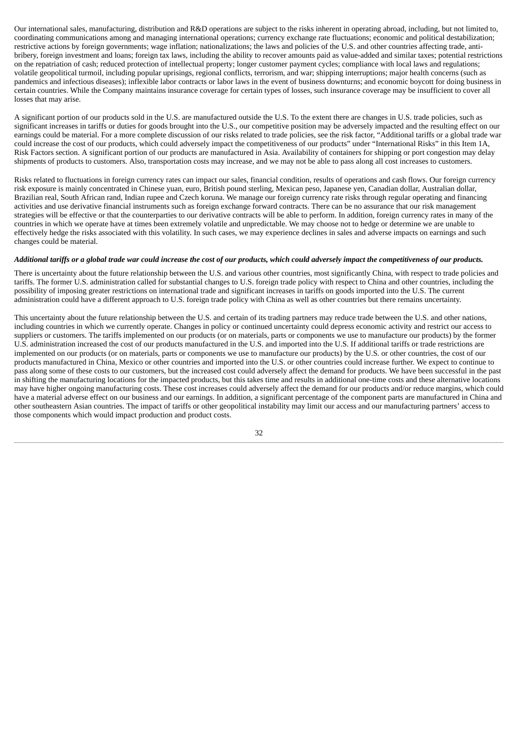Our international sales, manufacturing, distribution and R&D operations are subject to the risks inherent in operating abroad, including, but not limited to, coordinating communications among and managing international operations; currency exchange rate fluctuations; economic and political destabilization; restrictive actions by foreign governments; wage inflation; nationalizations; the laws and policies of the U.S. and other countries affecting trade, antibribery, foreign investment and loans; foreign tax laws, including the ability to recover amounts paid as value-added and similar taxes; potential restrictions on the repatriation of cash; reduced protection of intellectual property; longer customer payment cycles; compliance with local laws and regulations; volatile geopolitical turmoil, including popular uprisings, regional conflicts, terrorism, and war; shipping interruptions; major health concerns (such as pandemics and infectious diseases); inflexible labor contracts or labor laws in the event of business downturns; and economic boycott for doing business in certain countries. While the Company maintains insurance coverage for certain types of losses, such insurance coverage may be insufficient to cover all losses that may arise.

A significant portion of our products sold in the U.S. are manufactured outside the U.S. To the extent there are changes in U.S. trade policies, such as significant increases in tariffs or duties for goods brought into the U.S., our competitive position may be adversely impacted and the resulting effect on our earnings could be material. For a more complete discussion of our risks related to trade policies, see the risk factor, "Additional tariffs or a global trade war could increase the cost of our products, which could adversely impact the competitiveness of our products" under "International Risks" in this Item 1A, Risk Factors section. A significant portion of our products are manufactured in Asia. Availability of containers for shipping or port congestion may delay shipments of products to customers. Also, transportation costs may increase, and we may not be able to pass along all cost increases to customers.

Risks related to fluctuations in foreign currency rates can impact our sales, financial condition, results of operations and cash flows. Our foreign currency risk exposure is mainly concentrated in Chinese yuan, euro, British pound sterling, Mexican peso, Japanese yen, Canadian dollar, Australian dollar, Brazilian real, South African rand, Indian rupee and Czech koruna. We manage our foreign currency rate risks through regular operating and financing activities and use derivative financial instruments such as foreign exchange forward contracts. There can be no assurance that our risk management strategies will be effective or that the counterparties to our derivative contracts will be able to perform. In addition, foreign currency rates in many of the countries in which we operate have at times been extremely volatile and unpredictable. We may choose not to hedge or determine we are unable to effectively hedge the risks associated with this volatility. In such cases, we may experience declines in sales and adverse impacts on earnings and such changes could be material.

#### Additional tariffs or a global trade war could increase the cost of our products, which could adversely impact the competitiveness of our products.

There is uncertainty about the future relationship between the U.S. and various other countries, most significantly China, with respect to trade policies and tariffs. The former U.S. administration called for substantial changes to U.S. foreign trade policy with respect to China and other countries, including the possibility of imposing greater restrictions on international trade and significant increases in tariffs on goods imported into the U.S. The current administration could have a different approach to U.S. foreign trade policy with China as well as other countries but there remains uncertainty.

This uncertainty about the future relationship between the U.S. and certain of its trading partners may reduce trade between the U.S. and other nations, including countries in which we currently operate. Changes in policy or continued uncertainty could depress economic activity and restrict our access to suppliers or customers. The tariffs implemented on our products (or on materials, parts or components we use to manufacture our products) by the former U.S. administration increased the cost of our products manufactured in the U.S. and imported into the U.S. If additional tariffs or trade restrictions are implemented on our products (or on materials, parts or components we use to manufacture our products) by the U.S. or other countries, the cost of our products manufactured in China, Mexico or other countries and imported into the U.S. or other countries could increase further. We expect to continue to pass along some of these costs to our customers, but the increased cost could adversely affect the demand for products. We have been successful in the past in shifting the manufacturing locations for the impacted products, but this takes time and results in additional one-time costs and these alternative locations may have higher ongoing manufacturing costs. These cost increases could adversely affect the demand for our products and/or reduce margins, which could have a material adverse effect on our business and our earnings. In addition, a significant percentage of the component parts are manufactured in China and other southeastern Asian countries. The impact of tariffs or other geopolitical instability may limit our access and our manufacturing partners' access to those components which would impact production and product costs.

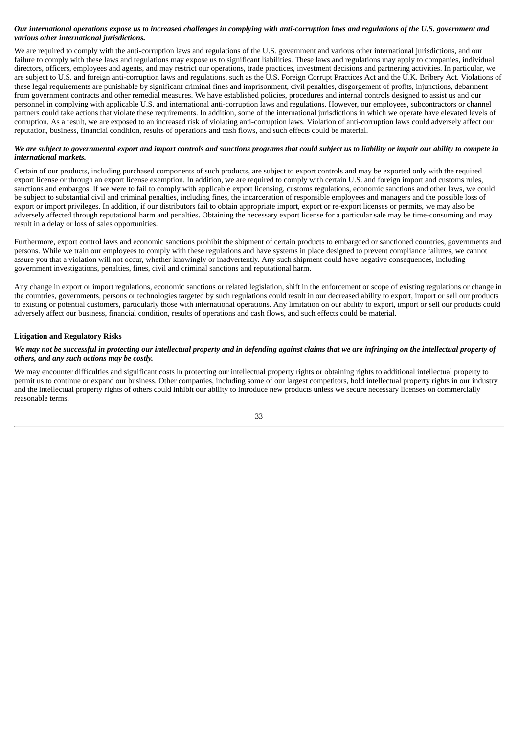## Our international operations expose us to increased challenges in complying with anti-corruption laws and regulations of the U.S. government and *various other international jurisdictions.*

We are required to comply with the anti-corruption laws and regulations of the U.S. government and various other international jurisdictions, and our failure to comply with these laws and regulations may expose us to significant liabilities. These laws and regulations may apply to companies, individual directors, officers, employees and agents, and may restrict our operations, trade practices, investment decisions and partnering activities. In particular, we are subject to U.S. and foreign anti-corruption laws and regulations, such as the U.S. Foreign Corrupt Practices Act and the U.K. Bribery Act. Violations of these legal requirements are punishable by significant criminal fines and imprisonment, civil penalties, disgorgement of profits, injunctions, debarment from government contracts and other remedial measures. We have established policies, procedures and internal controls designed to assist us and our personnel in complying with applicable U.S. and international anti-corruption laws and regulations. However, our employees, subcontractors or channel partners could take actions that violate these requirements. In addition, some of the international jurisdictions in which we operate have elevated levels of corruption. As a result, we are exposed to an increased risk of violating anti-corruption laws. Violation of anti-corruption laws could adversely affect our reputation, business, financial condition, results of operations and cash flows, and such effects could be material.

#### We are subject to governmental export and import controls and sanctions programs that could subject us to liability or impair our ability to compete in *international markets.*

Certain of our products, including purchased components of such products, are subject to export controls and may be exported only with the required export license or through an export license exemption. In addition, we are required to comply with certain U.S. and foreign import and customs rules, sanctions and embargos. If we were to fail to comply with applicable export licensing, customs regulations, economic sanctions and other laws, we could be subject to substantial civil and criminal penalties, including fines, the incarceration of responsible employees and managers and the possible loss of export or import privileges. In addition, if our distributors fail to obtain appropriate import, export or re-export licenses or permits, we may also be adversely affected through reputational harm and penalties. Obtaining the necessary export license for a particular sale may be time-consuming and may result in a delay or loss of sales opportunities.

Furthermore, export control laws and economic sanctions prohibit the shipment of certain products to embargoed or sanctioned countries, governments and persons. While we train our employees to comply with these regulations and have systems in place designed to prevent compliance failures, we cannot assure you that a violation will not occur, whether knowingly or inadvertently. Any such shipment could have negative consequences, including government investigations, penalties, fines, civil and criminal sanctions and reputational harm.

Any change in export or import regulations, economic sanctions or related legislation, shift in the enforcement or scope of existing regulations or change in the countries, governments, persons or technologies targeted by such regulations could result in our decreased ability to export, import or sell our products to existing or potential customers, particularly those with international operations. Any limitation on our ability to export, import or sell our products could adversely affect our business, financial condition, results of operations and cash flows, and such effects could be material.

# **Litigation and Regulatory Risks**

### We may not be successful in protecting our intellectual property and in defending against claims that we are infringing on the intellectual property of *others, and any such actions may be costly.*

We may encounter difficulties and significant costs in protecting our intellectual property rights or obtaining rights to additional intellectual property to permit us to continue or expand our business. Other companies, including some of our largest competitors, hold intellectual property rights in our industry and the intellectual property rights of others could inhibit our ability to introduce new products unless we secure necessary licenses on commercially reasonable terms.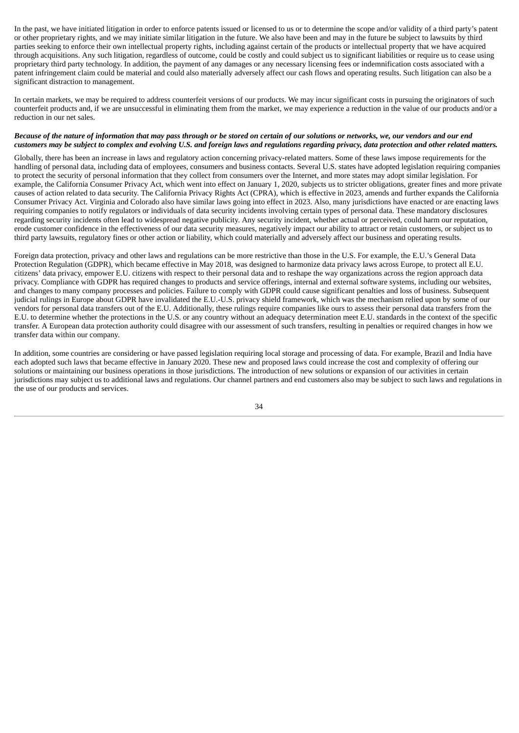In the past, we have initiated litigation in order to enforce patents issued or licensed to us or to determine the scope and/or validity of a third party's patent or other proprietary rights, and we may initiate similar litigation in the future. We also have been and may in the future be subject to lawsuits by third parties seeking to enforce their own intellectual property rights, including against certain of the products or intellectual property that we have acquired through acquisitions. Any such litigation, regardless of outcome, could be costly and could subject us to significant liabilities or require us to cease using proprietary third party technology. In addition, the payment of any damages or any necessary licensing fees or indemnification costs associated with a patent infringement claim could be material and could also materially adversely affect our cash flows and operating results. Such litigation can also be a significant distraction to management.

In certain markets, we may be required to address counterfeit versions of our products. We may incur significant costs in pursuing the originators of such counterfeit products and, if we are unsuccessful in eliminating them from the market, we may experience a reduction in the value of our products and/or a reduction in our net sales.

#### Because of the nature of information that may pass through or be stored on certain of our solutions or networks, we, our vendors and our end customers may be subject to complex and evolving U.S. and foreign laws and regulations regarding privacy, data protection and other related matters.

Globally, there has been an increase in laws and regulatory action concerning privacy-related matters. Some of these laws impose requirements for the handling of personal data, including data of employees, consumers and business contacts. Several U.S. states have adopted legislation requiring companies to protect the security of personal information that they collect from consumers over the Internet, and more states may adopt similar legislation. For example, the California Consumer Privacy Act, which went into effect on January 1, 2020, subjects us to stricter obligations, greater fines and more private causes of action related to data security. The California Privacy Rights Act (CPRA), which is effective in 2023, amends and further expands the California Consumer Privacy Act. Virginia and Colorado also have similar laws going into effect in 2023. Also, many jurisdictions have enacted or are enacting laws requiring companies to notify regulators or individuals of data security incidents involving certain types of personal data. These mandatory disclosures regarding security incidents often lead to widespread negative publicity. Any security incident, whether actual or perceived, could harm our reputation, erode customer confidence in the effectiveness of our data security measures, negatively impact our ability to attract or retain customers, or subject us to third party lawsuits, regulatory fines or other action or liability, which could materially and adversely affect our business and operating results.

Foreign data protection, privacy and other laws and regulations can be more restrictive than those in the U.S. For example, the E.U.'s General Data Protection Regulation (GDPR), which became effective in May 2018, was designed to harmonize data privacy laws across Europe, to protect all E.U. citizens' data privacy, empower E.U. citizens with respect to their personal data and to reshape the way organizations across the region approach data privacy. Compliance with GDPR has required changes to products and service offerings, internal and external software systems, including our websites, and changes to many company processes and policies. Failure to comply with GDPR could cause significant penalties and loss of business. Subsequent judicial rulings in Europe about GDPR have invalidated the E.U.-U.S. privacy shield framework, which was the mechanism relied upon by some of our vendors for personal data transfers out of the E.U. Additionally, these rulings require companies like ours to assess their personal data transfers from the E.U. to determine whether the protections in the U.S. or any country without an adequacy determination meet E.U. standards in the context of the specific transfer. A European data protection authority could disagree with our assessment of such transfers, resulting in penalties or required changes in how we transfer data within our company.

In addition, some countries are considering or have passed legislation requiring local storage and processing of data. For example, Brazil and India have each adopted such laws that became effective in January 2020. These new and proposed laws could increase the cost and complexity of offering our solutions or maintaining our business operations in those jurisdictions. The introduction of new solutions or expansion of our activities in certain jurisdictions may subject us to additional laws and regulations. Our channel partners and end customers also may be subject to such laws and regulations in the use of our products and services.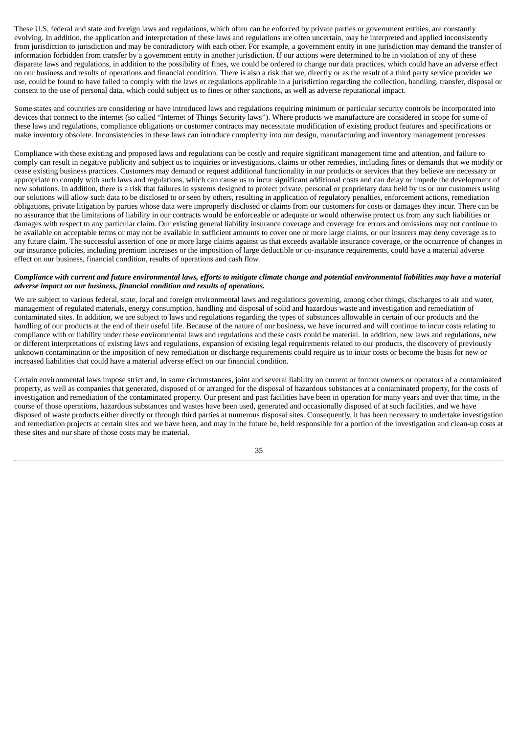These U.S. federal and state and foreign laws and regulations, which often can be enforced by private parties or government entities, are constantly evolving. In addition, the application and interpretation of these laws and regulations are often uncertain, may be interpreted and applied inconsistently from jurisdiction to jurisdiction and may be contradictory with each other. For example, a government entity in one jurisdiction may demand the transfer of information forbidden from transfer by a government entity in another jurisdiction. If our actions were determined to be in violation of any of these disparate laws and regulations, in addition to the possibility of fines, we could be ordered to change our data practices, which could have an adverse effect on our business and results of operations and financial condition. There is also a risk that we, directly or as the result of a third party service provider we use, could be found to have failed to comply with the laws or regulations applicable in a jurisdiction regarding the collection, handling, transfer, disposal or consent to the use of personal data, which could subject us to fines or other sanctions, as well as adverse reputational impact.

Some states and countries are considering or have introduced laws and regulations requiring minimum or particular security controls be incorporated into devices that connect to the internet (so called "Internet of Things Security laws"). Where products we manufacture are considered in scope for some of these laws and regulations, compliance obligations or customer contracts may necessitate modification of existing product features and specifications or make inventory obsolete. Inconsistencies in these laws can introduce complexity into our design, manufacturing and inventory management processes.

Compliance with these existing and proposed laws and regulations can be costly and require significant management time and attention, and failure to comply can result in negative publicity and subject us to inquiries or investigations, claims or other remedies, including fines or demands that we modify or cease existing business practices. Customers may demand or request additional functionality in our products or services that they believe are necessary or appropriate to comply with such laws and regulations, which can cause us to incur significant additional costs and can delay or impede the development of new solutions. In addition, there is a risk that failures in systems designed to protect private, personal or proprietary data held by us or our customers using our solutions will allow such data to be disclosed to or seen by others, resulting in application of regulatory penalties, enforcement actions, remediation obligations, private litigation by parties whose data were improperly disclosed or claims from our customers for costs or damages they incur. There can be no assurance that the limitations of liability in our contracts would be enforceable or adequate or would otherwise protect us from any such liabilities or damages with respect to any particular claim. Our existing general liability insurance coverage and coverage for errors and omissions may not continue to be available on acceptable terms or may not be available in sufficient amounts to cover one or more large claims, or our insurers may deny coverage as to any future claim. The successful assertion of one or more large claims against us that exceeds available insurance coverage, or the occurrence of changes in our insurance policies, including premium increases or the imposition of large deductible or co-insurance requirements, could have a material adverse effect on our business, financial condition, results of operations and cash flow.

#### Compliance with current and future environmental laws, efforts to mitigate climate change and potential environmental liabilities may have a material *adverse impact on our business, financial condition and results of operations.*

We are subject to various federal, state, local and foreign environmental laws and regulations governing, among other things, discharges to air and water, management of regulated materials, energy consumption, handling and disposal of solid and hazardous waste and investigation and remediation of contaminated sites. In addition, we are subject to laws and regulations regarding the types of substances allowable in certain of our products and the handling of our products at the end of their useful life. Because of the nature of our business, we have incurred and will continue to incur costs relating to compliance with or liability under these environmental laws and regulations and these costs could be material. In addition, new laws and regulations, new or different interpretations of existing laws and regulations, expansion of existing legal requirements related to our products, the discovery of previously unknown contamination or the imposition of new remediation or discharge requirements could require us to incur costs or become the basis for new or increased liabilities that could have a material adverse effect on our financial condition.

Certain environmental laws impose strict and, in some circumstances, joint and several liability on current or former owners or operators of a contaminated property, as well as companies that generated, disposed of or arranged for the disposal of hazardous substances at a contaminated property, for the costs of investigation and remediation of the contaminated property. Our present and past facilities have been in operation for many years and over that time, in the course of those operations, hazardous substances and wastes have been used, generated and occasionally disposed of at such facilities, and we have disposed of waste products either directly or through third parties at numerous disposal sites. Consequently, it has been necessary to undertake investigation and remediation projects at certain sites and we have been, and may in the future be, held responsible for a portion of the investigation and clean-up costs at these sites and our share of those costs may be material.

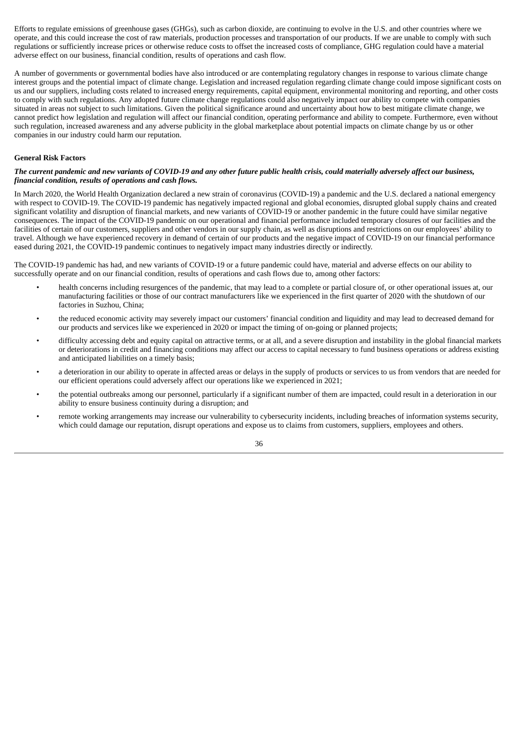Efforts to regulate emissions of greenhouse gases (GHGs), such as carbon dioxide, are continuing to evolve in the U.S. and other countries where we operate, and this could increase the cost of raw materials, production processes and transportation of our products. If we are unable to comply with such regulations or sufficiently increase prices or otherwise reduce costs to offset the increased costs of compliance, GHG regulation could have a material adverse effect on our business, financial condition, results of operations and cash flow.

A number of governments or governmental bodies have also introduced or are contemplating regulatory changes in response to various climate change interest groups and the potential impact of climate change. Legislation and increased regulation regarding climate change could impose significant costs on us and our suppliers, including costs related to increased energy requirements, capital equipment, environmental monitoring and reporting, and other costs to comply with such regulations. Any adopted future climate change regulations could also negatively impact our ability to compete with companies situated in areas not subject to such limitations. Given the political significance around and uncertainty about how to best mitigate climate change, we cannot predict how legislation and regulation will affect our financial condition, operating performance and ability to compete. Furthermore, even without such regulation, increased awareness and any adverse publicity in the global marketplace about potential impacts on climate change by us or other companies in our industry could harm our reputation.

#### **General Risk Factors**

#### The current pandemic and new variants of COVID-19 and any other future public health crisis, could materially adversely affect our business, *financial condition, results of operations and cash flows.*

In March 2020, the World Health Organization declared a new strain of coronavirus (COVID-19) a pandemic and the U.S. declared a national emergency with respect to COVID-19. The COVID-19 pandemic has negatively impacted regional and global economies, disrupted global supply chains and created significant volatility and disruption of financial markets, and new variants of COVID-19 or another pandemic in the future could have similar negative consequences. The impact of the COVID-19 pandemic on our operational and financial performance included temporary closures of our facilities and the facilities of certain of our customers, suppliers and other vendors in our supply chain, as well as disruptions and restrictions on our employees' ability to travel. Although we have experienced recovery in demand of certain of our products and the negative impact of COVID-19 on our financial performance eased during 2021, the COVID-19 pandemic continues to negatively impact many industries directly or indirectly.

The COVID-19 pandemic has had, and new variants of COVID-19 or a future pandemic could have, material and adverse effects on our ability to successfully operate and on our financial condition, results of operations and cash flows due to, among other factors:

- health concerns including resurgences of the pandemic, that may lead to a complete or partial closure of, or other operational issues at, our manufacturing facilities or those of our contract manufacturers like we experienced in the first quarter of 2020 with the shutdown of our factories in Suzhou, China;
- the reduced economic activity may severely impact our customers' financial condition and liquidity and may lead to decreased demand for our products and services like we experienced in 2020 or impact the timing of on-going or planned projects;
- difficulty accessing debt and equity capital on attractive terms, or at all, and a severe disruption and instability in the global financial markets or deteriorations in credit and financing conditions may affect our access to capital necessary to fund business operations or address existing and anticipated liabilities on a timely basis;
- a deterioration in our ability to operate in affected areas or delays in the supply of products or services to us from vendors that are needed for our efficient operations could adversely affect our operations like we experienced in 2021;
- the potential outbreaks among our personnel, particularly if a significant number of them are impacted, could result in a deterioration in our ability to ensure business continuity during a disruption; and
- remote working arrangements may increase our vulnerability to cybersecurity incidents, including breaches of information systems security, which could damage our reputation, disrupt operations and expose us to claims from customers, suppliers, employees and others.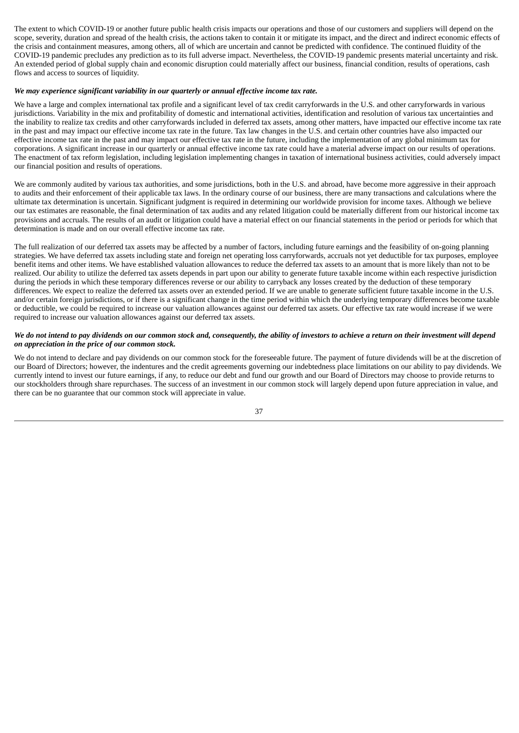The extent to which COVID-19 or another future public health crisis impacts our operations and those of our customers and suppliers will depend on the scope, severity, duration and spread of the health crisis, the actions taken to contain it or mitigate its impact, and the direct and indirect economic effects of the crisis and containment measures, among others, all of which are uncertain and cannot be predicted with confidence. The continued fluidity of the COVID-19 pandemic precludes any prediction as to its full adverse impact. Nevertheless, the COVID-19 pandemic presents material uncertainty and risk. An extended period of global supply chain and economic disruption could materially affect our business, financial condition, results of operations, cash flows and access to sources of liquidity.

### *We may experience significant variability in our quarterly or annual effective income tax rate.*

We have a large and complex international tax profile and a significant level of tax credit carryforwards in the U.S. and other carryforwards in various jurisdictions. Variability in the mix and profitability of domestic and international activities, identification and resolution of various tax uncertainties and the inability to realize tax credits and other carryforwards included in deferred tax assets, among other matters, have impacted our effective income tax rate in the past and may impact our effective income tax rate in the future. Tax law changes in the U.S. and certain other countries have also impacted our effective income tax rate in the past and may impact our effective tax rate in the future, including the implementation of any global minimum tax for corporations. A significant increase in our quarterly or annual effective income tax rate could have a material adverse impact on our results of operations. The enactment of tax reform legislation, including legislation implementing changes in taxation of international business activities, could adversely impact our financial position and results of operations.

We are commonly audited by various tax authorities, and some jurisdictions, both in the U.S. and abroad, have become more aggressive in their approach to audits and their enforcement of their applicable tax laws. In the ordinary course of our business, there are many transactions and calculations where the ultimate tax determination is uncertain. Significant judgment is required in determining our worldwide provision for income taxes. Although we believe our tax estimates are reasonable, the final determination of tax audits and any related litigation could be materially different from our historical income tax provisions and accruals. The results of an audit or litigation could have a material effect on our financial statements in the period or periods for which that determination is made and on our overall effective income tax rate.

The full realization of our deferred tax assets may be affected by a number of factors, including future earnings and the feasibility of on-going planning strategies. We have deferred tax assets including state and foreign net operating loss carryforwards, accruals not yet deductible for tax purposes, employee benefit items and other items. We have established valuation allowances to reduce the deferred tax assets to an amount that is more likely than not to be realized. Our ability to utilize the deferred tax assets depends in part upon our ability to generate future taxable income within each respective jurisdiction during the periods in which these temporary differences reverse or our ability to carryback any losses created by the deduction of these temporary differences. We expect to realize the deferred tax assets over an extended period. If we are unable to generate sufficient future taxable income in the U.S. and/or certain foreign jurisdictions, or if there is a significant change in the time period within which the underlying temporary differences become taxable or deductible, we could be required to increase our valuation allowances against our deferred tax assets. Our effective tax rate would increase if we were required to increase our valuation allowances against our deferred tax assets.

### We do not intend to pay dividends on our common stock and, consequently, the ability of investors to achieve a return on their investment will depend *on appreciation in the price of our common stock.*

We do not intend to declare and pay dividends on our common stock for the foreseeable future. The payment of future dividends will be at the discretion of our Board of Directors; however, the indentures and the credit agreements governing our indebtedness place limitations on our ability to pay dividends. We currently intend to invest our future earnings, if any, to reduce our debt and fund our growth and our Board of Directors may choose to provide returns to our stockholders through share repurchases. The success of an investment in our common stock will largely depend upon future appreciation in value, and there can be no guarantee that our common stock will appreciate in value.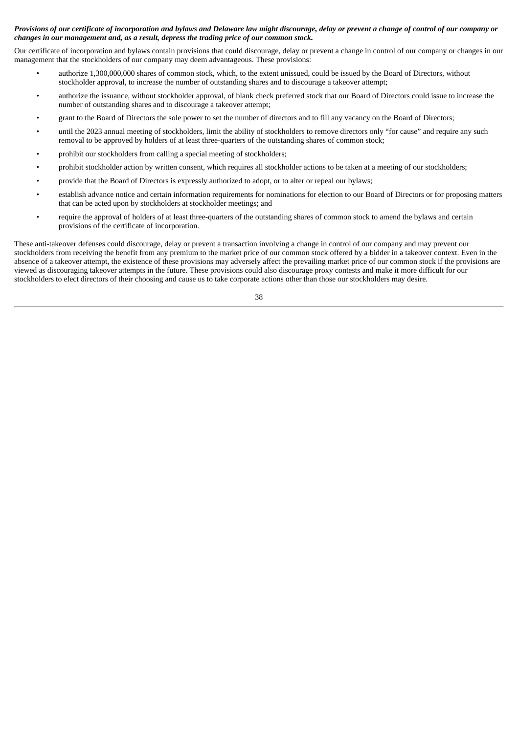## Provisions of our certificate of incorporation and bylaws and Delaware law might discourage, delay or prevent a change of control of our company or *changes in our management and, as a result, depress the trading price of our common stock.*

Our certificate of incorporation and bylaws contain provisions that could discourage, delay or prevent a change in control of our company or changes in our management that the stockholders of our company may deem advantageous. These provisions:

- authorize 1,300,000,000 shares of common stock, which, to the extent unissued, could be issued by the Board of Directors, without stockholder approval, to increase the number of outstanding shares and to discourage a takeover attempt;
- authorize the issuance, without stockholder approval, of blank check preferred stock that our Board of Directors could issue to increase the number of outstanding shares and to discourage a takeover attempt;
- grant to the Board of Directors the sole power to set the number of directors and to fill any vacancy on the Board of Directors;
- until the 2023 annual meeting of stockholders, limit the ability of stockholders to remove directors only "for cause" and require any such removal to be approved by holders of at least three-quarters of the outstanding shares of common stock;
- prohibit our stockholders from calling a special meeting of stockholders;
- prohibit stockholder action by written consent, which requires all stockholder actions to be taken at a meeting of our stockholders;
- provide that the Board of Directors is expressly authorized to adopt, or to alter or repeal our bylaws;
- establish advance notice and certain information requirements for nominations for election to our Board of Directors or for proposing matters that can be acted upon by stockholders at stockholder meetings; and
- require the approval of holders of at least three-quarters of the outstanding shares of common stock to amend the bylaws and certain provisions of the certificate of incorporation.

These anti-takeover defenses could discourage, delay or prevent a transaction involving a change in control of our company and may prevent our stockholders from receiving the benefit from any premium to the market price of our common stock offered by a bidder in a takeover context. Even in the absence of a takeover attempt, the existence of these provisions may adversely affect the prevailing market price of our common stock if the provisions are viewed as discouraging takeover attempts in the future. These provisions could also discourage proxy contests and make it more difficult for our stockholders to elect directors of their choosing and cause us to take corporate actions other than those our stockholders may desire.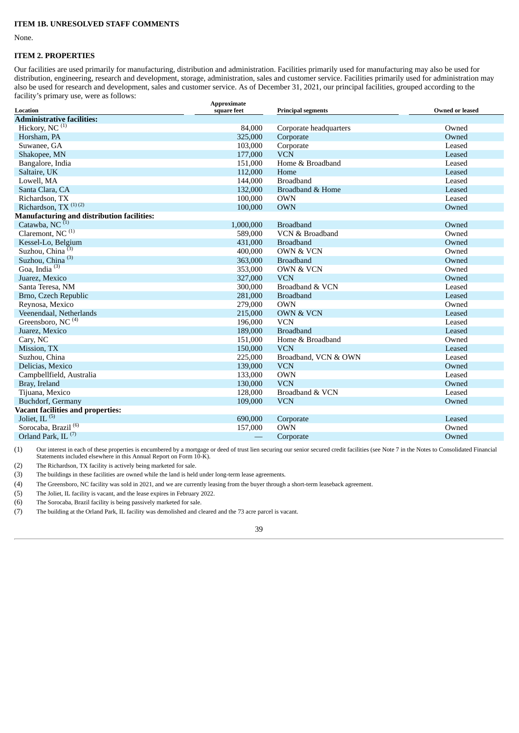#### **ITEM 1B. UNRESOLVED STAFF COMMENTS**

None.

# **ITEM 2. PROPERTIES**

Our facilities are used primarily for manufacturing, distribution and administration. Facilities primarily used for manufacturing may also be used for distribution, engineering, research and development, storage, administration, sales and customer service. Facilities primarily used for administration may also be used for research and development, sales and customer service. As of December 31, 2021, our principal facilities, grouped according to the facility's primary use, were as follows: **Approximate**

| Location                                          | Approximate<br>square feet | <b>Principal segments</b> | <b>Owned or leased</b> |
|---------------------------------------------------|----------------------------|---------------------------|------------------------|
| <b>Administrative facilities:</b>                 |                            |                           |                        |
| Hickory, NC <sup>(1)</sup>                        | 84,000                     | Corporate headquarters    | Owned                  |
| Horsham, PA                                       | 325,000                    | Corporate                 | Owned                  |
| Suwanee, GA                                       | 103,000                    | Corporate                 | Leased                 |
| Shakopee, MN                                      | 177,000                    | <b>VCN</b>                | Leased                 |
| Bangalore, India                                  | 151,000                    | Home & Broadband          | Leased                 |
| Saltaire, UK                                      | 112,000                    | Home                      | Leased                 |
| Lowell, MA                                        | 144,000                    | <b>Broadband</b>          | Leased                 |
| Santa Clara, CA                                   | 132,000                    | Broadband & Home          | Leased                 |
| Richardson, TX                                    | 100,000                    | <b>OWN</b>                | Leased                 |
| Richardson, TX <sup>(1)(2)</sup>                  | 100,000                    | <b>OWN</b>                | Owned                  |
| <b>Manufacturing and distribution facilities:</b> |                            |                           |                        |
| Catawba, NC <sup>(1)</sup>                        | 1,000,000                  | <b>Broadband</b>          | Owned                  |
| Claremont, NC <sup>(1)</sup>                      | 589,000                    | VCN & Broadband           | Owned                  |
| Kessel-Lo, Belgium                                | 431,000                    | <b>Broadband</b>          | Owned                  |
| Suzhou, China <sup>(3)</sup>                      | 400,000                    | <b>OWN &amp; VCN</b>      | Owned                  |
| Suzhou, China <sup>(3)</sup>                      | 363,000                    | <b>Broadband</b>          | Owned                  |
| Goa, India <sup>(3)</sup>                         | 353,000                    | <b>OWN &amp; VCN</b>      | Owned                  |
| Juarez, Mexico                                    | 327,000                    | <b>VCN</b>                | Owned                  |
| Santa Teresa, NM                                  | 300,000                    | Broadband & VCN           | Leased                 |
| Brno, Czech Republic                              | 281,000                    | <b>Broadband</b>          | Leased                 |
| Reynosa, Mexico                                   | 279,000                    | <b>OWN</b>                | Owned                  |
| Veenendaal, Netherlands                           | 215,000                    | <b>OWN &amp; VCN</b>      | Leased                 |
| Greensboro, NC <sup>(4)</sup>                     | 196,000                    | <b>VCN</b>                | Leased                 |
| Juarez, Mexico                                    | 189,000                    | <b>Broadband</b>          | Leased                 |
| Cary, NC                                          | 151,000                    | Home & Broadband          | Owned                  |
| Mission, TX                                       | 150,000                    | <b>VCN</b>                | Leased                 |
| Suzhou, China                                     | 225,000                    | Broadband, VCN & OWN      | Leased                 |
| Delicias, Mexico                                  | 139,000                    | <b>VCN</b>                | Owned                  |
| Campbellfield, Australia                          | 133,000                    | <b>OWN</b>                | Leased                 |
| Bray, Ireland                                     | 130,000                    | <b>VCN</b>                | Owned                  |
| Tijuana, Mexico                                   | 128,000                    | Broadband & VCN           | Leased                 |
| Buchdorf, Germany                                 | 109,000                    | <b>VCN</b>                | Owned                  |
| <b>Vacant facilities and properties:</b>          |                            |                           |                        |
| Joliet, IL <sup>(5)</sup>                         | 690,000                    | Corporate                 | Leased                 |
| Sorocaba, Brazil <sup>(6)</sup>                   | 157,000                    | <b>OWN</b>                | Owned                  |
| Orland Park, IL <sup>(7)</sup>                    |                            | Corporate                 | Owned                  |

(1) Our interest in each of these properties is encumbered by a mortgage or deed of trust lien securing our senior secured credit facilities (see Note 7 in the Notes to Consolidated Financial Statements included elsewhere in this Annual Report on Form 10-K).

(2) The Richardson, TX facility is actively being marketed for sale.

(3) The buildings in these facilities are owned while the land is held under long-term lease agreements.

(4) The Greensboro, NC facility was sold in 2021, and we are currently leasing from the buyer through a short-term leaseback agreement.

(5) The Joliet, IL facility is vacant, and the lease expires in February 2022.

(6) The Sorocaba, Brazil facility is being passively marketed for sale.

(7) The building at the Orland Park, IL facility was demolished and cleared and the 73 acre parcel is vacant.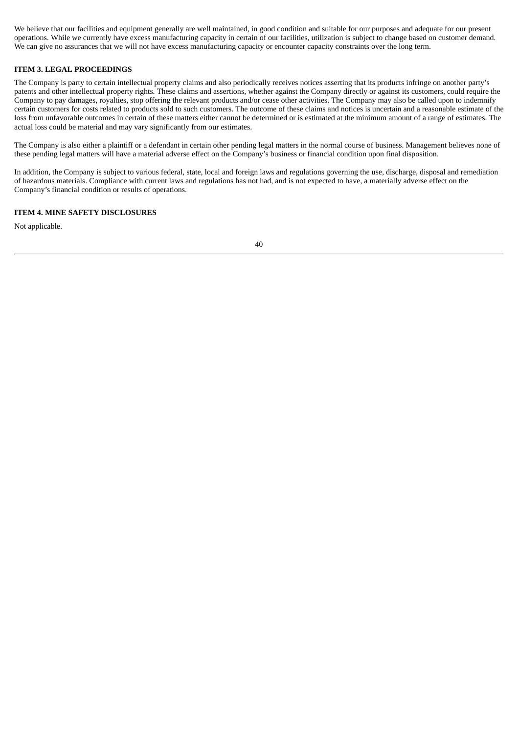We believe that our facilities and equipment generally are well maintained, in good condition and suitable for our purposes and adequate for our present operations. While we currently have excess manufacturing capacity in certain of our facilities, utilization is subject to change based on customer demand. We can give no assurances that we will not have excess manufacturing capacity or encounter capacity constraints over the long term.

## **ITEM 3. LEGAL PROCEEDINGS**

The Company is party to certain intellectual property claims and also periodically receives notices asserting that its products infringe on another party's patents and other intellectual property rights. These claims and assertions, whether against the Company directly or against its customers, could require the Company to pay damages, royalties, stop offering the relevant products and/or cease other activities. The Company may also be called upon to indemnify certain customers for costs related to products sold to such customers. The outcome of these claims and notices is uncertain and a reasonable estimate of the loss from unfavorable outcomes in certain of these matters either cannot be determined or is estimated at the minimum amount of a range of estimates. The actual loss could be material and may vary significantly from our estimates.

The Company is also either a plaintiff or a defendant in certain other pending legal matters in the normal course of business. Management believes none of these pending legal matters will have a material adverse effect on the Company's business or financial condition upon final disposition.

In addition, the Company is subject to various federal, state, local and foreign laws and regulations governing the use, discharge, disposal and remediation of hazardous materials. Compliance with current laws and regulations has not had, and is not expected to have, a materially adverse effect on the Company's financial condition or results of operations.

# **ITEM 4. MINE SAFETY DISCLOSURES**

Not applicable.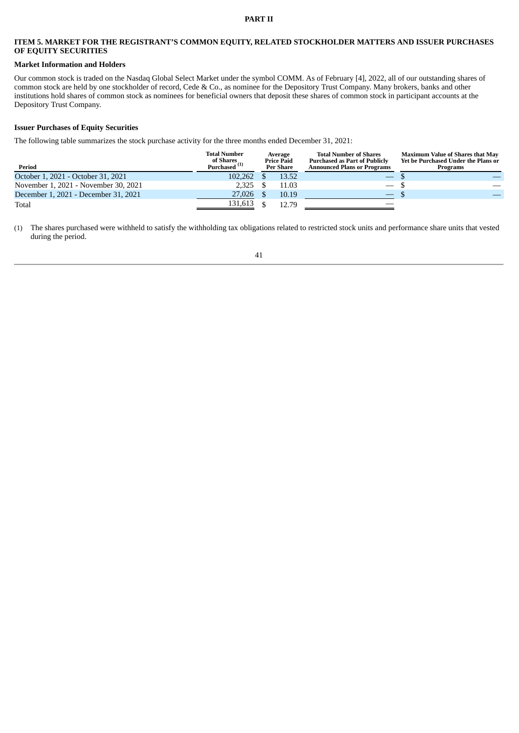#### **PART II**

# **ITEM 5. MARKET FOR THE REGISTRANT'S COMMON EQUITY, RELATED STOCKHOLDER MATTERS AND ISSUER PURCHASES OF EQUITY SECURITIES**

# **Market Information and Holders**

Our common stock is traded on the Nasdaq Global Select Market under the symbol COMM. As of February [4], 2022, all of our outstanding shares of common stock are held by one stockholder of record, Cede & Co., as nominee for the Depository Trust Company. Many brokers, banks and other institutions hold shares of common stock as nominees for beneficial owners that deposit these shares of common stock in participant accounts at the Depository Trust Company.

## **Issuer Purchases of Equity Securities**

The following table summarizes the stock purchase activity for the three months ended December 31, 2021:

| Period                               | <b>Total Number</b><br>of Shares<br>Purchased <sup>(1)</sup> | Average<br><b>Price Paid</b><br><b>Per Share</b> | <b>Total Number of Shares</b><br><b>Purchased as Part of Publicly</b><br><b>Announced Plans or Programs</b> | <b>Maximum Value of Shares that May</b><br>Yet be Purchased Under the Plans or<br>Programs |
|--------------------------------------|--------------------------------------------------------------|--------------------------------------------------|-------------------------------------------------------------------------------------------------------------|--------------------------------------------------------------------------------------------|
| October 1, 2021 - October 31, 2021   | 102.262                                                      | 13.52                                            | $\overline{\phantom{0}}$                                                                                    |                                                                                            |
| November 1, 2021 - November 30, 2021 | 2.325                                                        | 11.03                                            | $\overline{\phantom{m}}$                                                                                    |                                                                                            |
| December 1, 2021 - December 31, 2021 | 27,026                                                       | 10.19                                            | $\overline{\phantom{0}}$                                                                                    |                                                                                            |
| Total                                | 131,613                                                      | 12.79                                            |                                                                                                             |                                                                                            |

(1) The shares purchased were withheld to satisfy the withholding tax obligations related to restricted stock units and performance share units that vested during the period.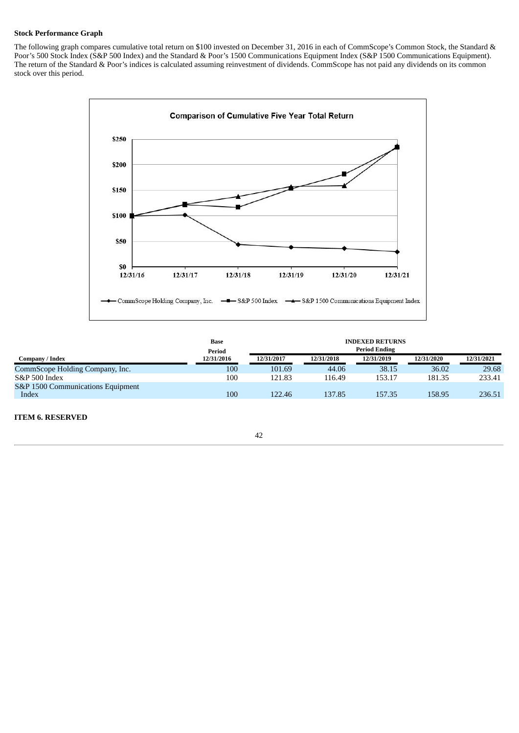## **Stock Performance Graph**

The following graph compares cumulative total return on \$100 invested on December 31, 2016 in each of CommScope's Common Stock, the Standard & Poor's 500 Stock Index (S&P 500 Index) and the Standard & Poor's 1500 Communications Equipment Index (S&P 1500 Communications Equipment). The return of the Standard & Poor's indices is calculated assuming reinvestment of dividends. CommScope has not paid any dividends on its common stock over this period.



|                                            | Base<br>Period |            | <b>INDEXED RETURNS</b><br><b>Period Ending</b> |            |            |            |  |  |  |  |  |  |
|--------------------------------------------|----------------|------------|------------------------------------------------|------------|------------|------------|--|--|--|--|--|--|
| Company / Index                            | 12/31/2016     | 12/31/2017 | 12/31/2018                                     | 12/31/2019 | 12/31/2020 | 12/31/2021 |  |  |  |  |  |  |
| CommScope Holding Company, Inc.            | 100            | 101.69     | 44.06                                          | 38.15      | 36.02      | 29.68      |  |  |  |  |  |  |
| S&P 500 Index                              | 100            | 121.83     | 116.49                                         | 153.17     | 181.35     | 233.41     |  |  |  |  |  |  |
| S&P 1500 Communications Equipment<br>Index | 100            | 122.46     | 137.85                                         | 157.35     | 158.95     | 236.51     |  |  |  |  |  |  |

## **ITEM 6. RESERVED**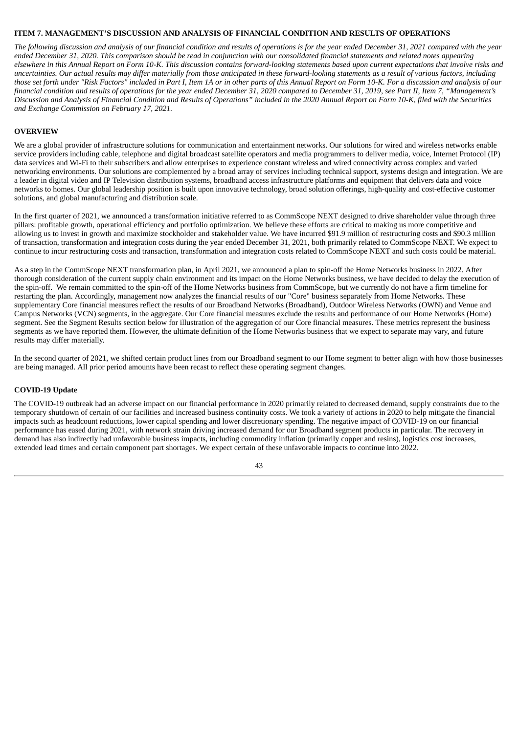## **ITEM 7. MANAGEMENT'S DISCUSSION AND ANALYSIS OF FINANCIAL CONDITION AND RESULTS OF OPERATIONS**

The following discussion and analysis of our financial condition and results of operations is for the year ended December 31, 2021 compared with the year ended December 31, 2020. This comparison should be read in conjunction with our consolidated financial statements and related notes appearing elsewhere in this Annual Report on Form 10-K. This discussion contains forward-looking statements based upon current expectations that involve risks and uncertainties. Our actual results may differ materially from those anticipated in these forward-looking statements as a result of various factors, including those set forth under "Risk Factors" included in Part I, Item 1A or in other parts of this Annual Report on Form 10-K. For a discussion and analysis of our financial condition and results of operations for the year ended December 31, 2020 compared to December 31, 2019, see Part II, Item 7, "Management's Discussion and Analysis of Financial Condition and Results of Operations" included in the 2020 Annual Report on Form 10-K, filed with the Securities *and Exchange Commission on February 17, 2021.*

## **OVERVIEW**

We are a global provider of infrastructure solutions for communication and entertainment networks. Our solutions for wired and wireless networks enable service providers including cable, telephone and digital broadcast satellite operators and media programmers to deliver media, voice, Internet Protocol (IP) data services and Wi-Fi to their subscribers and allow enterprises to experience constant wireless and wired connectivity across complex and varied networking environments. Our solutions are complemented by a broad array of services including technical support, systems design and integration. We are a leader in digital video and IP Television distribution systems, broadband access infrastructure platforms and equipment that delivers data and voice networks to homes. Our global leadership position is built upon innovative technology, broad solution offerings, high-quality and cost-effective customer solutions, and global manufacturing and distribution scale.

In the first quarter of 2021, we announced a transformation initiative referred to as CommScope NEXT designed to drive shareholder value through three pillars: profitable growth, operational efficiency and portfolio optimization. We believe these efforts are critical to making us more competitive and allowing us to invest in growth and maximize stockholder and stakeholder value. We have incurred \$91.9 million of restructuring costs and \$90.3 million of transaction, transformation and integration costs during the year ended December 31, 2021, both primarily related to CommScope NEXT. We expect to continue to incur restructuring costs and transaction, transformation and integration costs related to CommScope NEXT and such costs could be material.

As a step in the CommScope NEXT transformation plan, in April 2021, we announced a plan to spin-off the Home Networks business in 2022. After thorough consideration of the current supply chain environment and its impact on the Home Networks business, we have decided to delay the execution of the spin-off. We remain committed to the spin-off of the Home Networks business from CommScope, but we currently do not have a firm timeline for restarting the plan. Accordingly, management now analyzes the financial results of our "Core" business separately from Home Networks. These supplementary Core financial measures reflect the results of our Broadband Networks (Broadband), Outdoor Wireless Networks (OWN) and Venue and Campus Networks (VCN) segments, in the aggregate. Our Core financial measures exclude the results and performance of our Home Networks (Home) segment. See the Segment Results section below for illustration of the aggregation of our Core financial measures. These metrics represent the business segments as we have reported them. However, the ultimate definition of the Home Networks business that we expect to separate may vary, and future results may differ materially.

In the second quarter of 2021, we shifted certain product lines from our Broadband segment to our Home segment to better align with how those businesses are being managed. All prior period amounts have been recast to reflect these operating segment changes.

## **COVID-19 Update**

The COVID-19 outbreak had an adverse impact on our financial performance in 2020 primarily related to decreased demand, supply constraints due to the temporary shutdown of certain of our facilities and increased business continuity costs. We took a variety of actions in 2020 to help mitigate the financial impacts such as headcount reductions, lower capital spending and lower discretionary spending. The negative impact of COVID-19 on our financial performance has eased during 2021, with network strain driving increased demand for our Broadband segment products in particular. The recovery in demand has also indirectly had unfavorable business impacts, including commodity inflation (primarily copper and resins), logistics cost increases, extended lead times and certain component part shortages. We expect certain of these unfavorable impacts to continue into 2022.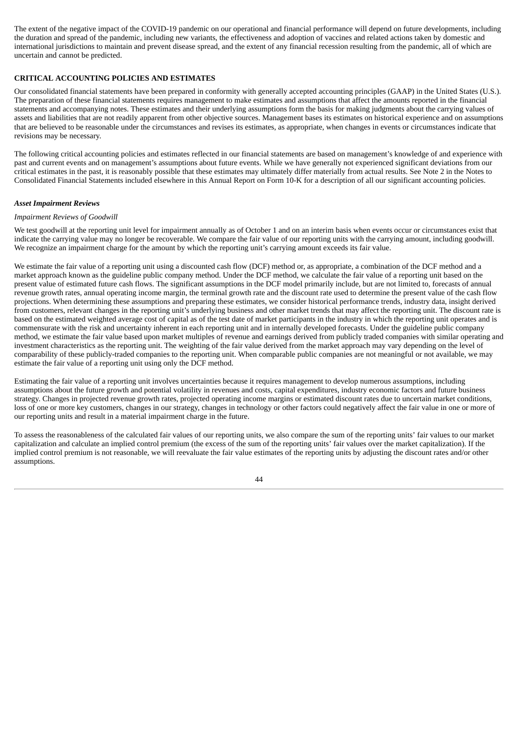The extent of the negative impact of the COVID-19 pandemic on our operational and financial performance will depend on future developments, including the duration and spread of the pandemic, including new variants, the effectiveness and adoption of vaccines and related actions taken by domestic and international jurisdictions to maintain and prevent disease spread, and the extent of any financial recession resulting from the pandemic, all of which are uncertain and cannot be predicted.

## **CRITICAL ACCOUNTING POLICIES AND ESTIMATES**

Our consolidated financial statements have been prepared in conformity with generally accepted accounting principles (GAAP) in the United States (U.S.). The preparation of these financial statements requires management to make estimates and assumptions that affect the amounts reported in the financial statements and accompanying notes. These estimates and their underlying assumptions form the basis for making judgments about the carrying values of assets and liabilities that are not readily apparent from other objective sources. Management bases its estimates on historical experience and on assumptions that are believed to be reasonable under the circumstances and revises its estimates, as appropriate, when changes in events or circumstances indicate that revisions may be necessary.

The following critical accounting policies and estimates reflected in our financial statements are based on management's knowledge of and experience with past and current events and on management's assumptions about future events. While we have generally not experienced significant deviations from our critical estimates in the past, it is reasonably possible that these estimates may ultimately differ materially from actual results. See Note 2 in the Notes to Consolidated Financial Statements included elsewhere in this Annual Report on Form 10-K for a description of all our significant accounting policies.

## *Asset Impairment Reviews*

### *Impairment Reviews of Goodwill*

We test goodwill at the reporting unit level for impairment annually as of October 1 and on an interim basis when events occur or circumstances exist that indicate the carrying value may no longer be recoverable. We compare the fair value of our reporting units with the carrying amount, including goodwill. We recognize an impairment charge for the amount by which the reporting unit's carrying amount exceeds its fair value.

We estimate the fair value of a reporting unit using a discounted cash flow (DCF) method or, as appropriate, a combination of the DCF method and a market approach known as the guideline public company method. Under the DCF method, we calculate the fair value of a reporting unit based on the present value of estimated future cash flows. The significant assumptions in the DCF model primarily include, but are not limited to, forecasts of annual revenue growth rates, annual operating income margin, the terminal growth rate and the discount rate used to determine the present value of the cash flow projections. When determining these assumptions and preparing these estimates, we consider historical performance trends, industry data, insight derived from customers, relevant changes in the reporting unit's underlying business and other market trends that may affect the reporting unit. The discount rate is based on the estimated weighted average cost of capital as of the test date of market participants in the industry in which the reporting unit operates and is commensurate with the risk and uncertainty inherent in each reporting unit and in internally developed forecasts. Under the guideline public company method, we estimate the fair value based upon market multiples of revenue and earnings derived from publicly traded companies with similar operating and investment characteristics as the reporting unit. The weighting of the fair value derived from the market approach may vary depending on the level of comparability of these publicly-traded companies to the reporting unit. When comparable public companies are not meaningful or not available, we may estimate the fair value of a reporting unit using only the DCF method.

Estimating the fair value of a reporting unit involves uncertainties because it requires management to develop numerous assumptions, including assumptions about the future growth and potential volatility in revenues and costs, capital expenditures, industry economic factors and future business strategy. Changes in projected revenue growth rates, projected operating income margins or estimated discount rates due to uncertain market conditions, loss of one or more key customers, changes in our strategy, changes in technology or other factors could negatively affect the fair value in one or more of our reporting units and result in a material impairment charge in the future.

To assess the reasonableness of the calculated fair values of our reporting units, we also compare the sum of the reporting units' fair values to our market capitalization and calculate an implied control premium (the excess of the sum of the reporting units' fair values over the market capitalization). If the implied control premium is not reasonable, we will reevaluate the fair value estimates of the reporting units by adjusting the discount rates and/or other assumptions.

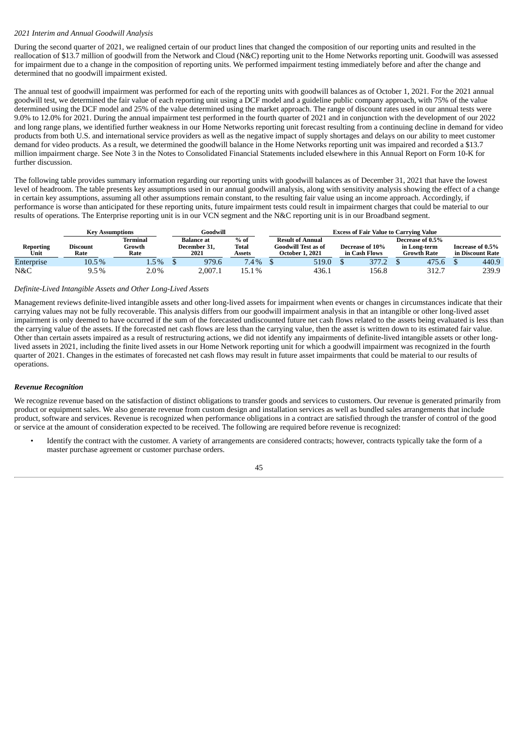## *2021 Interim and Annual Goodwill Analysis*

During the second quarter of 2021, we realigned certain of our product lines that changed the composition of our reporting units and resulted in the reallocation of \$13.7 million of goodwill from the Network and Cloud (N&C) reporting unit to the Home Networks reporting unit. Goodwill was assessed for impairment due to a change in the composition of reporting units. We performed impairment testing immediately before and after the change and determined that no goodwill impairment existed.

The annual test of goodwill impairment was performed for each of the reporting units with goodwill balances as of October 1, 2021. For the 2021 annual goodwill test, we determined the fair value of each reporting unit using a DCF model and a guideline public company approach, with 75% of the value determined using the DCF model and 25% of the value determined using the market approach. The range of discount rates used in our annual tests were 9.0% to 12.0% for 2021. During the annual impairment test performed in the fourth quarter of 2021 and in conjunction with the development of our 2022 and long range plans, we identified further weakness in our Home Networks reporting unit forecast resulting from a continuing decline in demand for video products from both U.S. and international service providers as well as the negative impact of supply shortages and delays on our ability to meet customer demand for video products. As a result, we determined the goodwill balance in the Home Networks reporting unit was impaired and recorded a \$13.7 million impairment charge. See Note 3 in the Notes to Consolidated Financial Statements included elsewhere in this Annual Report on Form 10-K for further discussion.

The following table provides summary information regarding our reporting units with goodwill balances as of December 31, 2021 that have the lowest level of headroom. The table presents key assumptions used in our annual goodwill analysis, along with sensitivity analysis showing the effect of a change in certain key assumptions, assuming all other assumptions remain constant, to the resulting fair value using an income approach. Accordingly, if performance is worse than anticipated for these reporting units, future impairment tests could result in impairment charges that could be material to our results of operations. The Enterprise reporting unit is in our VCN segment and the N&C reporting unit is in our Broadband segment.

|                   | Key Assumptions  |                            | Goodwill                                  |                           | <b>Excess of Fair Value to Carrying Value</b>                                   |                                                                                            |       |  |                                      |  |       |  |
|-------------------|------------------|----------------------------|-------------------------------------------|---------------------------|---------------------------------------------------------------------------------|--------------------------------------------------------------------------------------------|-------|--|--------------------------------------|--|-------|--|
| Reporting<br>Unit | Discount<br>Rate | Terminal<br>Growth<br>Rate | <b>Balance</b> at<br>December 31.<br>2021 | $%$ of<br>Total<br>Assets | <b>Result of Annual</b><br><b>Goodwill Test as of</b><br><b>October 1, 2021</b> | Decrease of 0.5%<br>Decrease of 10%<br>in Long-term<br>in Cash Flows<br><b>Growth Rate</b> |       |  | Increase of 0.5%<br>in Discount Rate |  |       |  |
| <b>Enterprise</b> | $10.5\%$         | $4.5\%$                    | 979.6                                     | $7.4\%$                   | 519.0                                                                           |                                                                                            | 377.2 |  | 475.6                                |  | 440.9 |  |
| N&C               | $9.5\%$          | 2.0%                       | 2.007.1                                   | 15.1%                     | 436.1                                                                           |                                                                                            | 156.8 |  | 312.7                                |  | 239.9 |  |

# *Definite-Lived Intangible Assets and Other Long-Lived Assets*

Management reviews definite-lived intangible assets and other long-lived assets for impairment when events or changes in circumstances indicate that their carrying values may not be fully recoverable. This analysis differs from our goodwill impairment analysis in that an intangible or other long-lived asset impairment is only deemed to have occurred if the sum of the forecasted undiscounted future net cash flows related to the assets being evaluated is less than the carrying value of the assets. If the forecasted net cash flows are less than the carrying value, then the asset is written down to its estimated fair value. Other than certain assets impaired as a result of restructuring actions, we did not identify any impairments of definite-lived intangible assets or other longlived assets in 2021, including the finite lived assets in our Home Network reporting unit for which a goodwill impairment was recognized in the fourth quarter of 2021. Changes in the estimates of forecasted net cash flows may result in future asset impairments that could be material to our results of operations.

## *Revenue Recognition*

We recognize revenue based on the satisfaction of distinct obligations to transfer goods and services to customers. Our revenue is generated primarily from product or equipment sales. We also generate revenue from custom design and installation services as well as bundled sales arrangements that include product, software and services. Revenue is recognized when performance obligations in a contract are satisfied through the transfer of control of the good or service at the amount of consideration expected to be received. The following are required before revenue is recognized:

• Identify the contract with the customer. A variety of arrangements are considered contracts; however, contracts typically take the form of a master purchase agreement or customer purchase orders.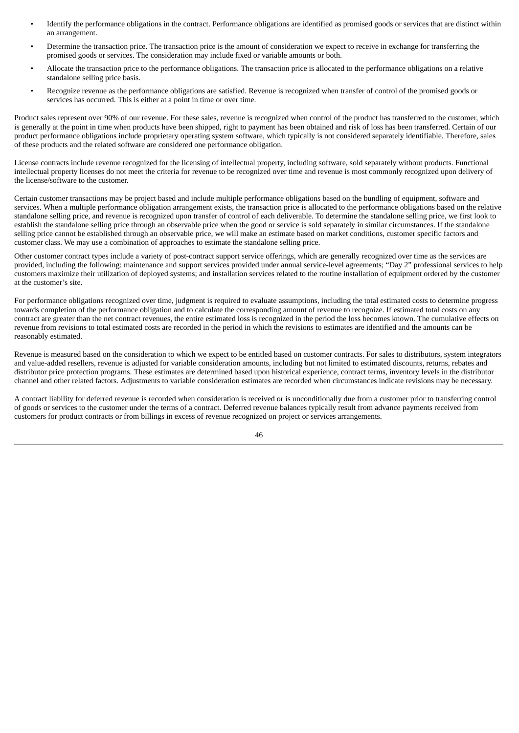- Identify the performance obligations in the contract. Performance obligations are identified as promised goods or services that are distinct within an arrangement.
- Determine the transaction price. The transaction price is the amount of consideration we expect to receive in exchange for transferring the promised goods or services. The consideration may include fixed or variable amounts or both.
- Allocate the transaction price to the performance obligations. The transaction price is allocated to the performance obligations on a relative standalone selling price basis.
- Recognize revenue as the performance obligations are satisfied. Revenue is recognized when transfer of control of the promised goods or services has occurred. This is either at a point in time or over time.

Product sales represent over 90% of our revenue. For these sales, revenue is recognized when control of the product has transferred to the customer, which is generally at the point in time when products have been shipped, right to payment has been obtained and risk of loss has been transferred. Certain of our product performance obligations include proprietary operating system software, which typically is not considered separately identifiable. Therefore, sales of these products and the related software are considered one performance obligation.

License contracts include revenue recognized for the licensing of intellectual property, including software, sold separately without products. Functional intellectual property licenses do not meet the criteria for revenue to be recognized over time and revenue is most commonly recognized upon delivery of the license/software to the customer.

Certain customer transactions may be project based and include multiple performance obligations based on the bundling of equipment, software and services. When a multiple performance obligation arrangement exists, the transaction price is allocated to the performance obligations based on the relative standalone selling price, and revenue is recognized upon transfer of control of each deliverable. To determine the standalone selling price, we first look to establish the standalone selling price through an observable price when the good or service is sold separately in similar circumstances. If the standalone selling price cannot be established through an observable price, we will make an estimate based on market conditions, customer specific factors and customer class. We may use a combination of approaches to estimate the standalone selling price.

Other customer contract types include a variety of post-contract support service offerings, which are generally recognized over time as the services are provided, including the following: maintenance and support services provided under annual service-level agreements; "Day 2" professional services to help customers maximize their utilization of deployed systems; and installation services related to the routine installation of equipment ordered by the customer at the customer's site.

For performance obligations recognized over time, judgment is required to evaluate assumptions, including the total estimated costs to determine progress towards completion of the performance obligation and to calculate the corresponding amount of revenue to recognize. If estimated total costs on any contract are greater than the net contract revenues, the entire estimated loss is recognized in the period the loss becomes known. The cumulative effects on revenue from revisions to total estimated costs are recorded in the period in which the revisions to estimates are identified and the amounts can be reasonably estimated.

Revenue is measured based on the consideration to which we expect to be entitled based on customer contracts. For sales to distributors, system integrators and value-added resellers, revenue is adjusted for variable consideration amounts, including but not limited to estimated discounts, returns, rebates and distributor price protection programs. These estimates are determined based upon historical experience, contract terms, inventory levels in the distributor channel and other related factors. Adjustments to variable consideration estimates are recorded when circumstances indicate revisions may be necessary.

A contract liability for deferred revenue is recorded when consideration is received or is unconditionally due from a customer prior to transferring control of goods or services to the customer under the terms of a contract. Deferred revenue balances typically result from advance payments received from customers for product contracts or from billings in excess of revenue recognized on project or services arrangements.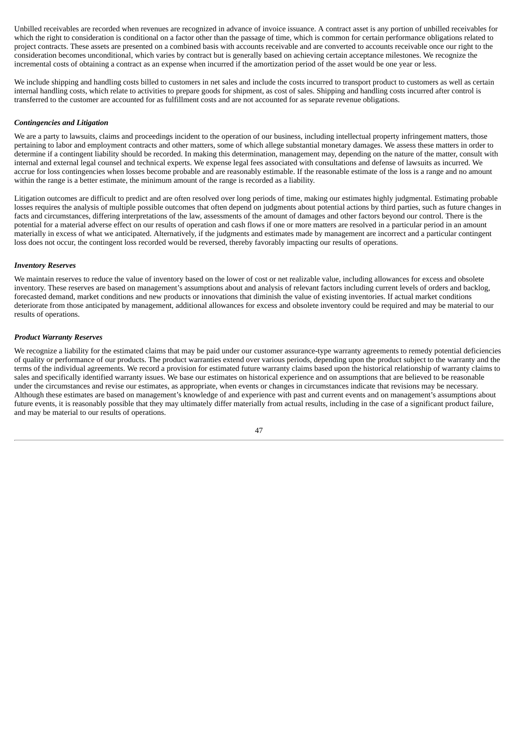Unbilled receivables are recorded when revenues are recognized in advance of invoice issuance. A contract asset is any portion of unbilled receivables for which the right to consideration is conditional on a factor other than the passage of time, which is common for certain performance obligations related to project contracts. These assets are presented on a combined basis with accounts receivable and are converted to accounts receivable once our right to the consideration becomes unconditional, which varies by contract but is generally based on achieving certain acceptance milestones. We recognize the incremental costs of obtaining a contract as an expense when incurred if the amortization period of the asset would be one year or less.

We include shipping and handling costs billed to customers in net sales and include the costs incurred to transport product to customers as well as certain internal handling costs, which relate to activities to prepare goods for shipment, as cost of sales. Shipping and handling costs incurred after control is transferred to the customer are accounted for as fulfillment costs and are not accounted for as separate revenue obligations.

## *Contingencies and Litigation*

We are a party to lawsuits, claims and proceedings incident to the operation of our business, including intellectual property infringement matters, those pertaining to labor and employment contracts and other matters, some of which allege substantial monetary damages. We assess these matters in order to determine if a contingent liability should be recorded. In making this determination, management may, depending on the nature of the matter, consult with internal and external legal counsel and technical experts. We expense legal fees associated with consultations and defense of lawsuits as incurred. We accrue for loss contingencies when losses become probable and are reasonably estimable. If the reasonable estimate of the loss is a range and no amount within the range is a better estimate, the minimum amount of the range is recorded as a liability.

Litigation outcomes are difficult to predict and are often resolved over long periods of time, making our estimates highly judgmental. Estimating probable losses requires the analysis of multiple possible outcomes that often depend on judgments about potential actions by third parties, such as future changes in facts and circumstances, differing interpretations of the law, assessments of the amount of damages and other factors beyond our control. There is the potential for a material adverse effect on our results of operation and cash flows if one or more matters are resolved in a particular period in an amount materially in excess of what we anticipated. Alternatively, if the judgments and estimates made by management are incorrect and a particular contingent loss does not occur, the contingent loss recorded would be reversed, thereby favorably impacting our results of operations.

### *Inventory Reserves*

We maintain reserves to reduce the value of inventory based on the lower of cost or net realizable value, including allowances for excess and obsolete inventory. These reserves are based on management's assumptions about and analysis of relevant factors including current levels of orders and backlog, forecasted demand, market conditions and new products or innovations that diminish the value of existing inventories. If actual market conditions deteriorate from those anticipated by management, additional allowances for excess and obsolete inventory could be required and may be material to our results of operations.

## *Product Warranty Reserves*

We recognize a liability for the estimated claims that may be paid under our customer assurance-type warranty agreements to remedy potential deficiencies of quality or performance of our products. The product warranties extend over various periods, depending upon the product subject to the warranty and the terms of the individual agreements. We record a provision for estimated future warranty claims based upon the historical relationship of warranty claims to sales and specifically identified warranty issues. We base our estimates on historical experience and on assumptions that are believed to be reasonable under the circumstances and revise our estimates, as appropriate, when events or changes in circumstances indicate that revisions may be necessary. Although these estimates are based on management's knowledge of and experience with past and current events and on management's assumptions about future events, it is reasonably possible that they may ultimately differ materially from actual results, including in the case of a significant product failure, and may be material to our results of operations.

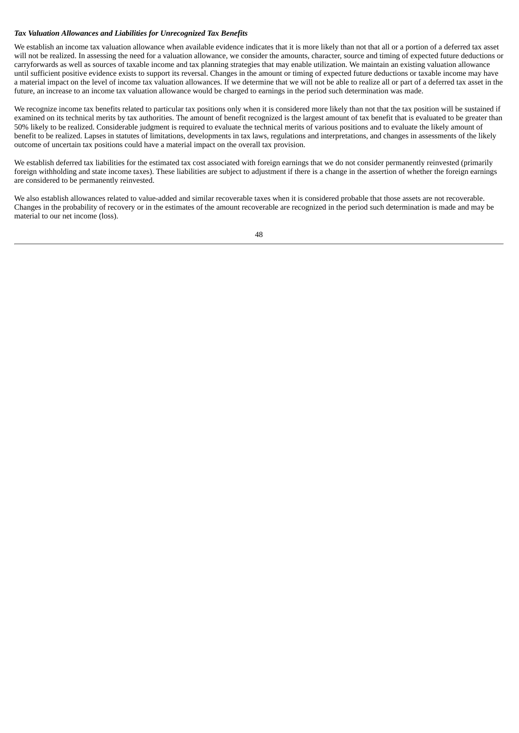## *Tax Valuation Allowances and Liabilities for Unrecognized Tax Benefits*

We establish an income tax valuation allowance when available evidence indicates that it is more likely than not that all or a portion of a deferred tax asset will not be realized. In assessing the need for a valuation allowance, we consider the amounts, character, source and timing of expected future deductions or carryforwards as well as sources of taxable income and tax planning strategies that may enable utilization. We maintain an existing valuation allowance until sufficient positive evidence exists to support its reversal. Changes in the amount or timing of expected future deductions or taxable income may have a material impact on the level of income tax valuation allowances. If we determine that we will not be able to realize all or part of a deferred tax asset in the future, an increase to an income tax valuation allowance would be charged to earnings in the period such determination was made.

We recognize income tax benefits related to particular tax positions only when it is considered more likely than not that the tax position will be sustained if examined on its technical merits by tax authorities. The amount of benefit recognized is the largest amount of tax benefit that is evaluated to be greater than 50% likely to be realized. Considerable judgment is required to evaluate the technical merits of various positions and to evaluate the likely amount of benefit to be realized. Lapses in statutes of limitations, developments in tax laws, regulations and interpretations, and changes in assessments of the likely outcome of uncertain tax positions could have a material impact on the overall tax provision.

We establish deferred tax liabilities for the estimated tax cost associated with foreign earnings that we do not consider permanently reinvested (primarily foreign withholding and state income taxes). These liabilities are subject to adjustment if there is a change in the assertion of whether the foreign earnings are considered to be permanently reinvested.

We also establish allowances related to value-added and similar recoverable taxes when it is considered probable that those assets are not recoverable. Changes in the probability of recovery or in the estimates of the amount recoverable are recognized in the period such determination is made and may be material to our net income (loss).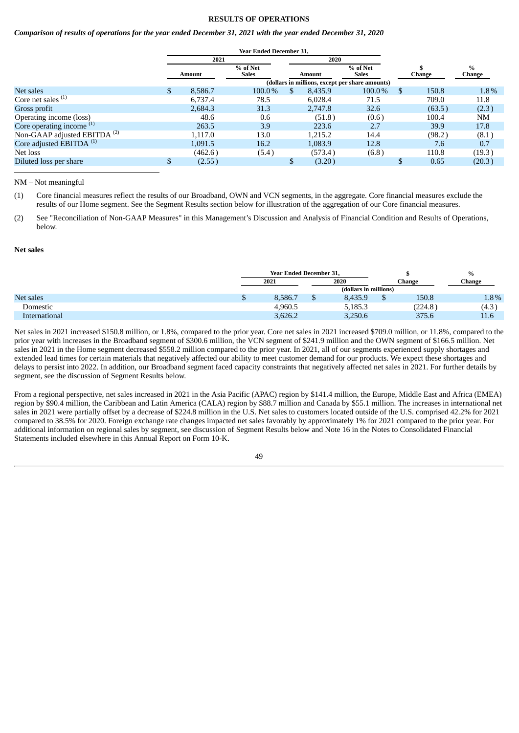#### **RESULTS OF OPERATIONS**

### Comparison of results of operations for the year ended December 31, 2021 with the year ended December 31, 2020

|                                         | <b>Year Ended December 31.</b> |         |                          |        |         |                                                 |   |        |                       |
|-----------------------------------------|--------------------------------|---------|--------------------------|--------|---------|-------------------------------------------------|---|--------|-----------------------|
|                                         | 2021                           |         |                          |        | 2020    |                                                 |   |        |                       |
|                                         | Amount                         |         | % of Net<br><b>Sales</b> | Amount |         | % of Net<br><b>Sales</b>                        |   | Change | $\%$<br><b>Change</b> |
|                                         |                                |         |                          |        |         | (dollars in millions, except per share amounts) |   |        |                       |
| Net sales                               | \$                             | 8,586.7 | 100.0%                   | \$     | 8,435.9 | 100.0%                                          | S | 150.8  | 1.8%                  |
| Core net sales $(1)$                    |                                | 6,737.4 | 78.5                     |        | 6.028.4 | 71.5                                            |   | 709.0  | 11.8                  |
| Gross profit                            |                                | 2,684.3 | 31.3                     |        | 2,747.8 | 32.6                                            |   | (63.5) | (2.3)                 |
| Operating income (loss)                 |                                | 48.6    | 0.6                      |        | (51.8)  | (0.6)                                           |   | 100.4  | NM                    |
| Core operating income <sup>(1)</sup>    |                                | 263.5   | 3.9                      |        | 223.6   | 2.7                                             |   | 39.9   | 17.8                  |
| Non-GAAP adjusted EBITDA <sup>(2)</sup> |                                | 1,117.0 | 13.0                     |        | 1,215.2 | 14.4                                            |   | (98.2) | (8.1)                 |
| Core adjusted EBITDA <sup>(1)</sup>     |                                | 1,091.5 | 16.2                     |        | 1,083.9 | 12.8                                            |   | 7.6    | 0.7                   |
| Net loss                                |                                | (462.6) | (5.4)                    |        | (573.4) | (6.8)                                           |   | 110.8  | (19.3)                |
| Diluted loss per share                  | Φ                              | (2.55)  |                          | \$     | (3.20)  |                                                 |   | 0.65   | (20.3)                |

NM – Not meaningful

#### **Net sales**

|               | <b>Year Ended December 31.</b> |                       |         | %       |
|---------------|--------------------------------|-----------------------|---------|---------|
|               | 2021                           | 2020                  | Change  | Change  |
|               |                                | (dollars in millions) |         |         |
| Net sales     | 8,586.7                        | 8,435.9               | 150.8   | $1.8\%$ |
| Domestic      | 4,960.5                        | 5,185.3               | (224.8) | (4.3)   |
| International | 3,626.2                        | 3,250.6               | 375.6   | 11.6    |

Net sales in 2021 increased \$150.8 million, or 1.8%, compared to the prior year. Core net sales in 2021 increased \$709.0 million, or 11.8%, compared to the prior year with increases in the Broadband segment of \$300.6 million, the VCN segment of \$241.9 million and the OWN segment of \$166.5 million. Net sales in 2021 in the Home segment decreased \$558.2 million compared to the prior year. In 2021, all of our segments experienced supply shortages and extended lead times for certain materials that negatively affected our ability to meet customer demand for our products. We expect these shortages and delays to persist into 2022. In addition, our Broadband segment faced capacity constraints that negatively affected net sales in 2021. For further details by segment, see the discussion of Segment Results below.

From a regional perspective, net sales increased in 2021 in the Asia Pacific (APAC) region by \$141.4 million, the Europe, Middle East and Africa (EMEA) region by \$90.4 million, the Caribbean and Latin America (CALA) region by \$88.7 million and Canada by \$55.1 million. The increases in international net sales in 2021 were partially offset by a decrease of \$224.8 million in the U.S. Net sales to customers located outside of the U.S. comprised 42.2% for 2021 compared to 38.5% for 2020. Foreign exchange rate changes impacted net sales favorably by approximately 1% for 2021 compared to the prior year. For additional information on regional sales by segment, see discussion of Segment Results below and Note 16 in the Notes to Consolidated Financial Statements included elsewhere in this Annual Report on Form 10-K.

<sup>(1)</sup> Core financial measures reflect the results of our Broadband, OWN and VCN segments, in the aggregate. Core financial measures exclude the results of our Home segment. See the Segment Results section below for illustration of the aggregation of our Core financial measures.

<sup>(2)</sup> See "Reconciliation of Non-GAAP Measures" in this Management's Discussion and Analysis of Financial Condition and Results of Operations, below.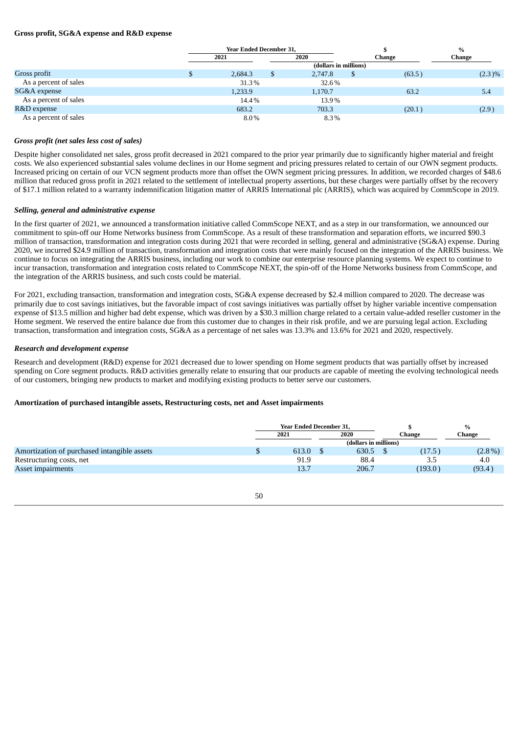#### **Gross profit, SG&A expense and R&D expense**

|                       | <b>Year Ended December 31,</b> |  |                       |  |        | $\frac{0}{0}$ |
|-----------------------|--------------------------------|--|-----------------------|--|--------|---------------|
|                       | 2021                           |  | 2020                  |  | Change | Change        |
|                       |                                |  | (dollars in millions) |  |        |               |
| Gross profit          | 2,684.3                        |  | 2,747.8               |  | (63.5) | $(2.3)\%$     |
| As a percent of sales | 31.3%                          |  | 32.6%                 |  |        |               |
| SG&A expense          | 1,233.9                        |  | 1,170.7               |  | 63.2   | 5.4           |
| As a percent of sales | 14.4%                          |  | 13.9%                 |  |        |               |
| R&D expense           | 683.2                          |  | 703.3                 |  | (20.1) | (2.9)         |
| As a percent of sales | 8.0%                           |  | 8.3%                  |  |        |               |

## *Gross profit (net sales less cost of sales)*

Despite higher consolidated net sales, gross profit decreased in 2021 compared to the prior year primarily due to significantly higher material and freight costs. We also experienced substantial sales volume declines in our Home segment and pricing pressures related to certain of our OWN segment products. Increased pricing on certain of our VCN segment products more than offset the OWN segment pricing pressures. In addition, we recorded charges of \$48.6 million that reduced gross profit in 2021 related to the settlement of intellectual property assertions, but these charges were partially offset by the recovery of \$17.1 million related to a warranty indemnification litigation matter of ARRIS International plc (ARRIS), which was acquired by CommScope in 2019.

#### *Selling, general and administrative expense*

In the first quarter of 2021, we announced a transformation initiative called CommScope NEXT, and as a step in our transformation, we announced our commitment to spin-off our Home Networks business from CommScope. As a result of these transformation and separation efforts, we incurred \$90.3 million of transaction, transformation and integration costs during 2021 that were recorded in selling, general and administrative (SG&A) expense. During 2020, we incurred \$24.9 million of transaction, transformation and integration costs that were mainly focused on the integration of the ARRIS business. We continue to focus on integrating the ARRIS business, including our work to combine our enterprise resource planning systems. We expect to continue to incur transaction, transformation and integration costs related to CommScope NEXT, the spin-off of the Home Networks business from CommScope, and the integration of the ARRIS business, and such costs could be material.

For 2021, excluding transaction, transformation and integration costs, SG&A expense decreased by \$2.4 million compared to 2020. The decrease was primarily due to cost savings initiatives, but the favorable impact of cost savings initiatives was partially offset by higher variable incentive compensation expense of \$13.5 million and higher bad debt expense, which was driven by a \$30.3 million charge related to a certain value-added reseller customer in the Home segment. We reserved the entire balance due from this customer due to changes in their risk profile, and we are pursuing legal action. Excluding transaction, transformation and integration costs, SG&A as a percentage of net sales was 13.3% and 13.6% for 2021 and 2020, respectively.

### *Research and development expense*

Research and development (R&D) expense for 2021 decreased due to lower spending on Home segment products that was partially offset by increased spending on Core segment products. R&D activities generally relate to ensuring that our products are capable of meeting the evolving technological needs of our customers, bringing new products to market and modifying existing products to better serve our customers.

## **Amortization of purchased intangible assets, Restructuring costs, net and Asset impairments**

|                                             |      | <b>Year Ended December 31.</b> |  |                       |        |         | $\frac{6}{9}$ |
|---------------------------------------------|------|--------------------------------|--|-----------------------|--------|---------|---------------|
|                                             | 2021 |                                |  | 2020                  | Change |         | Change        |
|                                             |      |                                |  | (dollars in millions) |        |         |               |
| Amortization of purchased intangible assets |      | 613.0                          |  | 630.5                 |        | (17.5)  | $(2.8\%)$     |
| Restructuring costs, net                    |      | 91.9                           |  | 88.4                  |        | 3.5     | 4.0           |
| Asset impairments                           |      | 13.7                           |  | 206.7                 |        | (193.0) | (93.4)        |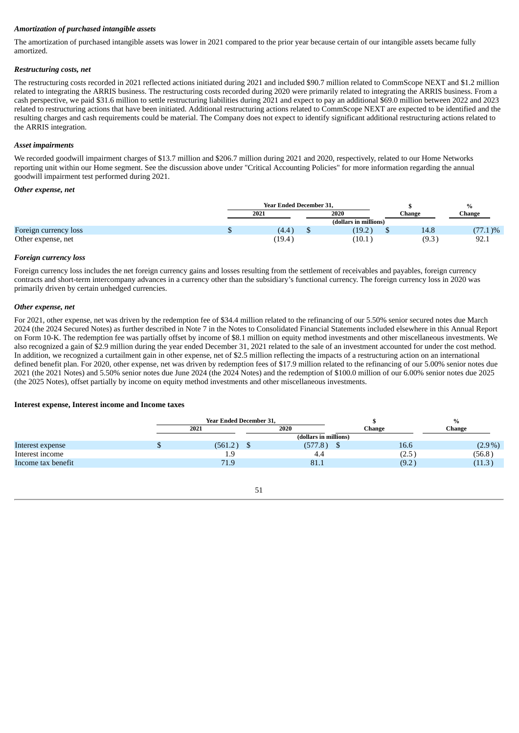# *Amortization of purchased intangible assets*

The amortization of purchased intangible assets was lower in 2021 compared to the prior year because certain of our intangible assets became fully amortized.

## *Restructuring costs, net*

The restructuring costs recorded in 2021 reflected actions initiated during 2021 and included \$90.7 million related to CommScope NEXT and \$1.2 million related to integrating the ARRIS business. The restructuring costs recorded during 2020 were primarily related to integrating the ARRIS business. From a cash perspective, we paid \$31.6 million to settle restructuring liabilities during 2021 and expect to pay an additional \$69.0 million between 2022 and 2023 related to restructuring actions that have been initiated. Additional restructuring actions related to CommScope NEXT are expected to be identified and the resulting charges and cash requirements could be material. The Company does not expect to identify significant additional restructuring actions related to the ARRIS integration.

### *Asset impairments*

We recorded goodwill impairment charges of \$13.7 million and \$206.7 million during 2021 and 2020, respectively, related to our Home Networks reporting unit within our Home segment. See the discussion above under "Critical Accounting Policies" for more information regarding the annual goodwill impairment test performed during 2021.

#### *Other expense, net*

|                       |      | <b>Year Ended December 31.</b> |                       |               | $\%$        |
|-----------------------|------|--------------------------------|-----------------------|---------------|-------------|
|                       | 2021 |                                | 2020                  | <b>Change</b> | $Change$    |
|                       |      |                                | (dollars in millions) |               |             |
| Foreign currency loss |      | (4.4                           | (19.2)                | 14.8          | $(77.1) \%$ |
| Other expense, net    |      | (19.4)                         | (10.1)                | (9.3)         | 92.1        |

### *Foreign currency loss*

Foreign currency loss includes the net foreign currency gains and losses resulting from the settlement of receivables and payables, foreign currency contracts and short-term intercompany advances in a currency other than the subsidiary's functional currency. The foreign currency loss in 2020 was primarily driven by certain unhedged currencies.

#### *Other expense, net*

For 2021, other expense, net was driven by the redemption fee of \$34.4 million related to the refinancing of our 5.50% senior secured notes due March 2024 (the 2024 Secured Notes) as further described in Note 7 in the Notes to Consolidated Financial Statements included elsewhere in this Annual Report on Form 10-K. The redemption fee was partially offset by income of \$8.1 million on equity method investments and other miscellaneous investments. We also recognized a gain of \$2.9 million during the year ended December 31, 2021 related to the sale of an investment accounted for under the cost method. In addition, we recognized a curtailment gain in other expense, net of \$2.5 million reflecting the impacts of a restructuring action on an international defined benefit plan. For 2020, other expense, net was driven by redemption fees of \$17.9 million related to the refinancing of our 5.00% senior notes due 2021 (the 2021 Notes) and 5.50% senior notes due June 2024 (the 2024 Notes) and the redemption of \$100.0 million of our 6.00% senior notes due 2025 (the 2025 Notes), offset partially by income on equity method investments and other miscellaneous investments.

#### **Interest expense, Interest income and Income taxes**

|                    |  |         | <b>Year Ended December 31,</b> |                       |        | $\frac{0}{0}$ |           |
|--------------------|--|---------|--------------------------------|-----------------------|--------|---------------|-----------|
|                    |  | 2021    |                                | 2020                  | Change |               | Change    |
|                    |  |         |                                | (dollars in millions) |        |               |           |
| Interest expense   |  | (561.2) |                                | (577.8)               |        | 16.6          | $(2.9\%)$ |
| Interest income    |  | 1.9     |                                | 4.4                   |        | (2.5          | (56.8)    |
| Income tax benefit |  | 71.9    |                                | 81.1                  |        | (9.2)         | (11.3)    |

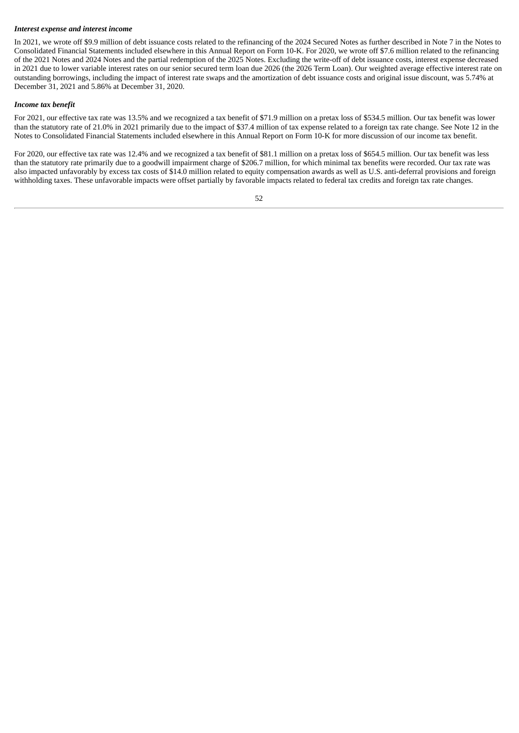### *Interest expense and interest income*

In 2021, we wrote off \$9.9 million of debt issuance costs related to the refinancing of the 2024 Secured Notes as further described in Note 7 in the Notes to Consolidated Financial Statements included elsewhere in this Annual Report on Form 10-K. For 2020, we wrote off \$7.6 million related to the refinancing of the 2021 Notes and 2024 Notes and the partial redemption of the 2025 Notes. Excluding the write-off of debt issuance costs, interest expense decreased in 2021 due to lower variable interest rates on our senior secured term loan due 2026 (the 2026 Term Loan). Our weighted average effective interest rate on outstanding borrowings, including the impact of interest rate swaps and the amortization of debt issuance costs and original issue discount, was 5.74% at December 31, 2021 and 5.86% at December 31, 2020.

### *Income tax benefit*

For 2021, our effective tax rate was 13.5% and we recognized a tax benefit of \$71.9 million on a pretax loss of \$534.5 million. Our tax benefit was lower than the statutory rate of 21.0% in 2021 primarily due to the impact of \$37.4 million of tax expense related to a foreign tax rate change. See Note 12 in the Notes to Consolidated Financial Statements included elsewhere in this Annual Report on Form 10-K for more discussion of our income tax benefit.

For 2020, our effective tax rate was 12.4% and we recognized a tax benefit of \$81.1 million on a pretax loss of \$654.5 million. Our tax benefit was less than the statutory rate primarily due to a goodwill impairment charge of \$206.7 million, for which minimal tax benefits were recorded. Our tax rate was also impacted unfavorably by excess tax costs of \$14.0 million related to equity compensation awards as well as U.S. anti-deferral provisions and foreign withholding taxes. These unfavorable impacts were offset partially by favorable impacts related to federal tax credits and foreign tax rate changes.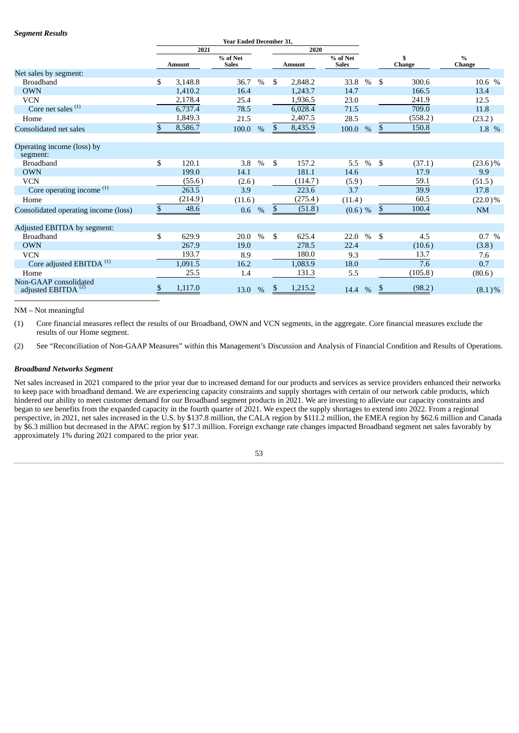#### *Segment Results*

|                                                         | <b>Year Ended December 31,</b> |                          |      |    |               |                          |      |                |              |                       |
|---------------------------------------------------------|--------------------------------|--------------------------|------|----|---------------|--------------------------|------|----------------|--------------|-----------------------|
|                                                         | 2021                           |                          |      |    | 2020          |                          |      |                |              |                       |
|                                                         | Amount                         | % of Net<br><b>Sales</b> |      |    | <b>Amount</b> | % of Net<br><b>Sales</b> |      |                | \$<br>Change | $\%$<br><b>Change</b> |
| Net sales by segment:                                   |                                |                          |      |    |               |                          |      |                |              |                       |
| <b>Broadband</b>                                        | \$<br>3,148.8                  | 36.7                     | $\%$ | S. | 2,848.2       | 33.8                     | $\%$ | S.             | 300.6        | 10.6 %                |
| <b>OWN</b>                                              | 1.410.2                        | 16.4                     |      |    | 1.243.7       | 14.7                     |      |                | 166.5        | 13.4                  |
| <b>VCN</b>                                              | 2,178.4                        | 25.4                     |      |    | 1,936.5       | 23.0                     |      |                | 241.9        | 12.5                  |
| Core net sales <sup>(1)</sup>                           | 6,737.4                        | 78.5                     |      |    | 6,028.4       | 71.5                     |      |                | 709.0        | 11.8                  |
| Home                                                    | 1,849.3                        | 21.5                     |      |    | 2,407.5       | 28.5                     |      |                | (558.2)      | (23.2)                |
| Consolidated net sales                                  | 8,586.7                        | 100.0                    | $\%$ | \$ | 8,435.9       | 100.0                    | $\%$ | $\overline{r}$ | 150.8        | 1.8 %                 |
| Operating income (loss) by<br>segment:                  |                                |                          |      |    |               |                          |      |                |              |                       |
| <b>Broadband</b>                                        | \$<br>120.1                    | 3.8                      | $\%$ | \$ | 157.2         | 5.5                      | $\%$ | - \$           | (37.1)       | $(23.6)\%$            |
| <b>OWN</b>                                              | 199.0                          | 14.1                     |      |    | 181.1         | 14.6                     |      |                | 17.9         | 9.9                   |
| <b>VCN</b>                                              | (55.6)                         | (2.6)                    |      |    | (114.7)       | (5.9)                    |      |                | 59.1         | (51.5)                |
| Core operating income <sup>(1)</sup>                    | 263.5                          | 3.9                      |      |    | 223.6         | 3.7                      |      |                | 39.9         | 17.8                  |
| Home                                                    | (214.9)                        | (11.6)                   |      |    | (275.4)       | (11.4)                   |      |                | 60.5         | $(22.0)\%$            |
| Consolidated operating income (loss)                    | \$<br>48.6                     | 0.6                      | $\%$ | \$ | (51.8)        | $(0.6) \%$               |      | \$             | 100.4        | <b>NM</b>             |
| Adjusted EBITDA by segment:                             |                                |                          |      |    |               |                          |      |                |              |                       |
| <b>Broadband</b>                                        | \$<br>629.9                    | 20.0                     | $\%$ | \$ | 625.4         | 22.0                     | $\%$ | \$             | 4.5          | $0.7\%$               |
| <b>OWN</b>                                              | 267.9                          | 19.0                     |      |    | 278.5         | 22.4                     |      |                | (10.6)       | (3.8)                 |
| <b>VCN</b>                                              | 193.7                          | 8.9                      |      |    | 180.0         | 9.3                      |      |                | 13.7         | 7.6                   |
| Core adjusted EBITDA <sup>(1)</sup>                     | 1,091.5                        | 16.2                     |      |    | 1,083.9       | 18.0                     |      |                | 7.6          | 0.7                   |
| Home                                                    | 25.5                           | 1.4                      |      |    | 131.3         | 5.5                      |      |                | (105.8)      | (80.6)                |
| Non-GAAP consolidated<br>adjusted EBITDA <sup>(2)</sup> | \$<br>1,117.0                  | 13.0                     | $\%$ |    | 1,215.2       | 14.4 %                   |      | \$             | (98.2)       | $(8.1)\%$             |
|                                                         |                                |                          |      |    |               |                          |      |                |              |                       |

NM – Not meaningful

(1) Core financial measures reflect the results of our Broadband, OWN and VCN segments, in the aggregate. Core financial measures exclude the results of our Home segment.

(2) See "Reconciliation of Non-GAAP Measures" within this Management's Discussion and Analysis of Financial Condition and Results of Operations.

#### *Broadband Networks Segment*

Net sales increased in 2021 compared to the prior year due to increased demand for our products and services as service providers enhanced their networks to keep pace with broadband demand. We are experiencing capacity constraints and supply shortages with certain of our network cable products, which hindered our ability to meet customer demand for our Broadband segment products in 2021. We are investing to alleviate our capacity constraints and began to see benefits from the expanded capacity in the fourth quarter of 2021. We expect the supply shortages to extend into 2022. From a regional perspective, in 2021, net sales increased in the U.S. by \$137.8 million, the CALA region by \$111.2 million, the EMEA region by \$62.6 million and Canada by \$6.3 million but decreased in the APAC region by \$17.3 million. Foreign exchange rate changes impacted Broadband segment net sales favorably by approximately 1% during 2021 compared to the prior year.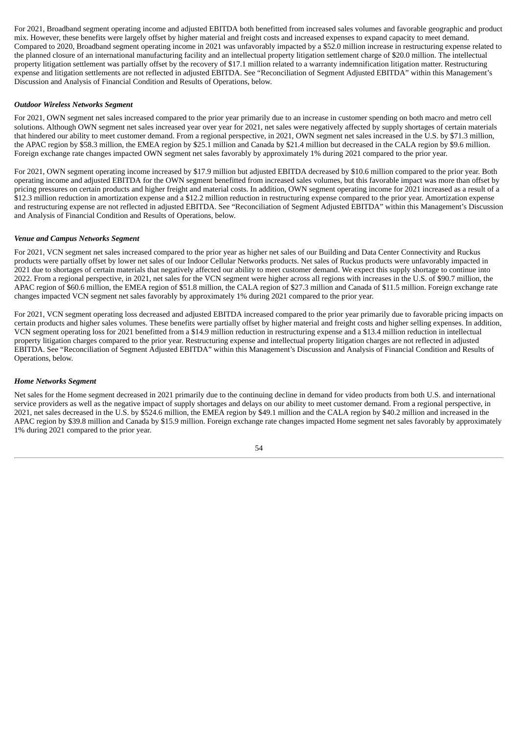For 2021, Broadband segment operating income and adjusted EBITDA both benefitted from increased sales volumes and favorable geographic and product mix. However, these benefits were largely offset by higher material and freight costs and increased expenses to expand capacity to meet demand. Compared to 2020, Broadband segment operating income in 2021 was unfavorably impacted by a \$52.0 million increase in restructuring expense related to the planned closure of an international manufacturing facility and an intellectual property litigation settlement charge of \$20.0 million. The intellectual property litigation settlement was partially offset by the recovery of \$17.1 million related to a warranty indemnification litigation matter. Restructuring expense and litigation settlements are not reflected in adjusted EBITDA. See "Reconciliation of Segment Adjusted EBITDA" within this Management's Discussion and Analysis of Financial Condition and Results of Operations, below.

## *Outdoor Wireless Networks Segment*

For 2021, OWN segment net sales increased compared to the prior year primarily due to an increase in customer spending on both macro and metro cell solutions. Although OWN segment net sales increased year over year for 2021, net sales were negatively affected by supply shortages of certain materials that hindered our ability to meet customer demand. From a regional perspective, in 2021, OWN segment net sales increased in the U.S. by \$71.3 million, the APAC region by \$58.3 million, the EMEA region by \$25.1 million and Canada by \$21.4 million but decreased in the CALA region by \$9.6 million. Foreign exchange rate changes impacted OWN segment net sales favorably by approximately 1% during 2021 compared to the prior year.

For 2021, OWN segment operating income increased by \$17.9 million but adjusted EBITDA decreased by \$10.6 million compared to the prior year. Both operating income and adjusted EBITDA for the OWN segment benefitted from increased sales volumes, but this favorable impact was more than offset by pricing pressures on certain products and higher freight and material costs. In addition, OWN segment operating income for 2021 increased as a result of a \$12.3 million reduction in amortization expense and a \$12.2 million reduction in restructuring expense compared to the prior year. Amortization expense and restructuring expense are not reflected in adjusted EBITDA. See "Reconciliation of Segment Adjusted EBITDA" within this Management's Discussion and Analysis of Financial Condition and Results of Operations, below.

### *Venue and Campus Networks Segment*

For 2021, VCN segment net sales increased compared to the prior year as higher net sales of our Building and Data Center Connectivity and Ruckus products were partially offset by lower net sales of our Indoor Cellular Networks products. Net sales of Ruckus products were unfavorably impacted in 2021 due to shortages of certain materials that negatively affected our ability to meet customer demand. We expect this supply shortage to continue into 2022. From a regional perspective, in 2021, net sales for the VCN segment were higher across all regions with increases in the U.S. of \$90.7 million, the APAC region of \$60.6 million, the EMEA region of \$51.8 million, the CALA region of \$27.3 million and Canada of \$11.5 million. Foreign exchange rate changes impacted VCN segment net sales favorably by approximately 1% during 2021 compared to the prior year.

For 2021, VCN segment operating loss decreased and adjusted EBITDA increased compared to the prior year primarily due to favorable pricing impacts on certain products and higher sales volumes. These benefits were partially offset by higher material and freight costs and higher selling expenses. In addition, VCN segment operating loss for 2021 benefitted from a \$14.9 million reduction in restructuring expense and a \$13.4 million reduction in intellectual property litigation charges compared to the prior year. Restructuring expense and intellectual property litigation charges are not reflected in adjusted EBITDA. See "Reconciliation of Segment Adjusted EBITDA" within this Management's Discussion and Analysis of Financial Condition and Results of Operations, below.

#### *Home Networks Segment*

Net sales for the Home segment decreased in 2021 primarily due to the continuing decline in demand for video products from both U.S. and international service providers as well as the negative impact of supply shortages and delays on our ability to meet customer demand. From a regional perspective, in 2021, net sales decreased in the U.S. by \$524.6 million, the EMEA region by \$49.1 million and the CALA region by \$40.2 million and increased in the APAC region by \$39.8 million and Canada by \$15.9 million. Foreign exchange rate changes impacted Home segment net sales favorably by approximately 1% during 2021 compared to the prior year.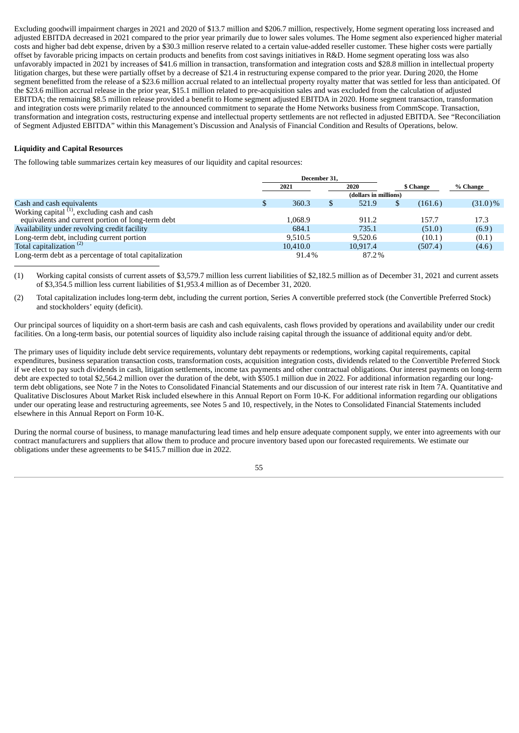Excluding goodwill impairment charges in 2021 and 2020 of \$13.7 million and \$206.7 million, respectively, Home segment operating loss increased and adjusted EBITDA decreased in 2021 compared to the prior year primarily due to lower sales volumes. The Home segment also experienced higher material costs and higher bad debt expense, driven by a \$30.3 million reserve related to a certain value-added reseller customer. These higher costs were partially offset by favorable pricing impacts on certain products and benefits from cost savings initiatives in R&D. Home segment operating loss was also unfavorably impacted in 2021 by increases of \$41.6 million in transaction, transformation and integration costs and \$28.8 million in intellectual property litigation charges, but these were partially offset by a decrease of \$21.4 in restructuring expense compared to the prior year. During 2020, the Home segment benefitted from the release of a \$23.6 million accrual related to an intellectual property royalty matter that was settled for less than anticipated. Of the \$23.6 million accrual release in the prior year, \$15.1 million related to pre-acquisition sales and was excluded from the calculation of adjusted EBITDA; the remaining \$8.5 million release provided a benefit to Home segment adjusted EBITDA in 2020. Home segment transaction, transformation and integration costs were primarily related to the announced commitment to separate the Home Networks business from CommScope. Transaction, transformation and integration costs, restructuring expense and intellectual property settlements are not reflected in adjusted EBITDA. See "Reconciliation of Segment Adjusted EBITDA" within this Management's Discussion and Analysis of Financial Condition and Results of Operations, below.

## **Liquidity and Capital Resources**

The following table summarizes certain key measures of our liquidity and capital resources:

|                                                          |              | December 31. |    |                       |           |            |  |
|----------------------------------------------------------|--------------|--------------|----|-----------------------|-----------|------------|--|
|                                                          | 2020<br>2021 |              |    |                       | \$ Change | % Change   |  |
|                                                          |              |              |    | (dollars in millions) |           |            |  |
| Cash and cash equivalents                                | S            | 360.3        | \$ | 521.9                 | (161.6)   | $(31.0)\%$ |  |
| Working capital <sup>(1)</sup> , excluding cash and cash |              |              |    |                       |           |            |  |
| equivalents and current portion of long-term debt        |              | 1.068.9      |    | 911.2                 | 157.7     | 17.3       |  |
| Availability under revolving credit facility             |              | 684.1        |    | 735.1                 | (51.0)    | (6.9)      |  |
| Long-term debt, including current portion                |              | 9.510.5      |    | 9.520.6               | (10.1)    | (0.1)      |  |
| Total capitalization <sup>(2)</sup>                      |              | 10.410.0     |    | 10.917.4              | (507.4)   | (4.6)      |  |
| Long-term debt as a percentage of total capitalization   |              | 91.4%        |    | 87.2%                 |           |            |  |

(1) Working capital consists of current assets of \$3,579.7 million less current liabilities of \$2,182.5 million as of December 31, 2021 and current assets of \$3,354.5 million less current liabilities of \$1,953.4 million as of December 31, 2020.

(2) Total capitalization includes long-term debt, including the current portion, Series A convertible preferred stock (the Convertible Preferred Stock) and stockholders' equity (deficit).

Our principal sources of liquidity on a short-term basis are cash and cash equivalents, cash flows provided by operations and availability under our credit facilities. On a long-term basis, our potential sources of liquidity also include raising capital through the issuance of additional equity and/or debt.

The primary uses of liquidity include debt service requirements, voluntary debt repayments or redemptions, working capital requirements, capital expenditures, business separation transaction costs, transformation costs, acquisition integration costs, dividends related to the Convertible Preferred Stock if we elect to pay such dividends in cash, litigation settlements, income tax payments and other contractual obligations. Our interest payments on long-term debt are expected to total \$2,564.2 million over the duration of the debt, with \$505.1 million due in 2022. For additional information regarding our longterm debt obligations, see Note 7 in the Notes to Consolidated Financial Statements and our discussion of our interest rate risk in Item 7A. Quantitative and Qualitative Disclosures About Market Risk included elsewhere in this Annual Report on Form 10-K. For additional information regarding our obligations under our operating lease and restructuring agreements, see Notes 5 and 10, respectively, in the Notes to Consolidated Financial Statements included elsewhere in this Annual Report on Form 10-K.

During the normal course of business, to manage manufacturing lead times and help ensure adequate component supply, we enter into agreements with our contract manufacturers and suppliers that allow them to produce and procure inventory based upon our forecasted requirements. We estimate our obligations under these agreements to be \$415.7 million due in 2022.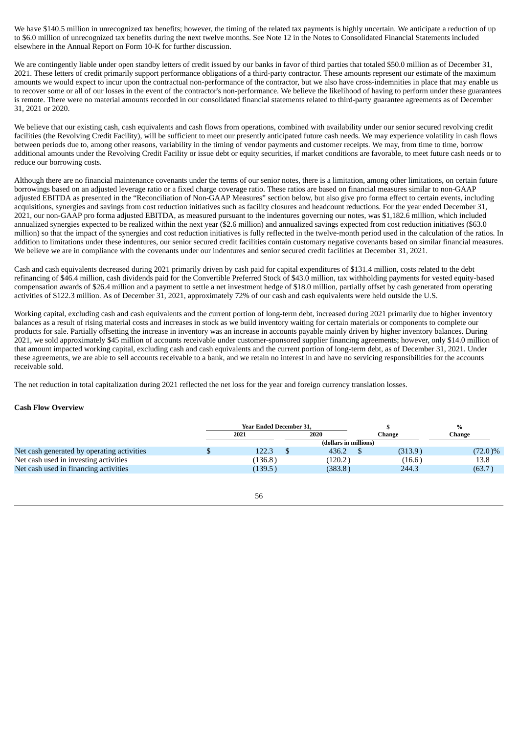We have \$140.5 million in unrecognized tax benefits; however, the timing of the related tax payments is highly uncertain. We anticipate a reduction of up to \$6.0 million of unrecognized tax benefits during the next twelve months. See Note 12 in the Notes to Consolidated Financial Statements included elsewhere in the Annual Report on Form 10-K for further discussion.

We are contingently liable under open standby letters of credit issued by our banks in favor of third parties that totaled \$50.0 million as of December 31, 2021. These letters of credit primarily support performance obligations of a third-party contractor. These amounts represent our estimate of the maximum amounts we would expect to incur upon the contractual non-performance of the contractor, but we also have cross-indemnities in place that may enable us to recover some or all of our losses in the event of the contractor's non-performance. We believe the likelihood of having to perform under these guarantees is remote. There were no material amounts recorded in our consolidated financial statements related to third-party guarantee agreements as of December 31, 2021 or 2020.

We believe that our existing cash, cash equivalents and cash flows from operations, combined with availability under our senior secured revolving credit facilities (the Revolving Credit Facility), will be sufficient to meet our presently anticipated future cash needs. We may experience volatility in cash flows between periods due to, among other reasons, variability in the timing of vendor payments and customer receipts. We may, from time to time, borrow additional amounts under the Revolving Credit Facility or issue debt or equity securities, if market conditions are favorable, to meet future cash needs or to reduce our borrowing costs.

Although there are no financial maintenance covenants under the terms of our senior notes, there is a limitation, among other limitations, on certain future borrowings based on an adjusted leverage ratio or a fixed charge coverage ratio. These ratios are based on financial measures similar to non-GAAP adjusted EBITDA as presented in the "Reconciliation of Non-GAAP Measures" section below, but also give pro forma effect to certain events, including acquisitions, synergies and savings from cost reduction initiatives such as facility closures and headcount reductions. For the year ended December 31, 2021, our non-GAAP pro forma adjusted EBITDA, as measured pursuant to the indentures governing our notes, was \$1,182.6 million, which included annualized synergies expected to be realized within the next year (\$2.6 million) and annualized savings expected from cost reduction initiatives (\$63.0 million) so that the impact of the synergies and cost reduction initiatives is fully reflected in the twelve-month period used in the calculation of the ratios. In addition to limitations under these indentures, our senior secured credit facilities contain customary negative covenants based on similar financial measures. We believe we are in compliance with the covenants under our indentures and senior secured credit facilities at December 31, 2021.

Cash and cash equivalents decreased during 2021 primarily driven by cash paid for capital expenditures of \$131.4 million, costs related to the debt refinancing of \$46.4 million, cash dividends paid for the Convertible Preferred Stock of \$43.0 million, tax withholding payments for vested equity-based compensation awards of \$26.4 million and a payment to settle a net investment hedge of \$18.0 million, partially offset by cash generated from operating activities of \$122.3 million. As of December 31, 2021, approximately 72% of our cash and cash equivalents were held outside the U.S.

Working capital, excluding cash and cash equivalents and the current portion of long-term debt, increased during 2021 primarily due to higher inventory balances as a result of rising material costs and increases in stock as we build inventory waiting for certain materials or components to complete our products for sale. Partially offsetting the increase in inventory was an increase in accounts payable mainly driven by higher inventory balances. During 2021, we sold approximately \$45 million of accounts receivable under customer-sponsored supplier financing agreements; however, only \$14.0 million of that amount impacted working capital, excluding cash and cash equivalents and the current portion of long-term debt, as of December 31, 2021. Under these agreements, we are able to sell accounts receivable to a bank, and we retain no interest in and have no servicing responsibilities for the accounts receivable sold.

The net reduction in total capitalization during 2021 reflected the net loss for the year and foreign currency translation losses.

#### **Cash Flow Overview**

|                                            | <b>Year Ended December 31.</b> |  |         |  |         | $\%$    |  |  |  |  |  |  |
|--------------------------------------------|--------------------------------|--|---------|--|---------|---------|--|--|--|--|--|--|
|                                            | 2021                           |  | 2020    |  | Change  | Change  |  |  |  |  |  |  |
|                                            | (dollars in millions)          |  |         |  |         |         |  |  |  |  |  |  |
| Net cash generated by operating activities | 122.3                          |  | 436.2   |  | (313.9) | (72.0)% |  |  |  |  |  |  |
| Net cash used in investing activities      | (136.8)                        |  | (120.2) |  | (16.6)  | 13.8    |  |  |  |  |  |  |
| Net cash used in financing activities      | (139.5)                        |  | (383.8) |  | 244.3   | (63.7)  |  |  |  |  |  |  |

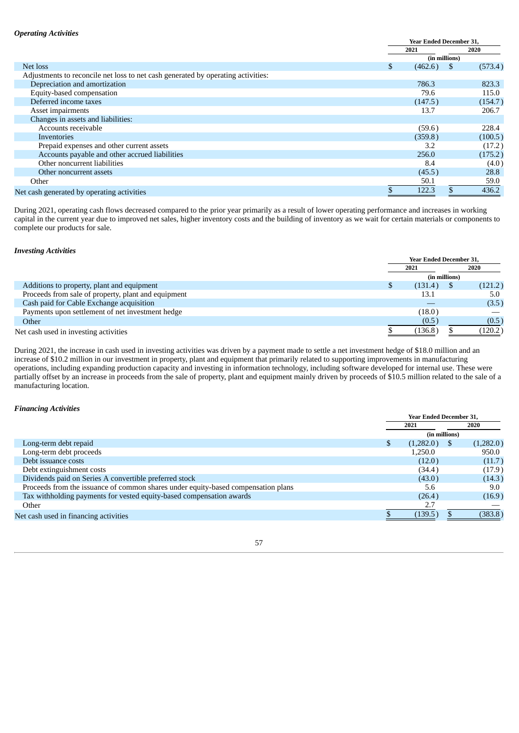## *Operating Activities*

|                                                                                  | <b>Year Ended December 31.</b> |               |         |  |
|----------------------------------------------------------------------------------|--------------------------------|---------------|---------|--|
|                                                                                  | 2021                           |               | 2020    |  |
|                                                                                  |                                | (in millions) |         |  |
| Net loss                                                                         | \$<br>(462.6)                  | - S           | (573.4) |  |
| Adjustments to reconcile net loss to net cash generated by operating activities: |                                |               |         |  |
| Depreciation and amortization                                                    | 786.3                          |               | 823.3   |  |
| Equity-based compensation                                                        | 79.6                           |               | 115.0   |  |
| Deferred income taxes                                                            | (147.5)                        |               | (154.7) |  |
| Asset impairments                                                                | 13.7                           |               | 206.7   |  |
| Changes in assets and liabilities:                                               |                                |               |         |  |
| Accounts receivable                                                              | (59.6)                         |               | 228.4   |  |
| Inventories                                                                      | (359.8)                        |               | (100.5) |  |
| Prepaid expenses and other current assets                                        | 3.2                            |               | (17.2)  |  |
| Accounts payable and other accrued liabilities                                   | 256.0                          |               | (175.2) |  |
| Other noncurrent liabilities                                                     | 8.4                            |               | (4.0)   |  |
| Other noncurrent assets                                                          | (45.5)                         |               | 28.8    |  |
| Other                                                                            | 50.1                           |               | 59.0    |  |
| Net cash generated by operating activities                                       | 122.3                          |               | 436.2   |  |

During 2021, operating cash flows decreased compared to the prior year primarily as a result of lower operating performance and increases in working capital in the current year due to improved net sales, higher inventory costs and the building of inventory as we wait for certain materials or components to complete our products for sale.

## *Investing Activities*

|                                                     | <b>Year Ended December 31.</b> |         |
|-----------------------------------------------------|--------------------------------|---------|
|                                                     | 2021                           | 2020    |
|                                                     | (in millions)                  |         |
| Additions to property, plant and equipment          | (131.4)                        | (121.2) |
| Proceeds from sale of property, plant and equipment | 13.1                           | 5.0     |
| Cash paid for Cable Exchange acquisition            |                                | (3.5)   |
| Payments upon settlement of net investment hedge    | (18.0)                         |         |
| Other                                               | (0.5)                          | (0.5)   |
| Net cash used in investing activities               | (136.8)                        | (120.2) |

During 2021, the increase in cash used in investing activities was driven by a payment made to settle a net investment hedge of \$18.0 million and an increase of \$10.2 million in our investment in property, plant and equipment that primarily related to supporting improvements in manufacturing operations, including expanding production capacity and investing in information technology, including software developed for internal use. These were partially offset by an increase in proceeds from the sale of property, plant and equipment mainly driven by proceeds of \$10.5 million related to the sale of a manufacturing location.

### *Financing Activities*

|                                                                                   | <b>Year Ended December 31.</b> |                           |
|-----------------------------------------------------------------------------------|--------------------------------|---------------------------|
|                                                                                   | 2021                           | 2020                      |
|                                                                                   | (in millions)                  |                           |
| Long-term debt repaid                                                             | (1,282.0)                      | (1,282.0)<br><sup>S</sup> |
| Long-term debt proceeds                                                           | 1,250.0                        | 950.0                     |
| Debt issuance costs                                                               | (12.0)                         | (11.7)                    |
| Debt extinguishment costs                                                         | (34.4)                         | (17.9)                    |
| Dividends paid on Series A convertible preferred stock                            | (43.0)                         | (14.3)                    |
| Proceeds from the issuance of common shares under equity-based compensation plans | 5.6                            | 9.0                       |
| Tax withholding payments for vested equity-based compensation awards              | (26.4)                         | (16.9)                    |
| Other                                                                             | 2.7                            |                           |
| Net cash used in financing activities                                             | (139.5)                        | (383.8)                   |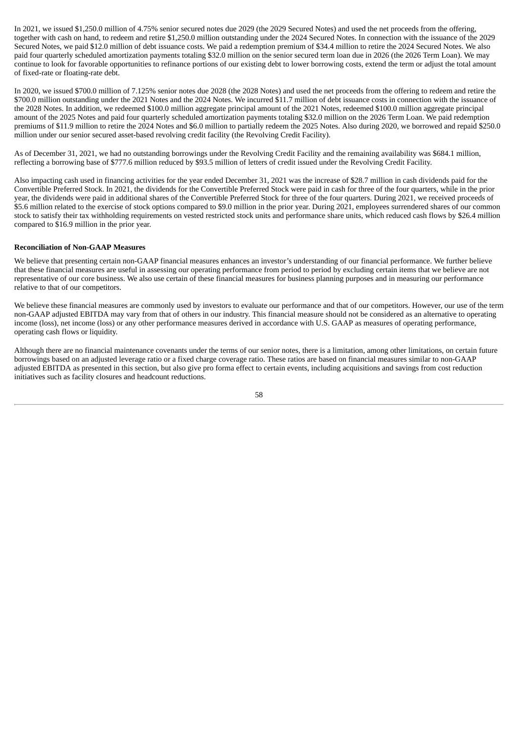In 2021, we issued \$1,250.0 million of 4.75% senior secured notes due 2029 (the 2029 Secured Notes) and used the net proceeds from the offering, together with cash on hand, to redeem and retire \$1,250.0 million outstanding under the 2024 Secured Notes. In connection with the issuance of the 2029 Secured Notes, we paid \$12.0 million of debt issuance costs. We paid a redemption premium of \$34.4 million to retire the 2024 Secured Notes. We also paid four quarterly scheduled amortization payments totaling \$32.0 million on the senior secured term loan due in 2026 (the 2026 Term Loan). We may continue to look for favorable opportunities to refinance portions of our existing debt to lower borrowing costs, extend the term or adjust the total amount of fixed-rate or floating-rate debt.

In 2020, we issued \$700.0 million of 7.125% senior notes due 2028 (the 2028 Notes) and used the net proceeds from the offering to redeem and retire the \$700.0 million outstanding under the 2021 Notes and the 2024 Notes. We incurred \$11.7 million of debt issuance costs in connection with the issuance of the 2028 Notes. In addition, we redeemed \$100.0 million aggregate principal amount of the 2021 Notes, redeemed \$100.0 million aggregate principal amount of the 2025 Notes and paid four quarterly scheduled amortization payments totaling \$32.0 million on the 2026 Term Loan. We paid redemption premiums of \$11.9 million to retire the 2024 Notes and \$6.0 million to partially redeem the 2025 Notes. Also during 2020, we borrowed and repaid \$250.0 million under our senior secured asset-based revolving credit facility (the Revolving Credit Facility).

As of December 31, 2021, we had no outstanding borrowings under the Revolving Credit Facility and the remaining availability was \$684.1 million, reflecting a borrowing base of \$777.6 million reduced by \$93.5 million of letters of credit issued under the Revolving Credit Facility.

Also impacting cash used in financing activities for the year ended December 31, 2021 was the increase of \$28.7 million in cash dividends paid for the Convertible Preferred Stock. In 2021, the dividends for the Convertible Preferred Stock were paid in cash for three of the four quarters, while in the prior year, the dividends were paid in additional shares of the Convertible Preferred Stock for three of the four quarters. During 2021, we received proceeds of \$5.6 million related to the exercise of stock options compared to \$9.0 million in the prior year. During 2021, employees surrendered shares of our common stock to satisfy their tax withholding requirements on vested restricted stock units and performance share units, which reduced cash flows by \$26.4 million compared to \$16.9 million in the prior year.

## **Reconciliation of Non-GAAP Measures**

We believe that presenting certain non-GAAP financial measures enhances an investor's understanding of our financial performance. We further believe that these financial measures are useful in assessing our operating performance from period to period by excluding certain items that we believe are not representative of our core business. We also use certain of these financial measures for business planning purposes and in measuring our performance relative to that of our competitors.

We believe these financial measures are commonly used by investors to evaluate our performance and that of our competitors. However, our use of the term non-GAAP adjusted EBITDA may vary from that of others in our industry. This financial measure should not be considered as an alternative to operating income (loss), net income (loss) or any other performance measures derived in accordance with U.S. GAAP as measures of operating performance, operating cash flows or liquidity.

Although there are no financial maintenance covenants under the terms of our senior notes, there is a limitation, among other limitations, on certain future borrowings based on an adjusted leverage ratio or a fixed charge coverage ratio. These ratios are based on financial measures similar to non-GAAP adjusted EBITDA as presented in this section, but also give pro forma effect to certain events, including acquisitions and savings from cost reduction initiatives such as facility closures and headcount reductions.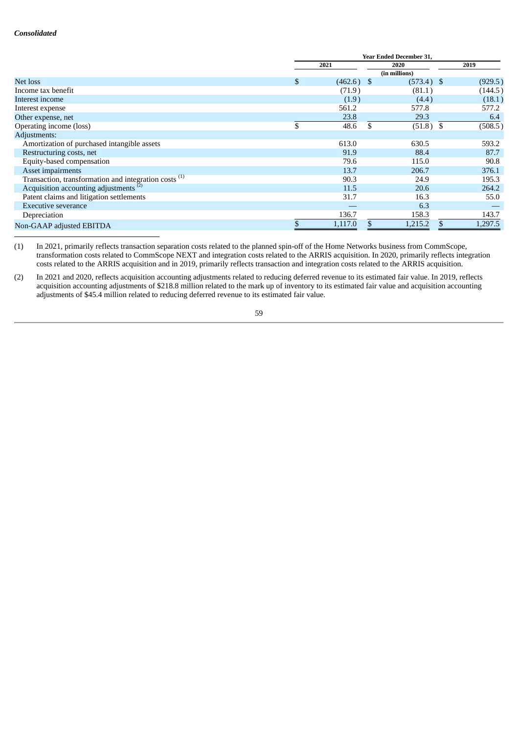# *Consolidated*

|                                                                  | <b>Year Ended December 31,</b> |      |               |  |         |  |  |  |  |
|------------------------------------------------------------------|--------------------------------|------|---------------|--|---------|--|--|--|--|
|                                                                  | 2021                           |      | 2020          |  | 2019    |  |  |  |  |
|                                                                  |                                |      | (in millions) |  |         |  |  |  |  |
| Net loss                                                         | \$<br>(462.6)                  | - \$ | $(573.4)$ \$  |  | (929.5) |  |  |  |  |
| Income tax benefit                                               | (71.9)                         |      | (81.1)        |  | (144.5) |  |  |  |  |
| Interest income                                                  | (1.9)                          |      | (4.4)         |  | (18.1)  |  |  |  |  |
| Interest expense                                                 | 561.2                          |      | 577.8         |  | 577.2   |  |  |  |  |
| Other expense, net                                               | 23.8                           |      | 29.3          |  | 6.4     |  |  |  |  |
| Operating income (loss)                                          | 48.6                           | \$   | $(51.8)$ \$   |  | (508.5) |  |  |  |  |
| Adjustments:                                                     |                                |      |               |  |         |  |  |  |  |
| Amortization of purchased intangible assets                      | 613.0                          |      | 630.5         |  | 593.2   |  |  |  |  |
| Restructuring costs, net                                         | 91.9                           |      | 88.4          |  | 87.7    |  |  |  |  |
| Equity-based compensation                                        | 79.6                           |      | 115.0         |  | 90.8    |  |  |  |  |
| Asset impairments                                                | 13.7                           |      | 206.7         |  | 376.1   |  |  |  |  |
| Transaction, transformation and integration costs <sup>(1)</sup> | 90.3                           |      | 24.9          |  | 195.3   |  |  |  |  |
| Acquisition accounting adjustments $(2)$                         | 11.5                           |      | 20.6          |  | 264.2   |  |  |  |  |
| Patent claims and litigation settlements                         | 31.7                           |      | 16.3          |  | 55.0    |  |  |  |  |
| Executive severance                                              |                                |      | 6.3           |  |         |  |  |  |  |
| Depreciation                                                     | 136.7                          |      | 158.3         |  | 143.7   |  |  |  |  |
| Non-GAAP adjusted EBITDA                                         | 1,117.0                        |      | 1,215.2       |  | 1,297.5 |  |  |  |  |

(1) In 2021, primarily reflects transaction separation costs related to the planned spin-off of the Home Networks business from CommScope, transformation costs related to CommScope NEXT and integration costs related to the ARRIS acquisition. In 2020, primarily reflects integration costs related to the ARRIS acquisition and in 2019, primarily reflects transaction and integration costs related to the ARRIS acquisition.

(2) In 2021 and 2020, reflects acquisition accounting adjustments related to reducing deferred revenue to its estimated fair value. In 2019, reflects acquisition accounting adjustments of \$218.8 million related to the mark up of inventory to its estimated fair value and acquisition accounting adjustments of \$45.4 million related to reducing deferred revenue to its estimated fair value.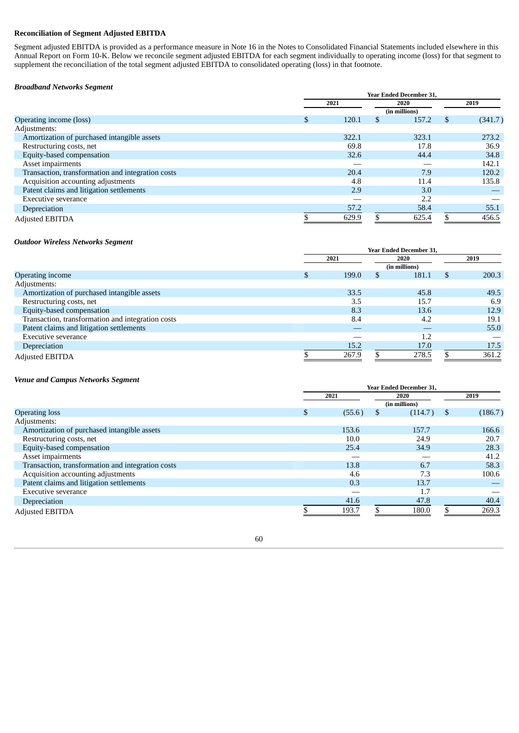# **Reconciliation of Segment Adjusted EBITDA**

Segment adjusted EBITDA is provided as a performance measure in Note 16 in the Notes to Consolidated Financial Statements included elsewhere in this Annual Report on Form 10-K. Below we reconcile segment adjusted EBITDA for each segment individually to operating income (loss) for that segment to supplement the reconciliation of the total segment adjusted EBITDA to consolidated operating (loss) in that footnote.

## *Broadband Networks Segment*

|                                                   | <b>Year Ended December 31.</b> |       |    |               |   |         |  |  |  |  |
|---------------------------------------------------|--------------------------------|-------|----|---------------|---|---------|--|--|--|--|
|                                                   | 2021                           |       |    | 2020          |   | 2019    |  |  |  |  |
|                                                   |                                |       |    | (in millions) |   |         |  |  |  |  |
| Operating income (loss)                           | \$                             | 120.1 | \$ | 157.2         | S | (341.7) |  |  |  |  |
| Adjustments:                                      |                                |       |    |               |   |         |  |  |  |  |
| Amortization of purchased intangible assets       |                                | 322.1 |    | 323.1         |   | 273.2   |  |  |  |  |
| Restructuring costs, net                          |                                | 69.8  |    | 17.8          |   | 36.9    |  |  |  |  |
| Equity-based compensation                         |                                | 32.6  |    | 44.4          |   | 34.8    |  |  |  |  |
| Asset impairments                                 |                                |       |    |               |   | 142.1   |  |  |  |  |
| Transaction, transformation and integration costs |                                | 20.4  |    | 7.9           |   | 120.2   |  |  |  |  |
| Acquisition accounting adjustments                |                                | 4.8   |    | 11.4          |   | 135.8   |  |  |  |  |
| Patent claims and litigation settlements          |                                | 2.9   |    | 3.0           |   |         |  |  |  |  |
| Executive severance                               |                                |       |    | 2.2           |   |         |  |  |  |  |
| Depreciation                                      |                                | 57.2  |    | 58.4          |   | 55.1    |  |  |  |  |
| <b>Adjusted EBITDA</b>                            |                                | 629.9 |    | 625.4         |   | 456.5   |  |  |  |  |

# *Outdoor Wireless Networks Segment*

| <b>URROOF</b> WHICKSS FICTIONS Deginent           |                                |       |   |               |    |       |  |  |  |
|---------------------------------------------------|--------------------------------|-------|---|---------------|----|-------|--|--|--|
|                                                   | <b>Year Ended December 31,</b> |       |   |               |    |       |  |  |  |
|                                                   | 2021                           |       |   | 2020          |    | 2019  |  |  |  |
|                                                   |                                |       |   | (in millions) |    |       |  |  |  |
| Operating income                                  |                                | 199.0 | S | 181.1         | \$ | 200.3 |  |  |  |
| Adjustments:                                      |                                |       |   |               |    |       |  |  |  |
| Amortization of purchased intangible assets       |                                | 33.5  |   | 45.8          |    | 49.5  |  |  |  |
| Restructuring costs, net                          |                                | 3.5   |   | 15.7          |    | 6.9   |  |  |  |
| Equity-based compensation                         |                                | 8.3   |   | 13.6          |    | 12.9  |  |  |  |
| Transaction, transformation and integration costs |                                | 8.4   |   | 4.2           |    | 19.1  |  |  |  |
| Patent claims and litigation settlements          |                                |       |   |               |    | 55.0  |  |  |  |
| Executive severance                               |                                |       |   | 1.2           |    |       |  |  |  |
| Depreciation                                      |                                | 15.2  |   | 17.0          |    | 17.5  |  |  |  |
| <b>Adjusted EBITDA</b>                            |                                | 267.9 |   | 278.5         |    | 361.2 |  |  |  |

# *Venue and Campus Networks Segment*

|                                                   | <b>Year Ended December 31,</b> |        |               |         |      |         |  |  |  |  |
|---------------------------------------------------|--------------------------------|--------|---------------|---------|------|---------|--|--|--|--|
|                                                   | 2021                           |        | 2020          |         |      | 2019    |  |  |  |  |
|                                                   |                                |        | (in millions) |         |      |         |  |  |  |  |
| <b>Operating loss</b>                             | \$                             | (55.6) | S             | (114.7) | - \$ | (186.7) |  |  |  |  |
| Adjustments:                                      |                                |        |               |         |      |         |  |  |  |  |
| Amortization of purchased intangible assets       |                                | 153.6  |               | 157.7   |      | 166.6   |  |  |  |  |
| Restructuring costs, net                          |                                | 10.0   |               | 24.9    |      | 20.7    |  |  |  |  |
| Equity-based compensation                         |                                | 25.4   |               | 34.9    |      | 28.3    |  |  |  |  |
| Asset impairments                                 |                                | __     |               |         |      | 41.2    |  |  |  |  |
| Transaction, transformation and integration costs |                                | 13.8   |               | 6.7     |      | 58.3    |  |  |  |  |
| Acquisition accounting adjustments                |                                | 4.6    |               | 7.3     |      | 100.6   |  |  |  |  |
| Patent claims and litigation settlements          |                                | 0.3    |               | 13.7    |      |         |  |  |  |  |
| Executive severance                               |                                |        |               | 1.7     |      |         |  |  |  |  |
| Depreciation                                      |                                | 41.6   |               | 47.8    |      | 40.4    |  |  |  |  |
| <b>Adjusted EBITDA</b>                            |                                | 193.7  |               | 180.0   |      | 269.3   |  |  |  |  |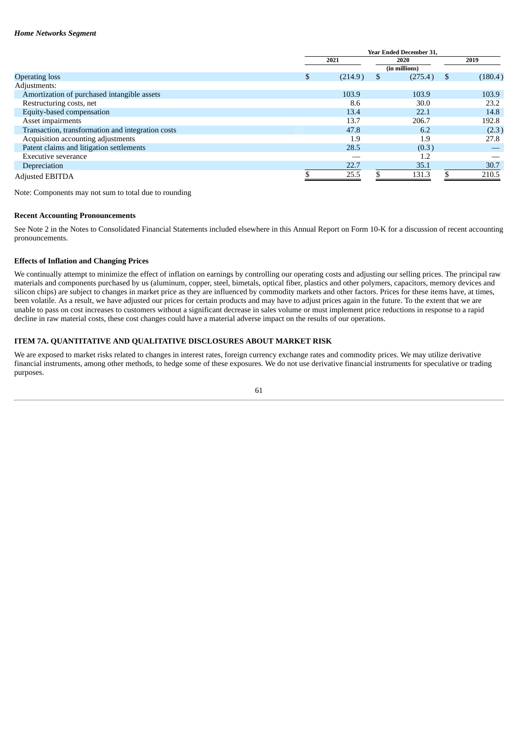#### *Home Networks Segment*

|                                                   | <b>Year Ended December 31,</b> |         |      |               |    |         |  |  |  |  |
|---------------------------------------------------|--------------------------------|---------|------|---------------|----|---------|--|--|--|--|
|                                                   |                                | 2021    | 2020 |               |    | 2019    |  |  |  |  |
|                                                   |                                |         |      | (in millions) |    |         |  |  |  |  |
| <b>Operating loss</b>                             | <b>S</b>                       | (214.9) | S    | (275.4)       | \$ | (180.4) |  |  |  |  |
| Adjustments:                                      |                                |         |      |               |    |         |  |  |  |  |
| Amortization of purchased intangible assets       |                                | 103.9   |      | 103.9         |    | 103.9   |  |  |  |  |
| Restructuring costs, net                          |                                | 8.6     |      | 30.0          |    | 23.2    |  |  |  |  |
| Equity-based compensation                         |                                | 13.4    |      | 22.1          |    | 14.8    |  |  |  |  |
| Asset impairments                                 |                                | 13.7    |      | 206.7         |    | 192.8   |  |  |  |  |
| Transaction, transformation and integration costs |                                | 47.8    |      | 6.2           |    | (2.3)   |  |  |  |  |
| Acquisition accounting adjustments                |                                | 1.9     |      | 1.9           |    | 27.8    |  |  |  |  |
| Patent claims and litigation settlements          |                                | 28.5    |      | (0.3)         |    |         |  |  |  |  |
| Executive severance                               |                                |         |      |               |    |         |  |  |  |  |
| Depreciation                                      |                                | 22.7    |      | 35.1          |    | 30.7    |  |  |  |  |
| <b>Adjusted EBITDA</b>                            |                                | 25.5    |      | 131.3         |    | 210.5   |  |  |  |  |

Note: Components may not sum to total due to rounding

# **Recent Accounting Pronouncements**

See Note 2 in the Notes to Consolidated Financial Statements included elsewhere in this Annual Report on Form 10-K for a discussion of recent accounting pronouncements.

### **Effects of Inflation and Changing Prices**

We continually attempt to minimize the effect of inflation on earnings by controlling our operating costs and adjusting our selling prices. The principal raw materials and components purchased by us (aluminum, copper, steel, bimetals, optical fiber, plastics and other polymers, capacitors, memory devices and silicon chips) are subject to changes in market price as they are influenced by commodity markets and other factors. Prices for these items have, at times, been volatile. As a result, we have adjusted our prices for certain products and may have to adjust prices again in the future. To the extent that we are unable to pass on cost increases to customers without a significant decrease in sales volume or must implement price reductions in response to a rapid decline in raw material costs, these cost changes could have a material adverse impact on the results of our operations.

### **ITEM 7A. QUANTITATIVE AND QUALITATIVE DISCLOSURES ABOUT MARKET RISK**

We are exposed to market risks related to changes in interest rates, foreign currency exchange rates and commodity prices. We may utilize derivative financial instruments, among other methods, to hedge some of these exposures. We do not use derivative financial instruments for speculative or trading purposes.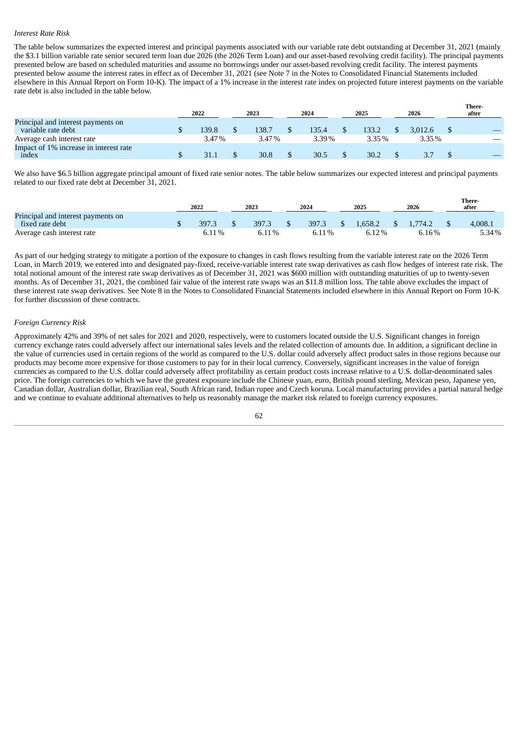## *Interest Rate Risk*

The table below summarizes the expected interest and principal payments associated with our variable rate debt outstanding at December 31, 2021 (mainly the \$3.1 billion variable rate senior secured term loan due 2026 (the 2026 Term Loan) and our asset-based revolving credit facility). The principal payments presented below are based on scheduled maturities and assume no borrowings under our asset-based revolving credit facility. The interest payments presented below assume the interest rates in effect as of December 31, 2021 (see Note 7 in the Notes to Consolidated Financial Statements included elsewhere in this Annual Report on Form 10-K). The impact of a 1% increase in the interest rate index on projected future interest payments on the variable rate debt is also included in the table below.

|                                                          | 2022  | 2023  | 2024     | 2025  | 2026     | There-<br>after |
|----------------------------------------------------------|-------|-------|----------|-------|----------|-----------------|
| Principal and interest payments on<br>variable rate debt | 39.8  | 138.7 | 135.4    | 133.2 | 3.012.6  |                 |
| Average cash interest rate                               | 3.47% | 3.47% | $3.39\%$ | 3.35% | $3.35\%$ |                 |
| Impact of 1% increase in interest rate<br>index          |       | 30.8  | 30.5     | 30.2  |          |                 |

We also have \$6.5 billion aggregate principal amount of fixed rate senior notes. The table below summarizes our expected interest and principal payments related to our fixed rate debt at December 31, 2021.

|                                                       | 2022 |       | 2023 |        | 2024 |       | 2025          |          | 2026         |         | There-<br>after |
|-------------------------------------------------------|------|-------|------|--------|------|-------|---------------|----------|--------------|---------|-----------------|
| Principal and interest payments on<br>fixed rate debt |      | 397.3 |      | 397.3  |      | 397.3 | <sup>\$</sup> | .658.2   | $\mathbb{S}$ | 1,774.2 | 4,008.1         |
| Average cash interest rate                            |      | 6.11% |      | –11 %. |      | 6.11% |               | $6.12\%$ |              | 6.16%   | 5.34%           |

As part of our hedging strategy to mitigate a portion of the exposure to changes in cash flows resulting from the variable interest rate on the 2026 Term Loan, in March 2019, we entered into and designated pay-fixed, receive-variable interest rate swap derivatives as cash flow hedges of interest rate risk. The total notional amount of the interest rate swap derivatives as of December 31, 2021 was \$600 million with outstanding maturities of up to twenty-seven months. As of December 31, 2021, the combined fair value of the interest rate swaps was an \$11.8 million loss. The table above excludes the impact of these interest rate swap derivatives. See Note 8 in the Notes to Consolidated Financial Statements included elsewhere in this Annual Report on Form 10-K for further discussion of these contracts.

#### *Foreign Currency Risk*

Approximately 42% and 39% of net sales for 2021 and 2020, respectively, were to customers located outside the U.S. Significant changes in foreign currency exchange rates could adversely affect our international sales levels and the related collection of amounts due. In addition, a significant decline in the value of currencies used in certain regions of the world as compared to the U.S. dollar could adversely affect product sales in those regions because our products may become more expensive for those customers to pay for in their local currency. Conversely, significant increases in the value of foreign currencies as compared to the U.S. dollar could adversely affect profitability as certain product costs increase relative to a U.S. dollar-denominated sales price. The foreign currencies to which we have the greatest exposure include the Chinese yuan, euro, British pound sterling, Mexican peso, Japanese yen, Canadian dollar, Australian dollar, Brazilian real, South African rand, Indian rupee and Czech koruna. Local manufacturing provides a partial natural hedge and we continue to evaluate additional alternatives to help us reasonably manage the market risk related to foreign currency exposures.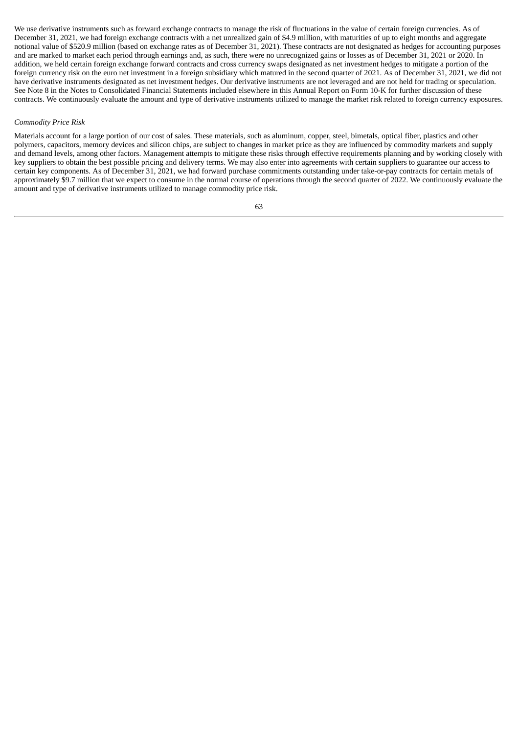We use derivative instruments such as forward exchange contracts to manage the risk of fluctuations in the value of certain foreign currencies. As of December 31, 2021, we had foreign exchange contracts with a net unrealized gain of \$4.9 million, with maturities of up to eight months and aggregate notional value of \$520.9 million (based on exchange rates as of December 31, 2021). These contracts are not designated as hedges for accounting purposes and are marked to market each period through earnings and, as such, there were no unrecognized gains or losses as of December 31, 2021 or 2020. In addition, we held certain foreign exchange forward contracts and cross currency swaps designated as net investment hedges to mitigate a portion of the foreign currency risk on the euro net investment in a foreign subsidiary which matured in the second quarter of 2021. As of December 31, 2021, we did not have derivative instruments designated as net investment hedges. Our derivative instruments are not leveraged and are not held for trading or speculation. See Note 8 in the Notes to Consolidated Financial Statements included elsewhere in this Annual Report on Form 10-K for further discussion of these contracts. We continuously evaluate the amount and type of derivative instruments utilized to manage the market risk related to foreign currency exposures.

#### *Commodity Price Risk*

Materials account for a large portion of our cost of sales. These materials, such as aluminum, copper, steel, bimetals, optical fiber, plastics and other polymers, capacitors, memory devices and silicon chips, are subject to changes in market price as they are influenced by commodity markets and supply and demand levels, among other factors. Management attempts to mitigate these risks through effective requirements planning and by working closely with key suppliers to obtain the best possible pricing and delivery terms. We may also enter into agreements with certain suppliers to guarantee our access to certain key components. As of December 31, 2021, we had forward purchase commitments outstanding under take-or-pay contracts for certain metals of approximately \$9.7 million that we expect to consume in the normal course of operations through the second quarter of 2022. We continuously evaluate the amount and type of derivative instruments utilized to manage commodity price risk.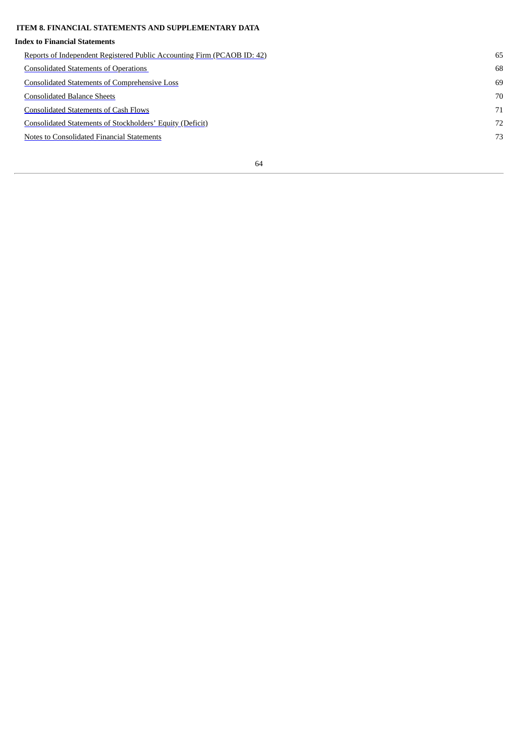# **ITEM 8. FINANCIAL STATEMENTS AND SUPPLEMENTARY DATA**

## **Index to Financial Statements**

| Reports of Independent Registered Public Accounting Firm (PCAOB ID: 42) | 65 |
|-------------------------------------------------------------------------|----|
| <b>Consolidated Statements of Operations</b>                            | 68 |
| <b>Consolidated Statements of Comprehensive Loss</b>                    | 69 |
| <b>Consolidated Balance Sheets</b>                                      | 70 |
| <b>Consolidated Statements of Cash Flows</b>                            | 71 |
| <b>Consolidated Statements of Stockholders' Equity (Deficit)</b>        | 72 |
| Notes to Consolidated Financial Statements                              | 73 |
|                                                                         |    |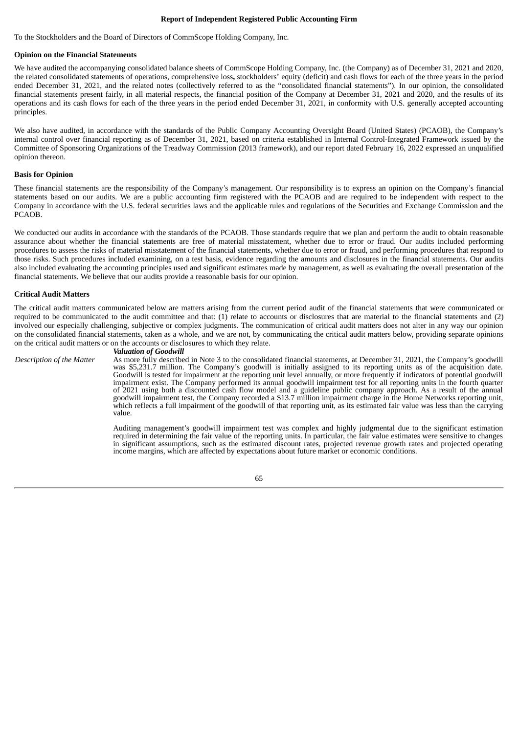#### **Report of Independent Registered Public Accounting Firm**

<span id="page-64-0"></span>To the Stockholders and the Board of Directors of CommScope Holding Company, Inc.

#### **Opinion on the Financial Statements**

We have audited the accompanying consolidated balance sheets of CommScope Holding Company, Inc. (the Company) as of December 31, 2021 and 2020, the related consolidated statements of operations, comprehensive loss**,** stockholders' equity (deficit) and cash flows for each of the three years in the period ended December 31, 2021, and the related notes (collectively referred to as the "consolidated financial statements"). In our opinion, the consolidated financial statements present fairly, in all material respects, the financial position of the Company at December 31, 2021 and 2020, and the results of its operations and its cash flows for each of the three years in the period ended December 31, 2021, in conformity with U.S. generally accepted accounting principles.

We also have audited, in accordance with the standards of the Public Company Accounting Oversight Board (United States) (PCAOB), the Company's internal control over financial reporting as of December 31, 2021, based on criteria established in Internal Control-Integrated Framework issued by the Committee of Sponsoring Organizations of the Treadway Commission (2013 framework), and our report dated February 16, 2022 expressed an unqualified opinion thereon.

#### **Basis for Opinion**

These financial statements are the responsibility of the Company's management. Our responsibility is to express an opinion on the Company's financial statements based on our audits. We are a public accounting firm registered with the PCAOB and are required to be independent with respect to the Company in accordance with the U.S. federal securities laws and the applicable rules and regulations of the Securities and Exchange Commission and the PCAOB.

We conducted our audits in accordance with the standards of the PCAOB. Those standards require that we plan and perform the audit to obtain reasonable assurance about whether the financial statements are free of material misstatement, whether due to error or fraud. Our audits included performing procedures to assess the risks of material misstatement of the financial statements, whether due to error or fraud, and performing procedures that respond to those risks. Such procedures included examining, on a test basis, evidence regarding the amounts and disclosures in the financial statements. Our audits also included evaluating the accounting principles used and significant estimates made by management, as well as evaluating the overall presentation of the financial statements. We believe that our audits provide a reasonable basis for our opinion.

#### **Critical Audit Matters**

The critical audit matters communicated below are matters arising from the current period audit of the financial statements that were communicated or required to be communicated to the audit committee and that: (1) relate to accounts or disclosures that are material to the financial statements and (2) involved our especially challenging, subjective or complex judgments. The communication of critical audit matters does not alter in any way our opinion on the consolidated financial statements, taken as a whole, and we are not, by communicating the critical audit matters below, providing separate opinions on the critical audit matters or on the accounts or disclosures to which they relate.

*Valuation of Goodwill*

*Description of the Matter* As more fully described in Note 3 to the consolidated financial statements, at December 31, 2021, the Company's goodwill was \$5,231.7 million. The Company's goodwill is initially assigned to its reporting units as of the acquisition date. Goodwill is tested for impairment at the reporting unit level annually, or more frequently if indicators of potential goodwill impairment exist. The Company performed its annual goodwill impairment test for all reporting units in the fourth quarter of 2021 using both a discounted cash flow model and a guideline public company approach. As a result of the annual goodwill impairment test, the Company recorded a \$13.7 million impairment charge in the Home Networks reporting unit, which reflects a full impairment of the goodwill of that reporting unit, as its estimated fair value was less than the carrying value.

> Auditing management's goodwill impairment test was complex and highly judgmental due to the significant estimation required in determining the fair value of the reporting units. In particular, the fair value estimates were sensitive to changes in significant assumptions, such as the estimated discount rates, projected revenue growth rates and projected operating income margins, which are affected by expectations about future market or economic conditions.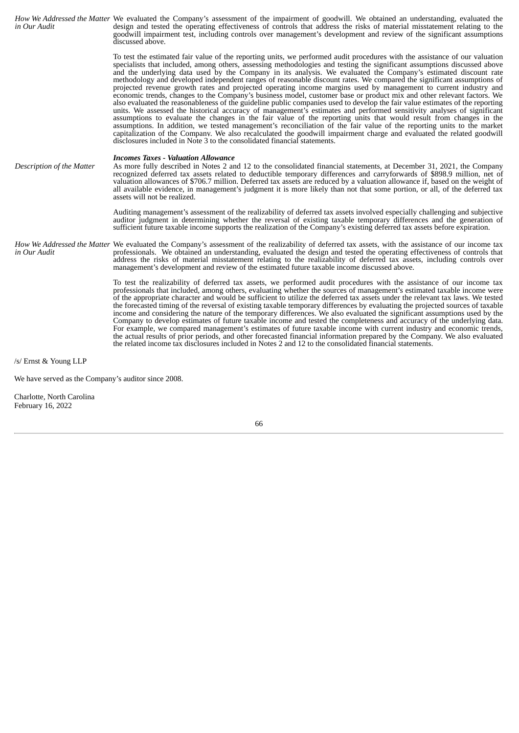How We Addressed the Matter We evaluated the Company's assessment of the impairment of goodwill. We obtained an understanding, evaluated the *in Our Audit* design and tested the operating effectiveness of controls that address the risks of material misstatement relating to the goodwill impairment test, including controls over management's development and review of the significant assumptions discussed above. To test the estimated fair value of the reporting units, we performed audit procedures with the assistance of our valuation specialists that included, among others, assessing methodologies and testing the significant assumptions discussed above and the underlying data used by the Company in its analysis. We evaluated the Company's estimated discount rate methodology and developed independent ranges of reasonable discount rates. We compared the significant assumptions of projected revenue growth rates and projected operating income margins used by management to current industry and economic trends, changes to the Company's business model, customer base or product mix and other relevant factors. We also evaluated the reasonableness of the guideline public companies used to develop the fair value estimates of the reporting units. We assessed the historical accuracy of management's estimates and performed sensitivity analyses of significant assumptions to evaluate the changes in the fair value of the reporting units that would result from changes in the assumptions. In addition, we tested management's reconciliation of the fair value of the reporting units to the market capitalization of the Company. We also recalculated the goodwill impairment charge and evaluated the related goodwill disclosures included in Note 3 to the consolidated financial statements. *Incomes Taxes - Valuation Allowance Description of the Matter* As more fully described in Notes 2 and 12 to the consolidated financial statements, at December 31, 2021, the Company recognized deferred tax assets related to deductible temporary differences and carryforwards of \$898.9 million, net of valuation allowances of \$706.7 million. Deferred tax assets are reduced by a valuation allowance if, based on the weight of all available evidence, in management's judgment it is more likely than not that some portion, or all, of the deferred tax assets will not be realized. Auditing management's assessment of the realizability of deferred tax assets involved especially challenging and subjective auditor judgment in determining whether the reversal of existing taxable temporary differences and the generation of sufficient future taxable income supports the realization of the Company's existing deferred tax assets before expiration. How We Addressed the Matter We evaluated the Company's assessment of the realizability of deferred tax assets, with the assistance of our income tax *in Our Audit* professionals. We obtained an understanding, evaluated the design and tested the operating effectiveness of controls that address the risks of material misstatement relating to the realizability of deferred tax assets, including controls over management's development and review of the estimated future taxable income discussed above. To test the realizability of deferred tax assets, we performed audit procedures with the assistance of our income tax professionals that included, among others, evaluating whether the sources of management's estimated taxable income were of the appropriate character and would be sufficient to utilize the deferred tax assets under the relevant tax laws. We tested the forecasted timing of the reversal of existing taxable temporary differences by evaluating the projected sources of taxable income and considering the nature of the temporary differences. We also evaluated the significant assumptions used by the Company to develop estimates of future taxable income and tested the completeness and accuracy of the underlying data. For example, we compared management's estimates of future taxable income with current industry and economic trends, the actual results of prior periods, and other forecasted financial information prepared by the Company. We also evaluated the related income tax disclosures included in Notes 2 and 12 to the consolidated financial statements. /s/ Ernst & Young LLP We have served as the Company's auditor since 2008.

Charlotte, North Carolina February 16, 2022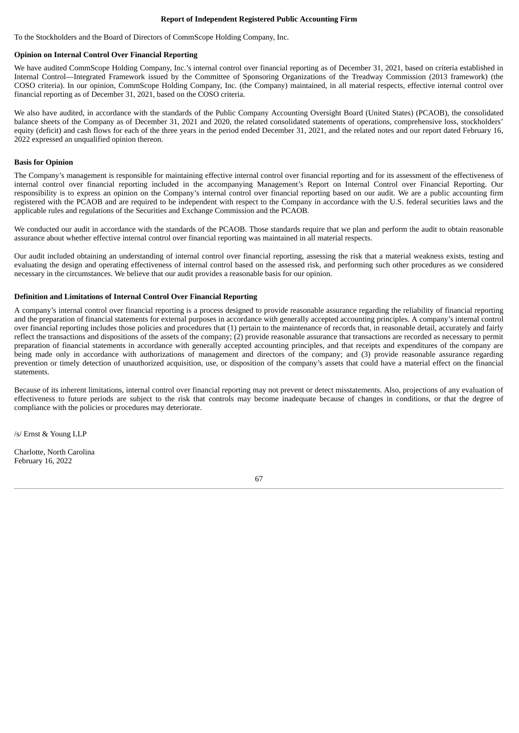#### **Report of Independent Registered Public Accounting Firm**

To the Stockholders and the Board of Directors of CommScope Holding Company, Inc.

### **Opinion on Internal Control Over Financial Reporting**

We have audited CommScope Holding Company, Inc.'s internal control over financial reporting as of December 31, 2021, based on criteria established in Internal Control—Integrated Framework issued by the Committee of Sponsoring Organizations of the Treadway Commission (2013 framework) (the COSO criteria). In our opinion, CommScope Holding Company, Inc. (the Company) maintained, in all material respects, effective internal control over financial reporting as of December 31, 2021, based on the COSO criteria.

We also have audited, in accordance with the standards of the Public Company Accounting Oversight Board (United States) (PCAOB), the consolidated balance sheets of the Company as of December 31, 2021 and 2020, the related consolidated statements of operations, comprehensive loss, stockholders' equity (deficit) and cash flows for each of the three years in the period ended December 31, 2021, and the related notes and our report dated February 16, 2022 expressed an unqualified opinion thereon.

#### **Basis for Opinion**

The Company's management is responsible for maintaining effective internal control over financial reporting and for its assessment of the effectiveness of internal control over financial reporting included in the accompanying Management's Report on Internal Control over Financial Reporting. Our responsibility is to express an opinion on the Company's internal control over financial reporting based on our audit. We are a public accounting firm registered with the PCAOB and are required to be independent with respect to the Company in accordance with the U.S. federal securities laws and the applicable rules and regulations of the Securities and Exchange Commission and the PCAOB.

We conducted our audit in accordance with the standards of the PCAOB. Those standards require that we plan and perform the audit to obtain reasonable assurance about whether effective internal control over financial reporting was maintained in all material respects.

Our audit included obtaining an understanding of internal control over financial reporting, assessing the risk that a material weakness exists, testing and evaluating the design and operating effectiveness of internal control based on the assessed risk, and performing such other procedures as we considered necessary in the circumstances. We believe that our audit provides a reasonable basis for our opinion.

#### **Definition and Limitations of Internal Control Over Financial Reporting**

A company's internal control over financial reporting is a process designed to provide reasonable assurance regarding the reliability of financial reporting and the preparation of financial statements for external purposes in accordance with generally accepted accounting principles. A company's internal control over financial reporting includes those policies and procedures that (1) pertain to the maintenance of records that, in reasonable detail, accurately and fairly reflect the transactions and dispositions of the assets of the company; (2) provide reasonable assurance that transactions are recorded as necessary to permit preparation of financial statements in accordance with generally accepted accounting principles, and that receipts and expenditures of the company are being made only in accordance with authorizations of management and directors of the company; and (3) provide reasonable assurance regarding prevention or timely detection of unauthorized acquisition, use, or disposition of the company's assets that could have a material effect on the financial statements.

Because of its inherent limitations, internal control over financial reporting may not prevent or detect misstatements. Also, projections of any evaluation of effectiveness to future periods are subject to the risk that controls may become inadequate because of changes in conditions, or that the degree of compliance with the policies or procedures may deteriorate.

/s/ Ernst & Young LLP

Charlotte, North Carolina February 16, 2022

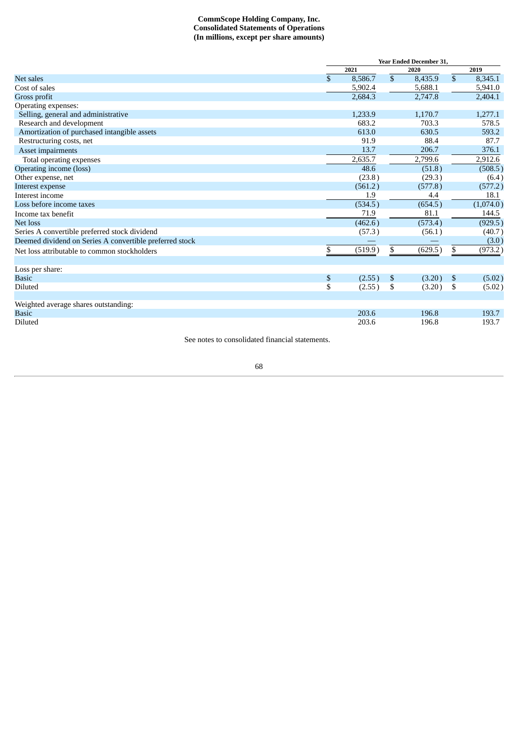## **CommScope Holding Company, Inc. Consolidated Statements of Operations (In millions, except per share amounts)**

<span id="page-67-0"></span>

|                                                         |                   | Year Ended December 31, |                |         |    |           |
|---------------------------------------------------------|-------------------|-------------------------|----------------|---------|----|-----------|
|                                                         |                   | 2021                    |                | 2020    |    | 2019      |
| Net sales                                               | \$                | 8,586.7                 | $\mathfrak{S}$ | 8,435.9 | \$ | 8,345.1   |
| Cost of sales                                           |                   | 5,902.4                 |                | 5,688.1 |    | 5,941.0   |
| Gross profit                                            |                   | 2,684.3                 |                | 2,747.8 |    | 2,404.1   |
| Operating expenses:                                     |                   |                         |                |         |    |           |
| Selling, general and administrative                     |                   | 1,233.9                 |                | 1,170.7 |    | 1,277.1   |
| Research and development                                |                   | 683.2                   |                | 703.3   |    | 578.5     |
| Amortization of purchased intangible assets             |                   | 613.0                   |                | 630.5   |    | 593.2     |
| Restructuring costs, net                                |                   | 91.9                    |                | 88.4    |    | 87.7      |
| Asset impairments                                       |                   | 13.7                    |                | 206.7   |    | 376.1     |
| Total operating expenses                                |                   | 2,635.7                 |                | 2.799.6 |    | 2,912.6   |
| Operating income (loss)                                 |                   | 48.6                    |                | (51.8)  |    | (508.5)   |
| Other expense, net                                      |                   | (23.8)                  |                | (29.3)  |    | (6.4)     |
| Interest expense                                        |                   | (561.2)                 |                | (577.8) |    | (577.2)   |
| Interest income                                         |                   | 1.9                     |                | 4.4     |    | 18.1      |
| Loss before income taxes                                |                   | (534.5)                 |                | (654.5) |    | (1,074.0) |
| Income tax benefit                                      |                   | 71.9                    |                | 81.1    |    | 144.5     |
| Net loss                                                |                   | (462.6)                 |                | (573.4) |    | (929.5)   |
| Series A convertible preferred stock dividend           |                   | (57.3)                  |                | (56.1)  |    | (40.7)    |
| Deemed dividend on Series A convertible preferred stock |                   |                         |                |         |    | (3.0)     |
| Net loss attributable to common stockholders            | \$                | (519.9)                 | \$             | (629.5) | \$ | (973.2)   |
| Loss per share:                                         |                   |                         |                |         |    |           |
| <b>Basic</b>                                            | $\boldsymbol{\$}$ | (2.55)                  | \$             | (3.20)  | \$ | (5.02)    |
| <b>Diluted</b>                                          | \$                | (2.55)                  | \$             | (3.20)  | \$ | (5.02)    |
| Weighted average shares outstanding:                    |                   |                         |                |         |    |           |
| <b>Basic</b>                                            |                   | 203.6                   |                | 196.8   |    | 193.7     |
| <b>Diluted</b>                                          |                   | 203.6                   |                | 196.8   |    | 193.7     |

See notes to consolidated financial statements.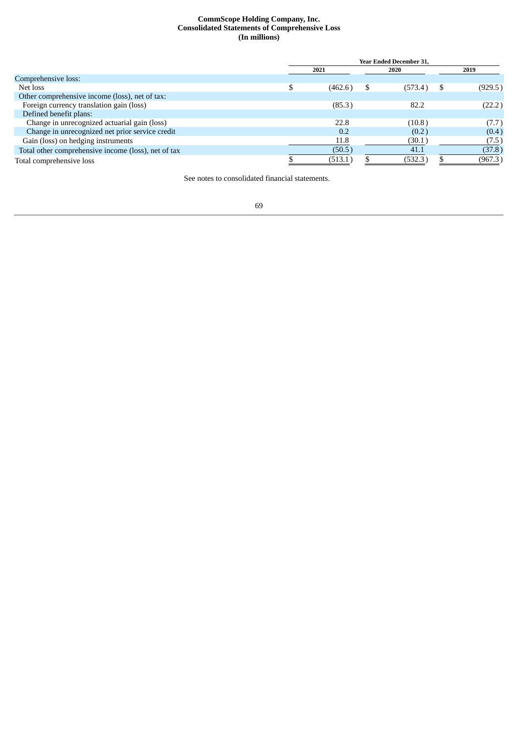#### **CommScope Holding Company, Inc. Consolidated Statements of Comprehensive Loss (In millions)**

<span id="page-68-0"></span>

|                                                     | <b>Year Ended December 31,</b> |         |      |         |  |         |  |
|-----------------------------------------------------|--------------------------------|---------|------|---------|--|---------|--|
|                                                     | 2021                           |         | 2020 |         |  | 2019    |  |
| Comprehensive loss:                                 |                                |         |      |         |  |         |  |
| Net loss                                            |                                | (462.6) | S    | (573.4) |  | (929.5) |  |
| Other comprehensive income (loss), net of tax:      |                                |         |      |         |  |         |  |
| Foreign currency translation gain (loss)            |                                | (85.3)  |      | 82.2    |  | (22.2)  |  |
| Defined benefit plans:                              |                                |         |      |         |  |         |  |
| Change in unrecognized actuarial gain (loss)        |                                | 22.8    |      | (10.8)  |  | (7.7)   |  |
| Change in unrecognized net prior service credit     |                                | 0.2     |      | (0.2)   |  | (0.4)   |  |
| Gain (loss) on hedging instruments                  |                                | 11.8    |      | (30.1)  |  | (7.5)   |  |
| Total other comprehensive income (loss), net of tax |                                | (50.5)  |      | 41.1    |  | (37.8)  |  |
| Total comprehensive loss                            |                                | (513.1) |      | (532.3) |  | (967.3) |  |

See notes to consolidated financial statements.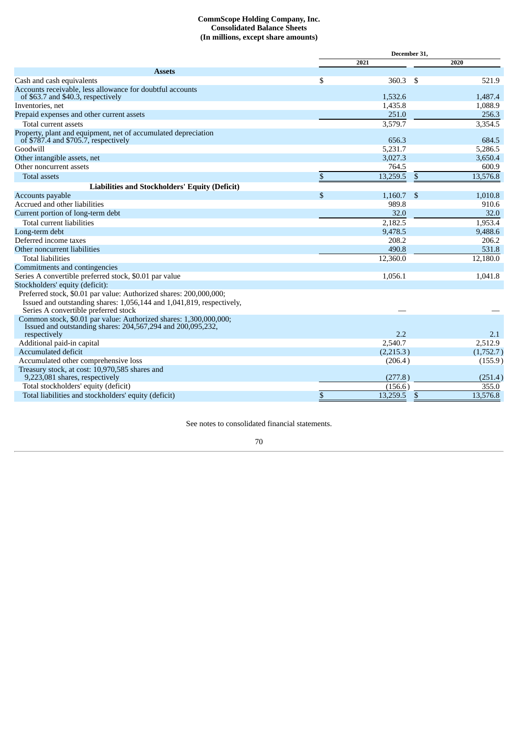## **CommScope Holding Company, Inc. Consolidated Balance Sheets (In millions, except share amounts)**

<span id="page-69-0"></span>

|                                                                                                                                                                                     |              | December 31, |                         |           |  |
|-------------------------------------------------------------------------------------------------------------------------------------------------------------------------------------|--------------|--------------|-------------------------|-----------|--|
|                                                                                                                                                                                     |              | 2021         |                         | 2020      |  |
| <b>Assets</b>                                                                                                                                                                       |              |              |                         |           |  |
| Cash and cash equivalents                                                                                                                                                           | \$           | 360.3        | S.                      | 521.9     |  |
| Accounts receivable, less allowance for doubtful accounts<br>of \$63.7 and \$40.3, respectively                                                                                     |              | 1,532.6      |                         | 1,487.4   |  |
| Inventories, net                                                                                                                                                                    |              | 1,435.8      |                         | 1,088.9   |  |
| Prepaid expenses and other current assets                                                                                                                                           |              | 251.0        |                         | 256.3     |  |
| Total current assets                                                                                                                                                                |              | 3,579.7      |                         | 3,354.5   |  |
| Property, plant and equipment, net of accumulated depreciation<br>of \$787.4 and \$705.7, respectively                                                                              |              | 656.3        |                         | 684.5     |  |
| Goodwill                                                                                                                                                                            |              | 5,231.7      |                         | 5,286.5   |  |
| Other intangible assets, net                                                                                                                                                        |              | 3,027.3      |                         | 3,650.4   |  |
| Other noncurrent assets                                                                                                                                                             |              | 764.5        |                         | 600.9     |  |
| <b>Total assets</b>                                                                                                                                                                 | \$           | 13,259.5     | $\mathfrak{s}$          | 13,576.8  |  |
| <b>Liabilities and Stockholders' Equity (Deficit)</b>                                                                                                                               |              |              |                         |           |  |
| Accounts payable                                                                                                                                                                    | $\mathbb{S}$ | 1,160.7      | -\$                     | 1,010.8   |  |
| Accrued and other liabilities                                                                                                                                                       |              | 989.8        |                         | 910.6     |  |
| Current portion of long-term debt                                                                                                                                                   |              | 32.0         |                         | 32.0      |  |
| Total current liabilities                                                                                                                                                           |              | 2,182.5      |                         | 1,953.4   |  |
| Long-term debt                                                                                                                                                                      |              | 9,478.5      |                         | 9,488.6   |  |
| Deferred income taxes                                                                                                                                                               |              | 208.2        |                         | 206.2     |  |
| Other noncurrent liabilities                                                                                                                                                        |              | 490.8        |                         | 531.8     |  |
| <b>Total liabilities</b>                                                                                                                                                            |              | 12,360.0     |                         | 12,180.0  |  |
| Commitments and contingencies                                                                                                                                                       |              |              |                         |           |  |
| Series A convertible preferred stock, \$0.01 par value                                                                                                                              |              | 1,056.1      |                         | 1,041.8   |  |
| Stockholders' equity (deficit):                                                                                                                                                     |              |              |                         |           |  |
| Preferred stock, \$0.01 par value: Authorized shares: 200,000,000;<br>Issued and outstanding shares: 1,056,144 and 1,041,819, respectively,<br>Series A convertible preferred stock |              |              |                         |           |  |
| Common stock, \$0.01 par value: Authorized shares: 1,300,000,000;<br>Issued and outstanding shares: 204,567,294 and 200,095,232,<br>respectively                                    |              | 2.2          |                         | 2.1       |  |
| Additional paid-in capital                                                                                                                                                          |              | 2,540.7      |                         | 2,512.9   |  |
| <b>Accumulated deficit</b>                                                                                                                                                          |              | (2,215.3)    |                         | (1,752.7) |  |
| Accumulated other comprehensive loss                                                                                                                                                |              | (206.4)      |                         | (155.9)   |  |
| Treasury stock, at cost: 10,970,585 shares and                                                                                                                                      |              |              |                         |           |  |
| 9,223,081 shares, respectively                                                                                                                                                      |              | (277.8)      |                         | (251.4)   |  |
| Total stockholders' equity (deficit)                                                                                                                                                |              | (156.6)      |                         | 355.0     |  |
| Total liabilities and stockholders' equity (deficit)                                                                                                                                | \$           | 13,259.5     | $\mathbf{\mathfrak{S}}$ | 13,576.8  |  |

See notes to consolidated financial statements.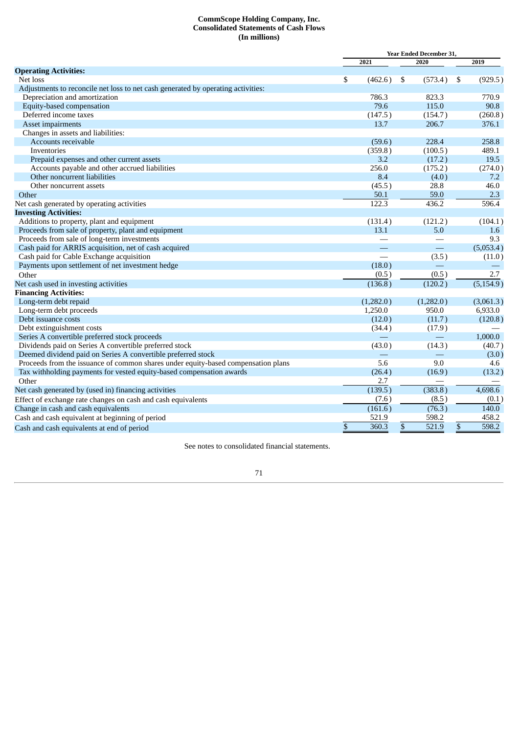#### **CommScope Holding Company, Inc. Consolidated Statements of Cash Flows (In millions)**

<span id="page-70-0"></span>

|                                                                                   |                           | <b>Year Ended December 31,</b> |    |                   |      |            |
|-----------------------------------------------------------------------------------|---------------------------|--------------------------------|----|-------------------|------|------------|
|                                                                                   |                           | 2021                           |    | 2020              |      | 2019       |
| <b>Operating Activities:</b>                                                      |                           |                                |    |                   |      |            |
| Net loss                                                                          | \$                        | (462.6)                        | \$ | (573.4)           | - \$ | (929.5)    |
| Adjustments to reconcile net loss to net cash generated by operating activities:  |                           |                                |    |                   |      |            |
| Depreciation and amortization                                                     |                           | 786.3                          |    | 823.3             |      | 770.9      |
| Equity-based compensation                                                         |                           | 79.6                           |    | 115.0             |      | 90.8       |
| Deferred income taxes                                                             |                           | (147.5)                        |    | (154.7)           |      | (260.8)    |
| Asset impairments                                                                 |                           | 13.7                           |    | 206.7             |      | 376.1      |
| Changes in assets and liabilities:                                                |                           |                                |    |                   |      |            |
| Accounts receivable                                                               |                           | (59.6)                         |    | 228.4             |      | 258.8      |
| <b>Inventories</b>                                                                |                           | (359.8)                        |    | (100.5)           |      | 489.1      |
| Prepaid expenses and other current assets                                         |                           | 3.2                            |    | (17.2)            |      | 19.5       |
| Accounts payable and other accrued liabilities                                    |                           | 256.0                          |    | (175.2)           |      | (274.0)    |
| Other noncurrent liabilities                                                      |                           | 8.4                            |    | (4.0)             |      | 7.2        |
| Other noncurrent assets                                                           |                           | (45.5)                         |    | 28.8              |      | 46.0       |
| Other                                                                             |                           | 50.1                           |    | 59.0              |      | 2.3        |
| Net cash generated by operating activities                                        |                           | 122.3                          |    | 436.2             |      | 596.4      |
| <b>Investing Activities:</b>                                                      |                           |                                |    |                   |      |            |
| Additions to property, plant and equipment                                        |                           | (131.4)                        |    | (121.2)           |      | (104.1)    |
| Proceeds from sale of property, plant and equipment                               |                           | 13.1                           |    | 5.0               |      | 1.6        |
| Proceeds from sale of long-term investments                                       |                           | $\overline{\phantom{0}}$       |    |                   |      | 9.3        |
| Cash paid for ARRIS acquisition, net of cash acquired                             |                           |                                |    | ᆖ                 |      | (5,053.4)  |
| Cash paid for Cable Exchange acquisition                                          |                           |                                |    | (3.5)             |      | (11.0)     |
| Payments upon settlement of net investment hedge                                  |                           | (18.0)                         |    |                   |      |            |
| Other                                                                             |                           | (0.5)                          |    | (0.5)             |      | 2.7        |
| Net cash used in investing activities                                             |                           | (136.8)                        |    | (120.2)           |      | (5, 154.9) |
| <b>Financing Activities:</b>                                                      |                           |                                |    |                   |      |            |
| Long-term debt repaid                                                             |                           | (1,282.0)                      |    | (1,282.0)         |      | (3,061.3)  |
| Long-term debt proceeds                                                           |                           | 1,250.0                        |    | 950.0             |      | 6,933.0    |
| Debt issuance costs                                                               |                           | (12.0)                         |    | (11.7)            |      | (120.8)    |
| Debt extinguishment costs                                                         |                           | (34.4)                         |    | (17.9)            |      |            |
| Series A convertible preferred stock proceeds                                     |                           | $\overline{\phantom{0}}$       |    | $\qquad \qquad -$ |      | 1,000.0    |
| Dividends paid on Series A convertible preferred stock                            |                           | (43.0)                         |    | (14.3)            |      | (40.7)     |
| Deemed dividend paid on Series A convertible preferred stock                      |                           |                                |    |                   |      | (3.0)      |
| Proceeds from the issuance of common shares under equity-based compensation plans |                           | 5.6                            |    | 9.0               |      | 4.6        |
| Tax withholding payments for vested equity-based compensation awards              |                           | (26.4)                         |    | (16.9)            |      | (13.2)     |
| Other                                                                             |                           | 2.7                            |    |                   |      |            |
| Net cash generated by (used in) financing activities                              |                           | (139.5)                        |    | (383.8)           |      | 4,698.6    |
| Effect of exchange rate changes on cash and cash equivalents                      |                           | (7.6)                          |    | (8.5)             |      | (0.1)      |
| Change in cash and cash equivalents                                               |                           | (161.6)                        |    | (76.3)            |      | 140.0      |
| Cash and cash equivalent at beginning of period                                   |                           | 521.9                          |    | 598.2             |      | 458.2      |
| Cash and cash equivalents at end of period                                        | $\boldsymbol{\mathsf{S}}$ | 360.3                          | \$ | 521.9             | \$   | 598.2      |
|                                                                                   |                           |                                |    |                   |      |            |

See notes to consolidated financial statements.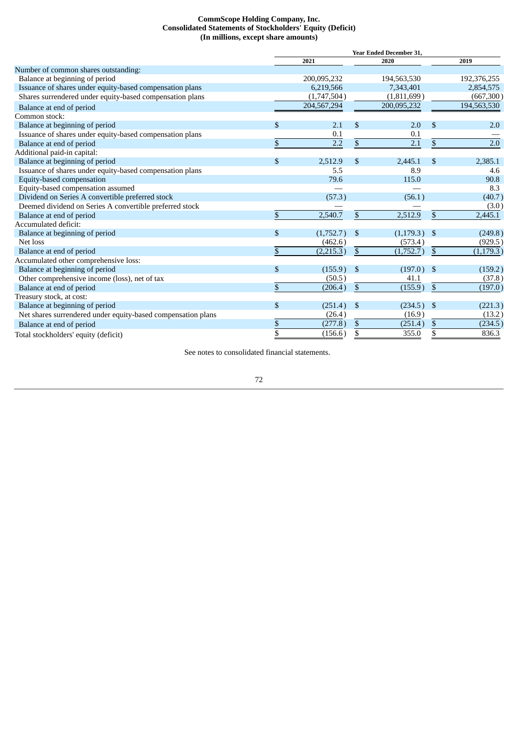## **CommScope Holding Company, Inc. Consolidated Statements of Stockholders' Equity (Deficit) (In millions, except share amounts)**

<span id="page-71-0"></span>

|                                                              | <b>Year Ended December 31,</b> |             |                |              |              |             |
|--------------------------------------------------------------|--------------------------------|-------------|----------------|--------------|--------------|-------------|
|                                                              |                                | 2021        |                | 2020         |              | 2019        |
| Number of common shares outstanding:                         |                                |             |                |              |              |             |
| Balance at beginning of period                               |                                | 200,095,232 |                | 194,563,530  |              | 192,376,255 |
| Issuance of shares under equity-based compensation plans     |                                | 6,219,566   |                | 7,343,401    |              | 2,854,575   |
| Shares surrendered under equity-based compensation plans     |                                | (1,747,504) |                | (1,811,699)  |              | (667, 300)  |
| Balance at end of period                                     |                                | 204,567,294 |                | 200,095,232  |              | 194,563,530 |
| Common stock:                                                |                                |             |                |              |              |             |
| Balance at beginning of period                               | \$                             | 2.1         | \$             | 2.0          | \$           | 2.0         |
| Issuance of shares under equity-based compensation plans     |                                | 0.1         |                | 0.1          |              |             |
| Balance at end of period                                     | \$                             | 2.2         | \$             | 2.1          | \$           | 2.0         |
| Additional paid-in capital:                                  |                                |             |                |              |              |             |
| Balance at beginning of period                               | \$                             | 2,512.9     | \$             | 2,445.1      | \$           | 2,385.1     |
| Issuance of shares under equity-based compensation plans     |                                | 5.5         |                | 8.9          |              | 4.6         |
| Equity-based compensation                                    |                                | 79.6        |                | 115.0        |              | 90.8        |
| Equity-based compensation assumed                            |                                |             |                |              |              | 8.3         |
| Dividend on Series A convertible preferred stock             |                                | (57.3)      |                | (56.1)       |              | (40.7)      |
| Deemed dividend on Series A convertible preferred stock      |                                |             |                |              |              | (3.0)       |
| Balance at end of period                                     | $\mathbf{\$}$                  | 2,540.7     | \$             | 2,512.9      | $\mathbf{s}$ | 2,445.1     |
| Accumulated deficit:                                         |                                |             |                |              |              |             |
| Balance at beginning of period                               | \$                             | (1,752.7)   | \$             | (1,179.3)    | \$           | (249.8)     |
| Net loss                                                     |                                | (462.6)     |                | (573.4)      |              | (929.5)     |
| Balance at end of period                                     | \$                             | (2,215.3)   | \$             | (1,752.7)    | \$           | (1,179.3)   |
| Accumulated other comprehensive loss:                        |                                |             |                |              |              |             |
| Balance at beginning of period                               | \$                             | (155.9)     | \$             | (197.0)      | -\$          | (159.2)     |
| Other comprehensive income (loss), net of tax                |                                | (50.5)      |                | 41.1         |              | (37.8)      |
| Balance at end of period                                     | \$                             | (206.4)     | $\mathfrak{S}$ | (155.9)      | $\sqrt{3}$   | (197.0)     |
| Treasury stock, at cost:                                     |                                |             |                |              |              |             |
| Balance at beginning of period                               | \$                             | (251.4)     | \$             | $(234.5)$ \$ |              | (221.3)     |
| Net shares surrendered under equity-based compensation plans |                                | (26.4)      |                | (16.9)       |              | (13.2)      |
| Balance at end of period                                     | $\boldsymbol{\mathsf{S}}$      | (277.8)     | \$             | (251.4)      | \$           | (234.5)     |
| Total stockholders' equity (deficit)                         | $\overline{\$}$                | (156.6)     | \$             | 355.0        | \$           | 836.3       |
|                                                              |                                |             |                |              |              |             |

See notes to consolidated financial statements.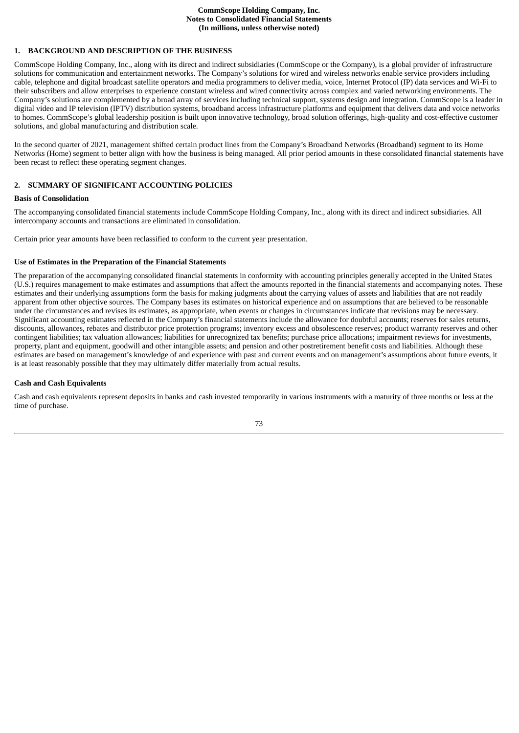# **1. BACKGROUND AND DESCRIPTION OF THE BUSINESS**

CommScope Holding Company, Inc., along with its direct and indirect subsidiaries (CommScope or the Company), is a global provider of infrastructure solutions for communication and entertainment networks. The Company's solutions for wired and wireless networks enable service providers including cable, telephone and digital broadcast satellite operators and media programmers to deliver media, voice, Internet Protocol (IP) data services and Wi-Fi to their subscribers and allow enterprises to experience constant wireless and wired connectivity across complex and varied networking environments. The Company's solutions are complemented by a broad array of services including technical support, systems design and integration. CommScope is a leader in digital video and IP television (IPTV) distribution systems, broadband access infrastructure platforms and equipment that delivers data and voice networks to homes. CommScope's global leadership position is built upon innovative technology, broad solution offerings, high-quality and cost-effective customer solutions, and global manufacturing and distribution scale.

In the second quarter of 2021, management shifted certain product lines from the Company's Broadband Networks (Broadband) segment to its Home Networks (Home) segment to better align with how the business is being managed. All prior period amounts in these consolidated financial statements have been recast to reflect these operating segment changes.

# **2. SUMMARY OF SIGNIFICANT ACCOUNTING POLICIES**

### **Basis of Consolidation**

The accompanying consolidated financial statements include CommScope Holding Company, Inc., along with its direct and indirect subsidiaries. All intercompany accounts and transactions are eliminated in consolidation.

Certain prior year amounts have been reclassified to conform to the current year presentation.

### **Use of Estimates in the Preparation of the Financial Statements**

The preparation of the accompanying consolidated financial statements in conformity with accounting principles generally accepted in the United States (U.S.) requires management to make estimates and assumptions that affect the amounts reported in the financial statements and accompanying notes. These estimates and their underlying assumptions form the basis for making judgments about the carrying values of assets and liabilities that are not readily apparent from other objective sources. The Company bases its estimates on historical experience and on assumptions that are believed to be reasonable under the circumstances and revises its estimates, as appropriate, when events or changes in circumstances indicate that revisions may be necessary. Significant accounting estimates reflected in the Company's financial statements include the allowance for doubtful accounts; reserves for sales returns, discounts, allowances, rebates and distributor price protection programs; inventory excess and obsolescence reserves; product warranty reserves and other contingent liabilities; tax valuation allowances; liabilities for unrecognized tax benefits; purchase price allocations; impairment reviews for investments, property, plant and equipment, goodwill and other intangible assets; and pension and other postretirement benefit costs and liabilities. Although these estimates are based on management's knowledge of and experience with past and current events and on management's assumptions about future events, it is at least reasonably possible that they may ultimately differ materially from actual results.

### **Cash and Cash Equivalents**

Cash and cash equivalents represent deposits in banks and cash invested temporarily in various instruments with a maturity of three months or less at the time of purchase.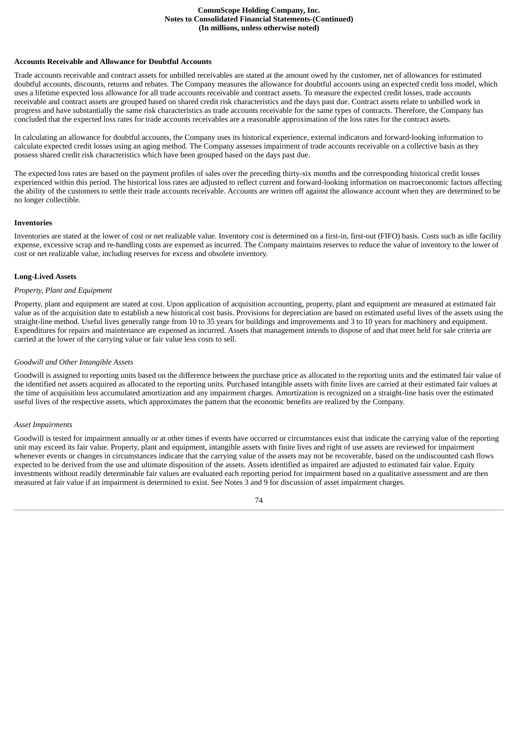#### **Accounts Receivable and Allowance for Doubtful Accounts**

Trade accounts receivable and contract assets for unbilled receivables are stated at the amount owed by the customer, net of allowances for estimated doubtful accounts, discounts, returns and rebates. The Company measures the allowance for doubtful accounts using an expected credit loss model, which uses a lifetime expected loss allowance for all trade accounts receivable and contract assets. To measure the expected credit losses, trade accounts receivable and contract assets are grouped based on shared credit risk characteristics and the days past due. Contract assets relate to unbilled work in progress and have substantially the same risk characteristics as trade accounts receivable for the same types of contracts. Therefore, the Company has concluded that the expected loss rates for trade accounts receivables are a reasonable approximation of the loss rates for the contract assets.

In calculating an allowance for doubtful accounts, the Company uses its historical experience, external indicators and forward-looking information to calculate expected credit losses using an aging method. The Company assesses impairment of trade accounts receivable on a collective basis as they possess shared credit risk characteristics which have been grouped based on the days past due.

The expected loss rates are based on the payment profiles of sales over the preceding thirty-six months and the corresponding historical credit losses experienced within this period. The historical loss rates are adjusted to reflect current and forward-looking information on macroeconomic factors affecting the ability of the customers to settle their trade accounts receivable. Accounts are written off against the allowance account when they are determined to be no longer collectible.

### **Inventories**

Inventories are stated at the lower of cost or net realizable value. Inventory cost is determined on a first-in, first-out (FIFO) basis. Costs such as idle facility expense, excessive scrap and re-handling costs are expensed as incurred. The Company maintains reserves to reduce the value of inventory to the lower of cost or net realizable value, including reserves for excess and obsolete inventory.

### **Long-Lived Assets**

### *Property, Plant and Equipment*

Property, plant and equipment are stated at cost. Upon application of acquisition accounting, property, plant and equipment are measured at estimated fair value as of the acquisition date to establish a new historical cost basis. Provisions for depreciation are based on estimated useful lives of the assets using the straight-line method. Useful lives generally range from 10 to 35 years for buildings and improvements and 3 to 10 years for machinery and equipment. Expenditures for repairs and maintenance are expensed as incurred. Assets that management intends to dispose of and that meet held for sale criteria are carried at the lower of the carrying value or fair value less costs to sell.

### *Goodwill and Other Intangible Assets*

Goodwill is assigned to reporting units based on the difference between the purchase price as allocated to the reporting units and the estimated fair value of the identified net assets acquired as allocated to the reporting units. Purchased intangible assets with finite lives are carried at their estimated fair values at the time of acquisition less accumulated amortization and any impairment charges. Amortization is recognized on a straight-line basis over the estimated useful lives of the respective assets, which approximates the pattern that the economic benefits are realized by the Company.

### *Asset Impairments*

Goodwill is tested for impairment annually or at other times if events have occurred or circumstances exist that indicate the carrying value of the reporting unit may exceed its fair value. Property, plant and equipment, intangible assets with finite lives and right of use assets are reviewed for impairment whenever events or changes in circumstances indicate that the carrying value of the assets may not be recoverable, based on the undiscounted cash flows expected to be derived from the use and ultimate disposition of the assets. Assets identified as impaired are adjusted to estimated fair value. Equity investments without readily determinable fair values are evaluated each reporting period for impairment based on a qualitative assessment and are then measured at fair value if an impairment is determined to exist. See Notes 3 and 9 for discussion of asset impairment charges.

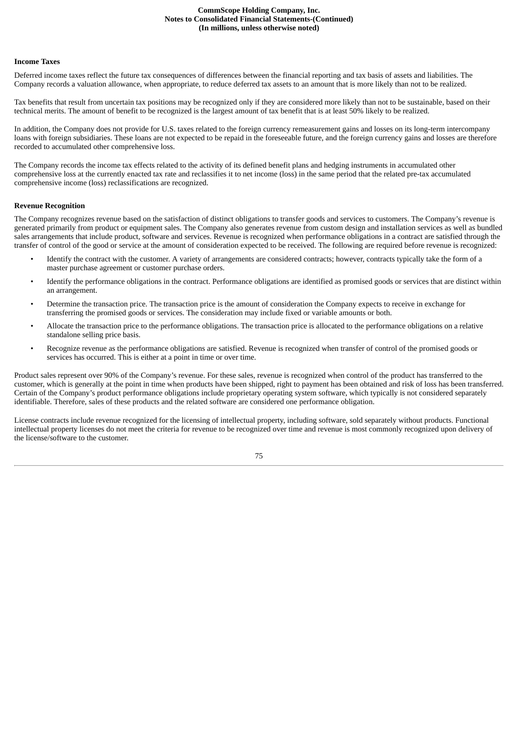#### **Income Taxes**

Deferred income taxes reflect the future tax consequences of differences between the financial reporting and tax basis of assets and liabilities. The Company records a valuation allowance, when appropriate, to reduce deferred tax assets to an amount that is more likely than not to be realized.

Tax benefits that result from uncertain tax positions may be recognized only if they are considered more likely than not to be sustainable, based on their technical merits. The amount of benefit to be recognized is the largest amount of tax benefit that is at least 50% likely to be realized.

In addition, the Company does not provide for U.S. taxes related to the foreign currency remeasurement gains and losses on its long-term intercompany loans with foreign subsidiaries. These loans are not expected to be repaid in the foreseeable future, and the foreign currency gains and losses are therefore recorded to accumulated other comprehensive loss.

The Company records the income tax effects related to the activity of its defined benefit plans and hedging instruments in accumulated other comprehensive loss at the currently enacted tax rate and reclassifies it to net income (loss) in the same period that the related pre-tax accumulated comprehensive income (loss) reclassifications are recognized.

### **Revenue Recognition**

The Company recognizes revenue based on the satisfaction of distinct obligations to transfer goods and services to customers. The Company's revenue is generated primarily from product or equipment sales. The Company also generates revenue from custom design and installation services as well as bundled sales arrangements that include product, software and services. Revenue is recognized when performance obligations in a contract are satisfied through the transfer of control of the good or service at the amount of consideration expected to be received. The following are required before revenue is recognized:

- Identify the contract with the customer. A variety of arrangements are considered contracts; however, contracts typically take the form of a master purchase agreement or customer purchase orders.
- Identify the performance obligations in the contract. Performance obligations are identified as promised goods or services that are distinct within an arrangement.
- Determine the transaction price. The transaction price is the amount of consideration the Company expects to receive in exchange for transferring the promised goods or services. The consideration may include fixed or variable amounts or both.
- Allocate the transaction price to the performance obligations. The transaction price is allocated to the performance obligations on a relative standalone selling price basis.
- Recognize revenue as the performance obligations are satisfied. Revenue is recognized when transfer of control of the promised goods or services has occurred. This is either at a point in time or over time.

Product sales represent over 90% of the Company's revenue. For these sales, revenue is recognized when control of the product has transferred to the customer, which is generally at the point in time when products have been shipped, right to payment has been obtained and risk of loss has been transferred. Certain of the Company's product performance obligations include proprietary operating system software, which typically is not considered separately identifiable. Therefore, sales of these products and the related software are considered one performance obligation.

License contracts include revenue recognized for the licensing of intellectual property, including software, sold separately without products. Functional intellectual property licenses do not meet the criteria for revenue to be recognized over time and revenue is most commonly recognized upon delivery of the license/software to the customer.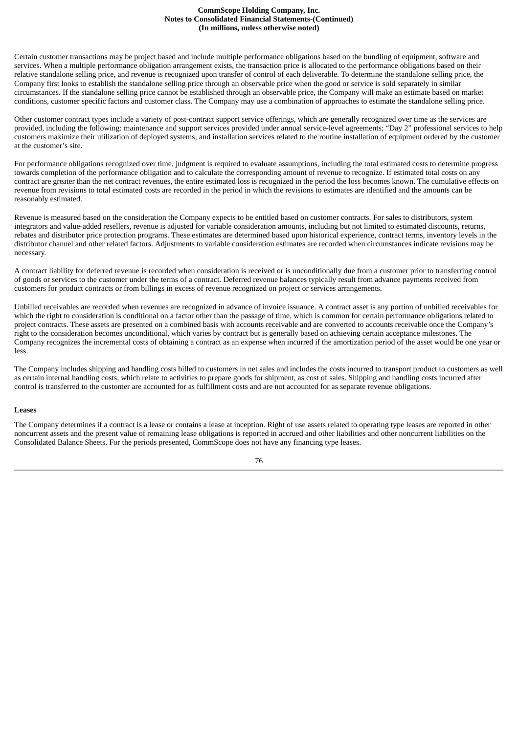Certain customer transactions may be project based and include multiple performance obligations based on the bundling of equipment, software and services. When a multiple performance obligation arrangement exists, the transaction price is allocated to the performance obligations based on their relative standalone selling price, and revenue is recognized upon transfer of control of each deliverable. To determine the standalone selling price, the Company first looks to establish the standalone selling price through an observable price when the good or service is sold separately in similar circumstances. If the standalone selling price cannot be established through an observable price, the Company will make an estimate based on market conditions, customer specific factors and customer class. The Company may use a combination of approaches to estimate the standalone selling price.

Other customer contract types include a variety of post-contract support service offerings, which are generally recognized over time as the services are provided, including the following: maintenance and support services provided under annual service-level agreements; "Day 2" professional services to help customers maximize their utilization of deployed systems; and installation services related to the routine installation of equipment ordered by the customer at the customer's site.

For performance obligations recognized over time, judgment is required to evaluate assumptions, including the total estimated costs to determine progress towards completion of the performance obligation and to calculate the corresponding amount of revenue to recognize. If estimated total costs on any contract are greater than the net contract revenues, the entire estimated loss is recognized in the period the loss becomes known. The cumulative effects on revenue from revisions to total estimated costs are recorded in the period in which the revisions to estimates are identified and the amounts can be reasonably estimated.

Revenue is measured based on the consideration the Company expects to be entitled based on customer contracts. For sales to distributors, system integrators and value-added resellers, revenue is adjusted for variable consideration amounts, including but not limited to estimated discounts, returns, rebates and distributor price protection programs. These estimates are determined based upon historical experience, contract terms, inventory levels in the distributor channel and other related factors. Adjustments to variable consideration estimates are recorded when circumstances indicate revisions may be necessary.

A contract liability for deferred revenue is recorded when consideration is received or is unconditionally due from a customer prior to transferring control of goods or services to the customer under the terms of a contract. Deferred revenue balances typically result from advance payments received from customers for product contracts or from billings in excess of revenue recognized on project or services arrangements.

Unbilled receivables are recorded when revenues are recognized in advance of invoice issuance. A contract asset is any portion of unbilled receivables for which the right to consideration is conditional on a factor other than the passage of time, which is common for certain performance obligations related to project contracts. These assets are presented on a combined basis with accounts receivable and are converted to accounts receivable once the Company's right to the consideration becomes unconditional, which varies by contract but is generally based on achieving certain acceptance milestones. The Company recognizes the incremental costs of obtaining a contract as an expense when incurred if the amortization period of the asset would be one year or locc

The Company includes shipping and handling costs billed to customers in net sales and includes the costs incurred to transport product to customers as well as certain internal handling costs, which relate to activities to prepare goods for shipment, as cost of sales. Shipping and handling costs incurred after control is transferred to the customer are accounted for as fulfillment costs and are not accounted for as separate revenue obligations.

### **Leases**

The Company determines if a contract is a lease or contains a lease at inception. Right of use assets related to operating type leases are reported in other noncurrent assets and the present value of remaining lease obligations is reported in accrued and other liabilities and other noncurrent liabilities on the Consolidated Balance Sheets. For the periods presented, CommScope does not have any financing type leases.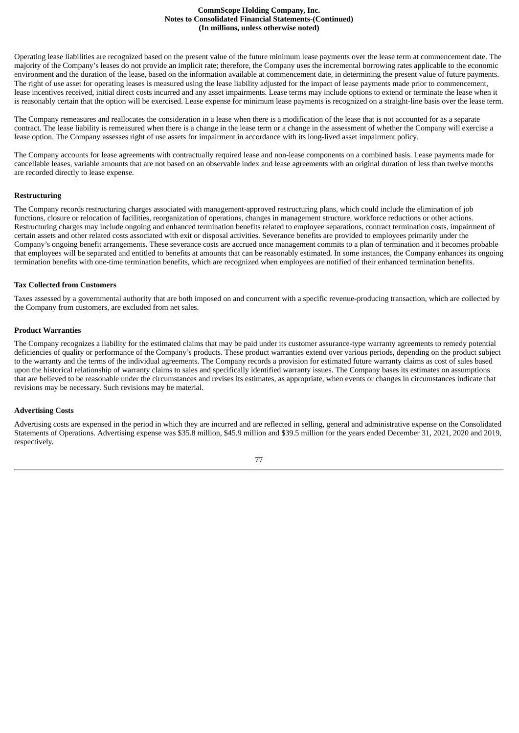Operating lease liabilities are recognized based on the present value of the future minimum lease payments over the lease term at commencement date. The majority of the Company's leases do not provide an implicit rate; therefore, the Company uses the incremental borrowing rates applicable to the economic environment and the duration of the lease, based on the information available at commencement date, in determining the present value of future payments. The right of use asset for operating leases is measured using the lease liability adjusted for the impact of lease payments made prior to commencement, lease incentives received, initial direct costs incurred and any asset impairments. Lease terms may include options to extend or terminate the lease when it is reasonably certain that the option will be exercised. Lease expense for minimum lease payments is recognized on a straight-line basis over the lease term.

The Company remeasures and reallocates the consideration in a lease when there is a modification of the lease that is not accounted for as a separate contract. The lease liability is remeasured when there is a change in the lease term or a change in the assessment of whether the Company will exercise a lease option. The Company assesses right of use assets for impairment in accordance with its long-lived asset impairment policy.

The Company accounts for lease agreements with contractually required lease and non-lease components on a combined basis. Lease payments made for cancellable leases, variable amounts that are not based on an observable index and lease agreements with an original duration of less than twelve months are recorded directly to lease expense.

### **Restructuring**

The Company records restructuring charges associated with management-approved restructuring plans, which could include the elimination of job functions, closure or relocation of facilities, reorganization of operations, changes in management structure, workforce reductions or other actions. Restructuring charges may include ongoing and enhanced termination benefits related to employee separations, contract termination costs, impairment of certain assets and other related costs associated with exit or disposal activities. Severance benefits are provided to employees primarily under the Company's ongoing benefit arrangements. These severance costs are accrued once management commits to a plan of termination and it becomes probable that employees will be separated and entitled to benefits at amounts that can be reasonably estimated. In some instances, the Company enhances its ongoing termination benefits with one-time termination benefits, which are recognized when employees are notified of their enhanced termination benefits.

#### **Tax Collected from Customers**

Taxes assessed by a governmental authority that are both imposed on and concurrent with a specific revenue-producing transaction, which are collected by the Company from customers, are excluded from net sales.

### **Product Warranties**

The Company recognizes a liability for the estimated claims that may be paid under its customer assurance-type warranty agreements to remedy potential deficiencies of quality or performance of the Company's products. These product warranties extend over various periods, depending on the product subject to the warranty and the terms of the individual agreements. The Company records a provision for estimated future warranty claims as cost of sales based upon the historical relationship of warranty claims to sales and specifically identified warranty issues. The Company bases its estimates on assumptions that are believed to be reasonable under the circumstances and revises its estimates, as appropriate, when events or changes in circumstances indicate that revisions may be necessary. Such revisions may be material.

### **Advertising Costs**

Advertising costs are expensed in the period in which they are incurred and are reflected in selling, general and administrative expense on the Consolidated Statements of Operations. Advertising expense was \$35.8 million, \$45.9 million and \$39.5 million for the years ended December 31, 2021, 2020 and 2019, respectively.

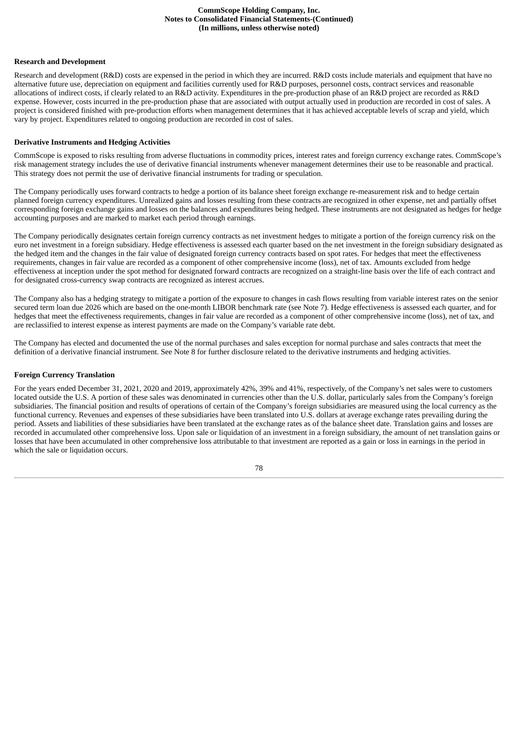#### **Research and Development**

Research and development (R&D) costs are expensed in the period in which they are incurred. R&D costs include materials and equipment that have no alternative future use, depreciation on equipment and facilities currently used for R&D purposes, personnel costs, contract services and reasonable allocations of indirect costs, if clearly related to an R&D activity. Expenditures in the pre-production phase of an R&D project are recorded as R&D expense. However, costs incurred in the pre-production phase that are associated with output actually used in production are recorded in cost of sales. A project is considered finished with pre-production efforts when management determines that it has achieved acceptable levels of scrap and yield, which vary by project. Expenditures related to ongoing production are recorded in cost of sales.

### **Derivative Instruments and Hedging Activities**

CommScope is exposed to risks resulting from adverse fluctuations in commodity prices, interest rates and foreign currency exchange rates. CommScope's risk management strategy includes the use of derivative financial instruments whenever management determines their use to be reasonable and practical. This strategy does not permit the use of derivative financial instruments for trading or speculation.

The Company periodically uses forward contracts to hedge a portion of its balance sheet foreign exchange re-measurement risk and to hedge certain planned foreign currency expenditures. Unrealized gains and losses resulting from these contracts are recognized in other expense, net and partially offset corresponding foreign exchange gains and losses on the balances and expenditures being hedged. These instruments are not designated as hedges for hedge accounting purposes and are marked to market each period through earnings.

The Company periodically designates certain foreign currency contracts as net investment hedges to mitigate a portion of the foreign currency risk on the euro net investment in a foreign subsidiary. Hedge effectiveness is assessed each quarter based on the net investment in the foreign subsidiary designated as the hedged item and the changes in the fair value of designated foreign currency contracts based on spot rates. For hedges that meet the effectiveness requirements, changes in fair value are recorded as a component of other comprehensive income (loss), net of tax. Amounts excluded from hedge effectiveness at inception under the spot method for designated forward contracts are recognized on a straight-line basis over the life of each contract and for designated cross-currency swap contracts are recognized as interest accrues.

The Company also has a hedging strategy to mitigate a portion of the exposure to changes in cash flows resulting from variable interest rates on the senior secured term loan due 2026 which are based on the one-month LIBOR benchmark rate (see Note 7). Hedge effectiveness is assessed each quarter, and for hedges that meet the effectiveness requirements, changes in fair value are recorded as a component of other comprehensive income (loss), net of tax, and are reclassified to interest expense as interest payments are made on the Company's variable rate debt.

The Company has elected and documented the use of the normal purchases and sales exception for normal purchase and sales contracts that meet the definition of a derivative financial instrument. See Note 8 for further disclosure related to the derivative instruments and hedging activities.

#### **Foreign Currency Translation**

For the years ended December 31, 2021, 2020 and 2019, approximately 42%, 39% and 41%, respectively, of the Company's net sales were to customers located outside the U.S. A portion of these sales was denominated in currencies other than the U.S. dollar, particularly sales from the Company's foreign subsidiaries. The financial position and results of operations of certain of the Company's foreign subsidiaries are measured using the local currency as the functional currency. Revenues and expenses of these subsidiaries have been translated into U.S. dollars at average exchange rates prevailing during the period. Assets and liabilities of these subsidiaries have been translated at the exchange rates as of the balance sheet date. Translation gains and losses are recorded in accumulated other comprehensive loss. Upon sale or liquidation of an investment in a foreign subsidiary, the amount of net translation gains or losses that have been accumulated in other comprehensive loss attributable to that investment are reported as a gain or loss in earnings in the period in which the sale or liquidation occurs.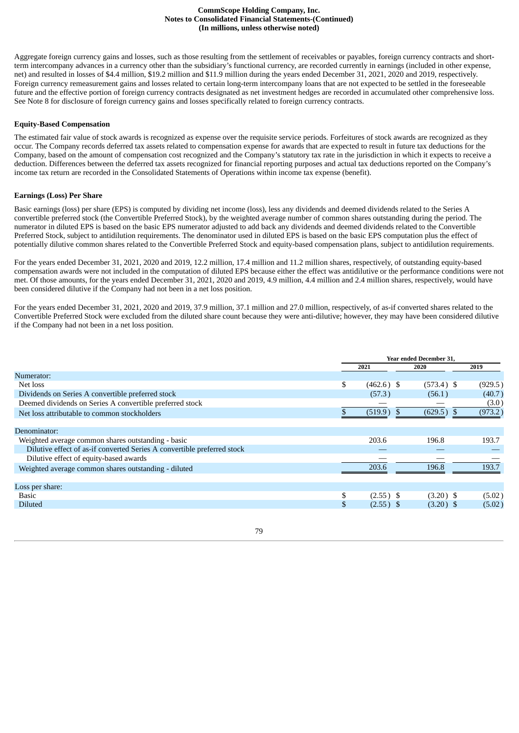Aggregate foreign currency gains and losses, such as those resulting from the settlement of receivables or payables, foreign currency contracts and shortterm intercompany advances in a currency other than the subsidiary's functional currency, are recorded currently in earnings (included in other expense, net) and resulted in losses of \$4.4 million, \$19.2 million and \$11.9 million during the years ended December 31, 2021, 2020 and 2019, respectively. Foreign currency remeasurement gains and losses related to certain long-term intercompany loans that are not expected to be settled in the foreseeable future and the effective portion of foreign currency contracts designated as net investment hedges are recorded in accumulated other comprehensive loss. See Note 8 for disclosure of foreign currency gains and losses specifically related to foreign currency contracts.

### **Equity-Based Compensation**

The estimated fair value of stock awards is recognized as expense over the requisite service periods. Forfeitures of stock awards are recognized as they occur. The Company records deferred tax assets related to compensation expense for awards that are expected to result in future tax deductions for the Company, based on the amount of compensation cost recognized and the Company's statutory tax rate in the jurisdiction in which it expects to receive a deduction. Differences between the deferred tax assets recognized for financial reporting purposes and actual tax deductions reported on the Company's income tax return are recorded in the Consolidated Statements of Operations within income tax expense (benefit).

### **Earnings (Loss) Per Share**

Basic earnings (loss) per share (EPS) is computed by dividing net income (loss), less any dividends and deemed dividends related to the Series A convertible preferred stock (the Convertible Preferred Stock), by the weighted average number of common shares outstanding during the period. The numerator in diluted EPS is based on the basic EPS numerator adjusted to add back any dividends and deemed dividends related to the Convertible Preferred Stock, subject to antidilution requirements. The denominator used in diluted EPS is based on the basic EPS computation plus the effect of potentially dilutive common shares related to the Convertible Preferred Stock and equity-based compensation plans, subject to antidilution requirements.

For the years ended December 31, 2021, 2020 and 2019, 12.2 million, 17.4 million and 11.2 million shares, respectively, of outstanding equity-based compensation awards were not included in the computation of diluted EPS because either the effect was antidilutive or the performance conditions were not met. Of those amounts, for the years ended December 31, 2021, 2020 and 2019, 4.9 million, 4.4 million and 2.4 million shares, respectively, would have been considered dilutive if the Company had not been in a net loss position.

For the years ended December 31, 2021, 2020 and 2019, 37.9 million, 37.1 million and 27.0 million, respectively, of as-if converted shares related to the Convertible Preferred Stock were excluded from the diluted share count because they were anti-dilutive; however, they may have been considered dilutive if the Company had not been in a net loss position.

|                                                                         |              |              | Year ended December 31, |         |
|-------------------------------------------------------------------------|--------------|--------------|-------------------------|---------|
|                                                                         |              | 2021         | 2020                    | 2019    |
| Numerator:                                                              |              |              |                         |         |
| Net loss                                                                | \$           | $(462.6)$ \$ | $(573.4)$ \$            | (929.5) |
| Dividends on Series A convertible preferred stock                       |              | (57.3)       | (56.1)                  | (40.7)  |
| Deemed dividends on Series A convertible preferred stock                |              |              |                         | (3.0)   |
| Net loss attributable to common stockholders                            |              | (519.9)      | (629.5)                 | (973.2) |
| Denominator:                                                            |              |              |                         |         |
| Weighted average common shares outstanding - basic                      |              | 203.6        | 196.8                   | 193.7   |
| Dilutive effect of as-if converted Series A convertible preferred stock |              |              |                         |         |
| Dilutive effect of equity-based awards                                  |              |              |                         |         |
| Weighted average common shares outstanding - diluted                    |              | 203.6        | 196.8                   | 193.7   |
| Loss per share:                                                         |              |              |                         |         |
| Basic                                                                   | \$           | $(2.55)$ \$  | $(3.20)$ \$             | (5.02)  |
| <b>Diluted</b>                                                          | $\mathbf{s}$ | $(2.55)$ \$  | $(3.20)$ \$             | (5.02)  |
|                                                                         |              |              |                         |         |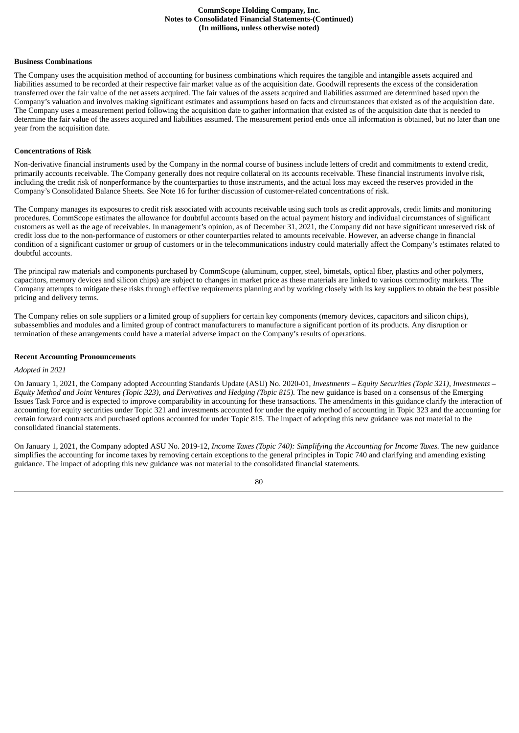#### **Business Combinations**

The Company uses the acquisition method of accounting for business combinations which requires the tangible and intangible assets acquired and liabilities assumed to be recorded at their respective fair market value as of the acquisition date. Goodwill represents the excess of the consideration transferred over the fair value of the net assets acquired. The fair values of the assets acquired and liabilities assumed are determined based upon the Company's valuation and involves making significant estimates and assumptions based on facts and circumstances that existed as of the acquisition date. The Company uses a measurement period following the acquisition date to gather information that existed as of the acquisition date that is needed to determine the fair value of the assets acquired and liabilities assumed. The measurement period ends once all information is obtained, but no later than one year from the acquisition date.

### **Concentrations of Risk**

Non-derivative financial instruments used by the Company in the normal course of business include letters of credit and commitments to extend credit, primarily accounts receivable. The Company generally does not require collateral on its accounts receivable. These financial instruments involve risk, including the credit risk of nonperformance by the counterparties to those instruments, and the actual loss may exceed the reserves provided in the Company's Consolidated Balance Sheets. See Note 16 for further discussion of customer-related concentrations of risk.

The Company manages its exposures to credit risk associated with accounts receivable using such tools as credit approvals, credit limits and monitoring procedures. CommScope estimates the allowance for doubtful accounts based on the actual payment history and individual circumstances of significant customers as well as the age of receivables. In management's opinion, as of December 31, 2021, the Company did not have significant unreserved risk of credit loss due to the non-performance of customers or other counterparties related to amounts receivable. However, an adverse change in financial condition of a significant customer or group of customers or in the telecommunications industry could materially affect the Company's estimates related to doubtful accounts.

The principal raw materials and components purchased by CommScope (aluminum, copper, steel, bimetals, optical fiber, plastics and other polymers, capacitors, memory devices and silicon chips) are subject to changes in market price as these materials are linked to various commodity markets. The Company attempts to mitigate these risks through effective requirements planning and by working closely with its key suppliers to obtain the best possible pricing and delivery terms.

The Company relies on sole suppliers or a limited group of suppliers for certain key components (memory devices, capacitors and silicon chips), subassemblies and modules and a limited group of contract manufacturers to manufacture a significant portion of its products. Any disruption or termination of these arrangements could have a material adverse impact on the Company's results of operations.

### **Recent Accounting Pronouncements**

#### *Adopted in 2021*

On January 1, 2021, the Company adopted Accounting Standards Update (ASU) No. 2020-01*, Investments – Equity Securities (Topic 321), Investments –* Equity Method and Joint Ventures (Topic 323), and Derivatives and Hedging (Topic 815). The new guidance is based on a consensus of the Emerging Issues Task Force and is expected to improve comparability in accounting for these transactions. The amendments in this guidance clarify the interaction of accounting for equity securities under Topic 321 and investments accounted for under the equity method of accounting in Topic 323 and the accounting for certain forward contracts and purchased options accounted for under Topic 815. The impact of adopting this new guidance was not material to the consolidated financial statements.

On January 1, 2021, the Company adopted ASU No. 2019-12, *Income Taxes (Topic 740): Simplifying the Accounting for Income Taxes.* The new guidance simplifies the accounting for income taxes by removing certain exceptions to the general principles in Topic 740 and clarifying and amending existing guidance. The impact of adopting this new guidance was not material to the consolidated financial statements.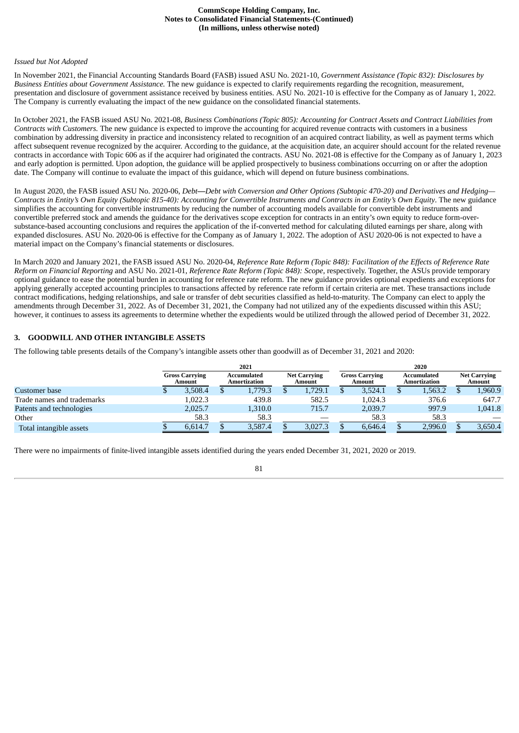#### *Issued but Not Adopted*

In November 2021, the Financial Accounting Standards Board (FASB) issued ASU No. 2021-10, *Government Assistance (Topic 832): Disclosures by Business Entities about Government Assistance.* The new guidance is expected to clarify requirements regarding the recognition, measurement, presentation and disclosure of government assistance received by business entities. ASU No. 2021-10 is effective for the Company as of January 1, 2022. The Company is currently evaluating the impact of the new guidance on the consolidated financial statements.

In October 2021, the FASB issued ASU No. 2021-08, Business Combinations (Topic 805): Accounting for Contract Assets and Contract Liabilities from *Contracts with Customers.* The new guidance is expected to improve the accounting for acquired revenue contracts with customers in a business combination by addressing diversity in practice and inconsistency related to recognition of an acquired contract liability, as well as payment terms which affect subsequent revenue recognized by the acquirer. According to the guidance, at the acquisition date, an acquirer should account for the related revenue contracts in accordance with Topic 606 as if the acquirer had originated the contracts. ASU No. 2021-08 is effective for the Company as of January 1, 2023 and early adoption is permitted. Upon adoption, the guidance will be applied prospectively to business combinations occurring on or after the adoption date. The Company will continue to evaluate the impact of this guidance, which will depend on future business combinations.

In August 2020, the FASB issued ASU No. 2020-06, Debt—Debt with Conversion and Other Options (Subtopic 470-20) and Derivatives and Hedging— Contracts in Entity's Own Equity (Subtopic 815-40): Accounting for Convertible Instruments and Contracts in an Entity's Own Equity. The new guidance simplifies the accounting for convertible instruments by reducing the number of accounting models available for convertible debt instruments and convertible preferred stock and amends the guidance for the derivatives scope exception for contracts in an entity's own equity to reduce form-oversubstance-based accounting conclusions and requires the application of the if-converted method for calculating diluted earnings per share, along with expanded disclosures. ASU No. 2020-06 is effective for the Company as of January 1, 2022. The adoption of ASU 2020-06 is not expected to have a material impact on the Company's financial statements or disclosures.

In March 2020 and January 2021, the FASB issued ASU No. 2020-04, Reference Rate Reform (Topic 848): Facilitation of the Effects of Reference Rate *Reform on Financial Reporting* and ASU No. 2021-01, *Reference Rate Reform (Topic 848): Scope*, respectively. Together, the ASUs provide temporary optional guidance to ease the potential burden in accounting for reference rate reform. The new guidance provides optional expedients and exceptions for applying generally accepted accounting principles to transactions affected by reference rate reform if certain criteria are met. These transactions include contract modifications, hedging relationships, and sale or transfer of debt securities classified as held-to-maturity. The Company can elect to apply the amendments through December 31, 2022. As of December 31, 2021, the Company had not utilized any of the expedients discussed within this ASU; however, it continues to assess its agreements to determine whether the expedients would be utilized through the allowed period of December 31, 2022.

# **3. GOODWILL AND OTHER INTANGIBLE ASSETS**

The following table presents details of the Company's intangible assets other than goodwill as of December 31, 2021 and 2020:

|                            | 2021                            |  |                             |  |                               |  | 2020                            |  |                             |  |                               |  |  |
|----------------------------|---------------------------------|--|-----------------------------|--|-------------------------------|--|---------------------------------|--|-----------------------------|--|-------------------------------|--|--|
|                            | <b>Gross Carrying</b><br>Amount |  | Accumulated<br>Amortization |  | <b>Net Carrying</b><br>Amount |  | <b>Gross Carrying</b><br>Amount |  | Accumulated<br>Amortization |  | <b>Net Carrying</b><br>Amount |  |  |
| Customer base              | 3.508.4                         |  | 1,779.3                     |  | 1,729.1                       |  | 3.524.1                         |  | 1,563.2                     |  | 1,960.9                       |  |  |
| Trade names and trademarks | 1,022.3                         |  | 439.8                       |  | 582.5                         |  | 1,024.3                         |  | 376.6                       |  | 647.7                         |  |  |
| Patents and technologies   | 2,025.7                         |  | 1,310.0                     |  | 715.7                         |  | 2,039.7                         |  | 997.9                       |  | 1,041.8                       |  |  |
| Other                      | 58.3                            |  | 58.3                        |  |                               |  | 58.3                            |  | 58.3                        |  |                               |  |  |
| Total intangible assets    | 6.614.7                         |  | 3,587.4                     |  | 3,027.3                       |  | 6.646.4                         |  | 2,996.0                     |  | 3,650.4                       |  |  |

There were no impairments of finite-lived intangible assets identified during the years ended December 31, 2021, 2020 or 2019.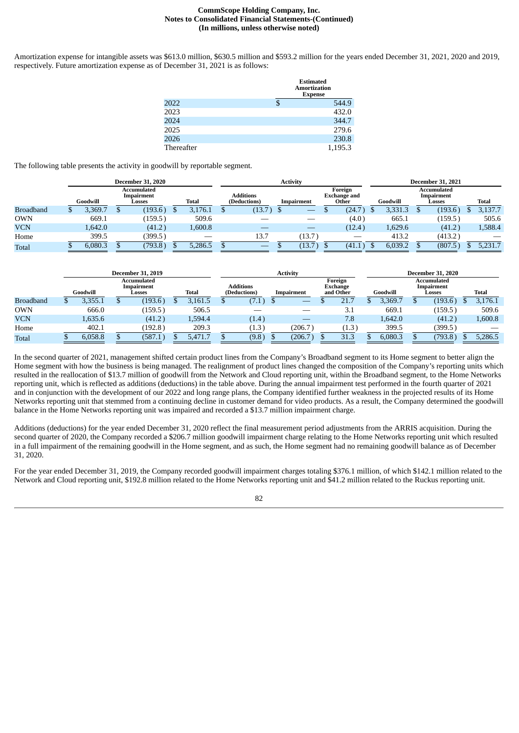Amortization expense for intangible assets was \$613.0 million, \$630.5 million and \$593.2 million for the years ended December 31, 2021, 2020 and 2019, respectively. Future amortization expense as of December 31, 2021 is as follows:

|            | Estimated<br>Amortization<br><b>Expense</b> |
|------------|---------------------------------------------|
| 2022       | 544.9                                       |
| 2023       | 432.0                                       |
| 2024       | 344.7                                       |
| 2025       | 279.6                                       |
| 2026       | 230.8                                       |
| Thereafter | 1,195.3                                     |

The following table presents the activity in goodwill by reportable segment.

|                  |                                                          |         |  | <b>December 31, 2020</b>                       |         | <b>Activity</b> |                                         |  |                   |                                                        | <b>December 31, 2021</b> |  |         |       |         |  |         |
|------------------|----------------------------------------------------------|---------|--|------------------------------------------------|---------|-----------------|-----------------------------------------|--|-------------------|--------------------------------------------------------|--------------------------|--|---------|-------|---------|--|---------|
|                  | Accumulated<br>Impairment<br>Goodwill<br>Total<br>Losses |         |  | <b>Additions</b><br>(Deductions)<br>Impairment |         |                 | Foreign<br><b>Exchange and</b><br>Other |  |                   | <b>Accumulated</b><br>Impairment<br>Goodwill<br>Losses |                          |  |         | Total |         |  |         |
| <b>Broadband</b> | ۰                                                        | 3,369.7 |  | (193.6)                                        | 3,176.1 |                 | 13.7                                    |  | $\qquad \qquad -$ |                                                        | (24.7)                   |  | 3,331.3 |       | (193.6) |  | 3,137.7 |
| <b>OWN</b>       |                                                          | 669.1   |  | (159.5)                                        | 509.6   |                 |                                         |  |                   |                                                        | (4.0)                    |  | 665.1   |       | (159.5) |  | 505.6   |
| <b>VCN</b>       |                                                          | 1,642.0 |  | (41.2)                                         | 1,600.8 |                 |                                         |  |                   |                                                        | (12.4)                   |  | 1,629.6 |       | (41.2)  |  | 1,588.4 |
| Home             |                                                          | 399.5   |  | (399.5)                                        |         |                 | 13.7                                    |  | 13.7              |                                                        |                          |  | 413.2   |       | (413.2) |  |         |
| <b>Total</b>     |                                                          | 6,080.3 |  | (793.8)                                        | 5,286.5 |                 | $\hspace{0.05cm}$                       |  | (13.1)            |                                                        | (41.1)                   |  | 6,039.2 |       | (807.5) |  | 5,231.7 |

|                  |                                                          |         |  | <b>December 31, 2019</b> |                                  |         |  |                                  | <b>Activity</b> |                                       |  |       |  | <b>December 31, 2020</b> |  |         |  |         |  |
|------------------|----------------------------------------------------------|---------|--|--------------------------|----------------------------------|---------|--|----------------------------------|-----------------|---------------------------------------|--|-------|--|--------------------------|--|---------|--|---------|--|
|                  | Accumulated<br>Impairment<br>Goodwill<br>Total<br>Losses |         |  |                          | <b>Additions</b><br>(Deductions) |         |  | Foreign<br>Exchange<br>and Other |                 | Accumulated<br>Impairment<br>Goodwill |  |       |  |                          |  |         |  |         |  |
|                  |                                                          |         |  |                          |                                  |         |  |                                  |                 | Impairment                            |  |       |  |                          |  | Losses  |  | Total   |  |
| <b>Broadband</b> |                                                          | 3,355.1 |  | (193.6)                  |                                  | 3,161.5 |  | (7.1)                            |                 | $-$                                   |  | 21.7  |  | 3,369.7                  |  | (193.6) |  | 3.176.1 |  |
| <b>OWN</b>       |                                                          | 666.0   |  | (159.5)                  |                                  | 506.5   |  |                                  |                 |                                       |  | 3.1   |  | 669.1                    |  | (159.5) |  | 509.6   |  |
| <b>VCN</b>       |                                                          | 1,635.6 |  | (41.2)                   |                                  | 1,594.4 |  | (1.4)                            |                 |                                       |  | 7.8   |  | 1,642.0                  |  | (41.2)  |  | 1,600.8 |  |
| Home             |                                                          | 402.1   |  | (192.8)                  |                                  | 209.3   |  | (1.3)                            |                 | 206.7                                 |  | (1.3) |  | 399.5                    |  | (399.5) |  |         |  |
| <b>Total</b>     |                                                          | 6.058.8 |  | (587.1                   |                                  | 5.471.7 |  | (9.8)                            |                 | (206.7                                |  | 31.3  |  | 6,080.3                  |  | 793.8   |  | 5,286.5 |  |

In the second quarter of 2021, management shifted certain product lines from the Company's Broadband segment to its Home segment to better align the Home segment with how the business is being managed. The realignment of product lines changed the composition of the Company's reporting units which resulted in the reallocation of \$13.7 million of goodwill from the Network and Cloud reporting unit, within the Broadband segment, to the Home Networks reporting unit, which is reflected as additions (deductions) in the table above. During the annual impairment test performed in the fourth quarter of 2021 and in conjunction with the development of our 2022 and long range plans, the Company identified further weakness in the projected results of its Home Networks reporting unit that stemmed from a continuing decline in customer demand for video products. As a result, the Company determined the goodwill balance in the Home Networks reporting unit was impaired and recorded a \$13.7 million impairment charge.

Additions (deductions) for the year ended December 31, 2020 reflect the final measurement period adjustments from the ARRIS acquisition. During the second quarter of 2020, the Company recorded a \$206.7 million goodwill impairment charge relating to the Home Networks reporting unit which resulted in a full impairment of the remaining goodwill in the Home segment, and as such, the Home segment had no remaining goodwill balance as of December 31, 2020.

For the year ended December 31, 2019, the Company recorded goodwill impairment charges totaling \$376.1 million, of which \$142.1 million related to the Network and Cloud reporting unit, \$192.8 million related to the Home Networks reporting unit and \$41.2 million related to the Ruckus reporting unit.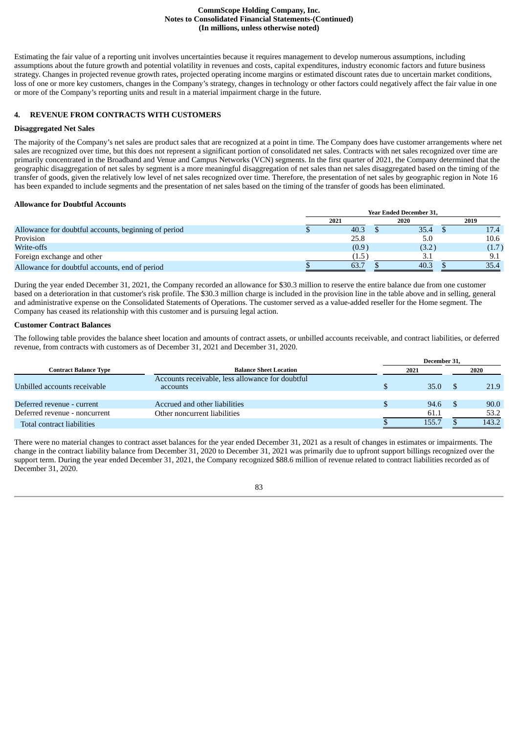Estimating the fair value of a reporting unit involves uncertainties because it requires management to develop numerous assumptions, including assumptions about the future growth and potential volatility in revenues and costs, capital expenditures, industry economic factors and future business strategy. Changes in projected revenue growth rates, projected operating income margins or estimated discount rates due to uncertain market conditions, loss of one or more key customers, changes in the Company's strategy, changes in technology or other factors could negatively affect the fair value in one or more of the Company's reporting units and result in a material impairment charge in the future.

### **4. REVENUE FROM CONTRACTS WITH CUSTOMERS**

### **Disaggregated Net Sales**

The majority of the Company's net sales are product sales that are recognized at a point in time. The Company does have customer arrangements where net sales are recognized over time, but this does not represent a significant portion of consolidated net sales. Contracts with net sales recognized over time are primarily concentrated in the Broadband and Venue and Campus Networks (VCN) segments. In the first quarter of 2021, the Company determined that the geographic disaggregation of net sales by segment is a more meaningful disaggregation of net sales than net sales disaggregated based on the timing of the transfer of goods, given the relatively low level of net sales recognized over time. Therefore, the presentation of net sales by geographic region in Note 16 has been expanded to include segments and the presentation of net sales based on the timing of the transfer of goods has been eliminated.

### **Allowance for Doubtful Accounts**

|                                                      | <b>Year Ended December 31.</b> |       |  |         |  |       |  |  |
|------------------------------------------------------|--------------------------------|-------|--|---------|--|-------|--|--|
|                                                      |                                | 2021  |  | 2020    |  | 2019  |  |  |
| Allowance for doubtful accounts, beginning of period |                                | 40.3  |  | 35.4    |  | 17.4  |  |  |
| Provision                                            |                                | 25.8  |  |         |  | 10.6  |  |  |
| Write-offs                                           |                                | (0.9) |  | (3.2)   |  | (1.7) |  |  |
| Foreign exchange and other                           |                                | (1.5) |  |         |  |       |  |  |
| Allowance for doubtful accounts, end of period       |                                | 63.7  |  | $-40.5$ |  | 35.4  |  |  |

During the year ended December 31, 2021, the Company recorded an allowance for \$30.3 million to reserve the entire balance due from one customer based on a deterioration in that customer's risk profile. The \$30.3 million charge is included in the provision line in the table above and in selling, general and administrative expense on the Consolidated Statements of Operations. The customer served as a value-added reseller for the Home segment. The Company has ceased its relationship with this customer and is pursuing legal action.

### **Customer Contract Balances**

The following table provides the balance sheet location and amounts of contract assets, or unbilled accounts receivable, and contract liabilities, or deferred revenue, from contracts with customers as of December 31, 2021 and December 31, 2020.

|                               |                                                  | December 31. |  |       |
|-------------------------------|--------------------------------------------------|--------------|--|-------|
| <b>Contract Balance Type</b>  | <b>Balance Sheet Location</b>                    | 2021         |  | 2020  |
|                               | Accounts receivable, less allowance for doubtful |              |  |       |
| Unbilled accounts receivable  | accounts                                         | 35.0         |  | 21.9  |
|                               |                                                  |              |  |       |
| Deferred revenue - current    | Accrued and other liabilities                    | 94.6         |  | 90.0  |
| Deferred revenue - noncurrent | Other noncurrent liabilities                     | 61.1         |  | 53.2  |
| Total contract liabilities    |                                                  | 155.7        |  | 143.2 |

There were no material changes to contract asset balances for the year ended December 31, 2021 as a result of changes in estimates or impairments. The change in the contract liability balance from December 31, 2020 to December 31, 2021 was primarily due to upfront support billings recognized over the support term. During the year ended December 31, 2021, the Company recognized \$88.6 million of revenue related to contract liabilities recorded as of December 31, 2020.

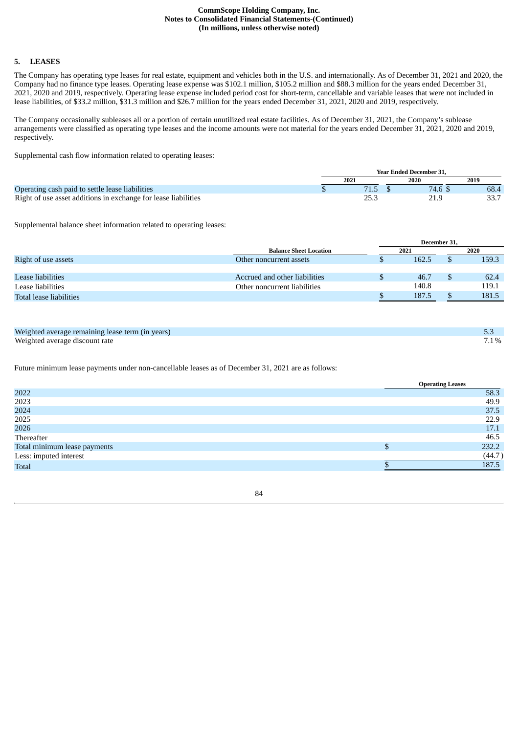# **5. LEASES**

The Company has operating type leases for real estate, equipment and vehicles both in the U.S. and internationally. As of December 31, 2021 and 2020, the Company had no finance type leases. Operating lease expense was \$102.1 million, \$105.2 million and \$88.3 million for the years ended December 31, 2021, 2020 and 2019, respectively. Operating lease expense included period cost for short-term, cancellable and variable leases that were not included in lease liabilities, of \$33.2 million, \$31.3 million and \$26.7 million for the years ended December 31, 2021, 2020 and 2019, respectively.

The Company occasionally subleases all or a portion of certain unutilized real estate facilities. As of December 31, 2021, the Company's sublease arrangements were classified as operating type leases and the income amounts were not material for the years ended December 31, 2021, 2020 and 2019, respectively.

Supplemental cash flow information related to operating leases:

|                                                                | <b>Year Ended December 31.</b> |  |      |       |  |  |  |
|----------------------------------------------------------------|--------------------------------|--|------|-------|--|--|--|
|                                                                | $202^{\circ}$                  |  | 2020 | 2019  |  |  |  |
| Operating cash paid to settle lease liabilities                |                                |  |      | 68.4  |  |  |  |
| Right of use asset additions in exchange for lease liabilities |                                |  |      | . د ب |  |  |  |

Supplemental balance sheet information related to operating leases:

| <b>Balance Sheet Location</b> |       |      | 2020         |
|-------------------------------|-------|------|--------------|
| Other noncurrent assets       | 162.5 |      | 159.3        |
|                               |       |      |              |
| Accrued and other liabilities | 46.7  |      | 62.4         |
| Other noncurrent liabilities  | 140.8 |      | 119.1        |
|                               | 187.5 |      | 181.5        |
|                               |       | 2021 | December 31. |

| Weighted average remaining lease term (in years) |         |
|--------------------------------------------------|---------|
| Weighted average discount rate                   | $2.1\%$ |

Future minimum lease payments under non-cancellable leases as of December 31, 2021 are as follows:

| <b>Operating Leases</b> |        |
|-------------------------|--------|
|                         | 58.3   |
|                         | 49.9   |
|                         | 37.5   |
|                         | 22.9   |
|                         | 17.1   |
|                         | 46.5   |
|                         | 232.2  |
|                         | (44.7) |
|                         | 187.5  |
|                         |        |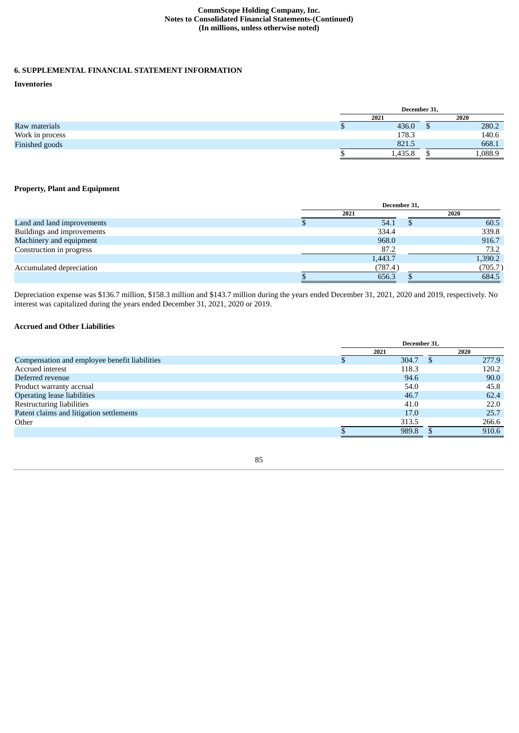# **6. SUPPLEMENTAL FINANCIAL STATEMENT INFORMATION**

**Inventories**

|                 |   | December 31, |  |         |  |  |  |
|-----------------|---|--------------|--|---------|--|--|--|
|                 |   | 2021         |  | 2020    |  |  |  |
| Raw materials   | Ψ | 436.0        |  | 280.2   |  |  |  |
| Work in process |   | 178.3        |  | 140.6   |  |  |  |
| Finished goods  |   | 821.5        |  | 668.1   |  |  |  |
|                 |   | 1,435.8      |  | 1,088.9 |  |  |  |

# **Property, Plant and Equipment**

|                            | December 31, |  |         |  |  |  |
|----------------------------|--------------|--|---------|--|--|--|
|                            | 2021         |  | 2020    |  |  |  |
| Land and land improvements | 54.1         |  | 60.5    |  |  |  |
| Buildings and improvements | 334.4        |  | 339.8   |  |  |  |
| Machinery and equipment    | 968.0        |  | 916.7   |  |  |  |
| Construction in progress   | 87.2         |  | 73.2    |  |  |  |
|                            | 1,443.7      |  | 1,390.2 |  |  |  |
| Accumulated depreciation   | (787.4)      |  | (705.7) |  |  |  |
|                            | 656.3        |  | 684.5   |  |  |  |

Depreciation expense was \$136.7 million, \$158.3 million and \$143.7 million during the years ended December 31, 2021, 2020 and 2019, respectively. No interest was capitalized during the years ended December 31, 2021, 2020 or 2019.

# **Accrued and Other Liabilities**

|                                               | December 31, |  |       |  |  |
|-----------------------------------------------|--------------|--|-------|--|--|
|                                               | 2021         |  | 2020  |  |  |
| Compensation and employee benefit liabilities | 304.7        |  | 277.9 |  |  |
| Accrued interest                              | 118.3        |  | 120.2 |  |  |
| Deferred revenue                              | 94.6         |  | 90.0  |  |  |
| Product warranty accrual                      | 54.0         |  | 45.8  |  |  |
| <b>Operating lease liabilities</b>            | 46.7         |  | 62.4  |  |  |
| Restructuring liabilities                     | 41.0         |  | 22.0  |  |  |
| Patent claims and litigation settlements      | 17.0         |  | 25.7  |  |  |
| Other                                         | 313.5        |  | 266.6 |  |  |
|                                               | 989.8        |  | 910.6 |  |  |
|                                               |              |  |       |  |  |

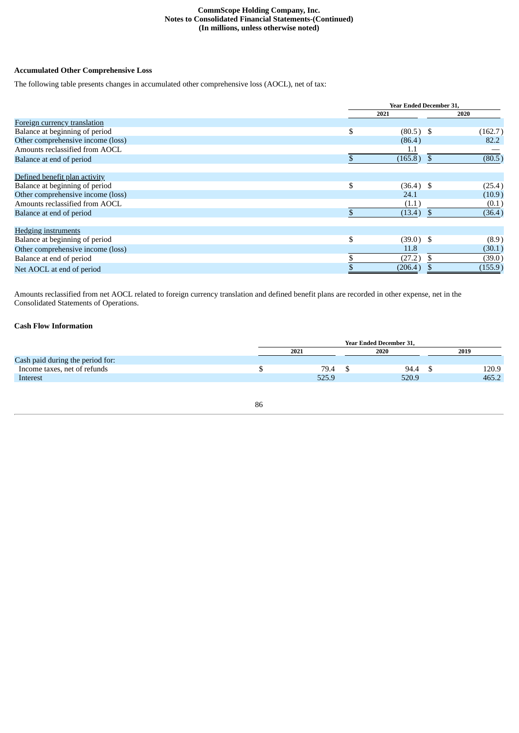# **Accumulated Other Comprehensive Loss**

The following table presents changes in accumulated other comprehensive loss (AOCL), net of tax:

|                                   | <b>Year Ended December 31.</b> |               |         |  |  |
|-----------------------------------|--------------------------------|---------------|---------|--|--|
|                                   | 2021                           |               | 2020    |  |  |
| Foreign currency translation      |                                |               |         |  |  |
| Balance at beginning of period    | \$<br>$(80.5)$ \$              |               | (162.7) |  |  |
| Other comprehensive income (loss) | (86.4)                         |               | 82.2    |  |  |
| Amounts reclassified from AOCL    | 1.1                            |               |         |  |  |
| Balance at end of period          | (165.8)                        | <sup>\$</sup> | (80.5)  |  |  |
| Defined benefit plan activity     |                                |               |         |  |  |
| Balance at beginning of period    | \$<br>$(36.4)$ \$              |               | (25.4)  |  |  |
| Other comprehensive income (loss) | 24.1                           |               | (10.9)  |  |  |
| Amounts reclassified from AOCL    | (1.1)                          |               | (0.1)   |  |  |
| Balance at end of period          | (13.4)                         | <sup>\$</sup> | (36.4)  |  |  |
| <b>Hedging instruments</b>        |                                |               |         |  |  |
| Balance at beginning of period    | \$<br>$(39.0)$ \$              |               | (8.9)   |  |  |
| Other comprehensive income (loss) | 11.8                           |               | (30.1)  |  |  |
| Balance at end of period          | (27.2)                         | \$            | (39.0)  |  |  |
| Net AOCL at end of period         | (206.4)                        |               | (155.9) |  |  |

Amounts reclassified from net AOCL related to foreign currency translation and defined benefit plans are recorded in other expense, net in the Consolidated Statements of Operations.

# **Cash Flow Information**

|                                  | <b>Year Ended December 31.</b> |       |      |       |  |       |  |  |  |
|----------------------------------|--------------------------------|-------|------|-------|--|-------|--|--|--|
|                                  | 2021                           |       | 2020 |       |  | 2019  |  |  |  |
| Cash paid during the period for: |                                |       |      |       |  |       |  |  |  |
| Income taxes, net of refunds     |                                | 79.4  |      | 94.4  |  | 120.9 |  |  |  |
| Interest                         |                                | 525.9 |      | 520.9 |  | 465.2 |  |  |  |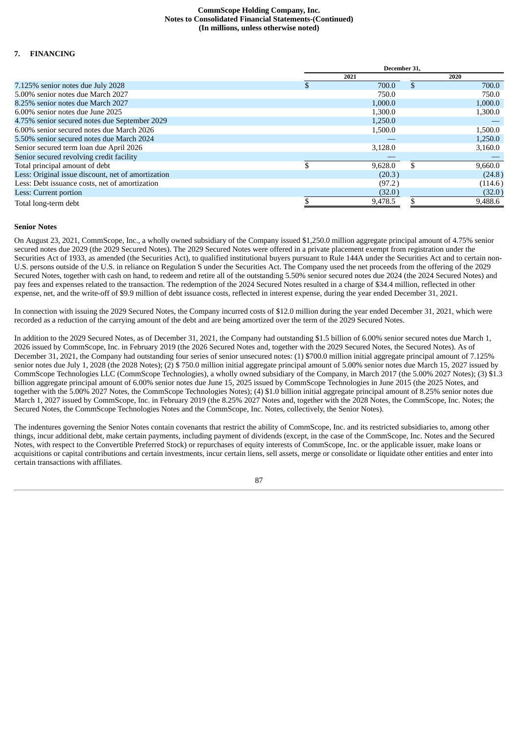# **7. FINANCING**

|                                                    | December 31. |     |         |  |  |
|----------------------------------------------------|--------------|-----|---------|--|--|
|                                                    | 2021         |     | 2020    |  |  |
| 7.125% senior notes due July 2028                  | 700.0        | \$. | 700.0   |  |  |
| 5.00% senior notes due March 2027                  | 750.0        |     | 750.0   |  |  |
| 8.25% senior notes due March 2027                  | 1,000.0      |     | 1,000.0 |  |  |
| 6.00% senior notes due June 2025                   | 1,300.0      |     | 1,300.0 |  |  |
| 4.75% senior secured notes due September 2029      | 1,250.0      |     |         |  |  |
| 6.00% senior secured notes due March 2026          | 1,500.0      |     | 1,500.0 |  |  |
| 5.50% senior secured notes due March 2024          |              |     | 1,250.0 |  |  |
| Senior secured term loan due April 2026            | 3,128.0      |     | 3,160.0 |  |  |
| Senior secured revolving credit facility           |              |     |         |  |  |
| Total principal amount of debt                     | 9.628.0      |     | 9,660.0 |  |  |
| Less: Original issue discount, net of amortization | (20.3)       |     | (24.8)  |  |  |
| Less: Debt issuance costs, net of amortization     | (97.2)       |     | (114.6) |  |  |
| Less: Current portion                              | (32.0)       |     | (32.0)  |  |  |
| Total long-term debt                               | 9,478.5      |     | 9,488.6 |  |  |

#### **Senior Notes**

On August 23, 2021, CommScope, Inc., a wholly owned subsidiary of the Company issued \$1,250.0 million aggregate principal amount of 4.75% senior secured notes due 2029 (the 2029 Secured Notes). The 2029 Secured Notes were offered in a private placement exempt from registration under the Securities Act of 1933, as amended (the Securities Act), to qualified institutional buyers pursuant to Rule 144A under the Securities Act and to certain non-U.S. persons outside of the U.S. in reliance on Regulation S under the Securities Act. The Company used the net proceeds from the offering of the 2029 Secured Notes, together with cash on hand, to redeem and retire all of the outstanding 5.50% senior secured notes due 2024 (the 2024 Secured Notes) and pay fees and expenses related to the transaction. The redemption of the 2024 Secured Notes resulted in a charge of \$34.4 million, reflected in other expense, net, and the write-off of \$9.9 million of debt issuance costs, reflected in interest expense, during the year ended December 31, 2021.

In connection with issuing the 2029 Secured Notes, the Company incurred costs of \$12.0 million during the year ended December 31, 2021, which were recorded as a reduction of the carrying amount of the debt and are being amortized over the term of the 2029 Secured Notes.

In addition to the 2029 Secured Notes, as of December 31, 2021, the Company had outstanding \$1.5 billion of 6.00% senior secured notes due March 1, 2026 issued by CommScope, Inc. in February 2019 (the 2026 Secured Notes and, together with the 2029 Secured Notes, the Secured Notes). As of December 31, 2021, the Company had outstanding four series of senior unsecured notes: (1) \$700.0 million initial aggregate principal amount of 7.125% senior notes due July 1, 2028 (the 2028 Notes); (2) \$ 750.0 million initial aggregate principal amount of 5.00% senior notes due March 15, 2027 issued by CommScope Technologies LLC (CommScope Technologies), a wholly owned subsidiary of the Company, in March 2017 (the 5.00% 2027 Notes); (3) \$1.3 billion aggregate principal amount of 6.00% senior notes due June 15, 2025 issued by CommScope Technologies in June 2015 (the 2025 Notes, and together with the 5.00% 2027 Notes, the CommScope Technologies Notes); (4) \$1.0 billion initial aggregate principal amount of 8.25% senior notes due March 1, 2027 issued by CommScope, Inc. in February 2019 (the 8.25% 2027 Notes and, together with the 2028 Notes, the CommScope, Inc. Notes; the Secured Notes, the CommScope Technologies Notes and the CommScope, Inc. Notes, collectively, the Senior Notes).

The indentures governing the Senior Notes contain covenants that restrict the ability of CommScope, Inc. and its restricted subsidiaries to, among other things, incur additional debt, make certain payments, including payment of dividends (except, in the case of the CommScope, Inc. Notes and the Secured Notes, with respect to the Convertible Preferred Stock) or repurchases of equity interests of CommScope, Inc. or the applicable issuer, make loans or acquisitions or capital contributions and certain investments, incur certain liens, sell assets, merge or consolidate or liquidate other entities and enter into certain transactions with affiliates.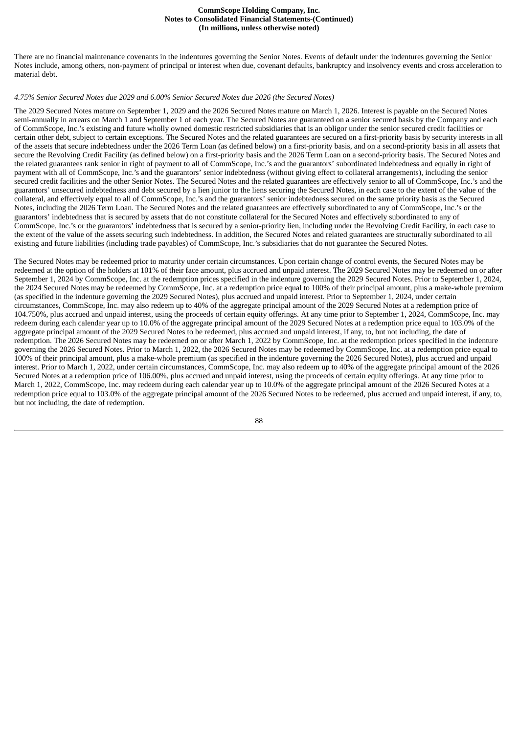There are no financial maintenance covenants in the indentures governing the Senior Notes. Events of default under the indentures governing the Senior Notes include, among others, non-payment of principal or interest when due, covenant defaults, bankruptcy and insolvency events and cross acceleration to material debt.

### *4.75% Senior Secured Notes due 2029 and 6.00% Senior Secured Notes due 2026 (the Secured Notes)*

The 2029 Secured Notes mature on September 1, 2029 and the 2026 Secured Notes mature on March 1, 2026. Interest is payable on the Secured Notes semi-annually in arrears on March 1 and September 1 of each year. The Secured Notes are guaranteed on a senior secured basis by the Company and each of CommScope, Inc.'s existing and future wholly owned domestic restricted subsidiaries that is an obligor under the senior secured credit facilities or certain other debt, subject to certain exceptions. The Secured Notes and the related guarantees are secured on a first-priority basis by security interests in all of the assets that secure indebtedness under the 2026 Term Loan (as defined below) on a first-priority basis, and on a second-priority basis in all assets that secure the Revolving Credit Facility (as defined below) on a first-priority basis and the 2026 Term Loan on a second-priority basis. The Secured Notes and the related guarantees rank senior in right of payment to all of CommScope, Inc.'s and the guarantors' subordinated indebtedness and equally in right of payment with all of CommScope, Inc.'s and the guarantors' senior indebtedness (without giving effect to collateral arrangements), including the senior secured credit facilities and the other Senior Notes. The Secured Notes and the related guarantees are effectively senior to all of CommScope, Inc.'s and the guarantors' unsecured indebtedness and debt secured by a lien junior to the liens securing the Secured Notes, in each case to the extent of the value of the collateral, and effectively equal to all of CommScope, Inc.'s and the guarantors' senior indebtedness secured on the same priority basis as the Secured Notes, including the 2026 Term Loan. The Secured Notes and the related guarantees are effectively subordinated to any of CommScope, Inc.'s or the guarantors' indebtedness that is secured by assets that do not constitute collateral for the Secured Notes and effectively subordinated to any of CommScope, Inc.'s or the guarantors' indebtedness that is secured by a senior-priority lien, including under the Revolving Credit Facility, in each case to the extent of the value of the assets securing such indebtedness. In addition, the Secured Notes and related guarantees are structurally subordinated to all existing and future liabilities (including trade payables) of CommScope, Inc.'s subsidiaries that do not guarantee the Secured Notes.

The Secured Notes may be redeemed prior to maturity under certain circumstances. Upon certain change of control events, the Secured Notes may be redeemed at the option of the holders at 101% of their face amount, plus accrued and unpaid interest. The 2029 Secured Notes may be redeemed on or after September 1, 2024 by CommScope, Inc. at the redemption prices specified in the indenture governing the 2029 Secured Notes. Prior to September 1, 2024, the 2024 Secured Notes may be redeemed by CommScope, Inc. at a redemption price equal to 100% of their principal amount, plus a make-whole premium (as specified in the indenture governing the 2029 Secured Notes), plus accrued and unpaid interest. Prior to September 1, 2024, under certain circumstances, CommScope, Inc. may also redeem up to 40% of the aggregate principal amount of the 2029 Secured Notes at a redemption price of 104.750%, plus accrued and unpaid interest, using the proceeds of certain equity offerings. At any time prior to September 1, 2024, CommScope, Inc. may redeem during each calendar year up to 10.0% of the aggregate principal amount of the 2029 Secured Notes at a redemption price equal to 103.0% of the aggregate principal amount of the 2029 Secured Notes to be redeemed, plus accrued and unpaid interest, if any, to, but not including, the date of redemption. The 2026 Secured Notes may be redeemed on or after March 1, 2022 by CommScope, Inc. at the redemption prices specified in the indenture governing the 2026 Secured Notes. Prior to March 1, 2022, the 2026 Secured Notes may be redeemed by CommScope, Inc. at a redemption price equal to 100% of their principal amount, plus a make-whole premium (as specified in the indenture governing the 2026 Secured Notes), plus accrued and unpaid interest. Prior to March 1, 2022, under certain circumstances, CommScope, Inc. may also redeem up to 40% of the aggregate principal amount of the 2026 Secured Notes at a redemption price of 106.00%, plus accrued and unpaid interest, using the proceeds of certain equity offerings. At any time prior to March 1, 2022, CommScope, Inc. may redeem during each calendar year up to 10.0% of the aggregate principal amount of the 2026 Secured Notes at a redemption price equal to 103.0% of the aggregate principal amount of the 2026 Secured Notes to be redeemed, plus accrued and unpaid interest, if any, to, but not including, the date of redemption.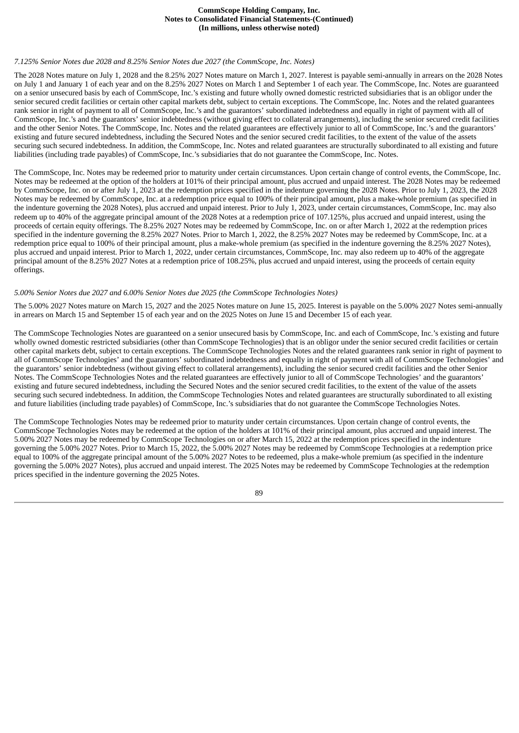#### *7.125% Senior Notes due 2028 and 8.25% Senior Notes due 2027 (the CommScope, Inc. Notes)*

The 2028 Notes mature on July 1, 2028 and the 8.25% 2027 Notes mature on March 1, 2027. Interest is payable semi-annually in arrears on the 2028 Notes on July 1 and January 1 of each year and on the 8.25% 2027 Notes on March 1 and September 1 of each year. The CommScope, Inc. Notes are guaranteed on a senior unsecured basis by each of CommScope, Inc.'s existing and future wholly owned domestic restricted subsidiaries that is an obligor under the senior secured credit facilities or certain other capital markets debt, subject to certain exceptions. The CommScope, Inc. Notes and the related guarantees rank senior in right of payment to all of CommScope, Inc.'s and the guarantors' subordinated indebtedness and equally in right of payment with all of CommScope, Inc.'s and the guarantors' senior indebtedness (without giving effect to collateral arrangements), including the senior secured credit facilities and the other Senior Notes. The CommScope, Inc. Notes and the related guarantees are effectively junior to all of CommScope, Inc.'s and the guarantors' existing and future secured indebtedness, including the Secured Notes and the senior secured credit facilities, to the extent of the value of the assets securing such secured indebtedness. In addition, the CommScope, Inc. Notes and related guarantees are structurally subordinated to all existing and future liabilities (including trade payables) of CommScope, Inc.'s subsidiaries that do not guarantee the CommScope, Inc. Notes.

The CommScope, Inc. Notes may be redeemed prior to maturity under certain circumstances. Upon certain change of control events, the CommScope, Inc. Notes may be redeemed at the option of the holders at 101% of their principal amount, plus accrued and unpaid interest. The 2028 Notes may be redeemed by CommScope, Inc. on or after July 1, 2023 at the redemption prices specified in the indenture governing the 2028 Notes. Prior to July 1, 2023, the 2028 Notes may be redeemed by CommScope, Inc. at a redemption price equal to 100% of their principal amount, plus a make-whole premium (as specified in the indenture governing the 2028 Notes), plus accrued and unpaid interest. Prior to July 1, 2023, under certain circumstances, CommScope, Inc. may also redeem up to 40% of the aggregate principal amount of the 2028 Notes at a redemption price of 107.125%, plus accrued and unpaid interest, using the proceeds of certain equity offerings. The 8.25% 2027 Notes may be redeemed by CommScope, Inc. on or after March 1, 2022 at the redemption prices specified in the indenture governing the 8.25% 2027 Notes. Prior to March 1, 2022, the 8.25% 2027 Notes may be redeemed by CommScope, Inc. at a redemption price equal to 100% of their principal amount, plus a make-whole premium (as specified in the indenture governing the 8.25% 2027 Notes), plus accrued and unpaid interest. Prior to March 1, 2022, under certain circumstances, CommScope, Inc. may also redeem up to 40% of the aggregate principal amount of the 8.25% 2027 Notes at a redemption price of 108.25%, plus accrued and unpaid interest, using the proceeds of certain equity offerings.

### *5.00% Senior Notes due 2027 and 6.00% Senior Notes due 2025 (the CommScope Technologies Notes)*

The 5.00% 2027 Notes mature on March 15, 2027 and the 2025 Notes mature on June 15, 2025. Interest is payable on the 5.00% 2027 Notes semi-annually in arrears on March 15 and September 15 of each year and on the 2025 Notes on June 15 and December 15 of each year.

The CommScope Technologies Notes are guaranteed on a senior unsecured basis by CommScope, Inc. and each of CommScope, Inc.'s existing and future wholly owned domestic restricted subsidiaries (other than CommScope Technologies) that is an obligor under the senior secured credit facilities or certain other capital markets debt, subject to certain exceptions. The CommScope Technologies Notes and the related guarantees rank senior in right of payment to all of CommScope Technologies' and the guarantors' subordinated indebtedness and equally in right of payment with all of CommScope Technologies' and the guarantors' senior indebtedness (without giving effect to collateral arrangements), including the senior secured credit facilities and the other Senior Notes. The CommScope Technologies Notes and the related guarantees are effectively junior to all of CommScope Technologies' and the guarantors' existing and future secured indebtedness, including the Secured Notes and the senior secured credit facilities, to the extent of the value of the assets securing such secured indebtedness. In addition, the CommScope Technologies Notes and related guarantees are structurally subordinated to all existing and future liabilities (including trade payables) of CommScope, Inc.'s subsidiaries that do not guarantee the CommScope Technologies Notes.

The CommScope Technologies Notes may be redeemed prior to maturity under certain circumstances. Upon certain change of control events, the CommScope Technologies Notes may be redeemed at the option of the holders at 101% of their principal amount, plus accrued and unpaid interest. The 5.00% 2027 Notes may be redeemed by CommScope Technologies on or after March 15, 2022 at the redemption prices specified in the indenture governing the 5.00% 2027 Notes. Prior to March 15, 2022, the 5.00% 2027 Notes may be redeemed by CommScope Technologies at a redemption price equal to 100% of the aggregate principal amount of the 5.00% 2027 Notes to be redeemed, plus a make-whole premium (as specified in the indenture governing the 5.00% 2027 Notes), plus accrued and unpaid interest. The 2025 Notes may be redeemed by CommScope Technologies at the redemption prices specified in the indenture governing the 2025 Notes.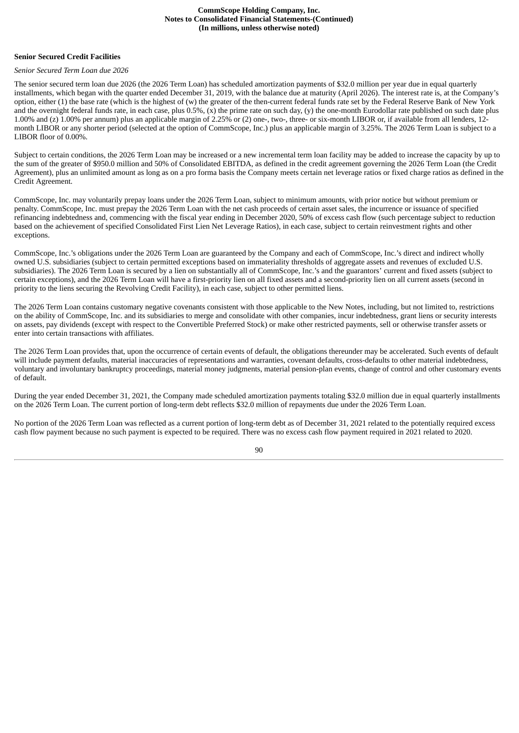#### **Senior Secured Credit Facilities**

### *Senior Secured Term Loan due 2026*

The senior secured term loan due 2026 (the 2026 Term Loan) has scheduled amortization payments of \$32.0 million per year due in equal quarterly installments, which began with the quarter ended December 31, 2019, with the balance due at maturity (April 2026). The interest rate is, at the Company's option, either (1) the base rate (which is the highest of (w) the greater of the then-current federal funds rate set by the Federal Reserve Bank of New York and the overnight federal funds rate, in each case, plus  $0.5\%$ , (x) the prime rate on such day, (y) the one-month Eurodollar rate published on such date plus 1.00% and (z) 1.00% per annum) plus an applicable margin of 2.25% or (2) one-, two-, three- or six-month LIBOR or, if available from all lenders, 12 month LIBOR or any shorter period (selected at the option of CommScope, Inc.) plus an applicable margin of 3.25%. The 2026 Term Loan is subject to a LIBOR floor of 0.00%.

Subject to certain conditions, the 2026 Term Loan may be increased or a new incremental term loan facility may be added to increase the capacity by up to the sum of the greater of \$950.0 million and 50% of Consolidated EBITDA, as defined in the credit agreement governing the 2026 Term Loan (the Credit Agreement), plus an unlimited amount as long as on a pro forma basis the Company meets certain net leverage ratios or fixed charge ratios as defined in the Credit Agreement.

CommScope, Inc. may voluntarily prepay loans under the 2026 Term Loan, subject to minimum amounts, with prior notice but without premium or penalty. CommScope, Inc. must prepay the 2026 Term Loan with the net cash proceeds of certain asset sales, the incurrence or issuance of specified refinancing indebtedness and, commencing with the fiscal year ending in December 2020, 50% of excess cash flow (such percentage subject to reduction based on the achievement of specified Consolidated First Lien Net Leverage Ratios), in each case, subject to certain reinvestment rights and other exceptions.

CommScope, Inc.'s obligations under the 2026 Term Loan are guaranteed by the Company and each of CommScope, Inc.'s direct and indirect wholly owned U.S. subsidiaries (subject to certain permitted exceptions based on immateriality thresholds of aggregate assets and revenues of excluded U.S. subsidiaries). The 2026 Term Loan is secured by a lien on substantially all of CommScope, Inc.'s and the guarantors' current and fixed assets (subject to certain exceptions), and the 2026 Term Loan will have a first-priority lien on all fixed assets and a second-priority lien on all current assets (second in priority to the liens securing the Revolving Credit Facility), in each case, subject to other permitted liens.

The 2026 Term Loan contains customary negative covenants consistent with those applicable to the New Notes, including, but not limited to, restrictions on the ability of CommScope, Inc. and its subsidiaries to merge and consolidate with other companies, incur indebtedness, grant liens or security interests on assets, pay dividends (except with respect to the Convertible Preferred Stock) or make other restricted payments, sell or otherwise transfer assets or enter into certain transactions with affiliates.

The 2026 Term Loan provides that, upon the occurrence of certain events of default, the obligations thereunder may be accelerated. Such events of default will include payment defaults, material inaccuracies of representations and warranties, covenant defaults, cross-defaults to other material indebtedness, voluntary and involuntary bankruptcy proceedings, material money judgments, material pension-plan events, change of control and other customary events of default.

During the year ended December 31, 2021, the Company made scheduled amortization payments totaling \$32.0 million due in equal quarterly installments on the 2026 Term Loan. The current portion of long-term debt reflects \$32.0 million of repayments due under the 2026 Term Loan.

No portion of the 2026 Term Loan was reflected as a current portion of long-term debt as of December 31, 2021 related to the potentially required excess cash flow payment because no such payment is expected to be required. There was no excess cash flow payment required in 2021 related to 2020.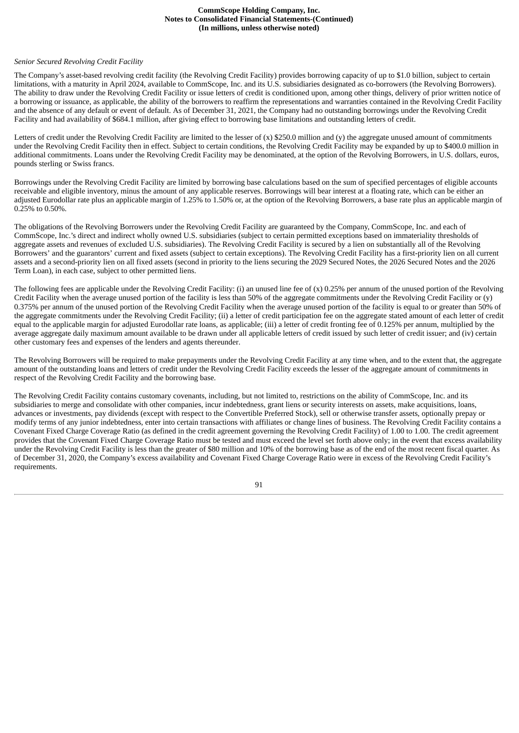### *Senior Secured Revolving Credit Facility*

The Company's asset-based revolving credit facility (the Revolving Credit Facility) provides borrowing capacity of up to \$1.0 billion, subject to certain limitations, with a maturity in April 2024, available to CommScope, Inc. and its U.S. subsidiaries designated as co-borrowers (the Revolving Borrowers). The ability to draw under the Revolving Credit Facility or issue letters of credit is conditioned upon, among other things, delivery of prior written notice of a borrowing or issuance, as applicable, the ability of the borrowers to reaffirm the representations and warranties contained in the Revolving Credit Facility and the absence of any default or event of default. As of December 31, 2021, the Company had no outstanding borrowings under the Revolving Credit Facility and had availability of \$684.1 million, after giving effect to borrowing base limitations and outstanding letters of credit.

Letters of credit under the Revolving Credit Facility are limited to the lesser of (x) \$250.0 million and (y) the aggregate unused amount of commitments under the Revolving Credit Facility then in effect. Subject to certain conditions, the Revolving Credit Facility may be expanded by up to \$400.0 million in additional commitments. Loans under the Revolving Credit Facility may be denominated, at the option of the Revolving Borrowers, in U.S. dollars, euros, pounds sterling or Swiss francs.

Borrowings under the Revolving Credit Facility are limited by borrowing base calculations based on the sum of specified percentages of eligible accounts receivable and eligible inventory, minus the amount of any applicable reserves. Borrowings will bear interest at a floating rate, which can be either an adjusted Eurodollar rate plus an applicable margin of 1.25% to 1.50% or, at the option of the Revolving Borrowers, a base rate plus an applicable margin of 0.25% to 0.50%.

The obligations of the Revolving Borrowers under the Revolving Credit Facility are guaranteed by the Company, CommScope, Inc. and each of CommScope, Inc.'s direct and indirect wholly owned U.S. subsidiaries (subject to certain permitted exceptions based on immateriality thresholds of aggregate assets and revenues of excluded U.S. subsidiaries). The Revolving Credit Facility is secured by a lien on substantially all of the Revolving Borrowers' and the guarantors' current and fixed assets (subject to certain exceptions). The Revolving Credit Facility has a first-priority lien on all current assets and a second-priority lien on all fixed assets (second in priority to the liens securing the 2029 Secured Notes, the 2026 Secured Notes and the 2026 Term Loan), in each case, subject to other permitted liens.

The following fees are applicable under the Revolving Credit Facility: (i) an unused line fee of (x) 0.25% per annum of the unused portion of the Revolving Credit Facility when the average unused portion of the facility is less than 50% of the aggregate commitments under the Revolving Credit Facility or (y) 0.375% per annum of the unused portion of the Revolving Credit Facility when the average unused portion of the facility is equal to or greater than 50% of the aggregate commitments under the Revolving Credit Facility; (ii) a letter of credit participation fee on the aggregate stated amount of each letter of credit equal to the applicable margin for adjusted Eurodollar rate loans, as applicable; (iii) a letter of credit fronting fee of 0.125% per annum, multiplied by the average aggregate daily maximum amount available to be drawn under all applicable letters of credit issued by such letter of credit issuer; and (iv) certain other customary fees and expenses of the lenders and agents thereunder.

The Revolving Borrowers will be required to make prepayments under the Revolving Credit Facility at any time when, and to the extent that, the aggregate amount of the outstanding loans and letters of credit under the Revolving Credit Facility exceeds the lesser of the aggregate amount of commitments in respect of the Revolving Credit Facility and the borrowing base.

The Revolving Credit Facility contains customary covenants, including, but not limited to, restrictions on the ability of CommScope, Inc. and its subsidiaries to merge and consolidate with other companies, incur indebtedness, grant liens or security interests on assets, make acquisitions, loans, advances or investments, pay dividends (except with respect to the Convertible Preferred Stock), sell or otherwise transfer assets, optionally prepay or modify terms of any junior indebtedness, enter into certain transactions with affiliates or change lines of business. The Revolving Credit Facility contains a Covenant Fixed Charge Coverage Ratio (as defined in the credit agreement governing the Revolving Credit Facility) of 1.00 to 1.00. The credit agreement provides that the Covenant Fixed Charge Coverage Ratio must be tested and must exceed the level set forth above only; in the event that excess availability under the Revolving Credit Facility is less than the greater of \$80 million and 10% of the borrowing base as of the end of the most recent fiscal quarter. As of December 31, 2020, the Company's excess availability and Covenant Fixed Charge Coverage Ratio were in excess of the Revolving Credit Facility's requirements.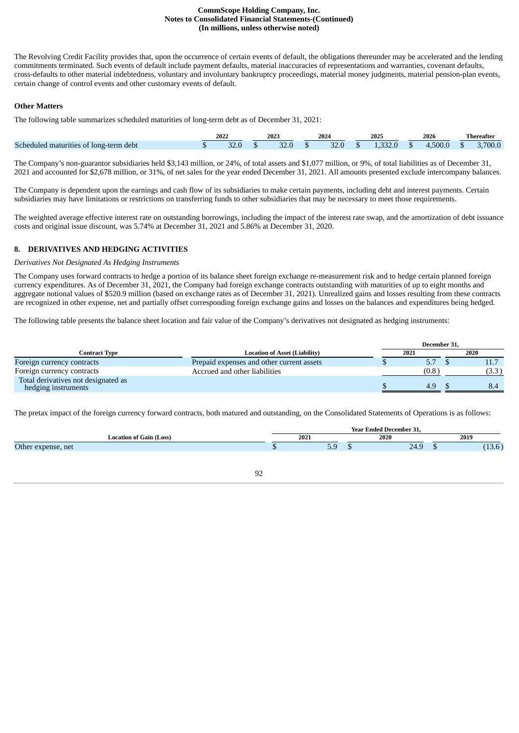The Revolving Credit Facility provides that, upon the occurrence of certain events of default, the obligations thereunder may be accelerated and the lending commitments terminated. Such events of default include payment defaults, material inaccuracies of representations and warranties, covenant defaults, cross-defaults to other material indebtedness, voluntary and involuntary bankruptcy proceedings, material money judgments, material pension-plan events, certain change of control events and other customary events of default.

### **Other Matters**

The following table summarizes scheduled maturities of long-term debt as of December 31, 2021:

|                                        | 2022 |  | 2023 | 2024        | 2025   | 2026    | Thereafter |
|----------------------------------------|------|--|------|-------------|--------|---------|------------|
| Scheduled maturities of long-term debt |      |  |      | <b>32.0</b> | .332.0 | 4.500.0 | 3,700.0    |

The Company's non-guarantor subsidiaries held \$3,143 million, or 24%, of total assets and \$1,077 million, or 9%, of total liabilities as of December 31, 2021 and accounted for \$2,678 million, or 31%, of net sales for the year ended December 31, 2021. All amounts presented exclude intercompany balances.

The Company is dependent upon the earnings and cash flow of its subsidiaries to make certain payments, including debt and interest payments. Certain subsidiaries may have limitations or restrictions on transferring funds to other subsidiaries that may be necessary to meet those requirements.

The weighted average effective interest rate on outstanding borrowings, including the impact of the interest rate swap, and the amortization of debt issuance costs and original issue discount, was 5.74% at December 31, 2021 and 5.86% at December 31, 2020.

# **8. DERIVATIVES AND HEDGING ACTIVITIES**

### *Derivatives Not Designated As Hedging Instruments*

The Company uses forward contracts to hedge a portion of its balance sheet foreign exchange re-measurement risk and to hedge certain planned foreign currency expenditures. As of December 31, 2021, the Company had foreign exchange contracts outstanding with maturities of up to eight months and aggregate notional values of \$520.9 million (based on exchange rates as of December 31, 2021). Unrealized gains and losses resulting from these contracts are recognized in other expense, net and partially offset corresponding foreign exchange gains and losses on the balances and expenditures being hedged.

The following table presents the balance sheet location and fair value of the Company's derivatives not designated as hedging instruments:

|                                                            |                                           |      | December 31. |       |
|------------------------------------------------------------|-------------------------------------------|------|--------------|-------|
| <b>Contract Type</b>                                       | <b>Location of Asset (Liability)</b>      | 2021 |              | 2020  |
| Foreign currency contracts                                 | Prepaid expenses and other current assets |      | 5.7          |       |
| Foreign currency contracts                                 | Accrued and other liabilities             |      | (0.8)        | (3.3) |
| Total derivatives not designated as<br>hedging instruments |                                           |      | 4.9          |       |

The pretax impact of the foreign currency forward contracts, both matured and outstanding, on the Consolidated Statements of Operations is as follows:

|                         |                          | $\sim$<br>Year Ended<br>December<br>-91 |      |
|-------------------------|--------------------------|-----------------------------------------|------|
| Location of Gain (Loss) | 2021                     | 2020                                    | 2019 |
| Other<br>expense, net   | $\Gamma$ $\Omega$<br>ں و | $\sim$ $\lambda$<br>Z4.J                | TO'O |
|                         |                          |                                         |      |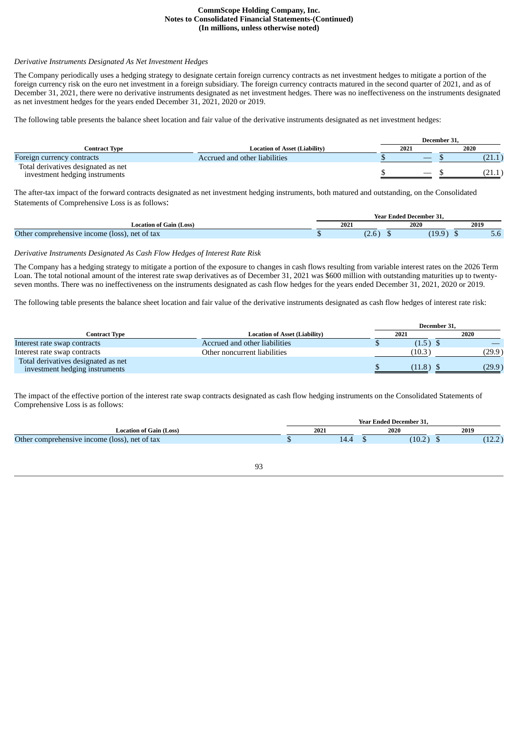#### *Derivative Instruments Designated As Net Investment Hedges*

The Company periodically uses a hedging strategy to designate certain foreign currency contracts as net investment hedges to mitigate a portion of the foreign currency risk on the euro net investment in a foreign subsidiary. The foreign currency contracts matured in the second quarter of 2021, and as of December 31, 2021, there were no derivative instruments designated as net investment hedges. There was no ineffectiveness on the instruments designated as net investment hedges for the years ended December 31, 2021, 2020 or 2019.

The following table presents the balance sheet location and fair value of the derivative instruments designated as net investment hedges:

|                                                                       |                                      |  | December 31. |  |       |
|-----------------------------------------------------------------------|--------------------------------------|--|--------------|--|-------|
| Contract Type                                                         | <b>Location of Asset (Liability)</b> |  | 2021         |  | 2020  |
| Foreign currency contracts                                            | Accrued and other liabilities        |  |              |  | (21.1 |
| Total derivatives designated as net<br>investment hedging instruments |                                      |  |              |  |       |

The after-tax impact of the forward contracts designated as net investment hedging instruments, both matured and outstanding, on the Consolidated Statements of Comprehensive Loss is as follows:

|                                               |      |     | Year Ended December 31. |      |
|-----------------------------------------------|------|-----|-------------------------|------|
| Location of Gain (Loss)                       | 2021 |     | 2020                    | 2019 |
| Other comprehensive income (loss), net of tax |      | ے،ب |                         | D.G  |

### *Derivative Instruments Designated As Cash Flow Hedges of Interest Rate Risk*

The Company has a hedging strategy to mitigate a portion of the exposure to changes in cash flows resulting from variable interest rates on the 2026 Term Loan. The total notional amount of the interest rate swap derivatives as of December 31, 2021 was \$600 million with outstanding maturities up to twentyseven months. There was no ineffectiveness on the instruments designated as cash flow hedges for the years ended December 31, 2021, 2020 or 2019.

The following table presents the balance sheet location and fair value of the derivative instruments designated as cash flow hedges of interest rate risk:

|                                                                       |                                      | December 31. |        |  |  |  |  |
|-----------------------------------------------------------------------|--------------------------------------|--------------|--------|--|--|--|--|
| <b>Contract Type</b>                                                  | <b>Location of Asset (Liability)</b> | 2021         | 2020   |  |  |  |  |
| Interest rate swap contracts                                          | Accrued and other liabilities        | $(1.5)$ \$   |        |  |  |  |  |
| Interest rate swap contracts                                          | Other noncurrent liabilities         | (10.3)       | (29.9) |  |  |  |  |
| Total derivatives designated as net<br>investment hedging instruments |                                      | (11.8)       | (29.9) |  |  |  |  |

The impact of the effective portion of the interest rate swap contracts designated as cash flow hedging instruments on the Consolidated Statements of Comprehensive Loss is as follows:

|                                                              | $\sim$<br>Year Ended December 31. |      |  |      |  |                   |
|--------------------------------------------------------------|-----------------------------------|------|--|------|--|-------------------|
| Location of Gain (Loss)                                      | 2021<br>2020                      |      |  |      |  | 2019              |
| Other<br>* comprehensive income (loss), .<br>. net<br>of tax |                                   | 14.4 |  | TO'T |  | (4.0.0)<br>$+6.6$ |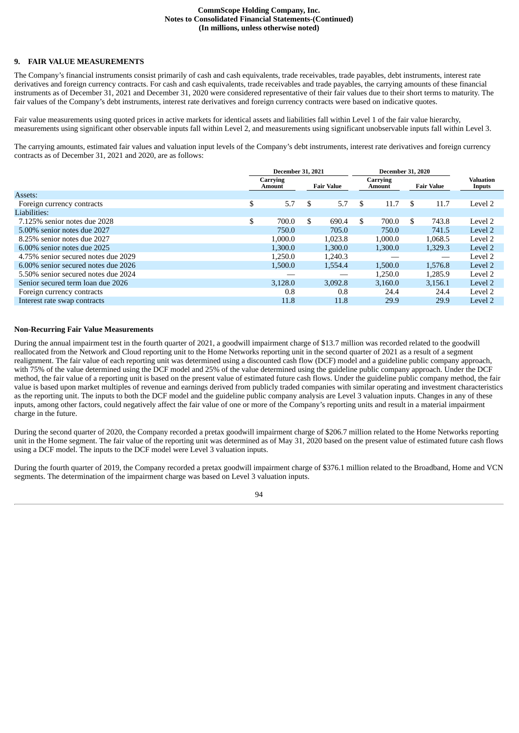### **9. FAIR VALUE MEASUREMENTS**

The Company's financial instruments consist primarily of cash and cash equivalents, trade receivables, trade payables, debt instruments, interest rate derivatives and foreign currency contracts. For cash and cash equivalents, trade receivables and trade payables, the carrying amounts of these financial instruments as of December 31, 2021 and December 31, 2020 were considered representative of their fair values due to their short terms to maturity. The fair values of the Company's debt instruments, interest rate derivatives and foreign currency contracts were based on indicative quotes.

Fair value measurements using quoted prices in active markets for identical assets and liabilities fall within Level 1 of the fair value hierarchy, measurements using significant other observable inputs fall within Level 2, and measurements using significant unobservable inputs fall within Level 3.

The carrying amounts, estimated fair values and valuation input levels of the Company's debt instruments, interest rate derivatives and foreign currency contracts as of December 31, 2021 and 2020, are as follows:

|                                     |         | <b>December 31, 2021</b> |     |                   |     | <b>December 31, 2020</b> |     |                   |                     |
|-------------------------------------|---------|--------------------------|-----|-------------------|-----|--------------------------|-----|-------------------|---------------------|
|                                     |         | Carrying<br>Amount       |     | <b>Fair Value</b> |     | Carrying<br>Amount       |     | <b>Fair Value</b> | Valuation<br>Inputs |
| Assets:                             |         |                          |     |                   |     |                          |     |                   |                     |
| Foreign currency contracts          | ሖ<br>J. | 5.7                      | S   | 5.7               | \$. | 11.7                     | \$. | 11.7              | Level 2             |
| Liabilities:                        |         |                          |     |                   |     |                          |     |                   |                     |
| 7.125% senior notes due 2028        | ¢<br>D  | 700.0                    | \$. | 690.4             | \$. | 700.0                    | \$. | 743.8             | Level 2             |
| $5.00\%$ senior notes due $2027$    |         | 750.0                    |     | 705.0             |     | 750.0                    |     | 741.5             | Level 2             |
| 8.25% senior notes due 2027         |         | 1.000.0                  |     | 1.023.8           |     | 1.000.0                  |     | 1.068.5           | Level 2             |
| 6.00% senior notes due 2025         |         | 1,300.0                  |     | 1,300.0           |     | 1,300.0                  |     | 1,329.3           | Level 2             |
| 4.75% senior secured notes due 2029 |         | 1,250.0                  |     | 1,240.3           |     |                          |     |                   | Level 2             |
| 6.00% senior secured notes due 2026 |         | 1,500.0                  |     | 1,554.4           |     | 1,500.0                  |     | 1.576.8           | Level 2             |
| 5.50% senior secured notes due 2024 |         |                          |     |                   |     | 1,250.0                  |     | 1,285.9           | Level 2             |
| Senior secured term loan due 2026   |         | 3,128.0                  |     | 3.092.8           |     | 3.160.0                  |     | 3.156.1           | Level 2             |
| Foreign currency contracts          |         | 0.8                      |     | 0.8               |     | 24.4                     |     | 24.4              | Level 2             |
| Interest rate swap contracts        |         | 11.8                     |     | 11.8              |     | 29.9                     |     | 29.9              | Level 2             |

### **Non-Recurring Fair Value Measurements**

During the annual impairment test in the fourth quarter of 2021, a goodwill impairment charge of \$13.7 million was recorded related to the goodwill reallocated from the Network and Cloud reporting unit to the Home Networks reporting unit in the second quarter of 2021 as a result of a segment realignment. The fair value of each reporting unit was determined using a discounted cash flow (DCF) model and a guideline public company approach, with 75% of the value determined using the DCF model and 25% of the value determined using the guideline public company approach. Under the DCF method, the fair value of a reporting unit is based on the present value of estimated future cash flows. Under the guideline public company method, the fair value is based upon market multiples of revenue and earnings derived from publicly traded companies with similar operating and investment characteristics as the reporting unit. The inputs to both the DCF model and the guideline public company analysis are Level 3 valuation inputs. Changes in any of these inputs, among other factors, could negatively affect the fair value of one or more of the Company's reporting units and result in a material impairment charge in the future.

During the second quarter of 2020, the Company recorded a pretax goodwill impairment charge of \$206.7 million related to the Home Networks reporting unit in the Home segment. The fair value of the reporting unit was determined as of May 31, 2020 based on the present value of estimated future cash flows using a DCF model. The inputs to the DCF model were Level 3 valuation inputs.

During the fourth quarter of 2019, the Company recorded a pretax goodwill impairment charge of \$376.1 million related to the Broadband, Home and VCN segments. The determination of the impairment charge was based on Level 3 valuation inputs.

 $Q_A$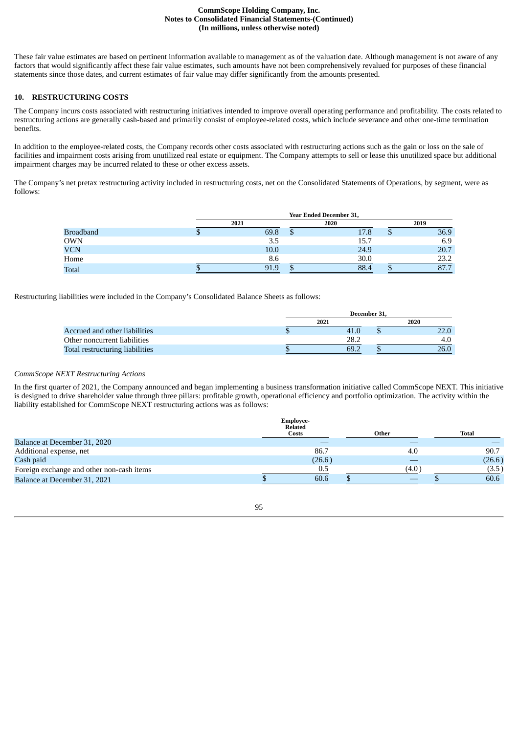These fair value estimates are based on pertinent information available to management as of the valuation date. Although management is not aware of any factors that would significantly affect these fair value estimates, such amounts have not been comprehensively revalued for purposes of these financial statements since those dates, and current estimates of fair value may differ significantly from the amounts presented.

# **10. RESTRUCTURING COSTS**

The Company incurs costs associated with restructuring initiatives intended to improve overall operating performance and profitability. The costs related to restructuring actions are generally cash-based and primarily consist of employee-related costs, which include severance and other one-time termination benefits.

In addition to the employee-related costs, the Company records other costs associated with restructuring actions such as the gain or loss on the sale of facilities and impairment costs arising from unutilized real estate or equipment. The Company attempts to sell or lease this unutilized space but additional impairment charges may be incurred related to these or other excess assets.

The Company's net pretax restructuring activity included in restructuring costs, net on the Consolidated Statements of Operations, by segment, were as follows:

|                  |      |    | <b>Year Ended December 31,</b> |      |
|------------------|------|----|--------------------------------|------|
|                  | 2021 |    | 2020                           | 2019 |
| <b>Broadband</b> | 69.8 | ۰D | 17.8                           | 36.9 |
| <b>OWN</b>       | 3.5  |    | 15.7                           | 6.9  |
| <b>VCN</b>       | 10.0 |    | 24.9                           | 20.7 |
| Home             | 8.6  |    | 30.0                           | 23.2 |
| <b>Total</b>     | 91.9 |    | 88.4                           | 87.7 |

Restructuring liabilities were included in the Company's Consolidated Balance Sheets as follows:

|                                 | December 31. |      |
|---------------------------------|--------------|------|
|                                 | 2021         | 2020 |
| Accrued and other liabilities   | 41.0         | 22.0 |
| Other noncurrent liabilities    | 28.2         | 4.0  |
| Total restructuring liabilities | 69.2         | 26.0 |

### *CommScope NEXT Restructuring Actions*

In the first quarter of 2021, the Company announced and began implementing a business transformation initiative called CommScope NEXT. This initiative is designed to drive shareholder value through three pillars: profitable growth, operational efficiency and portfolio optimization. The activity within the liability established for CommScope NEXT restructuring actions was as follows:

|                                           | <b>Employee-</b><br>Related |       |       |              |
|-------------------------------------------|-----------------------------|-------|-------|--------------|
|                                           | Costs                       | Other |       | <b>Total</b> |
| Balance at December 31, 2020              |                             |       |       |              |
| Additional expense, net                   | 86.7                        |       | 4.0   | 90.7         |
| Cash paid                                 | (26.6)                      |       |       | (26.6)       |
| Foreign exchange and other non-cash items | 0.5                         |       | (4.0) | (3.5)        |
| Balance at December 31, 2021              | 60.6                        |       |       | 60.6         |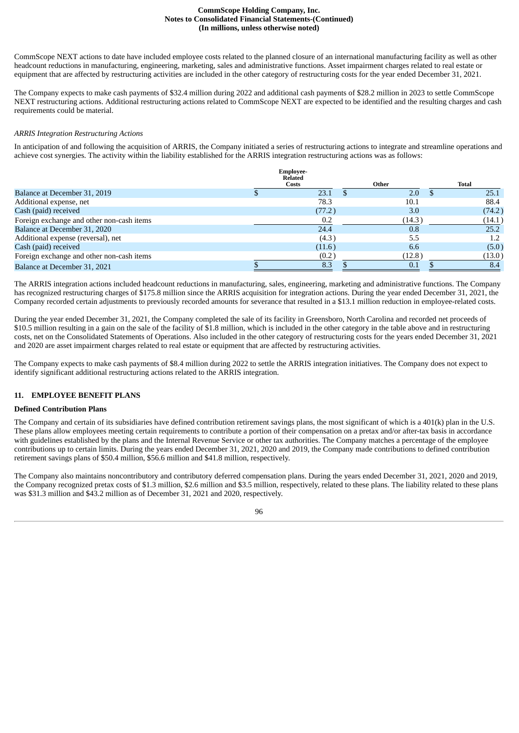CommScope NEXT actions to date have included employee costs related to the planned closure of an international manufacturing facility as well as other headcount reductions in manufacturing, engineering, marketing, sales and administrative functions. Asset impairment charges related to real estate or equipment that are affected by restructuring activities are included in the other category of restructuring costs for the year ended December 31, 2021.

The Company expects to make cash payments of \$32.4 million during 2022 and additional cash payments of \$28.2 million in 2023 to settle CommScope NEXT restructuring actions. Additional restructuring actions related to CommScope NEXT are expected to be identified and the resulting charges and cash requirements could be material.

### *ARRIS Integration Restructuring Actions*

In anticipation of and following the acquisition of ARRIS, the Company initiated a series of restructuring actions to integrate and streamline operations and achieve cost synergies. The activity within the liability established for the ARRIS integration restructuring actions was as follows:

|                                           | <b>Employee-</b><br><b>Related</b> |        |        |
|-------------------------------------------|------------------------------------|--------|--------|
|                                           | Costs                              | Other  | Total  |
| Balance at December 31, 2019              | 23.1                               | 2.0    | 25.1   |
| Additional expense, net                   | 78.3                               | 10.1   | 88.4   |
| Cash (paid) received                      | (77.2)                             | 3.0    | (74.2) |
| Foreign exchange and other non-cash items | 0.2                                | (14.3) | (14.1) |
| Balance at December 31, 2020              | 24.4                               | 0.8    | 25.2   |
| Additional expense (reversal), net        | (4.3)                              | 5.5    | 1.2    |
| Cash (paid) received                      | (11.6)                             | 6.6    | (5.0)  |
| Foreign exchange and other non-cash items | (0.2)                              | (12.8) | (13.0) |
| Balance at December 31, 2021              | 8.3                                | 0.1    | 8.4    |

The ARRIS integration actions included headcount reductions in manufacturing, sales, engineering, marketing and administrative functions. The Company has recognized restructuring charges of \$175.8 million since the ARRIS acquisition for integration actions. During the year ended December 31, 2021, the Company recorded certain adjustments to previously recorded amounts for severance that resulted in a \$13.1 million reduction in employee-related costs.

During the year ended December 31, 2021, the Company completed the sale of its facility in Greensboro, North Carolina and recorded net proceeds of \$10.5 million resulting in a gain on the sale of the facility of \$1.8 million, which is included in the other category in the table above and in restructuring costs, net on the Consolidated Statements of Operations. Also included in the other category of restructuring costs for the years ended December 31, 2021 and 2020 are asset impairment charges related to real estate or equipment that are affected by restructuring activities.

The Company expects to make cash payments of \$8.4 million during 2022 to settle the ARRIS integration initiatives. The Company does not expect to identify significant additional restructuring actions related to the ARRIS integration.

### **11. EMPLOYEE BENEFIT PLANS**

### **Defined Contribution Plans**

The Company and certain of its subsidiaries have defined contribution retirement savings plans, the most significant of which is a 401(k) plan in the U.S. These plans allow employees meeting certain requirements to contribute a portion of their compensation on a pretax and/or after-tax basis in accordance with guidelines established by the plans and the Internal Revenue Service or other tax authorities. The Company matches a percentage of the employee contributions up to certain limits. During the years ended December 31, 2021, 2020 and 2019, the Company made contributions to defined contribution retirement savings plans of \$50.4 million, \$56.6 million and \$41.8 million, respectively.

The Company also maintains noncontributory and contributory deferred compensation plans. During the years ended December 31, 2021, 2020 and 2019, the Company recognized pretax costs of \$1.3 million, \$2.6 million and \$3.5 million, respectively, related to these plans. The liability related to these plans was \$31.3 million and \$43.2 million as of December 31, 2021 and 2020, respectively.

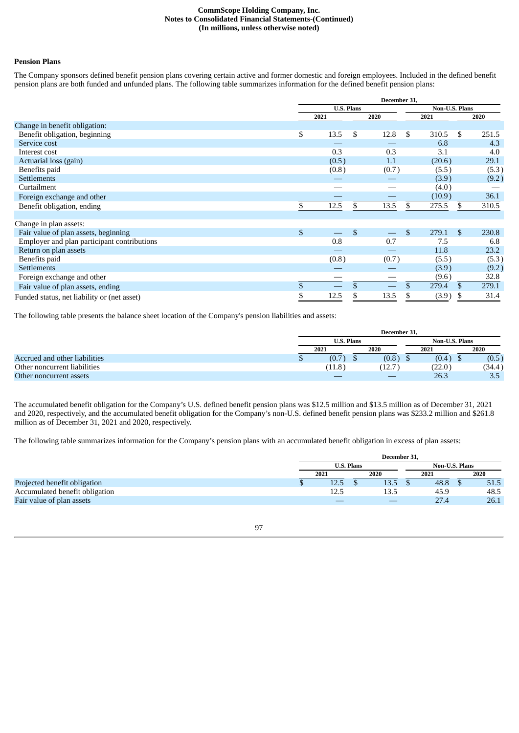### **Pension Plans**

The Company sponsors defined benefit pension plans covering certain active and former domestic and foreign employees. Included in the defined benefit pension plans are both funded and unfunded plans. The following table summarizes information for the defined benefit pension plans:

|                                             |                |                   |               | December 31, |     |                |             |
|---------------------------------------------|----------------|-------------------|---------------|--------------|-----|----------------|-------------|
|                                             |                | <b>U.S. Plans</b> |               |              |     | Non-U.S. Plans |             |
|                                             |                | 2021              |               | 2020         |     | 2021           | 2020        |
| Change in benefit obligation:               |                |                   |               |              |     |                |             |
| Benefit obligation, beginning               | \$             | 13.5              | \$            | 12.8         | \$  | 310.5          | \$<br>251.5 |
| Service cost                                |                |                   |               |              |     | 6.8            | 4.3         |
| Interest cost                               |                | 0.3               |               | 0.3          |     | 3.1            | 4.0         |
| Actuarial loss (gain)                       |                | (0.5)             |               | 1.1          |     | (20.6)         | 29.1        |
| Benefits paid                               |                | (0.8)             |               | (0.7)        |     | (5.5)          | (5.3)       |
| <b>Settlements</b>                          |                |                   |               |              |     | (3.9)          | (9.2)       |
| Curtailment                                 |                |                   |               |              |     | (4.0)          |             |
| Foreign exchange and other                  |                |                   |               |              |     | (10.9)         | 36.1        |
| Benefit obligation, ending                  | \$.            | 12.5              | \$            | 13.5         | \$. | 275.5          | \$<br>310.5 |
|                                             |                |                   |               |              |     |                |             |
| Change in plan assets:                      |                |                   |               |              |     |                |             |
| Fair value of plan assets, beginning        | $\mathfrak{S}$ |                   | $\mathcal{S}$ |              | \$  | 279.1          | \$<br>230.8 |
| Employer and plan participant contributions |                | 0.8               |               | 0.7          |     | 7.5            | 6.8         |
| Return on plan assets                       |                |                   |               |              |     | 11.8           | 23.2        |
| Benefits paid                               |                | (0.8)             |               | (0.7)        |     | (5.5)          | (5.3)       |
| <b>Settlements</b>                          |                |                   |               |              |     | (3.9)          | (9.2)       |
| Foreign exchange and other                  |                |                   |               |              |     | (9.6)          | 32.8        |
| Fair value of plan assets, ending           | \$             |                   | \$            |              |     | 279.4          | \$<br>279.1 |
| Funded status, net liability or (net asset) |                | 12.5              |               | 13.5         |     | (3.9)          | 31.4        |

The following table presents the balance sheet location of the Company's pension liabilities and assets:

|                               |                   | December 31, |                |        |  |        |
|-------------------------------|-------------------|--------------|----------------|--------|--|--------|
|                               | <b>U.S. Plans</b> |              | Non-U.S. Plans |        |  |        |
|                               | 2021              | 2020         |                | 2021   |  | 2020   |
| Accrued and other liabilities | (0.7)             | (0.8)        |                | (0.4)  |  | (0.5)  |
| Other noncurrent liabilities  | (11.8)            | (12.7        |                | (22.0) |  | (34.4) |
| Other noncurrent assets       |                   |              |                | 26.3   |  | 3.5    |

The accumulated benefit obligation for the Company's U.S. defined benefit pension plans was \$12.5 million and \$13.5 million as of December 31, 2021 and 2020, respectively, and the accumulated benefit obligation for the Company's non-U.S. defined benefit pension plans was \$233.2 million and \$261.8 million as of December 31, 2021 and 2020, respectively.

The following table summarizes information for the Company's pension plans with an accumulated benefit obligation in excess of plan assets:

|                                |                   | December 31. |                |      |  |      |
|--------------------------------|-------------------|--------------|----------------|------|--|------|
|                                | <b>U.S. Plans</b> |              | Non-U.S. Plans |      |  |      |
|                                | 2021              | 2020         |                | 2021 |  | 2020 |
| Projected benefit obligation   | $12.5^{\circ}$    | 13.5         |                | 48.8 |  | 51.5 |
| Accumulated benefit obligation | 12.5              | 13.5         |                | 45.9 |  | 48.5 |
| Fair value of plan assets      |                   |              |                | 27.4 |  | 26.1 |

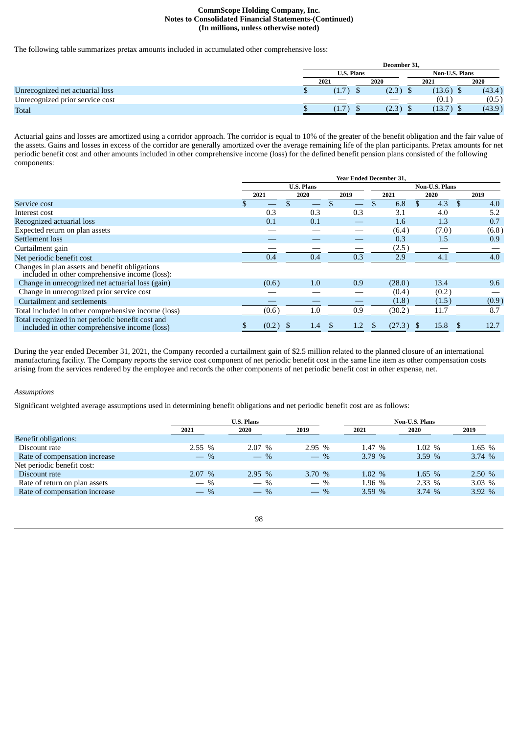The following table summarizes pretax amounts included in accumulated other comprehensive loss:

|                                 |                   |             |  | December 31.   |  |        |  |        |
|---------------------------------|-------------------|-------------|--|----------------|--|--------|--|--------|
|                                 | <b>U.S. Plans</b> |             |  | Non-U.S. Plans |  |        |  |        |
|                                 |                   | 2021        |  | 2020           |  | 2021   |  | 2020   |
| Unrecognized net actuarial loss | Ψ                 | (1.7)       |  | (2.3)          |  | (13.6) |  | (43.4) |
| Unrecognized prior service cost |                   |             |  |                |  | (0.1)  |  | (0.5)  |
| <b>Total</b>                    |                   | $-$<br>(1.) |  | (2.3)          |  | (13.   |  | (43.9) |

Actuarial gains and losses are amortized using a corridor approach. The corridor is equal to 10% of the greater of the benefit obligation and the fair value of the assets. Gains and losses in excess of the corridor are generally amortized over the average remaining life of the plan participants. Pretax amounts for net periodic benefit cost and other amounts included in other comprehensive income (loss) for the defined benefit pension plans consisted of the following components:

|                                                                                                    |       |                   | <b>Year Ended December 31.</b> |    |        |                |              |       |
|----------------------------------------------------------------------------------------------------|-------|-------------------|--------------------------------|----|--------|----------------|--------------|-------|
|                                                                                                    |       | <b>U.S. Plans</b> |                                |    |        | Non-U.S. Plans |              |       |
|                                                                                                    | 2021  | 2020              | 2019                           |    | 2021   | 2020           |              | 2019  |
| Service cost                                                                                       |       |                   |                                |    | 6.8    | 4.3            | $\mathbf{s}$ | 4.0   |
| Interest cost                                                                                      | 0.3   | 0.3               | 0.3                            |    | 3.1    | 4.0            |              | 5.2   |
| Recognized actuarial loss                                                                          | 0.1   | 0.1               |                                |    | 1.6    | 1.3            |              | 0.7   |
| Expected return on plan assets                                                                     |       |                   |                                |    | (6.4)  | (7.0)          |              | (6.8) |
| Settlement loss                                                                                    |       |                   |                                |    | 0.3    | 1.5            |              | 0.9   |
| Curtailment gain                                                                                   |       |                   |                                |    | (2.5)  |                |              |       |
| Net periodic benefit cost                                                                          | 0.4   | 0.4               | 0.3                            |    | 2.9    | 4.1            |              | 4.0   |
| Changes in plan assets and benefit obligations<br>included in other comprehensive income (loss):   |       |                   |                                |    |        |                |              |       |
| Change in unrecognized net actuarial loss (gain)                                                   | (0.6) | 1.0               | 0.9                            |    | (28.0) | 13.4           |              | 9.6   |
| Change in unrecognized prior service cost                                                          |       |                   |                                |    | (0.4)  | (0.2)          |              |       |
| Curtailment and settlements                                                                        |       |                   |                                |    | (1.8)  | (1.5)          |              | (0.9) |
| Total included in other comprehensive income (loss)                                                | (0.6) | 1.0               | 0.9                            |    | (30.2) | 11.7           |              | 8.7   |
| Total recognized in net periodic benefit cost and<br>included in other comprehensive income (loss) | (0.2) | 1.4               | 1.2                            | £. | (27.3) | 15.8           | <b>S</b>     | 12.7  |

During the year ended December 31, 2021, the Company recorded a curtailment gain of \$2.5 million related to the planned closure of an international manufacturing facility. The Company reports the service cost component of net periodic benefit cost in the same line item as other compensation costs arising from the services rendered by the employee and records the other components of net periodic benefit cost in other expense, net.

#### *Assumptions*

Significant weighted average assumptions used in determining benefit obligations and net periodic benefit cost are as follows:

|                               |          | <b>U.S. Plans</b> |       |        | Non-U.S. Plans |       |
|-------------------------------|----------|-------------------|-------|--------|----------------|-------|
|                               | 2021     | 2020              | 2019  | 2021   | 2020           | 2019  |
| Benefit obligations:          |          |                   |       |        |                |       |
| Discount rate                 | 2.55%    | $2.07\%$          | 2.95% | 1.47%  | $1.02\%$       | 1.65% |
| Rate of compensation increase | $-$ %    | $-$ %             | $-$ % | 3.79%  | 3.59%          | 3.74% |
| Net periodic benefit cost:    |          |                   |       |        |                |       |
| Discount rate                 | $2.07\%$ | 2.95%             | 3.70% | 1.02%  | $1.65\%$       | 2.50% |
| Rate of return on plan assets | $-$ %    | $-$ %             | $-$ % | 1.96 % | $2.33\%$       | 3.03% |
| Rate of compensation increase | $-$ %    | $-$ %             | $-$ % | 3.59%  | 3.74%          | 3.92% |
|                               |          |                   |       |        |                |       |

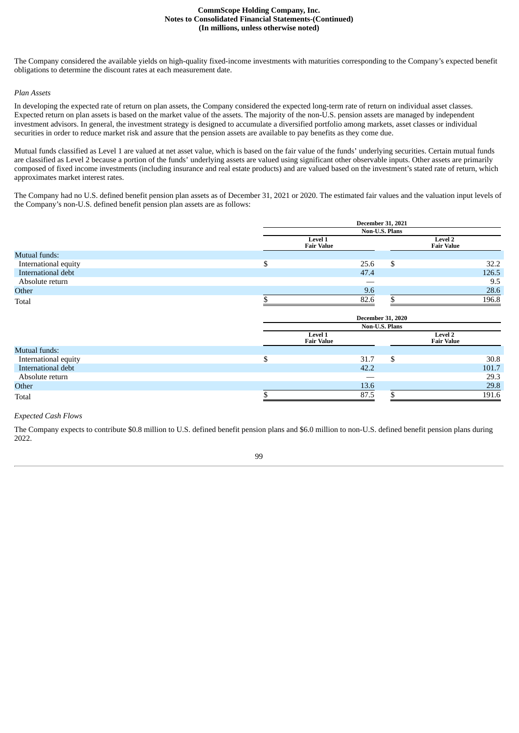The Company considered the available yields on high-quality fixed-income investments with maturities corresponding to the Company's expected benefit obligations to determine the discount rates at each measurement date.

### *Plan Assets*

In developing the expected rate of return on plan assets, the Company considered the expected long-term rate of return on individual asset classes. Expected return on plan assets is based on the market value of the assets. The majority of the non-U.S. pension assets are managed by independent investment advisors. In general, the investment strategy is designed to accumulate a diversified portfolio among markets, asset classes or individual securities in order to reduce market risk and assure that the pension assets are available to pay benefits as they come due.

Mutual funds classified as Level 1 are valued at net asset value, which is based on the fair value of the funds' underlying securities. Certain mutual funds are classified as Level 2 because a portion of the funds' underlying assets are valued using significant other observable inputs. Other assets are primarily composed of fixed income investments (including insurance and real estate products) and are valued based on the investment's stated rate of return, which approximates market interest rates.

The Company had no U.S. defined benefit pension plan assets as of December 31, 2021 or 2020. The estimated fair values and the valuation input levels of the Company's non-U.S. defined benefit pension plan assets are as follows:

|                      | <b>December 31, 2021</b>     |                                     |
|----------------------|------------------------------|-------------------------------------|
|                      | Non-U.S. Plans               |                                     |
|                      | Level 1<br><b>Fair Value</b> | <b>Level 2</b><br><b>Fair Value</b> |
| Mutual funds:        |                              |                                     |
| International equity | \$<br>\$<br>25.6             | 32.2                                |
| International debt   | 47.4                         | 126.5                               |
| Absolute return      |                              | 9.5                                 |
| Other                | 9.6                          | 28.6                                |
| Total                | 82.6<br>\$                   | 196.8                               |
|                      |                              |                                     |
|                      | <b>December 31, 2020</b>     |                                     |
|                      | Non-U.S. Plans               |                                     |
|                      | Level 1<br><b>Fair Value</b> | Level 2<br><b>Fair Value</b>        |
| Mutual funds:        |                              |                                     |
| International equity | \$<br>\$<br>31.7             | 30.8                                |
| International debt   | 42.2                         | 101.7                               |
| Absolute return      |                              | 29.3                                |
| Other                | 13.6                         | 29.8                                |

### *Expected Cash Flows*

The Company expects to contribute \$0.8 million to U.S. defined benefit pension plans and \$6.0 million to non-U.S. defined benefit pension plans during 2022.

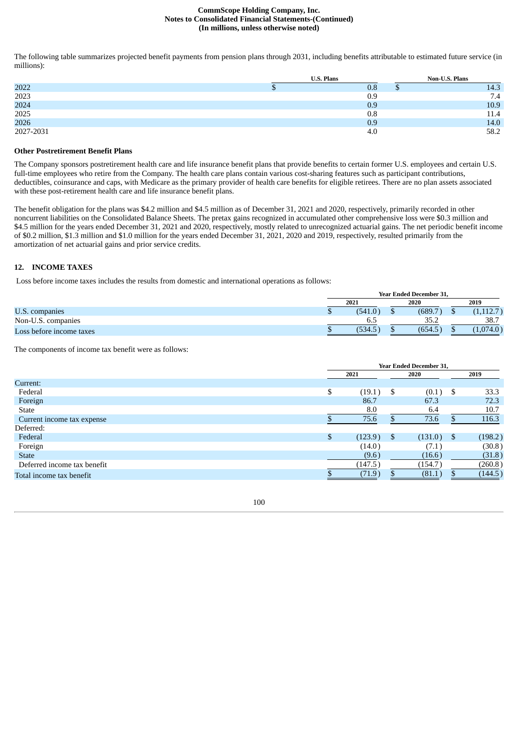The following table summarizes projected benefit payments from pension plans through 2031, including benefits attributable to estimated future service (in millions):

|           | <b>U.S. Plans</b> | Non-U.S. Plans |      |
|-----------|-------------------|----------------|------|
| 2022      |                   | 0.8            | 14.3 |
| 2023      |                   | 0.9            | 7.4  |
| 2024      |                   | 0.9            | 10.9 |
| 2025      |                   | 0.8            | 11.4 |
| 2026      |                   | 0.9            | 14.0 |
| 2027-2031 |                   | 4.0            | 58.2 |

### **Other Postretirement Benefit Plans**

The Company sponsors postretirement health care and life insurance benefit plans that provide benefits to certain former U.S. employees and certain U.S. full-time employees who retire from the Company. The health care plans contain various cost-sharing features such as participant contributions, deductibles, coinsurance and caps, with Medicare as the primary provider of health care benefits for eligible retirees. There are no plan assets associated with these post-retirement health care and life insurance benefit plans.

The benefit obligation for the plans was \$4.2 million and \$4.5 million as of December 31, 2021 and 2020, respectively, primarily recorded in other noncurrent liabilities on the Consolidated Balance Sheets. The pretax gains recognized in accumulated other comprehensive loss were \$0.3 million and \$4.5 million for the years ended December 31, 2021 and 2020, respectively, mostly related to unrecognized actuarial gains. The net periodic benefit income of \$0.2 million, \$1.3 million and \$1.0 million for the years ended December 31, 2021, 2020 and 2019, respectively, resulted primarily from the amortization of net actuarial gains and prior service credits.

### **12. INCOME TAXES**

Loss before income taxes includes the results from domestic and international operations as follows:

|                          | <b>Year Ended December 31,</b> |  |         |  |           |  |  |
|--------------------------|--------------------------------|--|---------|--|-----------|--|--|
|                          | 2021                           |  | 2020    |  | 2019      |  |  |
| U.S. companies           | (541.0)                        |  | (689.7) |  |           |  |  |
| Non-U.S. companies       | 6.5                            |  | ے.ر ب   |  | 38.7      |  |  |
| Loss before income taxes | (534.5)                        |  | (654.5) |  | $074.0\%$ |  |  |

The components of income tax benefit were as follows:

|                             | <b>Year Ended December 31,</b> |         |      |         |    |         |
|-----------------------------|--------------------------------|---------|------|---------|----|---------|
|                             | 2021                           |         | 2020 |         |    | 2019    |
| Current:                    |                                |         |      |         |    |         |
| Federal                     | \$                             | (19.1)  | \$   | (0.1)   | -S | 33.3    |
| Foreign                     |                                | 86.7    |      | 67.3    |    | 72.3    |
| <b>State</b>                |                                | 8.0     |      | 6.4     |    | 10.7    |
| Current income tax expense  |                                | 75.6    |      | 73.6    |    | 116.3   |
| Deferred:                   |                                |         |      |         |    |         |
| Federal                     | \$                             | (123.9) | \$   | (131.0) | -S | (198.2) |
| Foreign                     |                                | (14.0)  |      | (7.1)   |    | (30.8)  |
| <b>State</b>                |                                | (9.6)   |      | (16.6)  |    | (31.8)  |
| Deferred income tax benefit |                                | (147.5) |      | (154.7) |    | (260.8) |
| Total income tax benefit    |                                | (71.9)  |      | (81.1)  |    | (144.5) |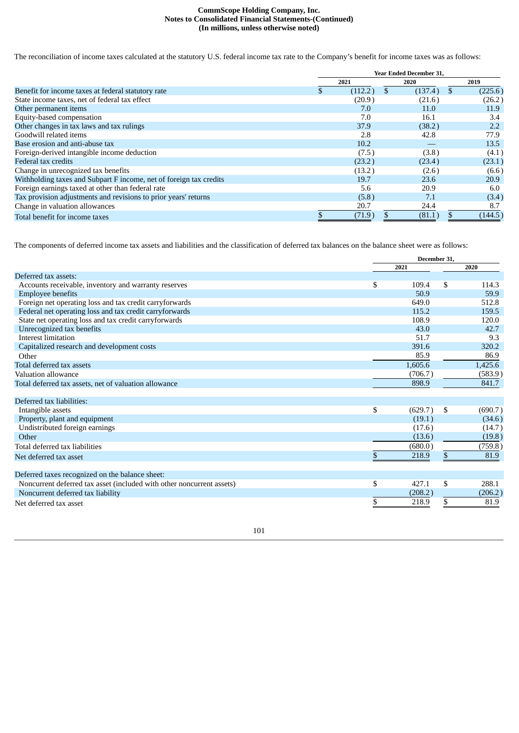The reconciliation of income taxes calculated at the statutory U.S. federal income tax rate to the Company's benefit for income taxes was as follows:

|                                                                    | Year Ended December 31, |         |         |   |             |  |
|--------------------------------------------------------------------|-------------------------|---------|---------|---|-------------|--|
|                                                                    |                         | 2021    | 2020    |   | 2019        |  |
| Benefit for income taxes at federal statutory rate                 |                         | (112.2) | (137.4) | S | (225.6)     |  |
| State income taxes, net of federal tax effect                      |                         | (20.9)  | (21.6)  |   | (26.2)      |  |
| Other permanent items                                              |                         | 7.0     | 11.0    |   | 11.9        |  |
| Equity-based compensation                                          |                         | 7.0     | 16.1    |   | 3.4         |  |
| Other changes in tax laws and tax rulings                          |                         | 37.9    | (38.2)  |   | 2.2         |  |
| Goodwill related items                                             |                         | 2.8     | 42.8    |   | 77.9        |  |
| Base erosion and anti-abuse tax                                    |                         | 10.2    |         |   | 13.5        |  |
| Foreign-derived intangible income deduction                        |                         | (7.5)   | (3.8)   |   | (4.1)       |  |
| Federal tax credits                                                |                         | (23.2)  | (23.4)  |   | (23.1)      |  |
| Change in unrecognized tax benefits                                |                         | (13.2)  | (2.6)   |   | (6.6)       |  |
| Withholding taxes and Subpart F income, net of foreign tax credits |                         | 19.7    | 23.6    |   | <b>20.9</b> |  |
| Foreign earnings taxed at other than federal rate                  |                         | 5.6     | 20.9    |   | 6.0         |  |
| Tax provision adjustments and revisions to prior years' returns    |                         | (5.8)   | 7.1     |   | (3.4)       |  |
| Change in valuation allowances                                     |                         | 20.7    | 24.4    |   | 8.7         |  |
| Total benefit for income taxes                                     |                         | (71.9)  | (81.1)  |   | (144.5)     |  |

The components of deferred income tax assets and liabilities and the classification of deferred tax balances on the balance sheet were as follows:

|                                                                       | December 31,  |    |         |  |
|-----------------------------------------------------------------------|---------------|----|---------|--|
|                                                                       | 2021          |    | 2020    |  |
| Deferred tax assets:                                                  |               |    |         |  |
| Accounts receivable, inventory and warranty reserves                  | \$<br>109.4   | \$ | 114.3   |  |
| <b>Employee benefits</b>                                              | 50.9          |    | 59.9    |  |
| Foreign net operating loss and tax credit carryforwards               | 649.0         |    | 512.8   |  |
| Federal net operating loss and tax credit carryforwards               | 115.2         |    | 159.5   |  |
| State net operating loss and tax credit carryforwards                 | 108.9         |    | 120.0   |  |
| Unrecognized tax benefits                                             | 43.0          |    | 42.7    |  |
| Interest limitation                                                   | 51.7          |    | 9.3     |  |
| Capitalized research and development costs                            | 391.6         |    | 320.2   |  |
| Other                                                                 | 85.9          |    | 86.9    |  |
| Total deferred tax assets                                             | 1,605.6       |    | 1,425.6 |  |
| Valuation allowance                                                   | (706.7)       |    | (583.9) |  |
| Total deferred tax assets, net of valuation allowance                 | 898.9         |    | 841.7   |  |
| Deferred tax liabilities:                                             |               |    |         |  |
| Intangible assets                                                     | \$<br>(629.7) | \$ | (690.7) |  |
| Property, plant and equipment                                         | (19.1)        |    | (34.6)  |  |
| Undistributed foreign earnings                                        | (17.6)        |    | (14.7)  |  |
| Other                                                                 | (13.6)        |    | (19.8)  |  |
| Total deferred tax liabilities                                        | (680.0)       |    | (759.8) |  |
| Net deferred tax asset                                                | \$<br>218.9   | \$ | 81.9    |  |
| Deferred taxes recognized on the balance sheet:                       |               |    |         |  |
| Noncurrent deferred tax asset (included with other noncurrent assets) | \$<br>427.1   | \$ | 288.1   |  |
| Noncurrent deferred tax liability                                     | (208.2)       |    | (206.2) |  |
| Net deferred tax asset                                                | \$<br>218.9   | \$ | 81.9    |  |
|                                                                       |               |    |         |  |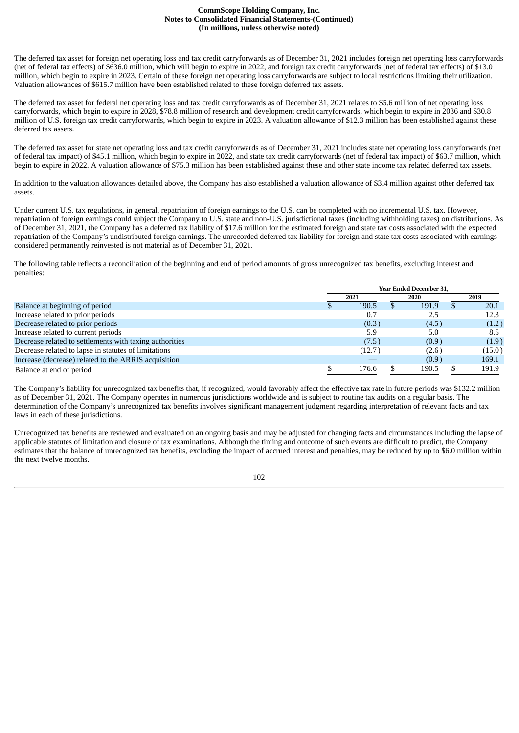The deferred tax asset for foreign net operating loss and tax credit carryforwards as of December 31, 2021 includes foreign net operating loss carryforwards (net of federal tax effects) of \$636.0 million, which will begin to expire in 2022, and foreign tax credit carryforwards (net of federal tax effects) of \$13.0 million, which begin to expire in 2023. Certain of these foreign net operating loss carryforwards are subject to local restrictions limiting their utilization. Valuation allowances of \$615.7 million have been established related to these foreign deferred tax assets.

The deferred tax asset for federal net operating loss and tax credit carryforwards as of December 31, 2021 relates to \$5.6 million of net operating loss carryforwards, which begin to expire in 2028, \$78.8 million of research and development credit carryforwards, which begin to expire in 2036 and \$30.8 million of U.S. foreign tax credit carryforwards, which begin to expire in 2023. A valuation allowance of \$12.3 million has been established against these deferred tax assets.

The deferred tax asset for state net operating loss and tax credit carryforwards as of December 31, 2021 includes state net operating loss carryforwards (net of federal tax impact) of \$45.1 million, which begin to expire in 2022, and state tax credit carryforwards (net of federal tax impact) of \$63.7 million, which begin to expire in 2022. A valuation allowance of \$75.3 million has been established against these and other state income tax related deferred tax assets.

In addition to the valuation allowances detailed above, the Company has also established a valuation allowance of \$3.4 million against other deferred tax assets.

Under current U.S. tax regulations, in general, repatriation of foreign earnings to the U.S. can be completed with no incremental U.S. tax. However, repatriation of foreign earnings could subject the Company to U.S. state and non-U.S. jurisdictional taxes (including withholding taxes) on distributions. As of December 31, 2021, the Company has a deferred tax liability of \$17.6 million for the estimated foreign and state tax costs associated with the expected repatriation of the Company's undistributed foreign earnings. The unrecorded deferred tax liability for foreign and state tax costs associated with earnings considered permanently reinvested is not material as of December 31, 2021.

The following table reflects a reconciliation of the beginning and end of period amounts of gross unrecognized tax benefits, excluding interest and penalties:

|                                                         | <b>Year Ended December 31,</b> |        |      |       |  |        |
|---------------------------------------------------------|--------------------------------|--------|------|-------|--|--------|
|                                                         | 2021                           |        | 2020 |       |  | 2019   |
| Balance at beginning of period                          |                                | 190.5  |      | 191.9 |  | 20.1   |
| Increase related to prior periods                       |                                | 0.7    |      | 2.5   |  | 12.3   |
| Decrease related to prior periods                       |                                | (0.3)  |      | (4.5) |  | (1.2)  |
| Increase related to current periods                     |                                | 5.9    |      | 5.0   |  | 8.5    |
| Decrease related to settlements with taxing authorities |                                | (7.5)  |      | (0.9) |  | (1.9)  |
| Decrease related to lapse in statutes of limitations    |                                | (12.7) |      | (2.6) |  | (15.0) |
| Increase (decrease) related to the ARRIS acquisition    |                                |        |      | (0.9) |  | 169.1  |
| Balance at end of period                                |                                | 176.6  |      | 190.5 |  | 191.9  |

The Company's liability for unrecognized tax benefits that, if recognized, would favorably affect the effective tax rate in future periods was \$132.2 million as of December 31, 2021. The Company operates in numerous jurisdictions worldwide and is subject to routine tax audits on a regular basis. The determination of the Company's unrecognized tax benefits involves significant management judgment regarding interpretation of relevant facts and tax laws in each of these jurisdictions.

Unrecognized tax benefits are reviewed and evaluated on an ongoing basis and may be adjusted for changing facts and circumstances including the lapse of applicable statutes of limitation and closure of tax examinations. Although the timing and outcome of such events are difficult to predict, the Company estimates that the balance of unrecognized tax benefits, excluding the impact of accrued interest and penalties, may be reduced by up to \$6.0 million within the next twelve months.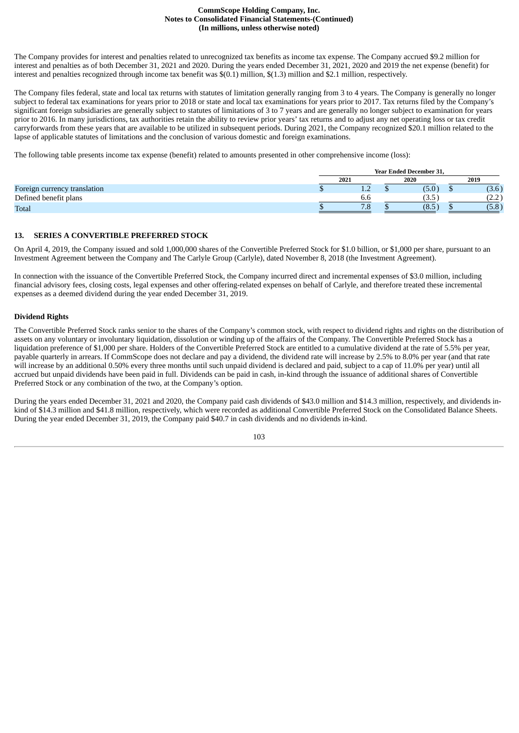The Company provides for interest and penalties related to unrecognized tax benefits as income tax expense. The Company accrued \$9.2 million for interest and penalties as of both December 31, 2021 and 2020. During the years ended December 31, 2021, 2020 and 2019 the net expense (benefit) for interest and penalties recognized through income tax benefit was \$(0.1) million, \$(1.3) million and \$2.1 million, respectively.

The Company files federal, state and local tax returns with statutes of limitation generally ranging from 3 to 4 years. The Company is generally no longer subject to federal tax examinations for years prior to 2018 or state and local tax examinations for years prior to 2017. Tax returns filed by the Company's significant foreign subsidiaries are generally subject to statutes of limitations of 3 to 7 years and are generally no longer subject to examination for years prior to 2016. In many jurisdictions, tax authorities retain the ability to review prior years' tax returns and to adjust any net operating loss or tax credit carryforwards from these years that are available to be utilized in subsequent periods. During 2021, the Company recognized \$20.1 million related to the lapse of applicable statutes of limitations and the conclusion of various domestic and foreign examinations.

The following table presents income tax expense (benefit) related to amounts presented in other comprehensive income (loss):

|                              |      | <b>Year Ended December 31,</b> |  |      |      |        |  |  |
|------------------------------|------|--------------------------------|--|------|------|--------|--|--|
|                              | 2021 |                                |  | 2020 | 2019 |        |  |  |
| Foreign currency translation |      | .                              |  |      |      | (3.6)  |  |  |
| Defined benefit plans        |      | 0.O                            |  |      |      | $\sim$ |  |  |
| <b>Total</b>                 |      | $\cdot$                        |  | LO.C |      | , 5.8  |  |  |

# **13. SERIES A CONVERTIBLE PREFERRED STOCK**

On April 4, 2019, the Company issued and sold 1,000,000 shares of the Convertible Preferred Stock for \$1.0 billion, or \$1,000 per share, pursuant to an Investment Agreement between the Company and The Carlyle Group (Carlyle), dated November 8, 2018 (the Investment Agreement).

In connection with the issuance of the Convertible Preferred Stock, the Company incurred direct and incremental expenses of \$3.0 million, including financial advisory fees, closing costs, legal expenses and other offering-related expenses on behalf of Carlyle, and therefore treated these incremental expenses as a deemed dividend during the year ended December 31, 2019.

### **Dividend Rights**

The Convertible Preferred Stock ranks senior to the shares of the Company's common stock, with respect to dividend rights and rights on the distribution of assets on any voluntary or involuntary liquidation, dissolution or winding up of the affairs of the Company. The Convertible Preferred Stock has a liquidation preference of \$1,000 per share. Holders of the Convertible Preferred Stock are entitled to a cumulative dividend at the rate of 5.5% per year, payable quarterly in arrears. If CommScope does not declare and pay a dividend, the dividend rate will increase by 2.5% to 8.0% per year (and that rate will increase by an additional 0.50% every three months until such unpaid dividend is declared and paid, subject to a cap of 11.0% per year) until all accrued but unpaid dividends have been paid in full. Dividends can be paid in cash, in-kind through the issuance of additional shares of Convertible Preferred Stock or any combination of the two, at the Company's option.

During the years ended December 31, 2021 and 2020, the Company paid cash dividends of \$43.0 million and \$14.3 million, respectively, and dividends inkind of \$14.3 million and \$41.8 million, respectively, which were recorded as additional Convertible Preferred Stock on the Consolidated Balance Sheets. During the year ended December 31, 2019, the Company paid \$40.7 in cash dividends and no dividends in-kind.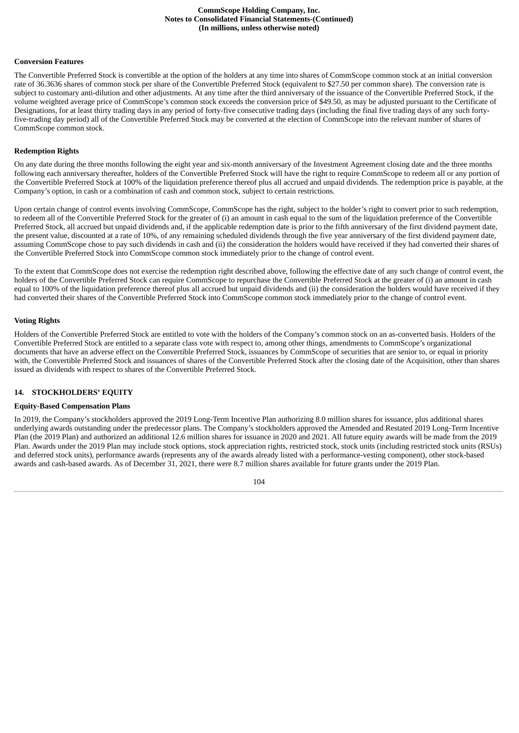#### **Conversion Features**

The Convertible Preferred Stock is convertible at the option of the holders at any time into shares of CommScope common stock at an initial conversion rate of 36.3636 shares of common stock per share of the Convertible Preferred Stock (equivalent to \$27.50 per common share). The conversion rate is subject to customary anti-dilution and other adjustments. At any time after the third anniversary of the issuance of the Convertible Preferred Stock, if the volume weighted average price of CommScope's common stock exceeds the conversion price of \$49.50, as may be adjusted pursuant to the Certificate of Designations, for at least thirty trading days in any period of forty-five consecutive trading days (including the final five trading days of any such fortyfive-trading day period) all of the Convertible Preferred Stock may be converted at the election of CommScope into the relevant number of shares of CommScope common stock.

## **Redemption Rights**

On any date during the three months following the eight year and six-month anniversary of the Investment Agreement closing date and the three months following each anniversary thereafter, holders of the Convertible Preferred Stock will have the right to require CommScope to redeem all or any portion of the Convertible Preferred Stock at 100% of the liquidation preference thereof plus all accrued and unpaid dividends. The redemption price is payable, at the Company's option, in cash or a combination of cash and common stock, subject to certain restrictions.

Upon certain change of control events involving CommScope, CommScope has the right, subject to the holder's right to convert prior to such redemption, to redeem all of the Convertible Preferred Stock for the greater of (i) an amount in cash equal to the sum of the liquidation preference of the Convertible Preferred Stock, all accrued but unpaid dividends and, if the applicable redemption date is prior to the fifth anniversary of the first dividend payment date, the present value, discounted at a rate of 10%, of any remaining scheduled dividends through the five year anniversary of the first dividend payment date, assuming CommScope chose to pay such dividends in cash and (ii) the consideration the holders would have received if they had converted their shares of the Convertible Preferred Stock into CommScope common stock immediately prior to the change of control event.

To the extent that CommScope does not exercise the redemption right described above, following the effective date of any such change of control event, the holders of the Convertible Preferred Stock can require CommScope to repurchase the Convertible Preferred Stock at the greater of (i) an amount in cash equal to 100% of the liquidation preference thereof plus all accrued but unpaid dividends and (ii) the consideration the holders would have received if they had converted their shares of the Convertible Preferred Stock into CommScope common stock immediately prior to the change of control event.

### **Voting Rights**

Holders of the Convertible Preferred Stock are entitled to vote with the holders of the Company's common stock on an as-converted basis. Holders of the Convertible Preferred Stock are entitled to a separate class vote with respect to, among other things, amendments to CommScope's organizational documents that have an adverse effect on the Convertible Preferred Stock, issuances by CommScope of securities that are senior to, or equal in priority with, the Convertible Preferred Stock and issuances of shares of the Convertible Preferred Stock after the closing date of the Acquisition, other than shares issued as dividends with respect to shares of the Convertible Preferred Stock.

# **14. STOCKHOLDERS' EQUITY**

## **Equity-Based Compensation Plans**

In 2019, the Company's stockholders approved the 2019 Long-Term Incentive Plan authorizing 8.0 million shares for issuance, plus additional shares underlying awards outstanding under the predecessor plans. The Company's stockholders approved the Amended and Restated 2019 Long-Term Incentive Plan (the 2019 Plan) and authorized an additional 12.6 million shares for issuance in 2020 and 2021. All future equity awards will be made from the 2019 Plan. Awards under the 2019 Plan may include stock options, stock appreciation rights, restricted stock, stock units (including restricted stock units (RSUs) and deferred stock units), performance awards (represents any of the awards already listed with a performance-vesting component), other stock-based awards and cash-based awards. As of December 31, 2021, there were 8.7 million shares available for future grants under the 2019 Plan.

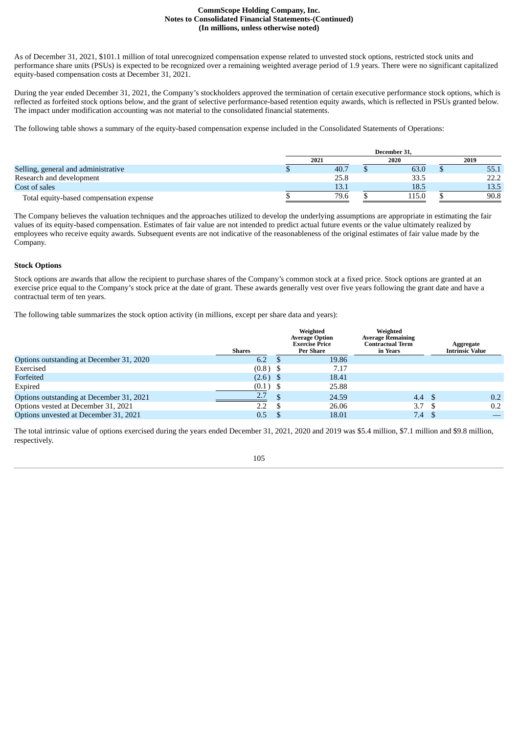As of December 31, 2021, \$101.1 million of total unrecognized compensation expense related to unvested stock options, restricted stock units and performance share units (PSUs) is expected to be recognized over a remaining weighted average period of 1.9 years. There were no significant capitalized equity-based compensation costs at December 31, 2021.

During the year ended December 31, 2021, the Company's stockholders approved the termination of certain executive performance stock options, which is reflected as forfeited stock options below, and the grant of selective performance-based retention equity awards, which is reflected in PSUs granted below. The impact under modification accounting was not material to the consolidated financial statements.

The following table shows a summary of the equity-based compensation expense included in the Consolidated Statements of Operations:

|                                         | December 31. |  |       |  |      |  |  |
|-----------------------------------------|--------------|--|-------|--|------|--|--|
|                                         | 2021         |  | 2020  |  | 2019 |  |  |
| Selling, general and administrative     | 40.7         |  | 63.0  |  | 55.1 |  |  |
| Research and development                | 25.8         |  | 33.5  |  | 22.2 |  |  |
| Cost of sales                           | 13.1         |  | 18.5  |  | 13.5 |  |  |
| Total equity-based compensation expense | 79.6         |  | 115.0 |  | 90.8 |  |  |

The Company believes the valuation techniques and the approaches utilized to develop the underlying assumptions are appropriate in estimating the fair values of its equity-based compensation. Estimates of fair value are not intended to predict actual future events or the value ultimately realized by employees who receive equity awards. Subsequent events are not indicative of the reasonableness of the original estimates of fair value made by the Company.

### **Stock Options**

Stock options are awards that allow the recipient to purchase shares of the Company's common stock at a fixed price. Stock options are granted at an exercise price equal to the Company's stock price at the date of grant. These awards generally vest over five years following the grant date and have a contractual term of ten years.

The following table summarizes the stock option activity (in millions, except per share data and years):

|                                          | <b>Shares</b> |      | Weighted<br><b>Average Option</b><br><b>Exercise Price</b><br><b>Per Share</b> | Weighted<br><b>Average Remaining</b><br><b>Contractual Term</b><br>in Years | Aggregate<br><b>Intrinsic Value</b> |
|------------------------------------------|---------------|------|--------------------------------------------------------------------------------|-----------------------------------------------------------------------------|-------------------------------------|
| Options outstanding at December 31, 2020 | 6.2           |      | 19.86                                                                          |                                                                             |                                     |
| Exercised                                | (0.8)         |      | 7.17                                                                           |                                                                             |                                     |
| Forfeited                                | (2.6)         | - \$ | 18.41                                                                          |                                                                             |                                     |
| Expired                                  | (0.1)         | - 5  | 25.88                                                                          |                                                                             |                                     |
| Options outstanding at December 31, 2021 |               |      | 24.59                                                                          | $4.4\quad$ \$                                                               | 0.2                                 |
| Options vested at December 31, 2021      | 2.2           |      | 26.06                                                                          | 3.7 <sup>5</sup>                                                            | 0.2                                 |
| Options unvested at December 31, 2021    | 0.5           |      | 18.01                                                                          | $7.4\quad$                                                                  |                                     |

The total intrinsic value of options exercised during the years ended December 31, 2021, 2020 and 2019 was \$5.4 million, \$7.1 million and \$9.8 million, respectively.

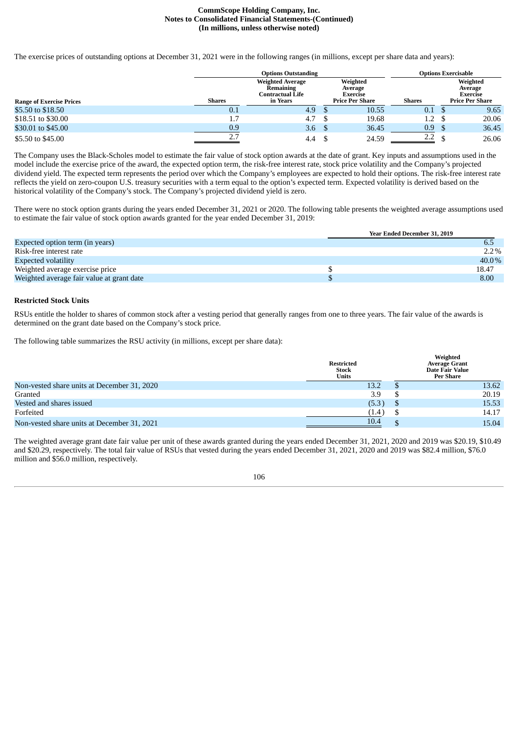The exercise prices of outstanding options at December 31, 2021 were in the following ranges (in millions, except per share data and years):

|                                 |               | <b>Options Outstanding</b>                                                  |                                                           |       |                  | <b>Options Exercisable</b> |                                                           |  |  |  |
|---------------------------------|---------------|-----------------------------------------------------------------------------|-----------------------------------------------------------|-------|------------------|----------------------------|-----------------------------------------------------------|--|--|--|
| <b>Range of Exercise Prices</b> | <b>Shares</b> | <b>Weighted Average</b><br>Remaining<br><b>Contractual Life</b><br>in Years | Weighted<br>Average<br>Exercise<br><b>Price Per Share</b> |       | <b>Shares</b>    |                            | Weighted<br>Average<br>Exercise<br><b>Price Per Share</b> |  |  |  |
| \$5.50 to \$18.50               | $0.1\,$       | 4.9                                                                         |                                                           | 10.55 | 0.1              |                            | 9.65                                                      |  |  |  |
| \$18.51 to \$30.00              |               | 4.7                                                                         |                                                           | 19.68 | 1.2 <sup>5</sup> |                            | 20.06                                                     |  |  |  |
| \$30.01 to \$45.00              | 0.9           | 3.6                                                                         | - \$                                                      | 36.45 | 0.9 <sub>0</sub> |                            | 36.45                                                     |  |  |  |
| \$5.50 to \$45.00               | Ζ.            | 4.4                                                                         |                                                           | 24.59 | 2.2              |                            | 26.06                                                     |  |  |  |

The Company uses the Black-Scholes model to estimate the fair value of stock option awards at the date of grant. Key inputs and assumptions used in the model include the exercise price of the award, the expected option term, the risk-free interest rate, stock price volatility and the Company's projected dividend yield. The expected term represents the period over which the Company's employees are expected to hold their options. The risk-free interest rate reflects the yield on zero-coupon U.S. treasury securities with a term equal to the option's expected term. Expected volatility is derived based on the historical volatility of the Company's stock. The Company's projected dividend yield is zero.

There were no stock option grants during the years ended December 31, 2021 or 2020. The following table presents the weighted average assumptions used to estimate the fair value of stock option awards granted for the year ended December 31, 2019:

|                                           | Year Ended December 31, 2019 |
|-------------------------------------------|------------------------------|
| Expected option term (in years)           | 6.5                          |
| Risk-free interest rate                   | $2.2\%$                      |
| <b>Expected volatility</b>                | 40.0%                        |
| Weighted average exercise price           | 18.47                        |
| Weighted average fair value at grant date | 8.00                         |

# **Restricted Stock Units**

RSUs entitle the holder to shares of common stock after a vesting period that generally ranges from one to three years. The fair value of the awards is determined on the grant date based on the Company's stock price.

The following table summarizes the RSU activity (in millions, except per share data):

| <b>Restricted</b><br><b>Stock</b><br><b>Units</b> | Weighted<br><b>Average Grant</b><br>Date Fair Value<br>Per Share |
|---------------------------------------------------|------------------------------------------------------------------|
| 13.2                                              | 13.62                                                            |
| 3.9                                               | 20.19                                                            |
| (5.3)                                             | 15.53                                                            |
| (1.4)                                             | 14.17                                                            |
| 10.4                                              | 15.04                                                            |
|                                                   |                                                                  |

The weighted average grant date fair value per unit of these awards granted during the years ended December 31, 2021, 2020 and 2019 was \$20.19, \$10.49 and \$20.29, respectively. The total fair value of RSUs that vested during the years ended December 31, 2021, 2020 and 2019 was \$82.4 million, \$76.0 million and \$56.0 million, respectively.

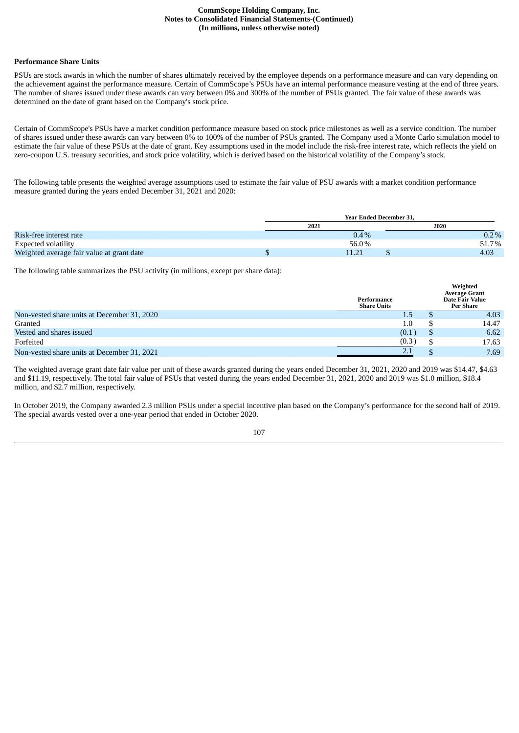#### **Performance Share Units**

PSUs are stock awards in which the number of shares ultimately received by the employee depends on a performance measure and can vary depending on the achievement against the performance measure. Certain of CommScope's PSUs have an internal performance measure vesting at the end of three years. The number of shares issued under these awards can vary between 0% and 300% of the number of PSUs granted. The fair value of these awards was determined on the date of grant based on the Company's stock price.

Certain of CommScope's PSUs have a market condition performance measure based on stock price milestones as well as a service condition. The number of shares issued under these awards can vary between 0% to 100% of the number of PSUs granted. The Company used a Monte Carlo simulation model to estimate the fair value of these PSUs at the date of grant. Key assumptions used in the model include the risk-free interest rate, which reflects the yield on zero-coupon U.S. treasury securities, and stock price volatility, which is derived based on the historical volatility of the Company's stock.

The following table presents the weighted average assumptions used to estimate the fair value of PSU awards with a market condition performance measure granted during the years ended December 31, 2021 and 2020:

|                                           | <b>Year Ended December 31.</b> |  |      |         |  |
|-------------------------------------------|--------------------------------|--|------|---------|--|
|                                           | 2021                           |  | 2020 |         |  |
| Risk-free interest rate                   | $0.4\%$                        |  |      | $0.2\%$ |  |
| Expected volatility                       | 56.0%                          |  |      | 51.7%   |  |
| Weighted average fair value at grant date | 11 71                          |  | 4.03 |         |  |

The following table summarizes the PSU activity (in millions, except per share data):

|                                             | Performance<br><b>Share Units</b> |  |       |
|---------------------------------------------|-----------------------------------|--|-------|
| Non-vested share units at December 31, 2020 | 1.5                               |  | 4.03  |
| Granted                                     | 1.0                               |  | 14.47 |
| Vested and shares issued                    | (0.1)                             |  | 6.62  |
| Forfeited                                   | (0.3)                             |  | 17.63 |
| Non-vested share units at December 31, 2021 | 2.1                               |  | 7.69  |

The weighted average grant date fair value per unit of these awards granted during the years ended December 31, 2021, 2020 and 2019 was \$14.47, \$4.63 and \$11.19, respectively. The total fair value of PSUs that vested during the years ended December 31, 2021, 2020 and 2019 was \$1.0 million, \$18.4 million, and \$2.7 million, respectively.

In October 2019, the Company awarded 2.3 million PSUs under a special incentive plan based on the Company's performance for the second half of 2019. The special awards vested over a one-year period that ended in October 2020.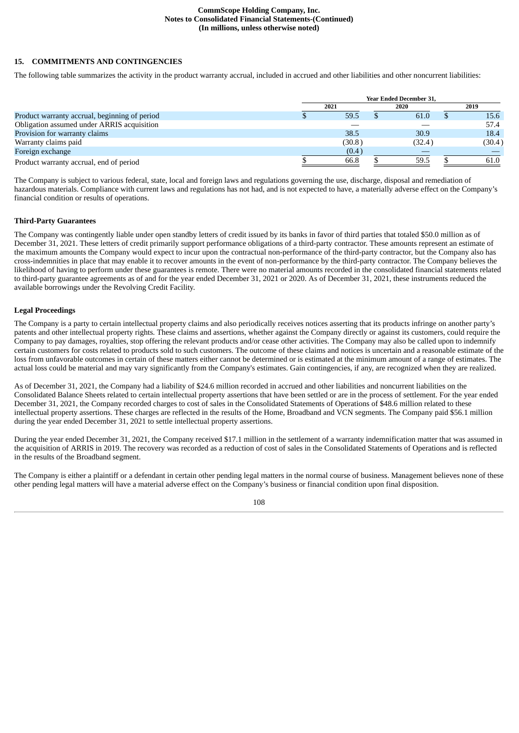# **15. COMMITMENTS AND CONTINGENCIES**

The following table summarizes the activity in the product warranty accrual, included in accrued and other liabilities and other noncurrent liabilities:

|                                               | <b>Year Ended December 31.</b> |        |  |        |  |        |
|-----------------------------------------------|--------------------------------|--------|--|--------|--|--------|
|                                               |                                | 2021   |  | 2020   |  | 2019   |
| Product warranty accrual, beginning of period |                                | 59.5   |  | 61.0   |  | 15.6   |
| Obligation assumed under ARRIS acquisition    |                                |        |  |        |  | 57.4   |
| Provision for warranty claims                 |                                | 38.5   |  | 30.9   |  | 18.4   |
| Warranty claims paid                          |                                | (30.8) |  | (32.4) |  | (30.4) |
| Foreign exchange                              |                                | (0.4)  |  |        |  |        |
| Product warranty accrual, end of period       |                                | 66.8   |  | 59.5   |  | 61.0   |

The Company is subject to various federal, state, local and foreign laws and regulations governing the use, discharge, disposal and remediation of hazardous materials. Compliance with current laws and regulations has not had, and is not expected to have, a materially adverse effect on the Company's financial condition or results of operations.

### **Third-Party Guarantees**

The Company was contingently liable under open standby letters of credit issued by its banks in favor of third parties that totaled \$50.0 million as of December 31, 2021. These letters of credit primarily support performance obligations of a third-party contractor. These amounts represent an estimate of the maximum amounts the Company would expect to incur upon the contractual non-performance of the third-party contractor, but the Company also has cross-indemnities in place that may enable it to recover amounts in the event of non-performance by the third-party contractor. The Company believes the likelihood of having to perform under these guarantees is remote. There were no material amounts recorded in the consolidated financial statements related to third-party guarantee agreements as of and for the year ended December 31, 2021 or 2020. As of December 31, 2021, these instruments reduced the available borrowings under the Revolving Credit Facility.

# **Legal Proceedings**

The Company is a party to certain intellectual property claims and also periodically receives notices asserting that its products infringe on another party's patents and other intellectual property rights. These claims and assertions, whether against the Company directly or against its customers, could require the Company to pay damages, royalties, stop offering the relevant products and/or cease other activities. The Company may also be called upon to indemnify certain customers for costs related to products sold to such customers. The outcome of these claims and notices is uncertain and a reasonable estimate of the loss from unfavorable outcomes in certain of these matters either cannot be determined or is estimated at the minimum amount of a range of estimates. The actual loss could be material and may vary significantly from the Company's estimates. Gain contingencies, if any, are recognized when they are realized.

As of December 31, 2021, the Company had a liability of \$24.6 million recorded in accrued and other liabilities and noncurrent liabilities on the Consolidated Balance Sheets related to certain intellectual property assertions that have been settled or are in the process of settlement. For the year ended December 31, 2021, the Company recorded charges to cost of sales in the Consolidated Statements of Operations of \$48.6 million related to these intellectual property assertions. These charges are reflected in the results of the Home, Broadband and VCN segments. The Company paid \$56.1 million during the year ended December 31, 2021 to settle intellectual property assertions.

During the year ended December 31, 2021, the Company received \$17.1 million in the settlement of a warranty indemnification matter that was assumed in the acquisition of ARRIS in 2019. The recovery was recorded as a reduction of cost of sales in the Consolidated Statements of Operations and is reflected in the results of the Broadband segment.

The Company is either a plaintiff or a defendant in certain other pending legal matters in the normal course of business. Management believes none of these other pending legal matters will have a material adverse effect on the Company's business or financial condition upon final disposition.

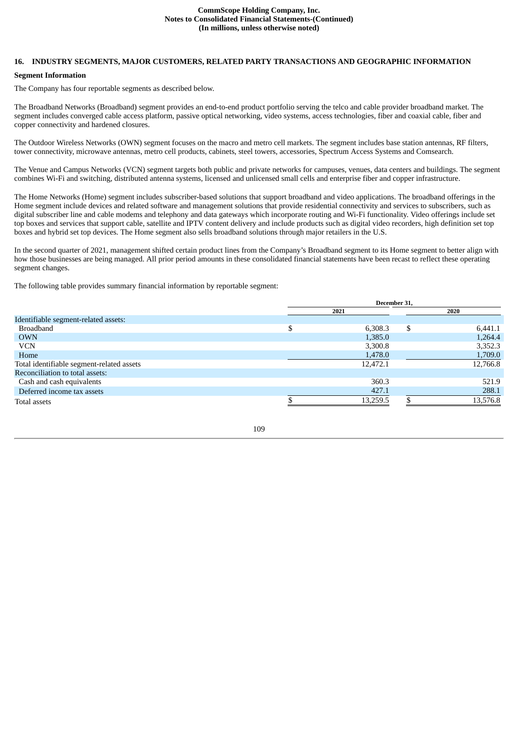#### **CommScope Holding Company, Inc. Notes to Consolidated Financial Statements-(Continued) (In millions, unless otherwise noted)**

## **16. INDUSTRY SEGMENTS, MAJOR CUSTOMERS, RELATED PARTY TRANSACTIONS AND GEOGRAPHIC INFORMATION**

### **Segment Information**

The Company has four reportable segments as described below.

The Broadband Networks (Broadband) segment provides an end-to-end product portfolio serving the telco and cable provider broadband market. The segment includes converged cable access platform, passive optical networking, video systems, access technologies, fiber and coaxial cable, fiber and copper connectivity and hardened closures.

The Outdoor Wireless Networks (OWN) segment focuses on the macro and metro cell markets. The segment includes base station antennas, RF filters, tower connectivity, microwave antennas, metro cell products, cabinets, steel towers, accessories, Spectrum Access Systems and Comsearch.

The Venue and Campus Networks (VCN) segment targets both public and private networks for campuses, venues, data centers and buildings. The segment combines Wi-Fi and switching, distributed antenna systems, licensed and unlicensed small cells and enterprise fiber and copper infrastructure.

The Home Networks (Home) segment includes subscriber-based solutions that support broadband and video applications. The broadband offerings in the Home segment include devices and related software and management solutions that provide residential connectivity and services to subscribers, such as digital subscriber line and cable modems and telephony and data gateways which incorporate routing and Wi-Fi functionality. Video offerings include set top boxes and services that support cable, satellite and IPTV content delivery and include products such as digital video recorders, high definition set top boxes and hybrid set top devices. The Home segment also sells broadband solutions through major retailers in the U.S.

In the second quarter of 2021, management shifted certain product lines from the Company's Broadband segment to its Home segment to better align with how those businesses are being managed. All prior period amounts in these consolidated financial statements have been recast to reflect these operating segment changes.

The following table provides summary financial information by reportable segment:

|                                           | December 31, |          |    |          |
|-------------------------------------------|--------------|----------|----|----------|
|                                           |              | 2021     |    | 2020     |
| Identifiable segment-related assets:      |              |          |    |          |
| Broadband                                 | \$           | 6,308.3  | \$ | 6,441.1  |
| <b>OWN</b>                                |              | 1,385.0  |    | 1,264.4  |
| <b>VCN</b>                                |              | 3,300.8  |    | 3,352.3  |
| Home                                      |              | 1,478.0  |    | 1,709.0  |
| Total identifiable segment-related assets |              | 12,472.1 |    | 12,766.8 |
| Reconciliation to total assets:           |              |          |    |          |
| Cash and cash equivalents                 |              | 360.3    |    | 521.9    |
| Deferred income tax assets                |              | 427.1    |    | 288.1    |
| Total assets                              |              | 13,259.5 |    | 13,576.8 |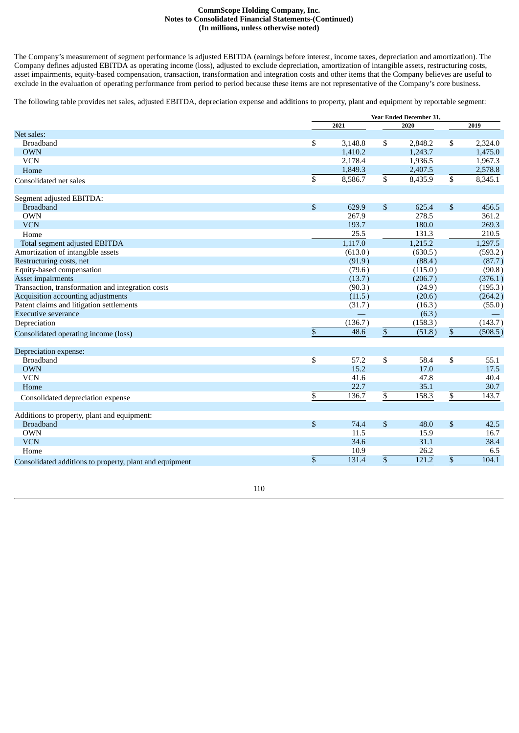#### **CommScope Holding Company, Inc. Notes to Consolidated Financial Statements-(Continued) (In millions, unless otherwise noted)**

The Company's measurement of segment performance is adjusted EBITDA (earnings before interest, income taxes, depreciation and amortization). The Company defines adjusted EBITDA as operating income (loss), adjusted to exclude depreciation, amortization of intangible assets, restructuring costs, asset impairments, equity-based compensation, transaction, transformation and integration costs and other items that the Company believes are useful to exclude in the evaluation of operating performance from period to period because these items are not representative of the Company's core business.

The following table provides net sales, adjusted EBITDA, depreciation expense and additions to property, plant and equipment by reportable segment:

|                                                         |                           | Year Ended December 31, |                          |         |            |         |
|---------------------------------------------------------|---------------------------|-------------------------|--------------------------|---------|------------|---------|
|                                                         |                           | 2021                    |                          | 2020    |            | 2019    |
| Net sales:                                              |                           |                         |                          |         |            |         |
| <b>Broadband</b>                                        | \$                        | 3,148.8                 | \$                       | 2,848.2 | \$         | 2,324.0 |
| <b>OWN</b>                                              |                           | 1,410.2                 |                          | 1,243.7 |            | 1,475.0 |
| <b>VCN</b>                                              |                           | 2,178.4                 |                          | 1,936.5 |            | 1,967.3 |
| Home                                                    |                           | 1,849.3                 |                          | 2,407.5 |            | 2,578.8 |
| Consolidated net sales                                  | \$                        | 8,586.7                 | $\overline{\mathcal{L}}$ | 8,435.9 | \$         | 8,345.1 |
| Segment adjusted EBITDA:                                |                           |                         |                          |         |            |         |
| <b>Broadband</b>                                        | \$                        | 629.9                   | \$                       | 625.4   | \$         | 456.5   |
| <b>OWN</b>                                              |                           | 267.9                   |                          | 278.5   |            | 361.2   |
| <b>VCN</b>                                              |                           | 193.7                   |                          | 180.0   |            | 269.3   |
| Home                                                    |                           | 25.5                    |                          | 131.3   |            | 210.5   |
| Total segment adjusted EBITDA                           |                           | 1,117.0                 |                          | 1,215.2 |            | 1,297.5 |
| Amortization of intangible assets                       |                           | (613.0)                 |                          | (630.5) |            | (593.2) |
| Restructuring costs, net                                |                           | (91.9)                  |                          | (88.4)  |            | (87.7)  |
| Equity-based compensation                               |                           | (79.6)                  |                          | (115.0) |            | (90.8)  |
| Asset impairments                                       |                           | (13.7)                  |                          | (206.7) |            | (376.1) |
| Transaction, transformation and integration costs       |                           | (90.3)                  |                          | (24.9)  |            | (195.3) |
| Acquisition accounting adjustments                      |                           | (11.5)                  |                          | (20.6)  |            | (264.2) |
| Patent claims and litigation settlements                |                           | (31.7)                  |                          | (16.3)  |            | (55.0)  |
| <b>Executive severance</b>                              |                           |                         |                          | (6.3)   |            |         |
| Depreciation                                            |                           | (136.7)                 |                          | (158.3) |            | (143.7) |
| Consolidated operating income (loss)                    | $\boldsymbol{\mathsf{S}}$ | 48.6                    | \$                       | (51.8)  | $\sqrt{3}$ | (508.5) |
| Depreciation expense:                                   |                           |                         |                          |         |            |         |
| <b>Broadband</b>                                        | \$                        | 57.2                    | \$                       | 58.4    | \$         | 55.1    |
| <b>OWN</b>                                              |                           | 15.2                    |                          | 17.0    |            | 17.5    |
| <b>VCN</b>                                              |                           | 41.6                    |                          | 47.8    |            | 40.4    |
| Home                                                    |                           | 22.7                    |                          | 35.1    |            | 30.7    |
| Consolidated depreciation expense                       | \$                        | 136.7                   | \$                       | 158.3   | \$         | 143.7   |
| Additions to property, plant and equipment:             |                           |                         |                          |         |            |         |
| <b>Broadband</b>                                        | \$                        | 74.4                    | \$                       | 48.0    | \$         | 42.5    |
| <b>OWN</b>                                              |                           | 11.5                    |                          | 15.9    |            | 16.7    |
| <b>VCN</b>                                              |                           | 34.6                    |                          | 31.1    |            | 38.4    |
| Home                                                    |                           | 10.9                    |                          | 26.2    |            | 6.5     |
| Consolidated additions to property, plant and equipment | \$                        | 131.4                   | \$                       | 121.2   | \$         | 104.1   |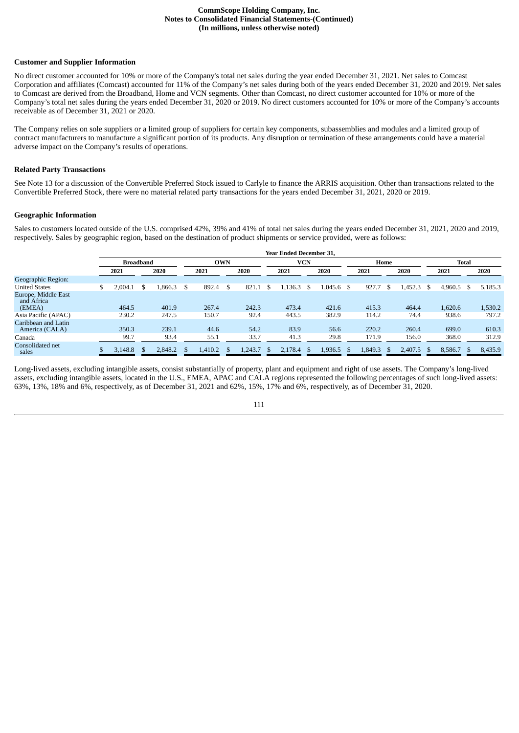#### **CommScope Holding Company, Inc. Notes to Consolidated Financial Statements-(Continued) (In millions, unless otherwise noted)**

### **Customer and Supplier Information**

No direct customer accounted for 10% or more of the Company's total net sales during the year ended December 31, 2021. Net sales to Comcast Corporation and affiliates (Comcast) accounted for 11% of the Company's net sales during both of the years ended December 31, 2020 and 2019. Net sales to Comcast are derived from the Broadband, Home and VCN segments. Other than Comcast, no direct customer accounted for 10% or more of the Company's total net sales during the years ended December 31, 2020 or 2019. No direct customers accounted for 10% or more of the Company's accounts receivable as of December 31, 2021 or 2020.

The Company relies on sole suppliers or a limited group of suppliers for certain key components, subassemblies and modules and a limited group of contract manufacturers to manufacture a significant portion of its products. Any disruption or termination of these arrangements could have a material adverse impact on the Company's results of operations.

### **Related Party Transactions**

See Note 13 for a discussion of the Convertible Preferred Stock issued to Carlyle to finance the ARRIS acquisition. Other than transactions related to the Convertible Preferred Stock, there were no material related party transactions for the years ended December 31, 2021, 2020 or 2019.

### **Geographic Information**

Sales to customers located outside of the U.S. comprised 42%, 39% and 41% of total net sales during the years ended December 31, 2021, 2020 and 2019, respectively. Sales by geographic region, based on the destination of product shipments or service provided, were as follows:

|                                       | <b>Year Ended December 31.</b> |  |         |    |            |  |         |  |            |     |         |    |         |    |         |              |         |  |         |
|---------------------------------------|--------------------------------|--|---------|----|------------|--|---------|--|------------|-----|---------|----|---------|----|---------|--------------|---------|--|---------|
|                                       | <b>Broadband</b>               |  |         |    | <b>OWN</b> |  |         |  | <b>VCN</b> |     |         |    | Home    |    |         | <b>Total</b> |         |  |         |
|                                       | 2021                           |  | 2020    |    | 2021       |  | 2020    |  | 2021       |     | 2020    |    | 2021    |    | 2020    |              | 2021    |  | 2020    |
| Geographic Region:                    |                                |  |         |    |            |  |         |  |            |     |         |    |         |    |         |              |         |  |         |
| <b>United States</b>                  | \$<br>2.004.1                  |  | 1,866.3 | \$ | 892.4      |  | 821.1   |  | 1,136.3    | \$  | 1,045.6 | S. | 927.7   | £. | 1,452.3 | - \$         | 4,960.5 |  | 5,185.3 |
| Europe, Middle East<br>and Africa     |                                |  |         |    |            |  |         |  |            |     |         |    |         |    |         |              |         |  |         |
| (EMEA)                                | 464.5                          |  | 401.9   |    | 267.4      |  | 242.3   |  | 473.4      |     | 421.6   |    | 415.3   |    | 464.4   |              | 1,620.6 |  | 1,530.2 |
| Asia Pacific (APAC)                   | 230.2                          |  | 247.5   |    | 150.7      |  | 92.4    |  | 443.5      |     | 382.9   |    | 114.2   |    | 74.4    |              | 938.6   |  | 797.2   |
| Caribbean and Latin<br>America (CALA) | 350.3                          |  | 239.1   |    | 44.6       |  | 54.2    |  | 83.9       |     | 56.6    |    | 220.2   |    | 260.4   |              | 699.0   |  | 610.3   |
| Canada                                | 99.7                           |  | 93.4    |    | 55.1       |  | 33.7    |  | 41.3       |     | 29.8    |    | 171.9   |    | 156.0   |              | 368.0   |  | 312.9   |
| Consolidated net<br>sales             | 3.148.8                        |  | 2.848.2 |    | 1.410.2    |  | 1.243.7 |  | 2.178.4    | \$. | 1.936.5 |    | 1,849.3 |    | 2.407.5 |              | 8.586.7 |  | 8,435.9 |

Long-lived assets, excluding intangible assets, consist substantially of property, plant and equipment and right of use assets. The Company's long-lived assets, excluding intangible assets, located in the U.S., EMEA, APAC and CALA regions represented the following percentages of such long-lived assets: 63%, 13%, 18% and 6%, respectively, as of December 31, 2021 and 62%, 15%, 17% and 6%, respectively, as of December 31, 2020.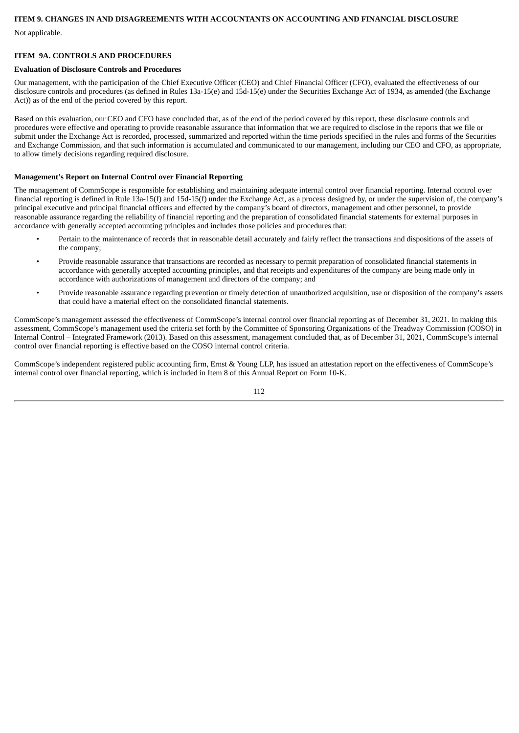## **ITEM 9. CHANGES IN AND DISAGREEMENTS WITH ACCOUNTANTS ON ACCOUNTING AND FINANCIAL DISCLOSURE**

Not applicable.

## **ITEM 9A. CONTROLS AND PROCEDURES**

## **Evaluation of Disclosure Controls and Procedures**

Our management, with the participation of the Chief Executive Officer (CEO) and Chief Financial Officer (CFO), evaluated the effectiveness of our disclosure controls and procedures (as defined in Rules 13a-15(e) and 15d-15(e) under the Securities Exchange Act of 1934, as amended (the Exchange Act)) as of the end of the period covered by this report.

Based on this evaluation, our CEO and CFO have concluded that, as of the end of the period covered by this report, these disclosure controls and procedures were effective and operating to provide reasonable assurance that information that we are required to disclose in the reports that we file or submit under the Exchange Act is recorded, processed, summarized and reported within the time periods specified in the rules and forms of the Securities and Exchange Commission, and that such information is accumulated and communicated to our management, including our CEO and CFO, as appropriate, to allow timely decisions regarding required disclosure.

## **Management's Report on Internal Control over Financial Reporting**

The management of CommScope is responsible for establishing and maintaining adequate internal control over financial reporting. Internal control over financial reporting is defined in Rule 13a-15(f) and 15d-15(f) under the Exchange Act, as a process designed by, or under the supervision of, the company's principal executive and principal financial officers and effected by the company's board of directors, management and other personnel, to provide reasonable assurance regarding the reliability of financial reporting and the preparation of consolidated financial statements for external purposes in accordance with generally accepted accounting principles and includes those policies and procedures that:

- Pertain to the maintenance of records that in reasonable detail accurately and fairly reflect the transactions and dispositions of the assets of the company;
- Provide reasonable assurance that transactions are recorded as necessary to permit preparation of consolidated financial statements in accordance with generally accepted accounting principles, and that receipts and expenditures of the company are being made only in accordance with authorizations of management and directors of the company; and
- Provide reasonable assurance regarding prevention or timely detection of unauthorized acquisition, use or disposition of the company's assets that could have a material effect on the consolidated financial statements.

CommScope's management assessed the effectiveness of CommScope's internal control over financial reporting as of December 31, 2021. In making this assessment, CommScope's management used the criteria set forth by the Committee of Sponsoring Organizations of the Treadway Commission (COSO) in Internal Control – Integrated Framework (2013). Based on this assessment, management concluded that, as of December 31, 2021, CommScope's internal control over financial reporting is effective based on the COSO internal control criteria.

CommScope's independent registered public accounting firm, Ernst & Young LLP, has issued an attestation report on the effectiveness of CommScope's internal control over financial reporting, which is included in Item 8 of this Annual Report on Form 10-K.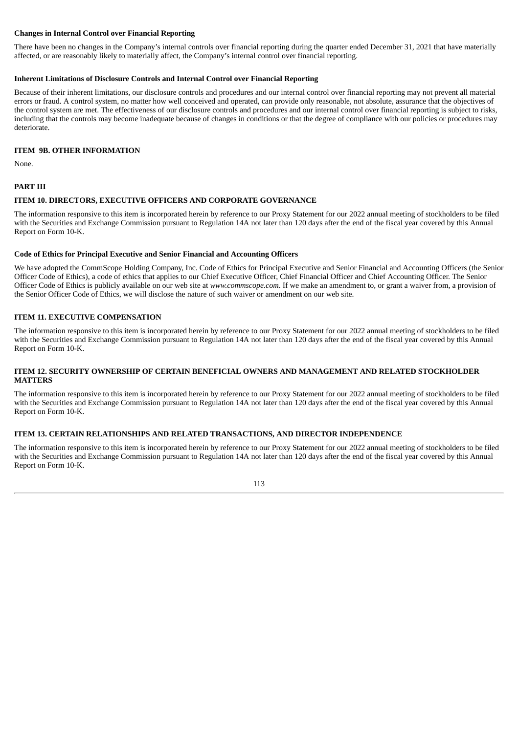### **Changes in Internal Control over Financial Reporting**

There have been no changes in the Company's internal controls over financial reporting during the quarter ended December 31, 2021 that have materially affected, or are reasonably likely to materially affect, the Company's internal control over financial reporting.

## **Inherent Limitations of Disclosure Controls and Internal Control over Financial Reporting**

Because of their inherent limitations, our disclosure controls and procedures and our internal control over financial reporting may not prevent all material errors or fraud. A control system, no matter how well conceived and operated, can provide only reasonable, not absolute, assurance that the objectives of the control system are met. The effectiveness of our disclosure controls and procedures and our internal control over financial reporting is subject to risks, including that the controls may become inadequate because of changes in conditions or that the degree of compliance with our policies or procedures may deteriorate.

## **ITEM 9B. OTHER INFORMATION**

None.

## **PART III**

## **ITEM 10. DIRECTORS, EXECUTIVE OFFICERS AND CORPORATE GOVERNANCE**

The information responsive to this item is incorporated herein by reference to our Proxy Statement for our 2022 annual meeting of stockholders to be filed with the Securities and Exchange Commission pursuant to Regulation 14A not later than 120 days after the end of the fiscal year covered by this Annual Report on Form 10-K.

### **Code of Ethics for Principal Executive and Senior Financial and Accounting Officers**

We have adopted the CommScope Holding Company, Inc. Code of Ethics for Principal Executive and Senior Financial and Accounting Officers (the Senior Officer Code of Ethics), a code of ethics that applies to our Chief Executive Officer, Chief Financial Officer and Chief Accounting Officer. The Senior Officer Code of Ethics is publicly available on our web site at *www.commscope.com*. If we make an amendment to, or grant a waiver from, a provision of the Senior Officer Code of Ethics, we will disclose the nature of such waiver or amendment on our web site.

## **ITEM 11. EXECUTIVE COMPENSATION**

The information responsive to this item is incorporated herein by reference to our Proxy Statement for our 2022 annual meeting of stockholders to be filed with the Securities and Exchange Commission pursuant to Regulation 14A not later than 120 days after the end of the fiscal year covered by this Annual Report on Form 10-K.

### **ITEM 12. SECURITY OWNERSHIP OF CERTAIN BENEFICIAL OWNERS AND MANAGEMENT AND RELATED STOCKHOLDER MATTERS**

The information responsive to this item is incorporated herein by reference to our Proxy Statement for our 2022 annual meeting of stockholders to be filed with the Securities and Exchange Commission pursuant to Regulation 14A not later than 120 days after the end of the fiscal year covered by this Annual Report on Form 10-K.

## **ITEM 13. CERTAIN RELATIONSHIPS AND RELATED TRANSACTIONS, AND DIRECTOR INDEPENDENCE**

The information responsive to this item is incorporated herein by reference to our Proxy Statement for our 2022 annual meeting of stockholders to be filed with the Securities and Exchange Commission pursuant to Regulation 14A not later than 120 days after the end of the fiscal year covered by this Annual Report on Form 10-K.

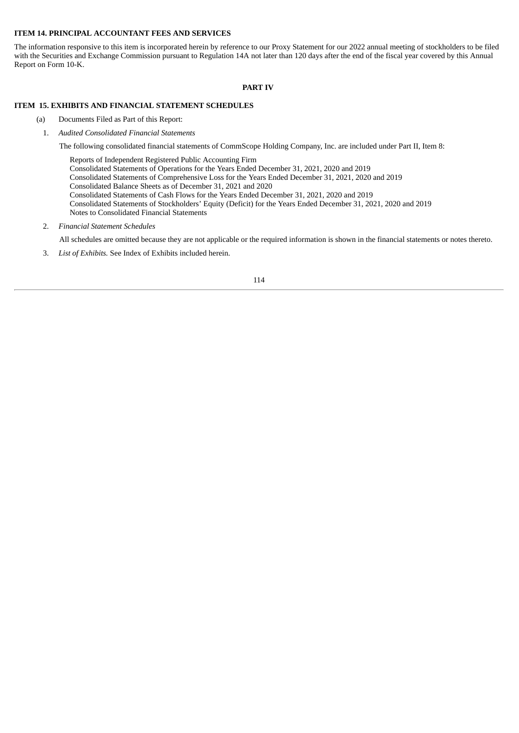## **ITEM 14. PRINCIPAL ACCOUNTANT FEES AND SERVICES**

The information responsive to this item is incorporated herein by reference to our Proxy Statement for our 2022 annual meeting of stockholders to be filed with the Securities and Exchange Commission pursuant to Regulation 14A not later than 120 days after the end of the fiscal year covered by this Annual Report on Form 10-K.

### **PART IV**

## **ITEM 15. EXHIBITS AND FINANCIAL STATEMENT SCHEDULES**

- (a) Documents Filed as Part of this Report:
- 1. *Audited Consolidated Financial Statements*

The following consolidated financial statements of CommScope Holding Company, Inc. are included under Part II, Item 8:

Reports of Independent Registered Public Accounting Firm Consolidated Statements of Operations for the Years Ended December 31, 2021, 2020 and 2019 Consolidated Statements of Comprehensive Loss for the Years Ended December 31, 2021, 2020 and 2019 Consolidated Balance Sheets as of December 31, 2021 and 2020 Consolidated Statements of Cash Flows for the Years Ended December 31, 2021, 2020 and 2019 Consolidated Statements of Stockholders' Equity (Deficit) for the Years Ended December 31, 2021, 2020 and 2019 Notes to Consolidated Financial Statements

2. *Financial Statement Schedules*

All schedules are omitted because they are not applicable or the required information is shown in the financial statements or notes thereto.

3. *List of Exhibits.* See Index of Exhibits included herein.

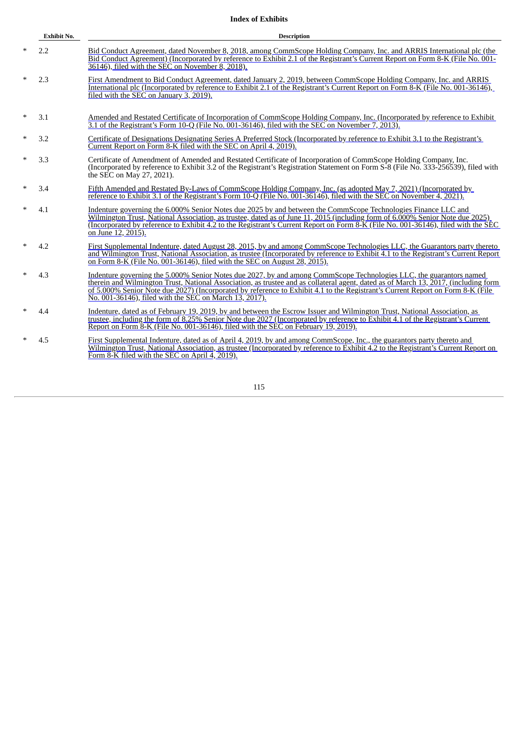## **Index of Exhibits**

|        | <b>Exhibit No.</b> | <b>Description</b>                                                                                                                                                                                                                                                                                                                                                                                                                                     |
|--------|--------------------|--------------------------------------------------------------------------------------------------------------------------------------------------------------------------------------------------------------------------------------------------------------------------------------------------------------------------------------------------------------------------------------------------------------------------------------------------------|
| $\ast$ | 2.2                | Bid Conduct Agreement, dated November 8, 2018, among CommScope Holding Company, Inc. and ARRIS International plc (the<br>Bid Conduct Agreement) (Incorporated by reference to Exhibit 2.1 of the Registrant's Current Report on Form 8-K (File No. 001-<br>36146), filed with the SEC on November 8, 2018).                                                                                                                                            |
| $\ast$ | 2.3                | First Amendment to Bid Conduct Agreement, dated January 2, 2019, between CommScope Holding Company, Inc. and ARRIS<br>International plc (Incorporated by reference to Exhibit 2.1 of the Registrant's Current Report on Form 8-K (File No. 001-36146),<br>filed with the SEC on January 3, 2019).                                                                                                                                                      |
| $\ast$ | 3.1                | Amended and Restated Certificate of Incorporation of CommScope Holding Company, Inc. (Incorporated by reference to Exhibit<br>$3.1$ of the Registrant's Form 10-Q (File No. 001-36146), filed with the SEC on November 7, 2013).                                                                                                                                                                                                                       |
| $\ast$ | 3.2                | Certificate of Designations Designating Series A Preferred Stock (Incorporated by reference to Exhibit 3.1 to the Registrant's<br>Current Report on Form 8-K filed with the SEC on April 4, 2019).                                                                                                                                                                                                                                                     |
| $\ast$ | 3.3                | Certificate of Amendment of Amended and Restated Certificate of Incorporation of CommScope Holding Company, Inc.<br>(Incorporated by reference to Exhibit 3.2 of the Registrant's Registration Statement on Form S-8 (File No. 333-256539), filed with<br>the SEC on May 27, 2021).                                                                                                                                                                    |
| $\ast$ | 3.4                | Fifth Amended and Restated By-Laws of CommScope Holding Company, Inc. (as adopted May 7, 2021) (Incorporated by<br>reference to Exhibit 3.1 of the Registrant's Form 10-Q (File No. 001-36146), filed with the SEC on November 4, 2021).                                                                                                                                                                                                               |
| $\ast$ | 4.1                | Indenture governing the 6.000% Senior Notes due 2025 by and between the CommScope Technologies Finance LLC and<br>Wilmington Trust, National Association, as trustee, dated as of June 11, 2015 (including form of 6.000% Senior Note due 2025)<br>(Incorporated by reference to Exhibit 4.2 to the Registrant's Current Report on Form 8-K (File No. 001-36146), filed with the SEC<br>on June 12, 2015).                                             |
| $\ast$ | 4.2                | First Supplemental Indenture, dated August 28, 2015, by and among CommScope Technologies LLC, the Guarantors party thereto<br>and Wilmington Trust, National Association, as trustee (Incorporated by reference to Exhibit 4.1 to the Registrant's Current Report<br>on Form 8-K (File No. 001-36146), filed with the SEC on August 28, 2015).                                                                                                         |
| $\ast$ | 4.3                | Indenture governing the 5.000% Senior Notes due 2027, by and among CommScope Technologies LLC, the guarantors named<br>therein and Wilmington Trust, National Association, as trustee and as collateral agent, dated as of March 13, 2017, (including form<br>of 5.000% Senior Note due 2027) (Incorporated by reference to Exhibit 4.1 to the Registrant's Current Report on Form 8-K (File<br>No. 001-36146), filed with the SEC on March 13, 2017). |
| $\ast$ | 4.4                | Indenture, dated as of February 19, 2019, by and between the Escrow Issuer and Wilmington Trust, National Association, as<br>trustee, including the form of 8.25% Senior Note due 2027 (Incorporated by reference to Exhibit 4.1 of the Registrant's Current<br>Report on Form 8-K (File No. 001-36146), filed with the SEC on February 19, 2019).                                                                                                     |
| $\ast$ | 4.5                | First Supplemental Indenture, dated as of April 4, 2019, by and among CommScope, Inc., the guarantors party thereto and<br>Wilmington Trust, National Association, as trustee (Incorporated by reference to Exhibit 4.2 to the Registrant's Current Report on<br>Form 8-K filed with the SEC on April 4, 2019).                                                                                                                                        |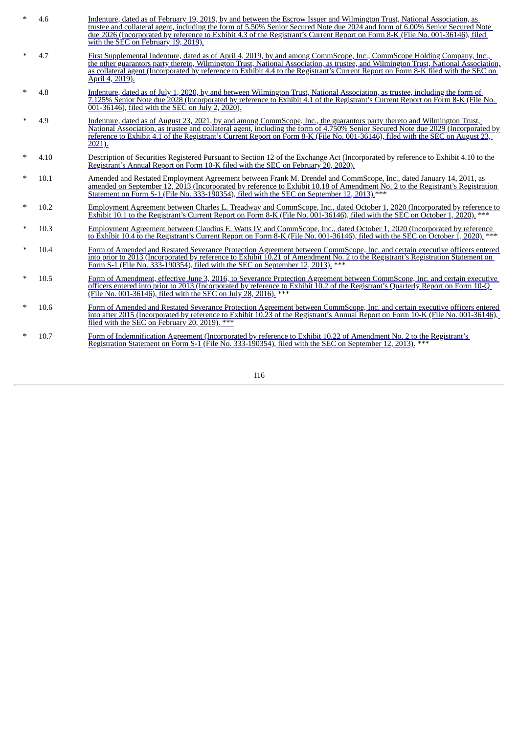| $\ast$ | 4.6  | Indenture, dated as of February 19, 2019, by and between the Escrow Issuer and Wilmington Trust, National Association, as<br>trustee and collateral agent, including the form of 5.50% Senior Secured Note due 2024 and form of 6.00% Senior Secured Note<br>due 2026 (Incorporated by reference to Exhibit 4.3 of the Registrant's Current Report on Form 8-K (File No. 001-36146), filed<br>with the SEC on February 19, 2019). |
|--------|------|-----------------------------------------------------------------------------------------------------------------------------------------------------------------------------------------------------------------------------------------------------------------------------------------------------------------------------------------------------------------------------------------------------------------------------------|
| *      | 4.7  | First Supplemental Indenture, dated as of April 4, 2019, by and among CommScope, Inc., CommScope Holding Company, Inc.,<br>the other guarantors party thereto, Wilmington Trust, National Association, as trustee, and Wilmington Trust, National Association,<br>as collateral agent (Incorporated by reference to Exhibit 4.4 to the Registrant's Current Report on Form 8-K filed with the SEC on<br>April 4, 2019).           |
| *      | 4.8  | Indenture, dated as of July 1, 2020, by and between Wilmington Trust, National Association, as trustee, including the form of<br>7.125% Senior Note due 2028 (Incorporated by reference to Exhibit 4.1 of the Registrant's Current Report on Form 8-K (File No.<br>001-36146), filed with the SEC on July 2, 2020).                                                                                                               |
|        | 4.9  | Indenture, dated as of August 23, 2021, by and among CommScope, Inc., the guarantors party thereto and Wilmington Trust,<br>National Association, as trustee and collateral agent, including the form of 4.750% Senior Secured Note due 2029 (Incorporated by<br>reference to Exhibit 4.1 of the Registrant's Current Report on Form 8-K (File No. 001-36146), filed with the SEC on August 23,<br>2021).                         |
| *      | 4.10 | Description of Securities Registered Pursuant to Section 12 of the Exchange Act (Incorporated by reference to Exhibit 4.10 to the<br>Registrant's Annual Report on Form 10-K filed with the SEC on February 20, 2020).                                                                                                                                                                                                            |
| $\ast$ | 10.1 | Amended and Restated Employment Agreement between Frank M. Drendel and CommScope, Inc., dated January 14, 2011, as<br>amended on September 12, 2013 (Incorporated by reference to Exhibit 10.18 of Amendment No. 2 to the Registrant's Registration<br>Statement on Form S-1 (File No. 333-190354), filed with the SEC on September 12, 2013).***                                                                                 |
| $\ast$ | 10.2 | Employment Agreement between Charles L. Treadway and CommScope, Inc., dated October 1, 2020 (Incorporated by reference to<br>Exhibit 10.1 to the Registrant's Current Report on Form 8-K (File No. 001-36146), filed with the SEC on October 1, 2020). ***                                                                                                                                                                        |
| *      | 10.3 | Employment Agreement between Claudius E. Watts IV and CommScope, Inc., dated October 1, 2020 (Incorporated by reference<br>to Exhibit 10.4 to the Registrant's Current Report on Form 8-K (File No. 001-36146), filed with the SEC on October 1, 2020). ***                                                                                                                                                                       |
| $\ast$ | 10.4 | Form of Amended and Restated Severance Protection Agreement between CommScope, Inc. and certain executive officers entered<br>into prior to 2013 (Incorporated by reference to Exhibit 10.21 of Amendment No. 2 to the Registrant's Registration Statement on<br>Form S-1 (File No. 333-190354), filed with the SEC on September 12, 2013). ***                                                                                   |
| $\ast$ | 10.5 | Form of Amendment, effective June 3, 2016, to Severance Protection Agreement between CommScope, Inc. and certain executive<br>officers entered into prior to 2013 (Incorporated by reference to Exhibit 10.2 of the Registrant's Quarterly Report on Form 10-O<br>(File No. 001-36146), filed with the SEC on July 28, 2016). ***                                                                                                 |
| $\ast$ | 10.6 | Form of Amended and Restated Severance Protection Agreement between CommScope, Inc. and certain executive officers entered<br>into after 2015 (Incorporated by reference to Exhibit 10.23 of the Registrant's Annual Report on Form 10-K (File No. 001-36146),<br>filed with the SEC on February 20, 2019). ***                                                                                                                   |
| *      | 10.7 | Form of Indemnification Agreement (Incorporated by reference to Exhibit 10.22 of Amendment No. 2 to the Registrant's<br>Registration Statement on Form S-1 (File No. 333-190354), filed with the SEC on September 12, 2013). ***                                                                                                                                                                                                  |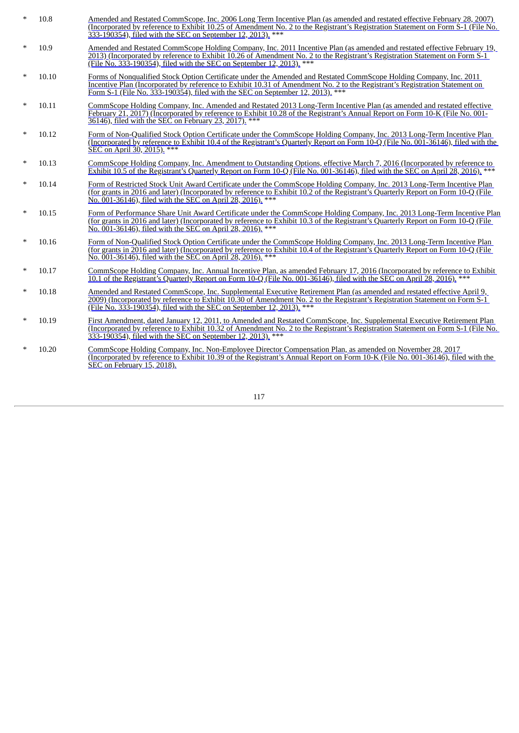| $\ast$ | 10.8  | Amended and Restated CommScope, Inc. 2006 Long Term Incentive Plan (as amended and restated effective February 28, 2007)<br>(Incorporated by reference to Exhibit 10.25 of Amendment No. 2 to the Registrant's Registration Statement on Form S-1 (File No.<br>333-190354), filed with the SEC on September 12, 2013). ***          |
|--------|-------|-------------------------------------------------------------------------------------------------------------------------------------------------------------------------------------------------------------------------------------------------------------------------------------------------------------------------------------|
| $\ast$ | 10.9  | Amended and Restated CommScope Holding Company, Inc. 2011 Incentive Plan (as amended and restated effective February 19,<br>2013) (Incorporated by reference to Exhibit 10.26 of Amendment No. 2 to the Registrant's Registration Statement on Form S-1<br>$(File No. 333-190354)$ , filed with the SEC on September 12, 2013). *** |
| $\ast$ | 10.10 | Forms of Nonqualified Stock Option Certificate under the Amended and Restated CommScope Holding Company, Inc. 2011<br>Incentive Plan (Incorporated by reference to Exhibit 10.31 of Amendment No. 2 to the Registrant's Registration Statement on<br>Form S-1 (File No. 333-190354), filed with the SEC on September 12, 2013). *** |
| $\ast$ | 10.11 | CommScope Holding Company, Inc. Amended and Restated 2013 Long-Term Incentive Plan (as amended and restated effective<br>February 21, 2017) (Incorporated by reference to Exhibit 10.28 of the Registrant's Annual Report on Form 10-K (File No. 001-<br>36146), filed with the SEC on February 23, 2017). ***                      |
| $\ast$ | 10.12 | Form of Non-Qualified Stock Option Certificate under the CommScope Holding Company, Inc. 2013 Long-Term Incentive Plan<br>(Incorporated by reference to Exhibit 10.4 of the Registrant's Quarterly Report on Form 10-Q (File No. 001-36146), filed with the<br>SEC on April 30, 2015). ***                                          |
| $\ast$ | 10.13 | CommScope Holding Company, Inc. Amendment to Outstanding Options, effective March 7, 2016 (Incorporated by reference to<br>Exhibit 10.5 of the Registrant's Quarterly Report on Form 10-Q (File No. 001-36146), filed with the SEC on April 28, 2016). ***                                                                          |
| $\ast$ | 10.14 | Form of Restricted Stock Unit Award Certificate under the CommScope Holding Company, Inc. 2013 Long-Term Incentive Plan<br>(for grants in 2016 and later) (Incorporated by reference to Exhibit 10.2 of the Registrant's Quarterly Report on Form 10-Q (File<br>No. 001-36146), filed with the SEC on April 28, 2016). ***          |
| $\ast$ | 10.15 | Form of Performance Share Unit Award Certificate under the CommScope Holding Company, Inc. 2013 Long-Term Incentive Plan<br>(for grants in 2016 and later) (Incorporated by reference to Exhibit 10.3 of the Registrant's Quarterly Report on Form 10-Q (File<br>No. 001-36146), filed with the SEC on April 28, 2016). ***         |
| $\ast$ | 10.16 | Form of Non-Qualified Stock Option Certificate under the CommScope Holding Company, Inc. 2013 Long-Term Incentive Plan<br>(for grants in 2016 and later) (Incorporated by reference to Exhibit 10.4 of the Registrant's Quarterly Report on Form 10-Q (File<br>No. 001-36146), filed with the SEC on April 28, 2016). ***           |
| $\ast$ | 10.17 | CommScope Holding Company, Inc. Annual Incentive Plan, as amended February 17, 2016 (Incorporated by reference to Exhibit<br>10.1 of the Registrant's Quarterly Report on Form 10-Q (File No. 001-36146), filed with the SEC on April 28, 2016). ***                                                                                |
| $\ast$ | 10.18 | Amended and Restated CommScope, Inc. Supplemental Executive Retirement Plan (as amended and restated effective April 9,<br>2009) (Incorporated by reference to Exhibit 10.30 of Amendment No. 2 to the Registrant's Registration Statement on Form S-1<br>(File No. 333-190354), filed with the SEC on September 12, 2013). ***     |
| $\ast$ | 10.19 | First Amendment, dated January 12, 2011, to Amended and Restated CommScope, Inc. Supplemental Executive Retirement Plan<br>(Incorporated by reference to Exhibit 10.32 of Amendment No. 2 to the Registrant's Registration Statement on Form S-1 (File No.<br>333-190354), filed with the SEC on September 12, 2013). ***           |
| $\ast$ | 10.20 | CommScope Holding Company, Inc. Non-Employee Director Compensation Plan, as amended on November 28, 2017<br>(Incorporated by reference to Exhibit 10.39 of the Registrant's Annual Report on Form 10-K (File No. 001-36146), filed with the<br><b>SEC</b> on February 15, 2018).                                                    |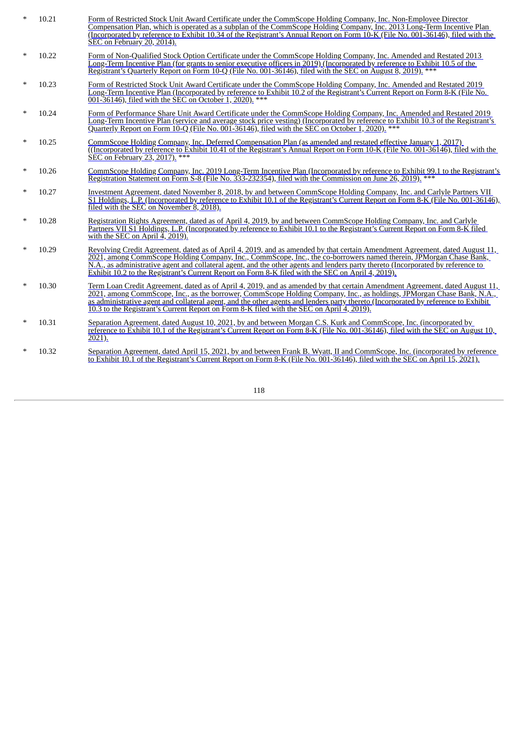| $\ast$ | 10.21 | Form of Restricted Stock Unit Award Certificate under the CommScope Holding Company, Inc. Non-Employee Director<br>Compensation Plan, which is operated as a subplan of the CommScope Holding Company, Inc. 2013 Long-Term Incentive Plan<br>(Incorporated by reference to Exhibit 10.34 of the Registrant's Annual Report on Form 10-K (File No. 001-36146), filed with the<br><b>SEC</b> on February 20, 2014).                                                                          |
|--------|-------|--------------------------------------------------------------------------------------------------------------------------------------------------------------------------------------------------------------------------------------------------------------------------------------------------------------------------------------------------------------------------------------------------------------------------------------------------------------------------------------------|
| $\ast$ | 10.22 | Form of Non-Qualified Stock Option Certificate under the CommScope Holding Company, Inc. Amended and Restated 2013<br>Long-Term Incentive Plan (for grants to senior executive officers in 2019) (Incorporated by reference to Exhibit 10.5 of the<br>Registrant's Quarterly Report on Form 10-Q (File No. 001-36146), filed with the SEC on August 8, 2019). ***                                                                                                                          |
| $\ast$ | 10.23 | Form of Restricted Stock Unit Award Certificate under the CommScope Holding Company, Inc. Amended and Restated 2019<br>Long-Term Incentive Plan (Incorporated by reference to Exhibit 10.2 of the Registrant's Current Report on Form 8-K (File No.<br>001-36146), filed with the SEC on October 1, 2020). ***                                                                                                                                                                             |
| $\ast$ | 10.24 | Form of Performance Share Unit Award Certificate under the CommScope Holding Company, Inc. Amended and Restated 2019<br>Long-Term Incentive Plan (service and average stock price vesting) (Incorporated by reference to Exhibit 10.3 of the Registrant's<br>Ouarterly Report on Form 10-Q (File No. 001-36146), filed with the SEC on October 1, 2020). ***                                                                                                                               |
| $\ast$ | 10.25 | CommScope Holding Company, Inc. Deferred Compensation Plan (as amended and restated effective January 1, 2017)<br>(Incorporated by reference to Exhibit 10.41 of the Registrant's Annual Report on Form 10-K (File No. 001-36146), filed with the<br>SEC on February 23, 2017). ***                                                                                                                                                                                                        |
| $\ast$ | 10.26 | CommScope Holding Company, Inc. 2019 Long-Term Incentive Plan (Incorporated by reference to Exhibit 99.1 to the Registrant's<br>Registration Statement on Form S-8 (File No. 333-232354), filed with the Commission on June 26, 2019). ***                                                                                                                                                                                                                                                 |
| $\ast$ | 10.27 | Investment Agreement, dated November 8, 2018, by and between CommScope Holding Company, Inc. and Carlyle Partners VII<br>S1 Holdings, L.P. (Incorporated by reference to Exhibit 10.1 of the Registrant's Current Report on Form 8-K (File No. 001-36146),<br>filed with the SEC on November 8, 2018).                                                                                                                                                                                     |
| $\ast$ | 10.28 | Registration Rights Agreement, dated as of April 4, 2019, by and between CommScope Holding Company, Inc. and Carlyle<br>Partners VII S1 Holdings, L.P. (Incorporated by reference to Exhibit 10.1 to the Registrant's Current Report on Form 8-K filed<br>with the SEC on April 4, 2019).                                                                                                                                                                                                  |
| $\ast$ | 10.29 | Revolving Credit Agreement, dated as of April 4, 2019, and as amended by that certain Amendment Agreement, dated August 11,<br>2021, among CommScope Holding Company, Inc., CommScope, Inc., the co-borrowers named therein, JPMorgan Chase Bank,<br>N.A., as administrative agent and collateral agent, and the other agents and lenders party thereto (Incorporated by reference to<br>Exhibit 10.2 to the Registrant's Current Report on Form 8-K filed with the SEC on April 4, 2019). |
| $\ast$ | 10.30 | Term Loan Credit Agreement, dated as of April 4, 2019, and as amended by that certain Amendment Agreement, dated August 11,<br>2021, among CommScope, Inc., as the borrower, CommScope Holding Company, Inc., as holdings, JPMorgan Chase Bank, N.A.,<br>as administrative agent and collateral agent, and the other agents and lenders party thereto (Incorporated by reference to Exhibit<br>10.3 to the Registrant's Current Report on Form 8-K filed with the SEC on April 4, 2019).   |
| $\ast$ | 10.31 | Separation Agreement, dated August 10, 2021, by and between Morgan C.S. Kurk and CommScope, Inc. (incorporated by<br>reference to Exhibit 10.1 of the Registrant's Current Report on Form 8-K (File No. 001-36146), filed with the SEC on August 10,<br>$2021$ ).                                                                                                                                                                                                                          |
| $\ast$ | 10.32 | Separation Agreement, dated April 15, 2021, by and between Frank B. Wyatt, II and CommScope, Inc. (incorporated by reference<br>to Exhibit 10.1 of the Registrant's Current Report on Form 8-K (File No. 001-36146), filed with the SEC on April 15, 2021).                                                                                                                                                                                                                                |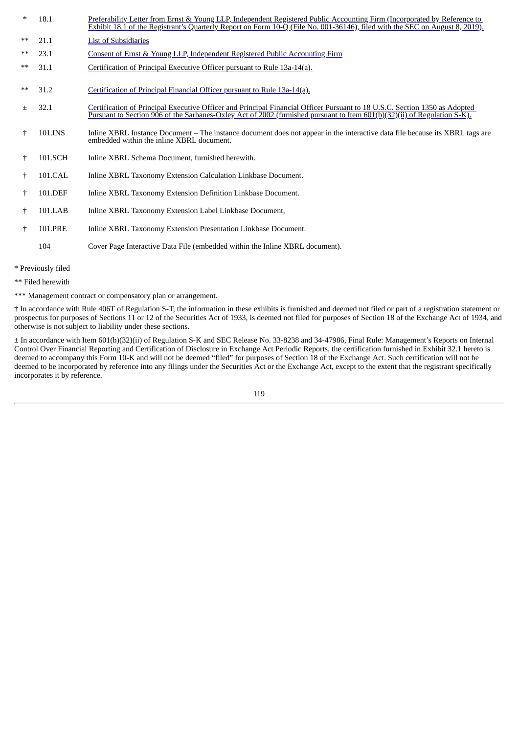| $\ast$ | 18.1    | Preferability Letter from Ernst & Young LLP, Independent Registered Public Accounting Firm (Incorporated by Reference to<br>Exhibit 18.1 of the Registrant's Quarterly Report on Form 10-Q (File No. 001-36146), filed with the SEC on August 8, 2019). |
|--------|---------|---------------------------------------------------------------------------------------------------------------------------------------------------------------------------------------------------------------------------------------------------------|
| $***$  | 21.1    | <b>List of Subsidiaries</b>                                                                                                                                                                                                                             |
| $***$  | 23.1    | Consent of Ernst & Young LLP, Independent Registered Public Accounting Firm                                                                                                                                                                             |
| $***$  | 31.1    | Certification of Principal Executive Officer pursuant to Rule 13a-14(a).                                                                                                                                                                                |
| $***$  | 31.2    | Certification of Principal Financial Officer pursuant to Rule 13a-14(a).                                                                                                                                                                                |
| 土      | 32.1    | Certification of Principal Executive Officer and Principal Financial Officer Pursuant to 18 U.S.C. Section 1350 as Adopted<br>Pursuant to Section 906 of the Sarbanes-Oxley Act of 2002 (furnished pursuant to Item 601(b)(32)(ii) of Regulation S-K).  |
| ŧ      | 101.INS | Inline XBRL Instance Document – The instance document does not appear in the interactive data file because its XBRL tags are<br>embedded within the inline XBRL document.                                                                               |
| ŧ      | 101.SCH | Inline XBRL Schema Document, furnished herewith.                                                                                                                                                                                                        |
| t      | 101.CAL | Inline XBRL Taxonomy Extension Calculation Linkbase Document.                                                                                                                                                                                           |
| Ť.     | 101.DEF | Inline XBRL Taxonomy Extension Definition Linkbase Document.                                                                                                                                                                                            |
| t      | 101.LAB | Inline XBRL Taxonomy Extension Label Linkbase Document,                                                                                                                                                                                                 |
| t      | 101.PRE | Inline XBRL Taxonomy Extension Presentation Linkbase Document.                                                                                                                                                                                          |
|        | 104     | Cover Page Interactive Data File (embedded within the Inline XBRL document).                                                                                                                                                                            |

\* Previously filed

\*\* Filed herewith

\*\*\* Management contract or compensatory plan or arrangement.

† In accordance with Rule 406T of Regulation S-T, the information in these exhibits is furnished and deemed not filed or part of a registration statement or prospectus for purposes of Sections 11 or 12 of the Securities Act of 1933, is deemed not filed for purposes of Section 18 of the Exchange Act of 1934, and otherwise is not subject to liability under these sections.

± In accordance with Item 601(b)(32)(ii) of Regulation S-K and SEC Release No. 33-8238 and 34-47986, Final Rule: Management's Reports on Internal Control Over Financial Reporting and Certification of Disclosure in Exchange Act Periodic Reports, the certification furnished in Exhibit 32.1 hereto is deemed to accompany this Form 10-K and will not be deemed "filed" for purposes of Section 18 of the Exchange Act. Such certification will not be deemed to be incorporated by reference into any filings under the Securities Act or the Exchange Act, except to the extent that the registrant specifically incorporates it by reference.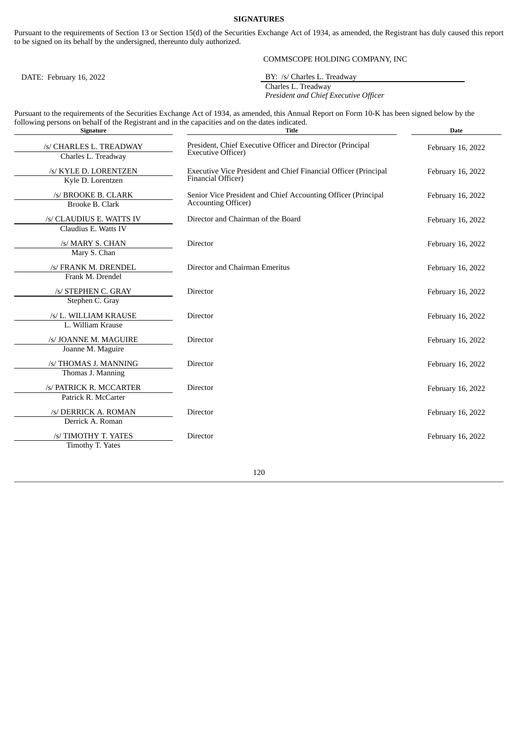#### **SIGNATURES**

Pursuant to the requirements of Section 13 or Section 15(d) of the Securities Exchange Act of 1934, as amended, the Registrant has duly caused this report to be signed on its behalf by the undersigned, thereunto duly authorized.

# COMMSCOPE HOLDING COMPANY, INC

DATE: February 16, 2022 **BY:** /s/ Charles L. Treadway Charles L. Treadway *President and Chief Executive Officer*

Pursuant to the requirements of the Securities Exchange Act of 1934, as amended, this Annual Report on Form 10-K has been signed below by the following persons on behalf of the Registrant and in the capacities and on the dates indicated.

| <b>Signature</b>                                 | Title                                                                                        | <b>Date</b>       |  |  |
|--------------------------------------------------|----------------------------------------------------------------------------------------------|-------------------|--|--|
| /s/ CHARLES L. TREADWAY<br>Charles L. Treadway   | President, Chief Executive Officer and Director (Principal<br><b>Executive Officer)</b>      | February 16, 2022 |  |  |
| /s/ KYLE D. LORENTZEN<br>Kyle D. Lorentzen       | Executive Vice President and Chief Financial Officer (Principal<br><b>Financial Officer)</b> | February 16, 2022 |  |  |
| /s/ BROOKE B. CLARK<br>Brooke B. Clark           | Senior Vice President and Chief Accounting Officer (Principal<br><b>Accounting Officer)</b>  | February 16, 2022 |  |  |
| /s/ CLAUDIUS E. WATTS IV<br>Claudius E. Watts IV | Director and Chairman of the Board                                                           | February 16, 2022 |  |  |
| /s/ MARY S. CHAN<br>Mary S. Chan                 | Director                                                                                     | February 16, 2022 |  |  |
| /s/ FRANK M. DRENDEL<br>Frank M. Drendel         | Director and Chairman Emeritus                                                               | February 16, 2022 |  |  |
| /s/ STEPHEN C. GRAY<br>Stephen C. Gray           | Director                                                                                     | February 16, 2022 |  |  |
| /s/ L. WILLIAM KRAUSE<br>L. William Krause       | <b>Director</b>                                                                              | February 16, 2022 |  |  |
| /s/ JOANNE M. MAGUIRE<br>Joanne M. Maguire       | <b>Director</b>                                                                              | February 16, 2022 |  |  |
| /s/ THOMAS J. MANNING<br>Thomas J. Manning       | Director                                                                                     | February 16, 2022 |  |  |
| /s/ PATRICK R. MCCARTER<br>Patrick R. McCarter   | Director                                                                                     | February 16, 2022 |  |  |
| /s/ DERRICK A. ROMAN<br>Derrick A. Roman         | Director                                                                                     | February 16, 2022 |  |  |
| /s/ TIMOTHY T. YATES<br>Timothy T. Yates         | <b>Director</b>                                                                              | February 16, 2022 |  |  |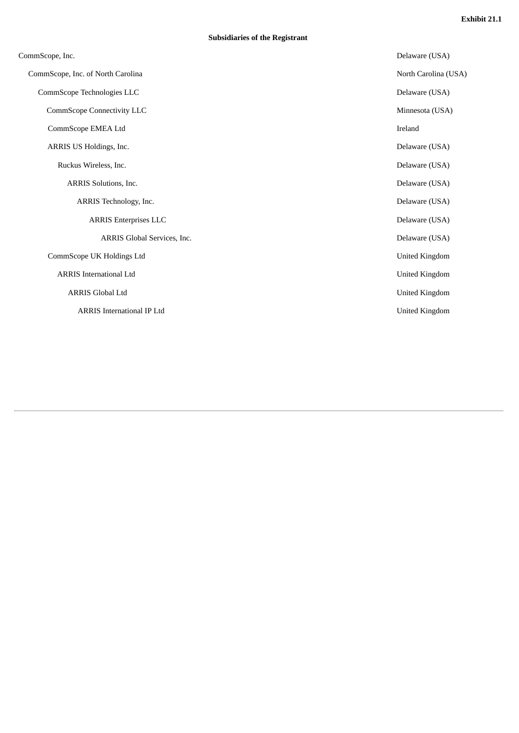<span id="page-120-0"></span>

| CommScope, Inc.                   | Delaware (USA)        |
|-----------------------------------|-----------------------|
| CommScope, Inc. of North Carolina | North Carolina (USA)  |
| CommScope Technologies LLC        | Delaware (USA)        |
| CommScope Connectivity LLC        | Minnesota (USA)       |
| CommScope EMEA Ltd                | Ireland               |
| ARRIS US Holdings, Inc.           | Delaware (USA)        |
| Ruckus Wireless, Inc.             | Delaware (USA)        |
| ARRIS Solutions, Inc.             | Delaware (USA)        |
| ARRIS Technology, Inc.            | Delaware (USA)        |
| <b>ARRIS Enterprises LLC</b>      | Delaware (USA)        |
| ARRIS Global Services, Inc.       | Delaware (USA)        |
| CommScope UK Holdings Ltd         | <b>United Kingdom</b> |
| <b>ARRIS</b> International Ltd    | <b>United Kingdom</b> |
| <b>ARRIS Global Ltd</b>           | <b>United Kingdom</b> |
| <b>ARRIS International IP Ltd</b> | <b>United Kingdom</b> |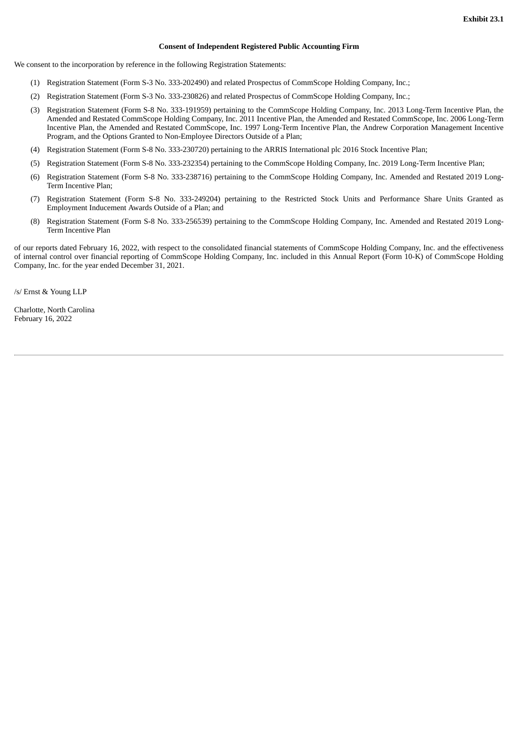### **Consent of Independent Registered Public Accounting Firm**

<span id="page-121-0"></span>We consent to the incorporation by reference in the following Registration Statements:

- (1) Registration Statement (Form S-3 No. 333-202490) and related Prospectus of CommScope Holding Company, Inc.;
- (2) Registration Statement (Form S-3 No. 333-230826) and related Prospectus of CommScope Holding Company, Inc.;
- (3) Registration Statement (Form S-8 No. 333-191959) pertaining to the CommScope Holding Company, Inc. 2013 Long-Term Incentive Plan, the Amended and Restated CommScope Holding Company, Inc. 2011 Incentive Plan, the Amended and Restated CommScope, Inc. 2006 Long-Term Incentive Plan, the Amended and Restated CommScope, Inc. 1997 Long-Term Incentive Plan, the Andrew Corporation Management Incentive Program, and the Options Granted to Non-Employee Directors Outside of a Plan;
- (4) Registration Statement (Form S-8 No. 333-230720) pertaining to the ARRIS International plc 2016 Stock Incentive Plan;
- (5) Registration Statement (Form S-8 No. 333-232354) pertaining to the CommScope Holding Company, Inc. 2019 Long-Term Incentive Plan;
- (6) Registration Statement (Form S-8 No. 333-238716) pertaining to the CommScope Holding Company, Inc. Amended and Restated 2019 Long-Term Incentive Plan;
- (7) Registration Statement (Form S-8 No. 333-249204) pertaining to the Restricted Stock Units and Performance Share Units Granted as Employment Inducement Awards Outside of a Plan; and
- (8) Registration Statement (Form S-8 No. 333-256539) pertaining to the CommScope Holding Company, Inc. Amended and Restated 2019 Long-Term Incentive Plan

of our reports dated February 16, 2022, with respect to the consolidated financial statements of CommScope Holding Company, Inc. and the effectiveness of internal control over financial reporting of CommScope Holding Company, Inc. included in this Annual Report (Form 10-K) of CommScope Holding Company, Inc. for the year ended December 31, 2021.

/s/ Ernst & Young LLP

Charlotte, North Carolina February 16, 2022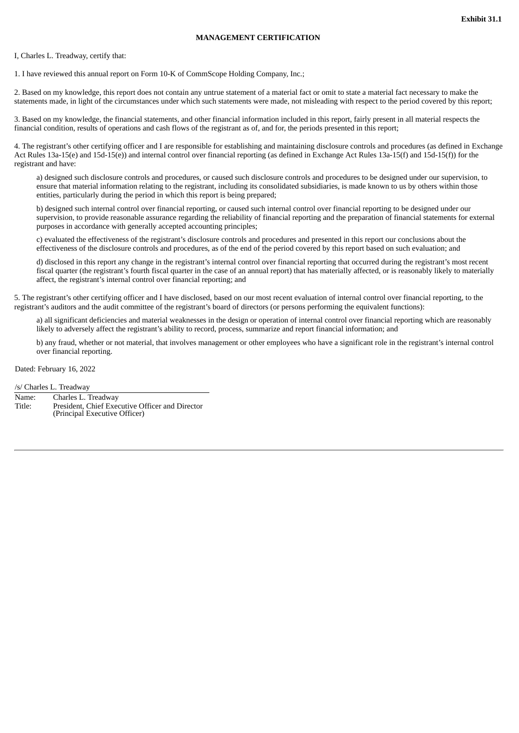### **MANAGEMENT CERTIFICATION**

<span id="page-122-0"></span>I, Charles L. Treadway, certify that:

1. I have reviewed this annual report on Form 10-K of CommScope Holding Company, Inc.;

2. Based on my knowledge, this report does not contain any untrue statement of a material fact or omit to state a material fact necessary to make the statements made, in light of the circumstances under which such statements were made, not misleading with respect to the period covered by this report;

3. Based on my knowledge, the financial statements, and other financial information included in this report, fairly present in all material respects the financial condition, results of operations and cash flows of the registrant as of, and for, the periods presented in this report;

4. The registrant's other certifying officer and I are responsible for establishing and maintaining disclosure controls and procedures (as defined in Exchange Act Rules 13a-15(e) and 15d-15(e)) and internal control over financial reporting (as defined in Exchange Act Rules 13a-15(f) and 15d-15(f)) for the registrant and have:

a) designed such disclosure controls and procedures, or caused such disclosure controls and procedures to be designed under our supervision, to ensure that material information relating to the registrant, including its consolidated subsidiaries, is made known to us by others within those entities, particularly during the period in which this report is being prepared;

b) designed such internal control over financial reporting, or caused such internal control over financial reporting to be designed under our supervision, to provide reasonable assurance regarding the reliability of financial reporting and the preparation of financial statements for external purposes in accordance with generally accepted accounting principles;

c) evaluated the effectiveness of the registrant's disclosure controls and procedures and presented in this report our conclusions about the effectiveness of the disclosure controls and procedures, as of the end of the period covered by this report based on such evaluation; and

d) disclosed in this report any change in the registrant's internal control over financial reporting that occurred during the registrant's most recent fiscal quarter (the registrant's fourth fiscal quarter in the case of an annual report) that has materially affected, or is reasonably likely to materially affect, the registrant's internal control over financial reporting; and

5. The registrant's other certifying officer and I have disclosed, based on our most recent evaluation of internal control over financial reporting, to the registrant's auditors and the audit committee of the registrant's board of directors (or persons performing the equivalent functions):

a) all significant deficiencies and material weaknesses in the design or operation of internal control over financial reporting which are reasonably likely to adversely affect the registrant's ability to record, process, summarize and report financial information; and

b) any fraud, whether or not material, that involves management or other employees who have a significant role in the registrant's internal control over financial reporting.

Dated: February 16, 2022

/s/ Charles L. Treadway

Name: Charles L. Treadway Title: President, Chief Executive Officer and Director (Principal Executive Officer)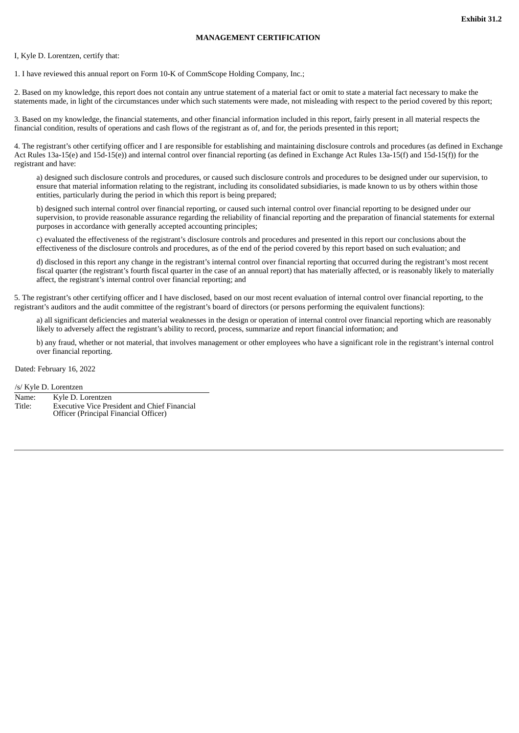#### **MANAGEMENT CERTIFICATION**

<span id="page-123-0"></span>I, Kyle D. Lorentzen, certify that:

1. I have reviewed this annual report on Form 10-K of CommScope Holding Company, Inc.;

2. Based on my knowledge, this report does not contain any untrue statement of a material fact or omit to state a material fact necessary to make the statements made, in light of the circumstances under which such statements were made, not misleading with respect to the period covered by this report;

3. Based on my knowledge, the financial statements, and other financial information included in this report, fairly present in all material respects the financial condition, results of operations and cash flows of the registrant as of, and for, the periods presented in this report;

4. The registrant's other certifying officer and I are responsible for establishing and maintaining disclosure controls and procedures (as defined in Exchange Act Rules 13a-15(e) and 15d-15(e)) and internal control over financial reporting (as defined in Exchange Act Rules 13a-15(f) and 15d-15(f)) for the registrant and have:

a) designed such disclosure controls and procedures, or caused such disclosure controls and procedures to be designed under our supervision, to ensure that material information relating to the registrant, including its consolidated subsidiaries, is made known to us by others within those entities, particularly during the period in which this report is being prepared;

b) designed such internal control over financial reporting, or caused such internal control over financial reporting to be designed under our supervision, to provide reasonable assurance regarding the reliability of financial reporting and the preparation of financial statements for external purposes in accordance with generally accepted accounting principles;

c) evaluated the effectiveness of the registrant's disclosure controls and procedures and presented in this report our conclusions about the effectiveness of the disclosure controls and procedures, as of the end of the period covered by this report based on such evaluation; and

d) disclosed in this report any change in the registrant's internal control over financial reporting that occurred during the registrant's most recent fiscal quarter (the registrant's fourth fiscal quarter in the case of an annual report) that has materially affected, or is reasonably likely to materially affect, the registrant's internal control over financial reporting; and

5. The registrant's other certifying officer and I have disclosed, based on our most recent evaluation of internal control over financial reporting, to the registrant's auditors and the audit committee of the registrant's board of directors (or persons performing the equivalent functions):

a) all significant deficiencies and material weaknesses in the design or operation of internal control over financial reporting which are reasonably likely to adversely affect the registrant's ability to record, process, summarize and report financial information; and

b) any fraud, whether or not material, that involves management or other employees who have a significant role in the registrant's internal control over financial reporting.

Dated: February 16, 2022

/s/ Kyle D. Lorentzen Name: Kyle D. Lorentzen

Title: Executive Vice President and Chief Financial Officer (Principal Financial Officer)